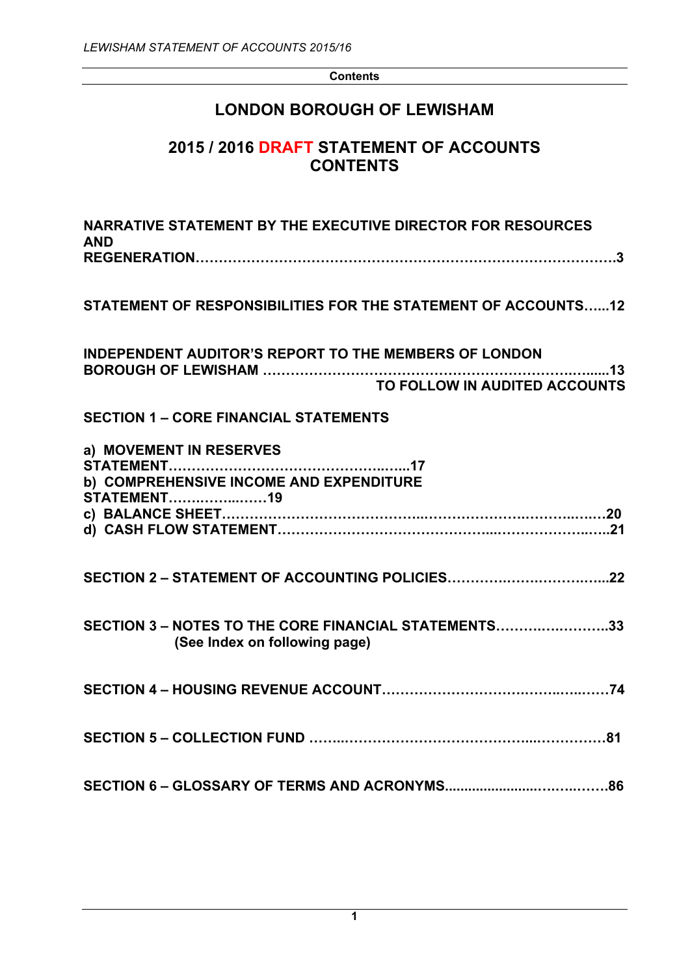**Contents**

# **LONDON BOROUGH OF LEWISHAM**

# **2015 / 2016 DRAFT STATEMENT OF ACCOUNTS CONTENTS**

| NARRATIVE STATEMENT BY THE EXECUTIVE DIRECTOR FOR RESOURCES<br><b>AND</b>                     |
|-----------------------------------------------------------------------------------------------|
| STATEMENT OF RESPONSIBILITIES FOR THE STATEMENT OF ACCOUNTS12                                 |
| <b>INDEPENDENT AUDITOR'S REPORT TO THE MEMBERS OF LONDON</b><br>TO FOLLOW IN AUDITED ACCOUNTS |
| <b>SECTION 1 - CORE FINANCIAL STATEMENTS</b>                                                  |
| a) MOVEMENT IN RESERVES<br>b) COMPREHENSIVE INCOME AND EXPENDITURE<br><b>STATEMENT19</b>      |
|                                                                                               |
| SECTION 3 - NOTES TO THE CORE FINANCIAL STATEMENTS33<br>(See Index on following page)         |
|                                                                                               |
|                                                                                               |
|                                                                                               |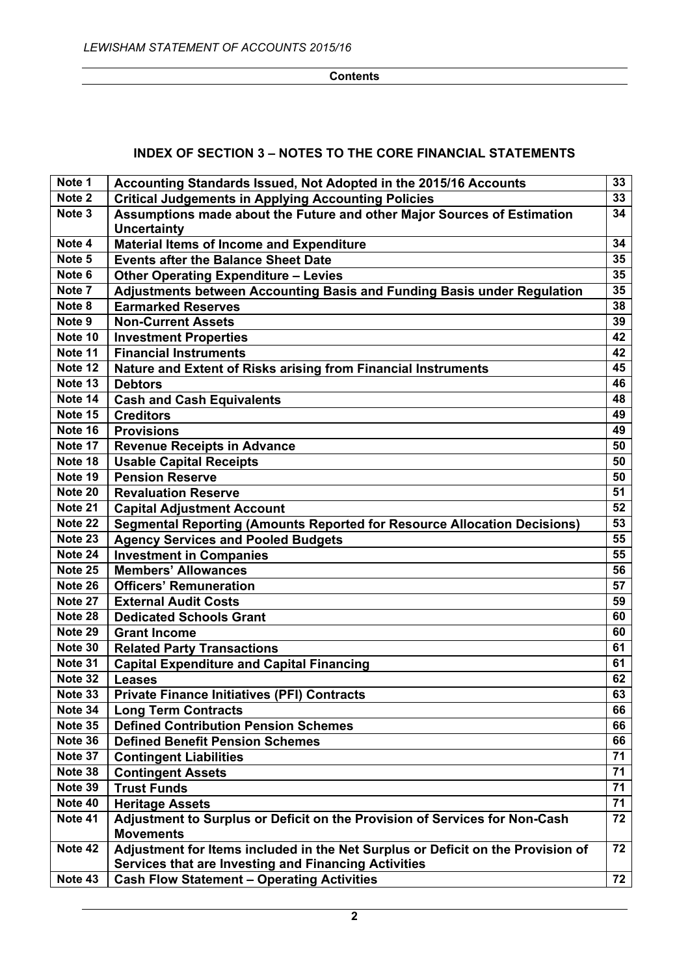#### **Contents**

## **INDEX OF SECTION 3 – NOTES TO THE CORE FINANCIAL STATEMENTS**

| Note 1  | Accounting Standards Issued, Not Adopted in the 2015/16 Accounts                | 33 |
|---------|---------------------------------------------------------------------------------|----|
| Note 2  | <b>Critical Judgements in Applying Accounting Policies</b>                      | 33 |
| Note 3  | Assumptions made about the Future and other Major Sources of Estimation         | 34 |
|         | <b>Uncertainty</b>                                                              |    |
| Note 4  | <b>Material Items of Income and Expenditure</b>                                 | 34 |
| Note 5  | <b>Events after the Balance Sheet Date</b>                                      | 35 |
| Note 6  | <b>Other Operating Expenditure - Levies</b>                                     | 35 |
| Note 7  | Adjustments between Accounting Basis and Funding Basis under Regulation         | 35 |
| Note 8  | <b>Earmarked Reserves</b>                                                       | 38 |
| Note 9  | <b>Non-Current Assets</b>                                                       | 39 |
| Note 10 | <b>Investment Properties</b>                                                    | 42 |
| Note 11 | <b>Financial Instruments</b>                                                    | 42 |
| Note 12 | Nature and Extent of Risks arising from Financial Instruments                   | 45 |
| Note 13 | <b>Debtors</b>                                                                  | 46 |
| Note 14 | <b>Cash and Cash Equivalents</b>                                                | 48 |
| Note 15 | <b>Creditors</b>                                                                | 49 |
| Note 16 | <b>Provisions</b>                                                               | 49 |
| Note 17 | <b>Revenue Receipts in Advance</b>                                              | 50 |
| Note 18 | <b>Usable Capital Receipts</b>                                                  | 50 |
| Note 19 | <b>Pension Reserve</b>                                                          | 50 |
| Note 20 | <b>Revaluation Reserve</b>                                                      | 51 |
| Note 21 | <b>Capital Adjustment Account</b>                                               | 52 |
| Note 22 | <b>Segmental Reporting (Amounts Reported for Resource Allocation Decisions)</b> | 53 |
| Note 23 | <b>Agency Services and Pooled Budgets</b>                                       | 55 |
| Note 24 | <b>Investment in Companies</b>                                                  | 55 |
| Note 25 | <b>Members' Allowances</b>                                                      | 56 |
| Note 26 | <b>Officers' Remuneration</b>                                                   | 57 |
| Note 27 | <b>External Audit Costs</b>                                                     | 59 |
| Note 28 | <b>Dedicated Schools Grant</b>                                                  | 60 |
| Note 29 | <b>Grant Income</b>                                                             | 60 |
| Note 30 | <b>Related Party Transactions</b>                                               | 61 |
| Note 31 | <b>Capital Expenditure and Capital Financing</b>                                | 61 |
| Note 32 | <b>Leases</b>                                                                   | 62 |
| Note 33 | <b>Private Finance Initiatives (PFI) Contracts</b>                              | 63 |
| Note 34 | <b>Long Term Contracts</b>                                                      | 66 |
| Note 35 | <b>Defined Contribution Pension Schemes</b>                                     | 66 |
| Note 36 | <b>Defined Benefit Pension Schemes</b>                                          | 66 |
| Note 37 | <b>Contingent Liabilities</b>                                                   | 71 |
| Note 38 | <b>Contingent Assets</b>                                                        | 71 |
| Note 39 | <b>Trust Funds</b>                                                              | 71 |
| Note 40 | <b>Heritage Assets</b>                                                          | 71 |
| Note 41 | Adjustment to Surplus or Deficit on the Provision of Services for Non-Cash      | 72 |
|         | <b>Movements</b>                                                                |    |
| Note 42 | Adjustment for Items included in the Net Surplus or Deficit on the Provision of | 72 |
|         | <b>Services that are Investing and Financing Activities</b>                     |    |
| Note 43 | <b>Cash Flow Statement - Operating Activities</b>                               | 72 |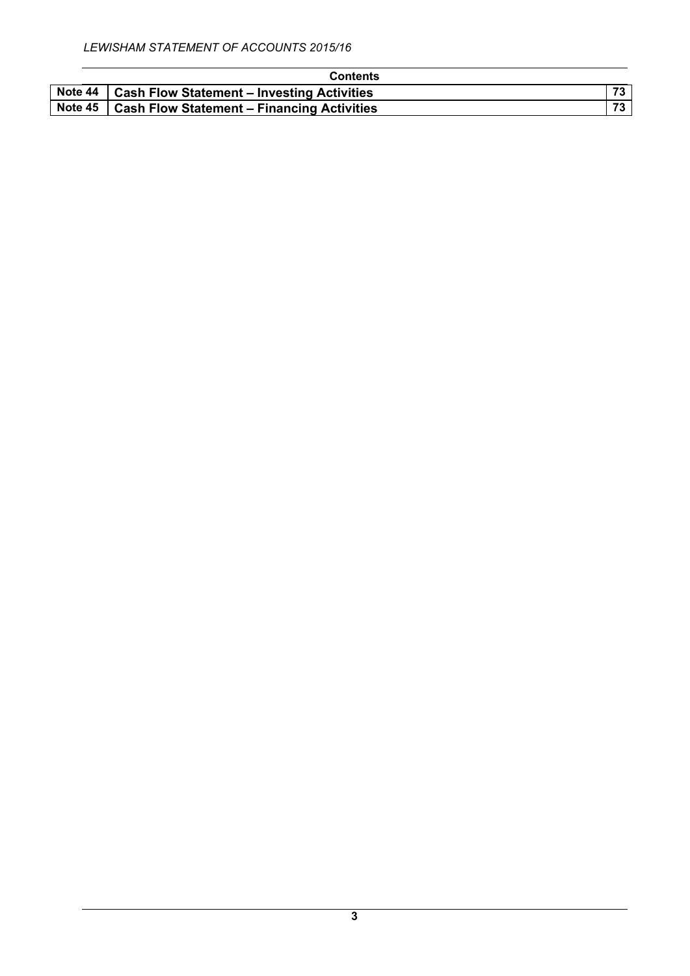| <b>Contents</b>                                      |  |
|------------------------------------------------------|--|
| Note 44   Cash Flow Statement - Investing Activities |  |
| Note 45   Cash Flow Statement – Financing Activities |  |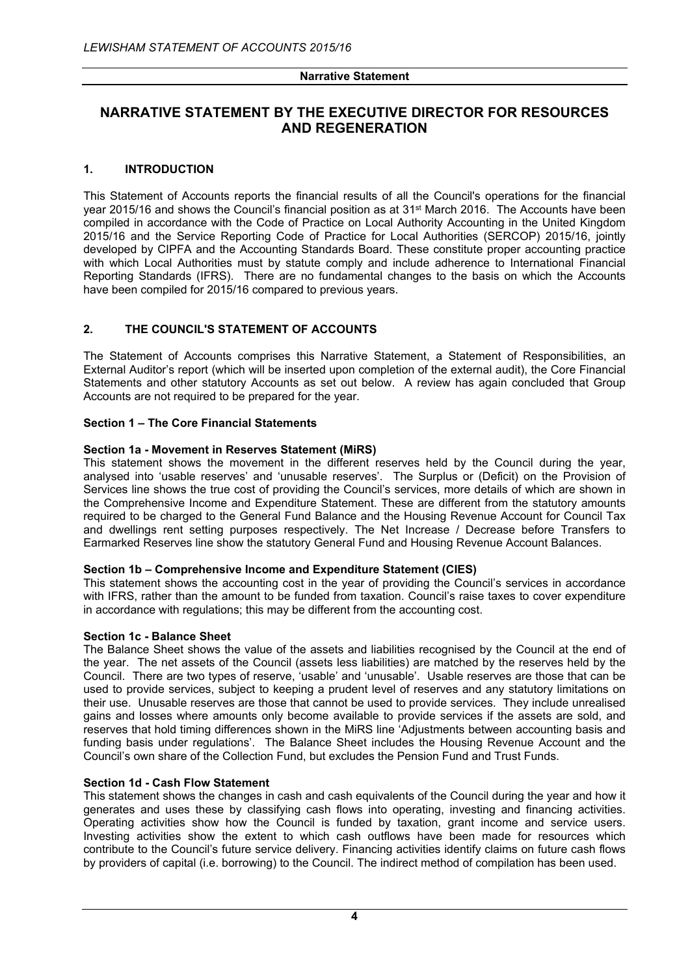# **NARRATIVE STATEMENT BY THE EXECUTIVE DIRECTOR FOR RESOURCES AND REGENERATION**

## **1. INTRODUCTION**

This Statement of Accounts reports the financial results of all the Council's operations for the financial year 2015/16 and shows the Council's financial position as at 31st March 2016. The Accounts have been compiled in accordance with the Code of Practice on Local Authority Accounting in the United Kingdom 2015/16 and the Service Reporting Code of Practice for Local Authorities (SERCOP) 2015/16, jointly developed by CIPFA and the Accounting Standards Board. These constitute proper accounting practice with which Local Authorities must by statute comply and include adherence to International Financial Reporting Standards (IFRS). There are no fundamental changes to the basis on which the Accounts have been compiled for 2015/16 compared to previous years.

## **2. THE COUNCIL'S STATEMENT OF ACCOUNTS**

The Statement of Accounts comprises this Narrative Statement, a Statement of Responsibilities, an External Auditor's report (which will be inserted upon completion of the external audit), the Core Financial Statements and other statutory Accounts as set out below. A review has again concluded that Group Accounts are not required to be prepared for the year.

## **Section 1 – The Core Financial Statements**

## **Section 1a - Movement in Reserves Statement (MiRS)**

This statement shows the movement in the different reserves held by the Council during the year, analysed into 'usable reserves' and 'unusable reserves'. The Surplus or (Deficit) on the Provision of Services line shows the true cost of providing the Council's services, more details of which are shown in the Comprehensive Income and Expenditure Statement. These are different from the statutory amounts required to be charged to the General Fund Balance and the Housing Revenue Account for Council Tax and dwellings rent setting purposes respectively. The Net Increase / Decrease before Transfers to Earmarked Reserves line show the statutory General Fund and Housing Revenue Account Balances.

#### **Section 1b – Comprehensive Income and Expenditure Statement (CIES)**

This statement shows the accounting cost in the year of providing the Council's services in accordance with IFRS, rather than the amount to be funded from taxation. Council's raise taxes to cover expenditure in accordance with regulations; this may be different from the accounting cost.

#### **Section 1c - Balance Sheet**

The Balance Sheet shows the value of the assets and liabilities recognised by the Council at the end of the year. The net assets of the Council (assets less liabilities) are matched by the reserves held by the Council. There are two types of reserve, 'usable' and 'unusable'. Usable reserves are those that can be used to provide services, subject to keeping a prudent level of reserves and any statutory limitations on their use. Unusable reserves are those that cannot be used to provide services. They include unrealised gains and losses where amounts only become available to provide services if the assets are sold, and reserves that hold timing differences shown in the MiRS line 'Adjustments between accounting basis and funding basis under regulations'. The Balance Sheet includes the Housing Revenue Account and the Council's own share of the Collection Fund, but excludes the Pension Fund and Trust Funds.

## **Section 1d - Cash Flow Statement**

This statement shows the changes in cash and cash equivalents of the Council during the year and how it generates and uses these by classifying cash flows into operating, investing and financing activities. Operating activities show how the Council is funded by taxation, grant income and service users. Investing activities show the extent to which cash outflows have been made for resources which contribute to the Council's future service delivery. Financing activities identify claims on future cash flows by providers of capital (i.e. borrowing) to the Council. The indirect method of compilation has been used.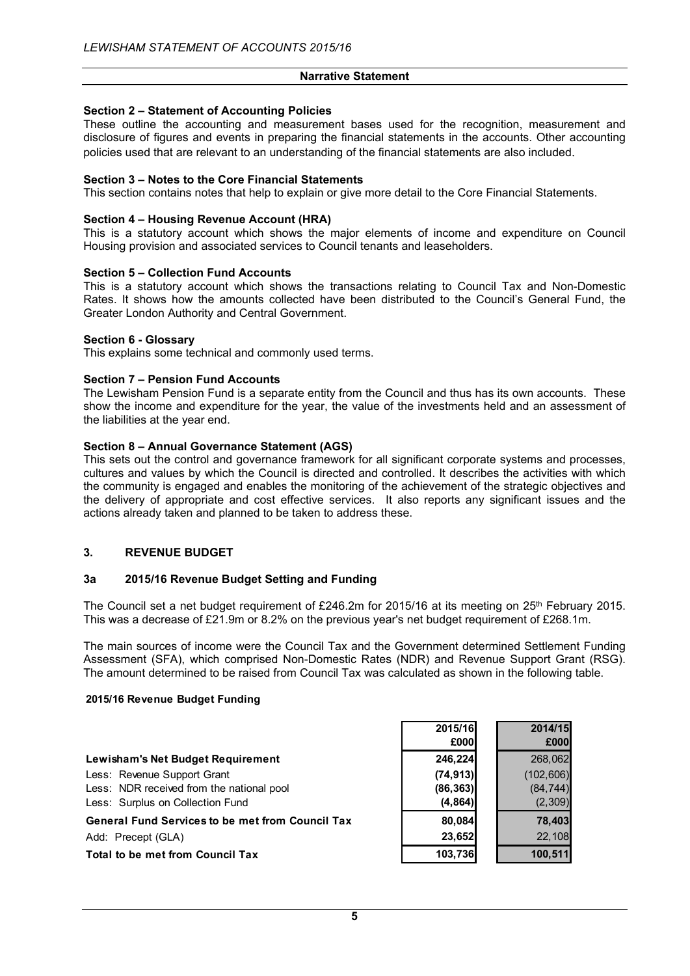## **Section 2 – Statement of Accounting Policies**

These outline the accounting and measurement bases used for the recognition, measurement and disclosure of figures and events in preparing the financial statements in the accounts. Other accounting policies used that are relevant to an understanding of the financial statements are also included.

#### **Section 3 – Notes to the Core Financial Statements**

This section contains notes that help to explain or give more detail to the Core Financial Statements.

#### **Section 4 – Housing Revenue Account (HRA)**

This is a statutory account which shows the major elements of income and expenditure on Council Housing provision and associated services to Council tenants and leaseholders.

#### **Section 5 – Collection Fund Accounts**

This is a statutory account which shows the transactions relating to Council Tax and Non-Domestic Rates. It shows how the amounts collected have been distributed to the Council's General Fund, the Greater London Authority and Central Government.

#### **Section 6 - Glossary**

This explains some technical and commonly used terms.

#### **Section 7 – Pension Fund Accounts**

The Lewisham Pension Fund is a separate entity from the Council and thus has its own accounts. These show the income and expenditure for the year, the value of the investments held and an assessment of the liabilities at the year end.

#### **Section 8 – Annual Governance Statement (AGS)**

This sets out the control and governance framework for all significant corporate systems and processes, cultures and values by which the Council is directed and controlled. It describes the activities with which the community is engaged and enables the monitoring of the achievement of the strategic objectives and the delivery of appropriate and cost effective services. It also reports any significant issues and the actions already taken and planned to be taken to address these.

#### **3. REVENUE BUDGET**

#### **3a 2015/16 Revenue Budget Setting and Funding**

The Council set a net budget requirement of £246.2m for 2015/16 at its meeting on  $25<sup>th</sup>$  February 2015. This was a decrease of £21.9m or 8.2% on the previous year's net budget requirement of £268.1m.

The main sources of income were the Council Tax and the Government determined Settlement Funding Assessment (SFA), which comprised Non-Domestic Rates (NDR) and Revenue Support Grant (RSG). The amount determined to be raised from Council Tax was calculated as shown in the following table.

#### **2015/16 Revenue Budget Funding**

|                                                         | 2015/16   | 2014/15    |
|---------------------------------------------------------|-----------|------------|
|                                                         | £000      | £000       |
| Lewisham's Net Budget Requirement                       | 246,224   | 268,062    |
| Less: Revenue Support Grant                             | (74, 913) | (102, 606) |
| Less: NDR received from the national pool               | (86, 363) | (84, 744)  |
| Less: Surplus on Collection Fund                        | (4, 864)  | (2,309)    |
| <b>General Fund Services to be met from Council Tax</b> | 80,084    | 78,403     |
| Add: Precept (GLA)                                      | 23,652    | 22,108     |
| <b>Total to be met from Council Tax</b>                 | 103,736   | 100,511    |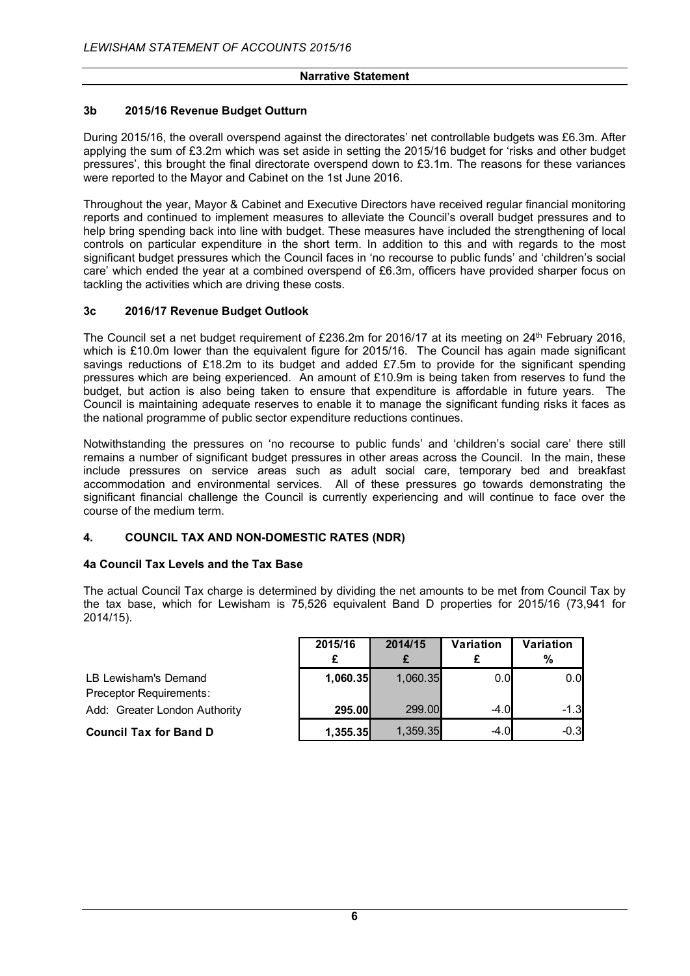## **3b 2015/16 Revenue Budget Outturn**

During 2015/16, the overall overspend against the directorates' net controllable budgets was £6.3m. After applying the sum of £3.2m which was set aside in setting the 2015/16 budget for 'risks and other budget pressures', this brought the final directorate overspend down to £3.1m. The reasons for these variances were reported to the Mayor and Cabinet on the 1st June 2016.

Throughout the year, Mayor & Cabinet and Executive Directors have received regular financial monitoring reports and continued to implement measures to alleviate the Council's overall budget pressures and to help bring spending back into line with budget. These measures have included the strengthening of local controls on particular expenditure in the short term. In addition to this and with regards to the most significant budget pressures which the Council faces in 'no recourse to public funds' and 'children's social care' which ended the year at a combined overspend of £6.3m, officers have provided sharper focus on tackling the activities which are driving these costs.

## **3c 2016/17 Revenue Budget Outlook**

The Council set a net budget requirement of £236.2m for 2016/17 at its meeting on 24<sup>th</sup> February 2016, which is £10.0m lower than the equivalent figure for 2015/16. The Council has again made significant savings reductions of £18.2m to its budget and added £7.5m to provide for the significant spending pressures which are being experienced. An amount of £10.9m is being taken from reserves to fund the budget, but action is also being taken to ensure that expenditure is affordable in future years. The Council is maintaining adequate reserves to enable it to manage the significant funding risks it faces as the national programme of public sector expenditure reductions continues.

Notwithstanding the pressures on 'no recourse to public funds' and 'children's social care' there still remains a number of significant budget pressures in other areas across the Council. In the main, these include pressures on service areas such as adult social care, temporary bed and breakfast accommodation and environmental services. All of these pressures go towards demonstrating the significant financial challenge the Council is currently experiencing and will continue to face over the course of the medium term.

#### **4. COUNCIL TAX AND NON-DOMESTIC RATES (NDR)**

#### **4a Council Tax Levels and the Tax Base**

The actual Council Tax charge is determined by dividing the net amounts to be met from Council Tax by the tax base, which for Lewisham is 75,526 equivalent Band D properties for 2015/16 (73,941 for 2014/15).

|                               | 2015/16  | 2014/15  | Variation | Variation |
|-------------------------------|----------|----------|-----------|-----------|
|                               |          |          |           | %         |
| LB Lewisham's Demand          | 1,060.35 | 1,060.35 | 0.0       | 0.0       |
| Preceptor Requirements:       |          |          |           |           |
| Add: Greater London Authority | 295.00   | 299.00   | $-4.0$    | $-1.3$    |
| <b>Council Tax for Band D</b> | 1,355.35 | 1,359.35 | $-4.0$    | $-0.3$    |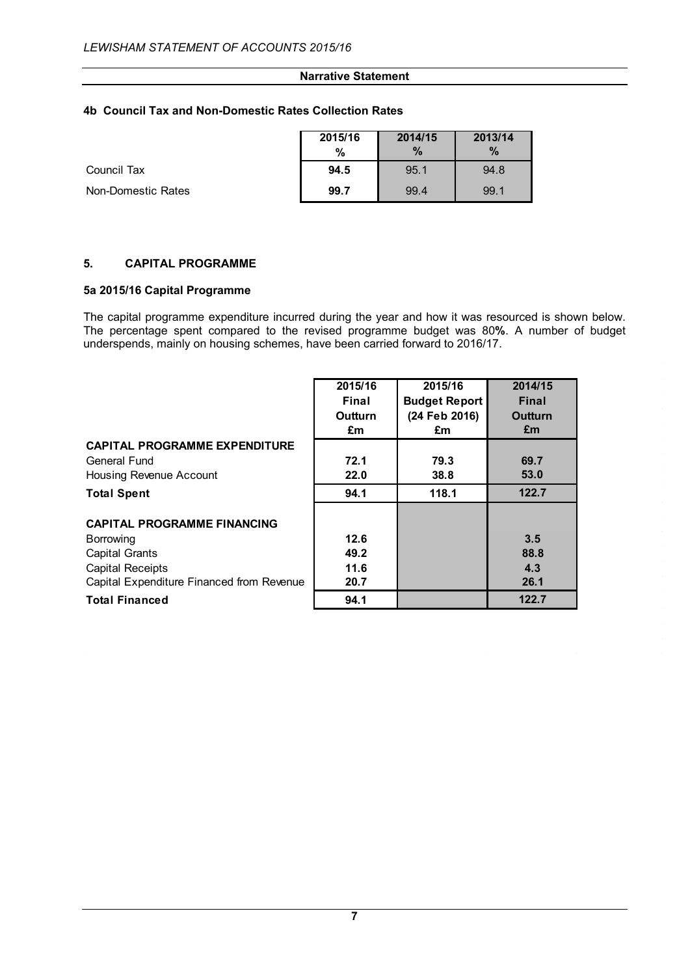## **4b Council Tax and Non-Domestic Rates Collection Rates**

|                    | 2015/16 | 2014/15 | 2013/14       |
|--------------------|---------|---------|---------------|
|                    | %       | $\%$    | $\frac{0}{2}$ |
| Council Tax        | 94.5    | 95.1    | 94.8          |
| Non-Domestic Rates | 99.7    | 99.4    | 99.1          |

## **5. CAPITAL PROGRAMME**

#### **5a 2015/16 Capital Programme**

The capital programme expenditure incurred during the year and how it was resourced is shown below. The percentage spent compared to the revised programme budget was 80**%**. A number of budget underspends, mainly on housing schemes, have been carried forward to 2016/17.

|                                           | 2015/16 | 2015/16              | 2014/15      |
|-------------------------------------------|---------|----------------------|--------------|
|                                           | Final   | <b>Budget Report</b> | <b>Final</b> |
|                                           | Outturn | (24 Feb 2016)        | Outturn      |
|                                           | £m      | £m                   | £m           |
| <b>CAPITAL PROGRAMME EXPENDITURE</b>      |         |                      |              |
| General Fund                              | 72.1    | 79.3                 | 69.7         |
| Housing Revenue Account                   | 22.0    | 38.8                 | 53.0         |
| <b>Total Spent</b>                        | 94.1    | 118.1                | 122.7        |
| <b>CAPITAL PROGRAMME FINANCING</b>        |         |                      |              |
| Borrowing                                 | 12.6    |                      | 3.5          |
| <b>Capital Grants</b>                     | 49.2    |                      | 88.8         |
| <b>Capital Receipts</b>                   | 11.6    |                      | 4.3          |
| Capital Expenditure Financed from Revenue | 20.7    |                      | 26.1         |
| <b>Total Financed</b>                     | 94.1    |                      | 122.7        |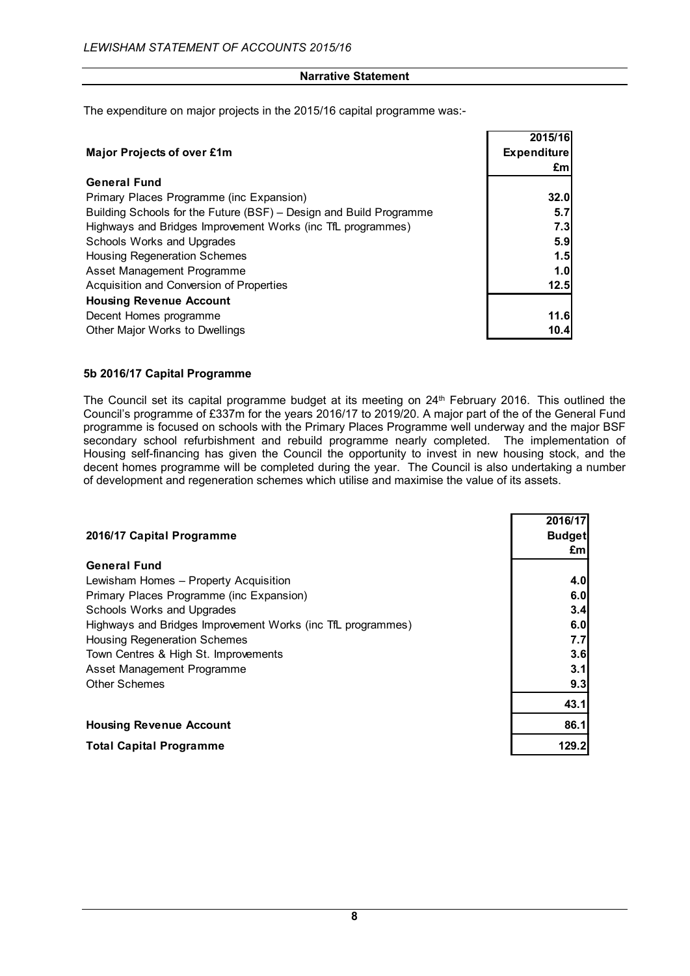The expenditure on major projects in the 2015/16 capital programme was:-

|                                                                    | 2015/16            |
|--------------------------------------------------------------------|--------------------|
| <b>Major Projects of over £1m</b>                                  | <b>Expenditure</b> |
|                                                                    | £m                 |
| <b>General Fund</b>                                                |                    |
| Primary Places Programme (inc Expansion)                           | 32.0               |
| Building Schools for the Future (BSF) – Design and Build Programme | 5.7                |
| Highways and Bridges Improvement Works (inc TfL programmes)        | 7.3                |
| Schools Works and Upgrades                                         | 5.9                |
| <b>Housing Regeneration Schemes</b>                                | 1.5                |
| Asset Management Programme                                         | 1.0                |
| Acquisition and Conversion of Properties                           | 12.5               |
| <b>Housing Revenue Account</b>                                     |                    |
| Decent Homes programme                                             | 11.6               |
| Other Major Works to Dwellings                                     | 10.4               |

## **5b 2016/17 Capital Programme**

The Council set its capital programme budget at its meeting on 24<sup>th</sup> February 2016. This outlined the Council's programme of £337m for the years 2016/17 to 2019/20. A major part of the of the General Fund programme is focused on schools with the Primary Places Programme well underway and the major BSF secondary school refurbishment and rebuild programme nearly completed. The implementation of Housing self-financing has given the Council the opportunity to invest in new housing stock, and the decent homes programme will be completed during the year. The Council is also undertaking a number of development and regeneration schemes which utilise and maximise the value of its assets.

|                                                             | 2016/17       |
|-------------------------------------------------------------|---------------|
| 2016/17 Capital Programme                                   | <b>Budget</b> |
|                                                             |               |
|                                                             | £ml           |
| <b>General Fund</b>                                         |               |
| Lewisham Homes - Property Acquisition                       | 4.0           |
| Primary Places Programme (inc Expansion)                    | 6.0           |
| Schools Works and Upgrades                                  | 3.4           |
| Highways and Bridges Improvement Works (inc TfL programmes) | 6.0           |
| <b>Housing Regeneration Schemes</b>                         | 7.7           |
| Town Centres & High St. Improvements                        | 3.6           |
| Asset Management Programme                                  | 3.1           |
| <b>Other Schemes</b>                                        | 9.3           |
|                                                             | 43.1          |
| <b>Housing Revenue Account</b>                              | 86.1          |
| <b>Total Capital Programme</b>                              | 129.2         |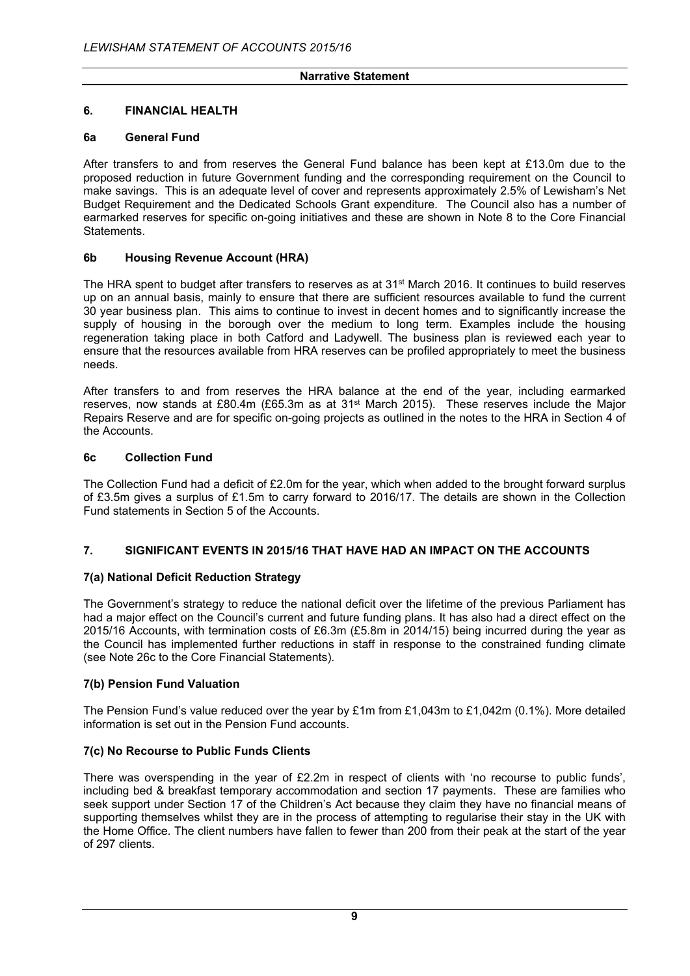## **6. FINANCIAL HEALTH**

## **6a General Fund**

After transfers to and from reserves the General Fund balance has been kept at £13.0m due to the proposed reduction in future Government funding and the corresponding requirement on the Council to make savings. This is an adequate level of cover and represents approximately 2.5% of Lewisham's Net Budget Requirement and the Dedicated Schools Grant expenditure. The Council also has a number of earmarked reserves for specific on-going initiatives and these are shown in Note 8 to the Core Financial Statements.

## **6b Housing Revenue Account (HRA)**

The HRA spent to budget after transfers to reserves as at 31<sup>st</sup> March 2016. It continues to build reserves up on an annual basis, mainly to ensure that there are sufficient resources available to fund the current 30 year business plan. This aims to continue to invest in decent homes and to significantly increase the supply of housing in the borough over the medium to long term. Examples include the housing regeneration taking place in both Catford and Ladywell. The business plan is reviewed each year to ensure that the resources available from HRA reserves can be profiled appropriately to meet the business needs.

After transfers to and from reserves the HRA balance at the end of the year, including earmarked reserves, now stands at £80.4m (£65.3m as at 31st March 2015). These reserves include the Major Repairs Reserve and are for specific on-going projects as outlined in the notes to the HRA in Section 4 of the Accounts.

#### **6c Collection Fund**

The Collection Fund had a deficit of £2.0m for the year, which when added to the brought forward surplus of £3.5m gives a surplus of £1.5m to carry forward to 2016/17. The details are shown in the Collection Fund statements in Section 5 of the Accounts.

## **7. SIGNIFICANT EVENTS IN 2015/16 THAT HAVE HAD AN IMPACT ON THE ACCOUNTS**

## **7(a) National Deficit Reduction Strategy**

The Government's strategy to reduce the national deficit over the lifetime of the previous Parliament has had a major effect on the Council's current and future funding plans. It has also had a direct effect on the 2015/16 Accounts, with termination costs of £6.3m (£5.8m in 2014/15) being incurred during the year as the Council has implemented further reductions in staff in response to the constrained funding climate (see Note 26c to the Core Financial Statements).

## **7(b) Pension Fund Valuation**

The Pension Fund's value reduced over the year by £1m from £1,043m to £1,042m (0.1%). More detailed information is set out in the Pension Fund accounts.

## **7(c) No Recourse to Public Funds Clients**

There was overspending in the year of £2.2m in respect of clients with 'no recourse to public funds'. including bed & breakfast temporary accommodation and section 17 payments. These are families who seek support under Section 17 of the Children's Act because they claim they have no financial means of supporting themselves whilst they are in the process of attempting to regularise their stay in the UK with the Home Office. The client numbers have fallen to fewer than 200 from their peak at the start of the year of 297 clients.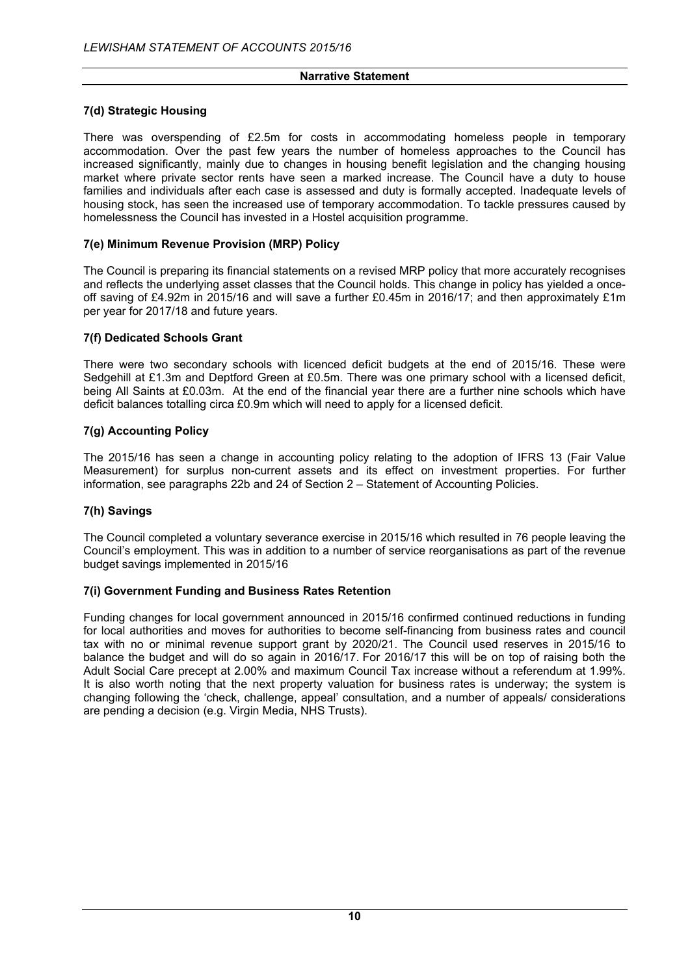## **7(d) Strategic Housing**

There was overspending of £2.5m for costs in accommodating homeless people in temporary accommodation. Over the past few years the number of homeless approaches to the Council has increased significantly, mainly due to changes in housing benefit legislation and the changing housing market where private sector rents have seen a marked increase. The Council have a duty to house families and individuals after each case is assessed and duty is formally accepted. Inadequate levels of housing stock, has seen the increased use of temporary accommodation. To tackle pressures caused by homelessness the Council has invested in a Hostel acquisition programme.

## **7(e) Minimum Revenue Provision (MRP) Policy**

The Council is preparing its financial statements on a revised MRP policy that more accurately recognises and reflects the underlying asset classes that the Council holds. This change in policy has yielded a onceoff saving of £4.92m in 2015/16 and will save a further £0.45m in 2016/17; and then approximately £1m per year for 2017/18 and future years.

## **7(f) Dedicated Schools Grant**

There were two secondary schools with licenced deficit budgets at the end of 2015/16. These were Sedgehill at £1.3m and Deptford Green at £0.5m. There was one primary school with a licensed deficit, being All Saints at £0.03m. At the end of the financial year there are a further nine schools which have deficit balances totalling circa £0.9m which will need to apply for a licensed deficit.

## **7(g) Accounting Policy**

The 2015/16 has seen a change in accounting policy relating to the adoption of IFRS 13 (Fair Value Measurement) for surplus non-current assets and its effect on investment properties. For further information, see paragraphs 22b and 24 of Section 2 – Statement of Accounting Policies.

## **7(h) Savings**

The Council completed a voluntary severance exercise in 2015/16 which resulted in 76 people leaving the Council's employment. This was in addition to a number of service reorganisations as part of the revenue budget savings implemented in 2015/16

#### **7(i) Government Funding and Business Rates Retention**

Funding changes for local government announced in 2015/16 confirmed continued reductions in funding for local authorities and moves for authorities to become self-financing from business rates and council tax with no or minimal revenue support grant by 2020/21. The Council used reserves in 2015/16 to balance the budget and will do so again in 2016/17. For 2016/17 this will be on top of raising both the Adult Social Care precept at 2.00% and maximum Council Tax increase without a referendum at 1.99%. It is also worth noting that the next property valuation for business rates is underway; the system is changing following the 'check, challenge, appeal' consultation, and a number of appeals/ considerations are pending a decision (e.g. Virgin Media, NHS Trusts).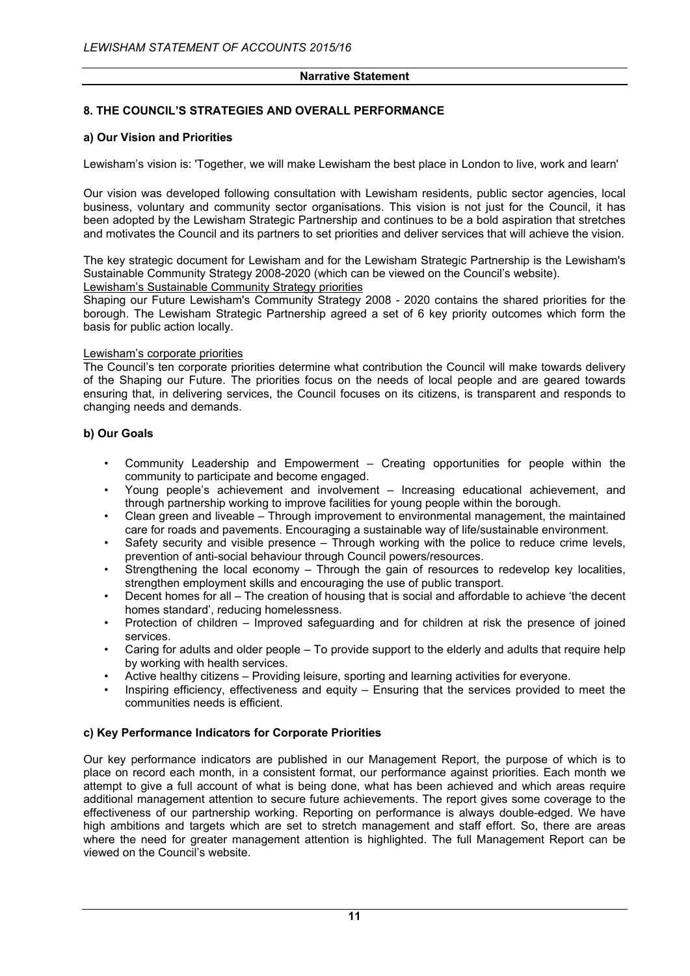## **8. THE COUNCIL'S STRATEGIES AND OVERALL PERFORMANCE**

## **a) Our Vision and Priorities**

Lewisham's vision is: 'Together, we will make Lewisham the best place in London to live, work and learn'

Our vision was developed following consultation with Lewisham residents, public sector agencies, local business, voluntary and community sector organisations. This vision is not just for the Council, it has been adopted by the Lewisham Strategic Partnership and continues to be a bold aspiration that stretches and motivates the Council and its partners to set priorities and deliver services that will achieve the vision.

The key strategic document for Lewisham and for the Lewisham Strategic Partnership is the Lewisham's Sustainable Community Strategy 2008-2020 (which can be viewed on the Council's website).

#### Lewisham's Sustainable Community Strategy priorities

Shaping our Future Lewisham's Community Strategy 2008 - 2020 contains the shared priorities for the borough. The Lewisham Strategic Partnership agreed a set of 6 key priority outcomes which form the basis for public action locally.

#### Lewisham's corporate priorities

The Council's ten corporate priorities determine what contribution the Council will make towards delivery of the Shaping our Future. The priorities focus on the needs of local people and are geared towards ensuring that, in delivering services, the Council focuses on its citizens, is transparent and responds to changing needs and demands.

## **b) Our Goals**

- Community Leadership and Empowerment Creating opportunities for people within the community to participate and become engaged.
- Young people's achievement and involvement Increasing educational achievement, and through partnership working to improve facilities for young people within the borough.
- Clean green and liveable Through improvement to environmental management, the maintained care for roads and pavements. Encouraging a sustainable way of life/sustainable environment.
- Safety security and visible presence Through working with the police to reduce crime levels. prevention of anti-social behaviour through Council powers/resources.
- Strengthening the local economy Through the gain of resources to redevelop key localities, strengthen employment skills and encouraging the use of public transport.
- Decent homes for all The creation of housing that is social and affordable to achieve 'the decent homes standard', reducing homelessness.
- Protection of children Improved safeguarding and for children at risk the presence of joined services.
- Caring for adults and older people To provide support to the elderly and adults that require help by working with health services.
- Active healthy citizens Providing leisure, sporting and learning activities for everyone.
- Inspiring efficiency, effectiveness and equity Ensuring that the services provided to meet the communities needs is efficient.

#### **c) Key Performance Indicators for Corporate Priorities**

Our key performance indicators are published in our Management Report, the purpose of which is to place on record each month, in a consistent format, our performance against priorities. Each month we attempt to give a full account of what is being done, what has been achieved and which areas require additional management attention to secure future achievements. The report gives some coverage to the effectiveness of our partnership working. Reporting on performance is always double-edged. We have high ambitions and targets which are set to stretch management and staff effort. So, there are areas where the need for greater management attention is highlighted. The full Management Report can be viewed on the Council's website.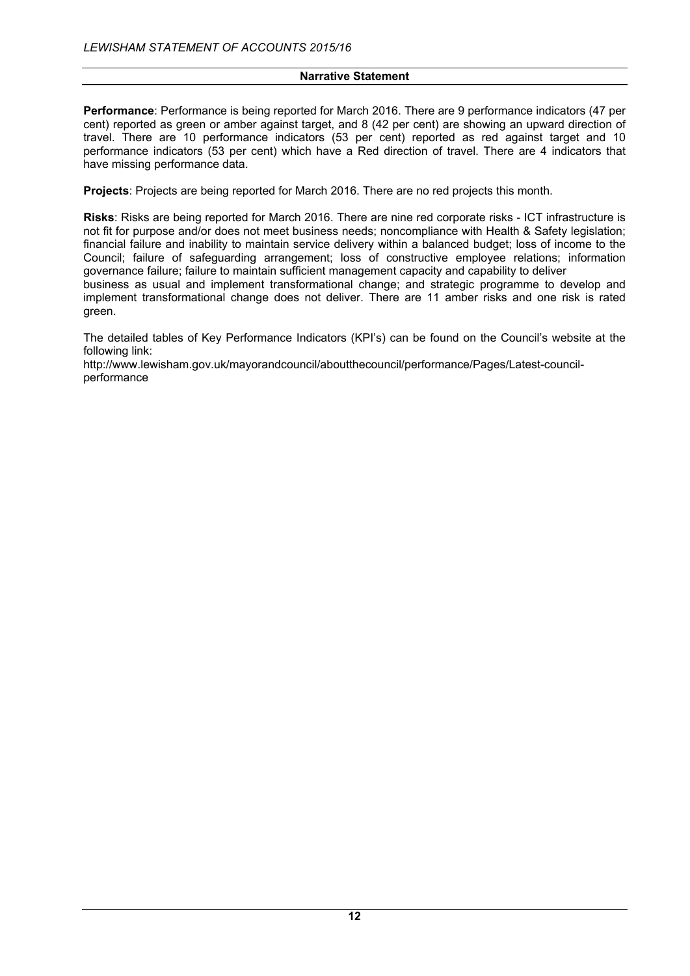**Performance**: Performance is being reported for March 2016. There are 9 performance indicators (47 per cent) reported as green or amber against target, and 8 (42 per cent) are showing an upward direction of travel. There are 10 performance indicators (53 per cent) reported as red against target and 10 performance indicators (53 per cent) which have a Red direction of travel. There are 4 indicators that have missing performance data.

**Projects**: Projects are being reported for March 2016. There are no red projects this month.

**Risks**: Risks are being reported for March 2016. There are nine red corporate risks - ICT infrastructure is not fit for purpose and/or does not meet business needs; noncompliance with Health & Safety legislation; financial failure and inability to maintain service delivery within a balanced budget; loss of income to the Council; failure of safeguarding arrangement; loss of constructive employee relations; information governance failure; failure to maintain sufficient management capacity and capability to deliver business as usual and implement transformational change; and strategic programme to develop and

implement transformational change does not deliver. There are 11 amber risks and one risk is rated green.

The detailed tables of Key Performance Indicators (KPI's) can be found on the Council's website at the following link:

http://www.lewisham.gov.uk/mayorandcouncil/aboutthecouncil/performance/Pages/Latest-councilperformance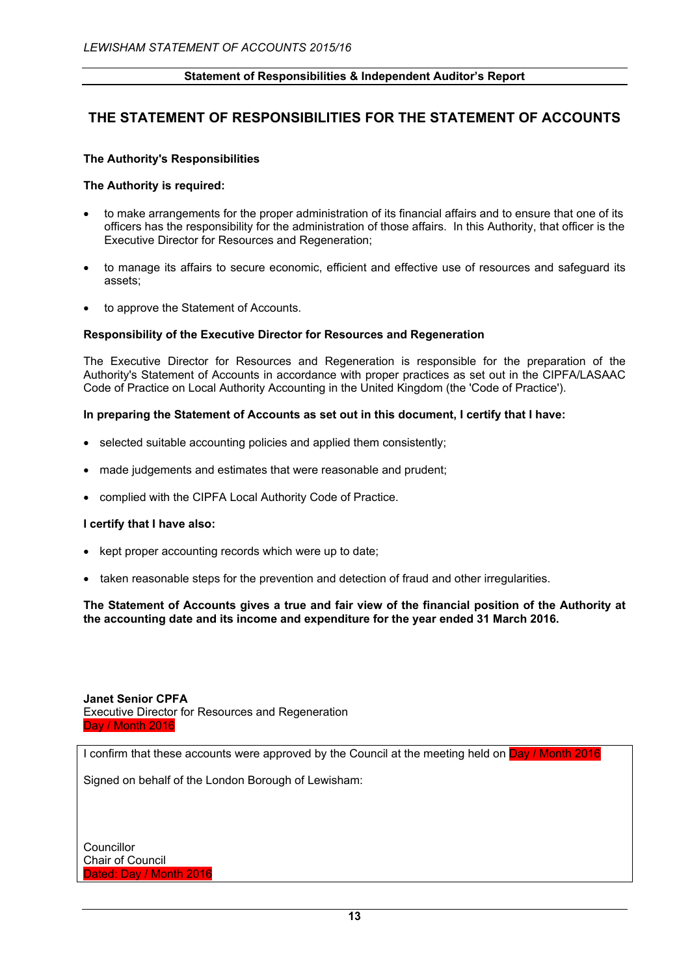## **THE STATEMENT OF RESPONSIBILITIES FOR THE STATEMENT OF ACCOUNTS**

#### **The Authority's Responsibilities**

#### **The Authority is required:**

- to make arrangements for the proper administration of its financial affairs and to ensure that one of its officers has the responsibility for the administration of those affairs. In this Authority, that officer is the Executive Director for Resources and Regeneration;
- to manage its affairs to secure economic, efficient and effective use of resources and safeguard its assets;
- to approve the Statement of Accounts.

#### **Responsibility of the Executive Director for Resources and Regeneration**

The Executive Director for Resources and Regeneration is responsible for the preparation of the Authority's Statement of Accounts in accordance with proper practices as set out in the CIPFA/LASAAC Code of Practice on Local Authority Accounting in the United Kingdom (the 'Code of Practice').

#### **In preparing the Statement of Accounts as set out in this document, I certify that I have:**

- selected suitable accounting policies and applied them consistently;
- made judgements and estimates that were reasonable and prudent;
- complied with the CIPFA Local Authority Code of Practice.

#### **I certify that I have also:**

- kept proper accounting records which were up to date;
- taken reasonable steps for the prevention and detection of fraud and other irregularities.

**The Statement of Accounts gives a true and fair view of the financial position of the Authority at the accounting date and its income and expenditure for the year ended 31 March 2016.**

**Janet Senior CPFA** Executive Director for Resources and Regeneration Day / Month 2016

I confirm that these accounts were approved by the Council at the meeting held on Day / Month 2016

Signed on behalf of the London Borough of Lewisham:

Councillor Chair of Council Dated: Day / Month 2016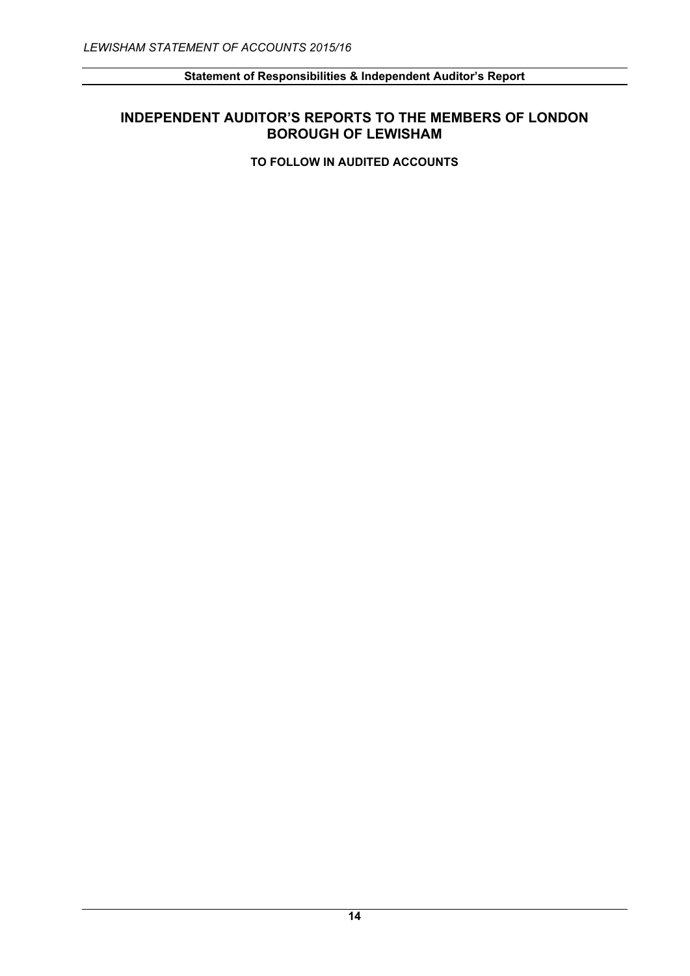# **INDEPENDENT AUDITOR'S REPORTS TO THE MEMBERS OF LONDON BOROUGH OF LEWISHAM**

**TO FOLLOW IN AUDITED ACCOUNTS**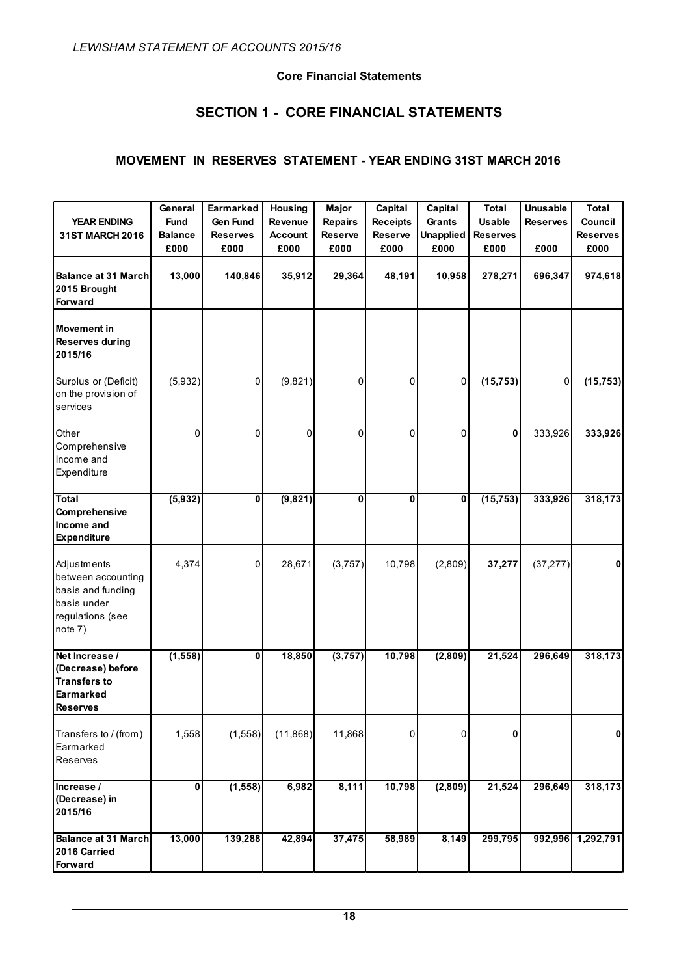# **SECTION 1 - CORE FINANCIAL STATEMENTS**

## **MOVEMENT IN RESERVES STATEMENT - YEAR ENDING 31ST MARCH 2016**

|                                                                                                      | General        | Earmarked       | Housing        | <b>Major</b>   | Capital         | Capital          | <b>Total</b>    | <b>Unusable</b> | <b>Total</b>    |
|------------------------------------------------------------------------------------------------------|----------------|-----------------|----------------|----------------|-----------------|------------------|-----------------|-----------------|-----------------|
| <b>YEAR ENDING</b>                                                                                   | <b>Fund</b>    | <b>Gen Fund</b> | <b>Revenue</b> | <b>Repairs</b> | <b>Receipts</b> | Grants           | <b>Usable</b>   | <b>Reserves</b> | Council         |
| 31ST MARCH 2016                                                                                      | <b>Balance</b> | <b>Reserves</b> | <b>Account</b> | <b>Reserve</b> | <b>Reserve</b>  | <b>Unapplied</b> | <b>Reserves</b> |                 | <b>Reserves</b> |
|                                                                                                      | £000           | £000            | £000           | £000           | £000            | £000             | £000            | £000            | £000            |
| <b>Balance at 31 March</b><br>2015 Brought<br>Forward                                                | 13,000         | 140,846         | 35,912         | 29,364         | 48,191          | 10,958           | 278,271         | 696,347         | 974,618         |
| <b>Movement</b> in<br><b>Reserves during</b><br>2015/16                                              |                |                 |                |                |                 |                  |                 |                 |                 |
| Surplus or (Deficit)<br>on the provision of<br>services                                              | (5,932)        | 0               | (9,821)        | 0              | 0               | 0                | (15, 753)       | 0               | (15, 753)       |
| Other<br>Comprehensive<br>Income and<br>Expenditure                                                  | 0              | 0               | 0              | 0              | 0               | 0                | 0               | 333,926         | 333,926         |
| Total<br>Comprehensive<br>Income and<br><b>Expenditure</b>                                           | (5,932)        | 0               | (9,821)        | 0              | 0               | 0                | (15, 753)       | 333,926         | 318,173         |
| Adjustments<br>between accounting<br>basis and funding<br>basis under<br>regulations (see<br>note 7) | 4,374          | 0               | 28,671         | (3,757)        | 10,798          | (2,809)          | 37,277          | (37, 277)       | 0               |
| Net Increase /<br>(Decrease) before<br><b>Transfers to</b><br>Earmarked<br><b>Reserves</b>           | (1, 558)       | 0               | 18,850         | (3, 757)       | 10,798          | (2,809)          | 21,524          | 296,649         | 318,173         |
| Transfers to / (from)<br>Earmarked<br>Reserves                                                       | 1,558          | (1,558)         | (11, 868)      | 11,868         | 0               | 0                | 0               |                 | $\mathbf{0}$    |
| Increase /<br>(Decrease) in<br>2015/16                                                               | 0              | (1, 558)        | 6,982          | 8,111          | 10,798          | (2,809)          | 21,524          | 296,649         | 318,173         |
| <b>Balance at 31 March</b><br>2016 Carried<br>Forward                                                | 13,000         | 139,288         | 42,894         | 37,475         | 58,989          | 8,149            | 299,795         | 992,996         | 1,292,791       |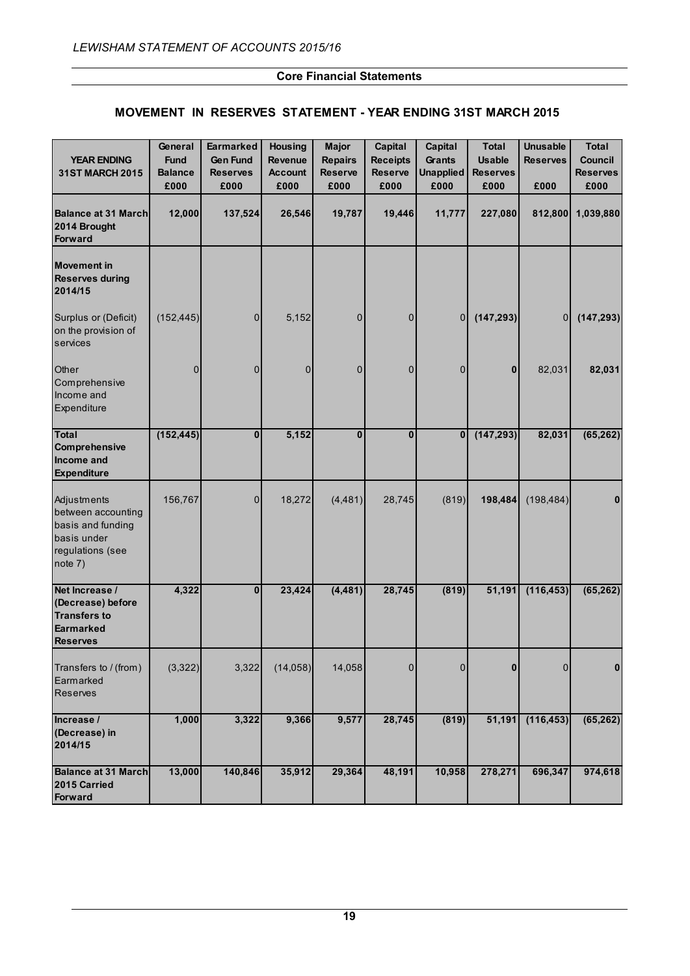## **MOVEMENT IN RESERVES STATEMENT - YEAR ENDING 31ST MARCH 2015**

| <b>YEAR ENDING</b><br><b>31ST MARCH 2015</b>                                                         | General<br><b>Fund</b><br><b>Balance</b><br>£000 | <b>Earmarked</b><br><b>Gen Fund</b><br><b>Reserves</b><br>£000 | <b>Housing</b><br><b>Revenue</b><br><b>Account</b><br>£000 | <b>Major</b><br><b>Repairs</b><br><b>Reserve</b><br>£000 | Capital<br><b>Receipts</b><br><b>Reserve</b><br>£000 | Capital<br><b>Grants</b><br><b>Unapplied</b><br>£000 | <b>Total</b><br><b>Usable</b><br><b>Reserves</b><br>£000 | <b>Unusable</b><br><b>Reserves</b><br>£000 | <b>Total</b><br><b>Council</b><br><b>Reserves</b><br>£000 |
|------------------------------------------------------------------------------------------------------|--------------------------------------------------|----------------------------------------------------------------|------------------------------------------------------------|----------------------------------------------------------|------------------------------------------------------|------------------------------------------------------|----------------------------------------------------------|--------------------------------------------|-----------------------------------------------------------|
| <b>Balance at 31 March</b><br>2014 Brought<br>Forward                                                | 12,000                                           | 137,524                                                        | 26,546                                                     | 19,787                                                   | 19,446                                               | 11,777                                               | 227,080                                                  | 812,800                                    | 1,039,880                                                 |
| <b>Movement in</b><br><b>Reserves during</b><br>2014/15                                              |                                                  |                                                                |                                                            |                                                          |                                                      |                                                      |                                                          |                                            |                                                           |
| Surplus or (Deficit)<br>on the provision of<br>services                                              | (152, 445)                                       | $\overline{0}$                                                 | 5,152                                                      | $\mathbf 0$                                              | 0                                                    | 0                                                    | (147, 293)                                               | $\overline{0}$                             | (147, 293)                                                |
| Other<br>Comprehensive<br>Income and<br>Expenditure                                                  | 0                                                | 0                                                              | 0                                                          | $\mathbf{0}$                                             | $\mathbf 0$                                          | $\overline{0}$                                       | 0                                                        | 82,031                                     | 82,031                                                    |
| <b>Total</b><br>Comprehensive<br>Income and<br><b>Expenditure</b>                                    | (152, 445)                                       | $\mathbf{0}$                                                   | 5,152                                                      | $\mathbf{0}$                                             | $\mathbf{0}$                                         | $\bf{0}$                                             | (147, 293)                                               | 82,031                                     | (65, 262)                                                 |
| Adjustments<br>between accounting<br>basis and funding<br>basis under<br>regulations (see<br>note 7) | 156,767                                          | 0                                                              | 18,272                                                     | (4, 481)                                                 | 28,745                                               | (819)                                                | 198,484                                                  | (198, 484)                                 | $\bf{0}$                                                  |
| Net Increase /<br>(Decrease) before<br><b>Transfers to</b><br><b>Earmarked</b><br><b>Reserves</b>    | 4,322                                            | $\bf{0}$                                                       | 23,424                                                     | (4, 481)                                                 | 28,745                                               | (819)                                                | 51,191                                                   | (116, 453)                                 | (65, 262)                                                 |
| Transfers to / (from)<br>Earmarked<br><b>Reserves</b>                                                | (3,322)                                          | 3,322                                                          | (14, 058)                                                  | 14,058                                                   | $\mathbf{0}$                                         | $\mathbf{0}$                                         | $\bf{0}$                                                 | $\mathbf{0}$                               | $\mathbf{0}$                                              |
| Increase /<br>(Decrease) in<br>2014/15                                                               | 1,000                                            | 3,322                                                          | 9,366                                                      | 9,577                                                    | 28,745                                               | (819)                                                | 51,191                                                   | (116, 453)                                 | (65, 262)                                                 |
| <b>Balance at 31 March</b><br>2015 Carried<br>Forward                                                | 13,000                                           | 140,846                                                        | 35,912                                                     | 29,364                                                   | 48,191                                               | 10,958                                               | 278,271                                                  | 696,347                                    | 974,618                                                   |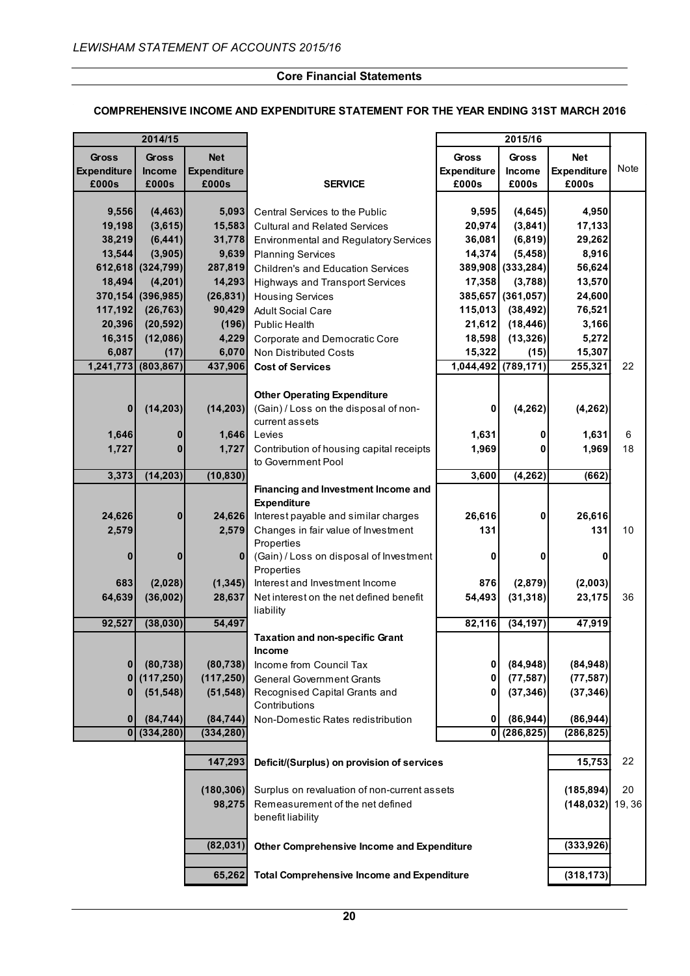#### **COMPREHENSIVE INCOME AND EXPENDITURE STATEMENT FOR THE YEAR ENDING 31ST MARCH 2016**

|                                             | 2014/15                         |                                           |                                                                                               | 2015/16                                     |                          |                                    |       |
|---------------------------------------------|---------------------------------|-------------------------------------------|-----------------------------------------------------------------------------------------------|---------------------------------------------|--------------------------|------------------------------------|-------|
| <b>Gross</b><br><b>Expenditure</b><br>£000s | <b>Gross</b><br>Income<br>£000s | <b>Net</b><br><b>Expenditure</b><br>£000s | <b>SERVICE</b>                                                                                | <b>Gross</b><br><b>Expenditure</b><br>£000s | Gross<br>Income<br>£000s | <b>Net</b><br>Expenditure<br>£000s | Note  |
| 9,556                                       | (4, 463)                        | 5,093                                     | Central Services to the Public                                                                | 9,595                                       | (4,645)                  | 4,950                              |       |
| 19,198                                      | (3,615)                         | 15,583                                    | <b>Cultural and Related Services</b>                                                          | 20,974                                      | (3,841)                  | 17,133                             |       |
| 38,219                                      | (6, 441)                        | 31,778                                    | <b>Environmental and Regulatory Services</b>                                                  | 36,081                                      | (6, 819)                 | 29,262                             |       |
| 13,544                                      | (3,905)                         | 9,639                                     | <b>Planning Services</b>                                                                      | 14,374                                      | (5, 458)                 | 8,916                              |       |
|                                             | 612,618 (324,799)               | 287,819                                   | <b>Children's and Education Services</b>                                                      |                                             | 389,908 (333,284)        | 56,624                             |       |
| 18,494                                      | (4,201)                         | 14,293                                    | Highways and Transport Services                                                               | 17,358                                      | (3,788)                  | 13,570                             |       |
|                                             | 370,154 (396,985)               | (26, 831)                                 | <b>Housing Services</b>                                                                       |                                             | 385,657 (361,057)        | 24,600                             |       |
| 117,192                                     | (26, 763)                       | 90,429                                    | <b>Adult Social Care</b>                                                                      | 115,013                                     | (38, 492)                | 76,521                             |       |
| 20,396                                      | (20, 592)                       | (196)                                     | <b>Public Health</b>                                                                          | 21,612                                      | (18, 446)                | 3,166                              |       |
| 16,315                                      | (12,086)                        | 4,229                                     | Corporate and Democratic Core                                                                 | 18,598                                      | (13, 326)                | 5,272                              |       |
| 6,087                                       | (17)                            | 6,070                                     | Non Distributed Costs                                                                         | 15,322                                      | (15)                     | 15,307                             |       |
| 1,241,773                                   | (803, 867)                      | 437,906                                   | <b>Cost of Services</b>                                                                       | 1,044,492                                   | (789, 171)               | 255,321                            | 22    |
|                                             |                                 |                                           |                                                                                               |                                             |                          |                                    |       |
| $\bf{0}$                                    | (14, 203)                       | (14, 203)                                 | <b>Other Operating Expenditure</b><br>(Gain) / Loss on the disposal of non-<br>current assets | 0                                           | (4, 262)                 | (4, 262)                           |       |
| 1,646                                       | 0                               | 1,646                                     | Levies                                                                                        | 1,631                                       | 0                        | 1,631                              | 6     |
| 1,727                                       | $\bf{0}$                        | 1,727                                     | Contribution of housing capital receipts                                                      | 1,969                                       | O                        | 1,969                              | 18    |
|                                             |                                 |                                           | to Government Pool                                                                            |                                             |                          |                                    |       |
| 3,373                                       | (14, 203)                       | (10, 830)                                 |                                                                                               | 3,600                                       | (4, 262)                 | (662)                              |       |
|                                             |                                 |                                           | Financing and Investment Income and<br><b>Expenditure</b>                                     |                                             |                          |                                    |       |
| 24,626                                      | $\bf{0}$                        | 24,626                                    | Interest payable and similar charges                                                          | 26,616                                      | 0                        | 26,616                             |       |
| 2,579                                       |                                 | 2,579                                     | Changes in fair value of Investment<br>Properties                                             | 131                                         |                          | 131                                | 10    |
| $\bf{0}$                                    | $\bf{0}$                        | $\mathbf{0}$                              | (Gain) / Loss on disposal of Investment<br>Properties                                         | 0                                           | 0                        | 0                                  |       |
| 683                                         | (2,028)                         | (1, 345)                                  | Interest and Investment Income                                                                | 876                                         | (2,879)                  | (2,003)                            |       |
| 64,639                                      | (36,002)                        | 28,637                                    | Net interest on the net defined benefit<br>liability                                          | 54,493                                      | (31, 318)                | 23,175                             | 36    |
| 92,527                                      | (38, 030)                       | 54,497                                    |                                                                                               | 82,116                                      | (34, 197)                | 47,919                             |       |
|                                             |                                 |                                           | <b>Taxation and non-specific Grant</b>                                                        |                                             |                          |                                    |       |
|                                             |                                 |                                           | Income                                                                                        |                                             |                          |                                    |       |
| $\bf{0}$                                    | (80, 738)<br>(117, 250)         | (80, 738)                                 | Income from Council Tax                                                                       | 0<br>0                                      | (84, 948)                | (84,948)                           |       |
| $\bf{0}$                                    |                                 | (117, 250)                                | <b>General Government Grants</b>                                                              | 0                                           | (77, 587)                | (77, 587)                          |       |
| $\bf{0}$                                    | (51, 548)                       | (51, 548)                                 | Recognised Capital Grants and<br>Contributions                                                |                                             | (37, 346)                | (37, 346)                          |       |
| $\bf{0}$                                    | (84, 744)                       | (84, 744)                                 | Non-Domestic Rates redistribution                                                             | 0                                           | (86, 944)                | (86,944)                           |       |
| 0                                           | (334, 280)                      | (334, 280)                                |                                                                                               | $\mathbf{0}$                                | (286, 825)               | (286, 825)                         |       |
|                                             |                                 |                                           |                                                                                               |                                             |                          |                                    |       |
|                                             |                                 | 147,293                                   | Deficit/(Surplus) on provision of services                                                    |                                             |                          | 15,753                             | 22    |
|                                             |                                 | (180, 306)                                | Surplus on revaluation of non-current assets                                                  |                                             |                          | (185, 894)                         | 20    |
|                                             |                                 | 98,275                                    | Remeasurement of the net defined<br>benefit liability                                         |                                             |                          | (148, 032)                         | 19,36 |
|                                             |                                 | (82, 031)                                 | Other Comprehensive Income and Expenditure                                                    |                                             |                          | (333, 926)                         |       |
|                                             |                                 | 65,262                                    | <b>Total Comprehensive Income and Expenditure</b>                                             |                                             |                          | (318, 173)                         |       |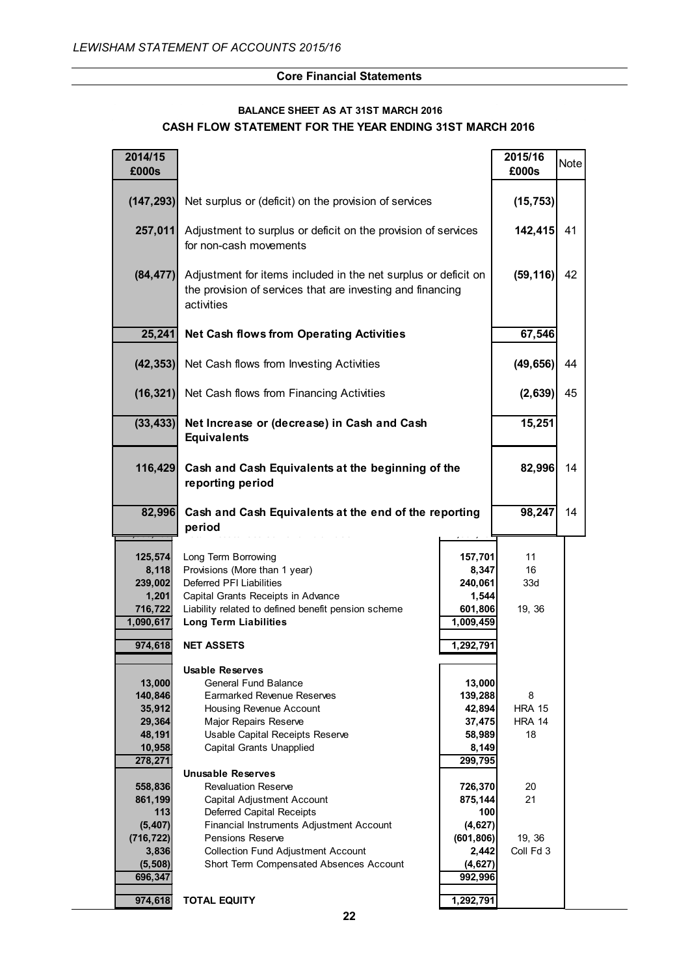# $\,$  CASH FLOW STATEMENT FOR THE YEAR ENDING 31ST MARCH 2016 **BALANCE SHEET AS AT 31ST MARCH 2016**

| 2014/15<br>£000s                                                     |                                                                                                                                                                                                               |                                                                     | 2015/16<br>£000s                          | <b>Note</b> |
|----------------------------------------------------------------------|---------------------------------------------------------------------------------------------------------------------------------------------------------------------------------------------------------------|---------------------------------------------------------------------|-------------------------------------------|-------------|
| (147, 293)                                                           | Net surplus or (deficit) on the provision of services                                                                                                                                                         | (15, 753)                                                           |                                           |             |
| 257,011                                                              | Adjustment to surplus or deficit on the provision of services<br>for non-cash movements                                                                                                                       | 142,415                                                             | 41                                        |             |
| (84, 477)                                                            | Adjustment for items included in the net surplus or deficit on<br>the provision of services that are investing and financing<br>activities                                                                    | (59, 116)                                                           | 42                                        |             |
| 25,241                                                               | <b>Net Cash flows from Operating Activities</b>                                                                                                                                                               |                                                                     | 67,546                                    |             |
|                                                                      | (42,353) Net Cash flows from Investing Activities                                                                                                                                                             |                                                                     | (49, 656)                                 | 44          |
|                                                                      | (16,321) Net Cash flows from Financing Activities                                                                                                                                                             |                                                                     | (2,639)                                   | 45          |
| (33, 433)                                                            | Net Increase or (decrease) in Cash and Cash<br><b>Equivalents</b>                                                                                                                                             | 15,251                                                              |                                           |             |
| 116,429                                                              | Cash and Cash Equivalents at the beginning of the<br>reporting period                                                                                                                                         | 82,996                                                              | 14                                        |             |
| 82,996                                                               | Cash and Cash Equivalents at the end of the reporting<br>period                                                                                                                                               | 98,247                                                              | 14                                        |             |
| 125,574<br>8,118<br>239,002<br>1,201<br>716,722<br>1,090,617         | Long Term Borrowing<br>Provisions (More than 1 year)<br>Deferred PFI Liabilities<br>Capital Grants Receipts in Advance<br>Liability related to defined benefit pension scheme<br><b>Long Term Liabilities</b> | 157,701<br>8,347<br>240,061<br>1,544<br>601,806<br>1,009,459        | 11<br>16<br>33d<br>19, 36                 |             |
| 974,618                                                              | <b>NET ASSETS</b>                                                                                                                                                                                             | 1,292,791                                                           |                                           |             |
| 13,000<br>140,846<br>35,912<br>29,364<br>48,191<br>10,958<br>278,271 | <b>Usable Reserves</b><br><b>General Fund Balance</b><br><b>Earmarked Revenue Reserves</b><br>Housing Revenue Account<br>Major Repairs Reserve<br>Usable Capital Receipts Reserve<br>Capital Grants Unapplied | 13,000<br>139,288<br>42,894<br>37,475<br>58,989<br>8,149<br>299,795 | 8<br><b>HRA 15</b><br><b>HRA 14</b><br>18 |             |
| 558,836<br>861,199<br>113                                            | <b>Unusable Reserves</b><br><b>Revaluation Reserve</b><br><b>Capital Adjustment Account</b><br>Deferred Capital Receipts                                                                                      | 726,370<br>875,144<br>100                                           | 20<br>21                                  |             |
| (5, 407)<br>(716, 722)<br>3,836<br>(5, 508)<br>696,347               | Financial Instruments Adjustment Account<br><b>Pensions Reserve</b><br><b>Collection Fund Adjustment Account</b><br>Short Term Compensated Absences Account                                                   | (4,627)<br>(601, 806)<br>2,442<br>(4, 627)<br>992,996               | 19, 36<br>Coll Fd 3                       |             |
| 974,618                                                              | <b>TOTAL EQUITY</b>                                                                                                                                                                                           | 1,292,791                                                           |                                           |             |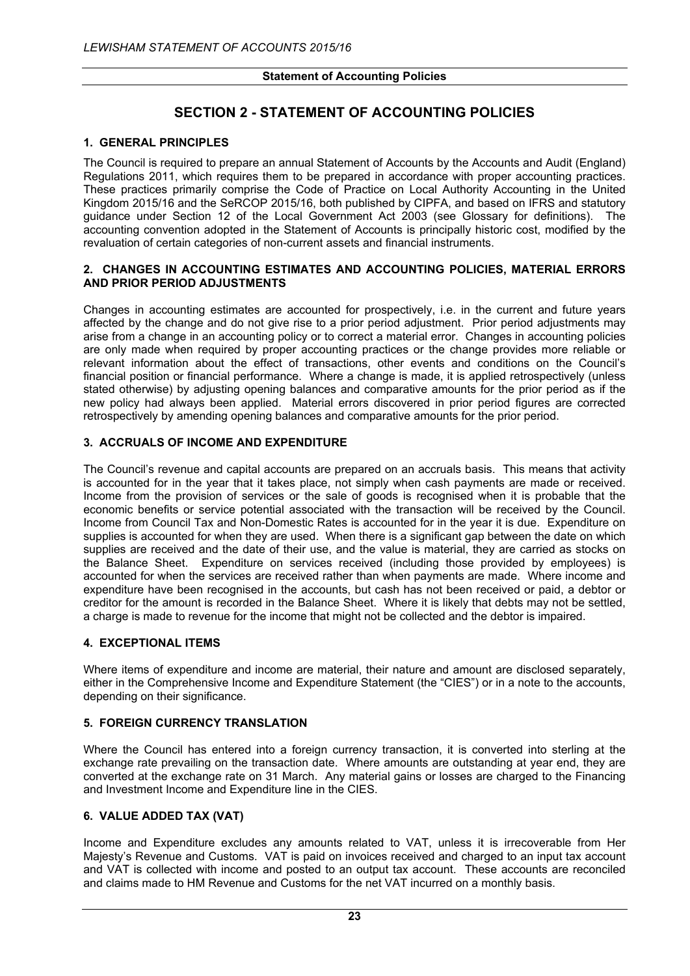# **SECTION 2 - STATEMENT OF ACCOUNTING POLICIES**

## **1. GENERAL PRINCIPLES**

The Council is required to prepare an annual Statement of Accounts by the Accounts and Audit (England) Regulations 2011, which requires them to be prepared in accordance with proper accounting practices. These practices primarily comprise the Code of Practice on Local Authority Accounting in the United Kingdom 2015/16 and the SeRCOP 2015/16, both published by CIPFA, and based on IFRS and statutory guidance under Section 12 of the Local Government Act 2003 (see Glossary for definitions). The accounting convention adopted in the Statement of Accounts is principally historic cost, modified by the revaluation of certain categories of non-current assets and financial instruments.

#### **2. CHANGES IN ACCOUNTING ESTIMATES AND ACCOUNTING POLICIES, MATERIAL ERRORS AND PRIOR PERIOD ADJUSTMENTS**

Changes in accounting estimates are accounted for prospectively, i.e. in the current and future years affected by the change and do not give rise to a prior period adjustment. Prior period adjustments may arise from a change in an accounting policy or to correct a material error. Changes in accounting policies are only made when required by proper accounting practices or the change provides more reliable or relevant information about the effect of transactions, other events and conditions on the Council's financial position or financial performance. Where a change is made, it is applied retrospectively (unless stated otherwise) by adjusting opening balances and comparative amounts for the prior period as if the new policy had always been applied. Material errors discovered in prior period figures are corrected retrospectively by amending opening balances and comparative amounts for the prior period.

## **3. ACCRUALS OF INCOME AND EXPENDITURE**

The Council's revenue and capital accounts are prepared on an accruals basis. This means that activity is accounted for in the year that it takes place, not simply when cash payments are made or received. Income from the provision of services or the sale of goods is recognised when it is probable that the economic benefits or service potential associated with the transaction will be received by the Council. Income from Council Tax and Non-Domestic Rates is accounted for in the year it is due. Expenditure on supplies is accounted for when they are used. When there is a significant gap between the date on which supplies are received and the date of their use, and the value is material, they are carried as stocks on the Balance Sheet. Expenditure on services received (including those provided by employees) is accounted for when the services are received rather than when payments are made. Where income and expenditure have been recognised in the accounts, but cash has not been received or paid, a debtor or creditor for the amount is recorded in the Balance Sheet. Where it is likely that debts may not be settled, a charge is made to revenue for the income that might not be collected and the debtor is impaired.

#### **4. EXCEPTIONAL ITEMS**

Where items of expenditure and income are material, their nature and amount are disclosed separately, either in the Comprehensive Income and Expenditure Statement (the "CIES") or in a note to the accounts, depending on their significance.

#### **5. FOREIGN CURRENCY TRANSLATION**

Where the Council has entered into a foreign currency transaction, it is converted into sterling at the exchange rate prevailing on the transaction date. Where amounts are outstanding at year end, they are converted at the exchange rate on 31 March. Any material gains or losses are charged to the Financing and Investment Income and Expenditure line in the CIES.

## **6. VALUE ADDED TAX (VAT)**

Income and Expenditure excludes any amounts related to VAT, unless it is irrecoverable from Her Majesty's Revenue and Customs. VAT is paid on invoices received and charged to an input tax account and VAT is collected with income and posted to an output tax account. These accounts are reconciled and claims made to HM Revenue and Customs for the net VAT incurred on a monthly basis.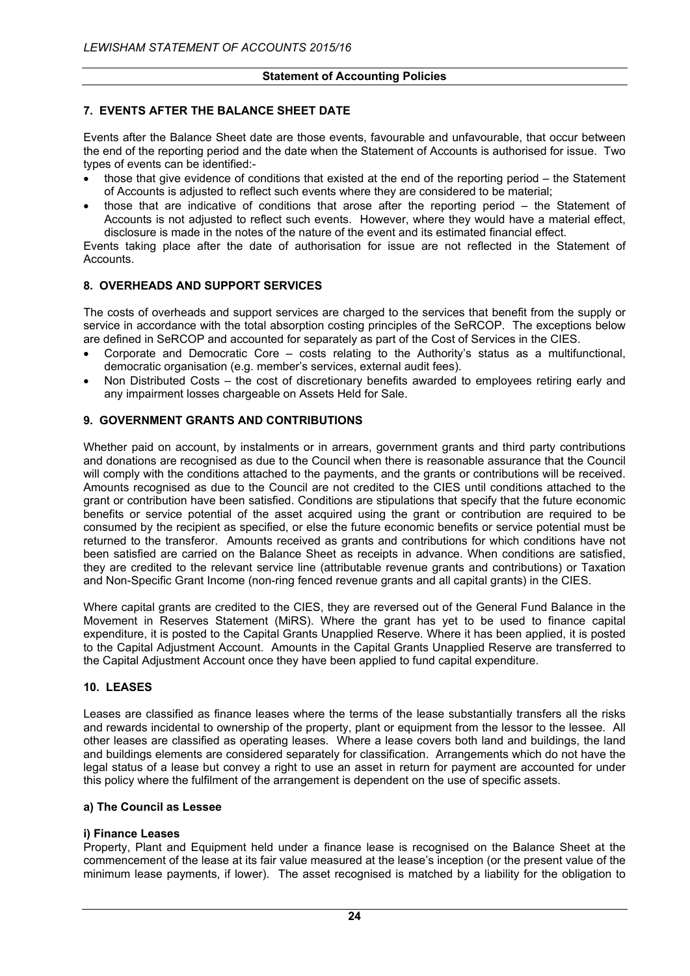## **7. EVENTS AFTER THE BALANCE SHEET DATE**

Events after the Balance Sheet date are those events, favourable and unfavourable, that occur between the end of the reporting period and the date when the Statement of Accounts is authorised for issue. Two types of events can be identified:-

- those that give evidence of conditions that existed at the end of the reporting period the Statement of Accounts is adjusted to reflect such events where they are considered to be material;
- those that are indicative of conditions that arose after the reporting period the Statement of Accounts is not adjusted to reflect such events. However, where they would have a material effect, disclosure is made in the notes of the nature of the event and its estimated financial effect.

Events taking place after the date of authorisation for issue are not reflected in the Statement of Accounts.

## **8. OVERHEADS AND SUPPORT SERVICES**

The costs of overheads and support services are charged to the services that benefit from the supply or service in accordance with the total absorption costing principles of the SeRCOP. The exceptions below are defined in SeRCOP and accounted for separately as part of the Cost of Services in the CIES.

- Corporate and Democratic Core costs relating to the Authority's status as a multifunctional, democratic organisation (e.g. member's services, external audit fees).
- Non Distributed Costs the cost of discretionary benefits awarded to employees retiring early and any impairment losses chargeable on Assets Held for Sale.

## **9. GOVERNMENT GRANTS AND CONTRIBUTIONS**

Whether paid on account, by instalments or in arrears, government grants and third party contributions and donations are recognised as due to the Council when there is reasonable assurance that the Council will comply with the conditions attached to the payments, and the grants or contributions will be received. Amounts recognised as due to the Council are not credited to the CIES until conditions attached to the grant or contribution have been satisfied. Conditions are stipulations that specify that the future economic benefits or service potential of the asset acquired using the grant or contribution are required to be consumed by the recipient as specified, or else the future economic benefits or service potential must be returned to the transferor. Amounts received as grants and contributions for which conditions have not been satisfied are carried on the Balance Sheet as receipts in advance. When conditions are satisfied, they are credited to the relevant service line (attributable revenue grants and contributions) or Taxation and Non-Specific Grant Income (non-ring fenced revenue grants and all capital grants) in the CIES.

Where capital grants are credited to the CIES, they are reversed out of the General Fund Balance in the Movement in Reserves Statement (MiRS). Where the grant has yet to be used to finance capital expenditure, it is posted to the Capital Grants Unapplied Reserve. Where it has been applied, it is posted to the Capital Adjustment Account. Amounts in the Capital Grants Unapplied Reserve are transferred to the Capital Adjustment Account once they have been applied to fund capital expenditure.

#### **10. LEASES**

Leases are classified as finance leases where the terms of the lease substantially transfers all the risks and rewards incidental to ownership of the property, plant or equipment from the lessor to the lessee. All other leases are classified as operating leases. Where a lease covers both land and buildings, the land and buildings elements are considered separately for classification. Arrangements which do not have the legal status of a lease but convey a right to use an asset in return for payment are accounted for under this policy where the fulfilment of the arrangement is dependent on the use of specific assets.

#### **a) The Council as Lessee**

#### **i) Finance Leases**

Property, Plant and Equipment held under a finance lease is recognised on the Balance Sheet at the commencement of the lease at its fair value measured at the lease's inception (or the present value of the minimum lease payments, if lower). The asset recognised is matched by a liability for the obligation to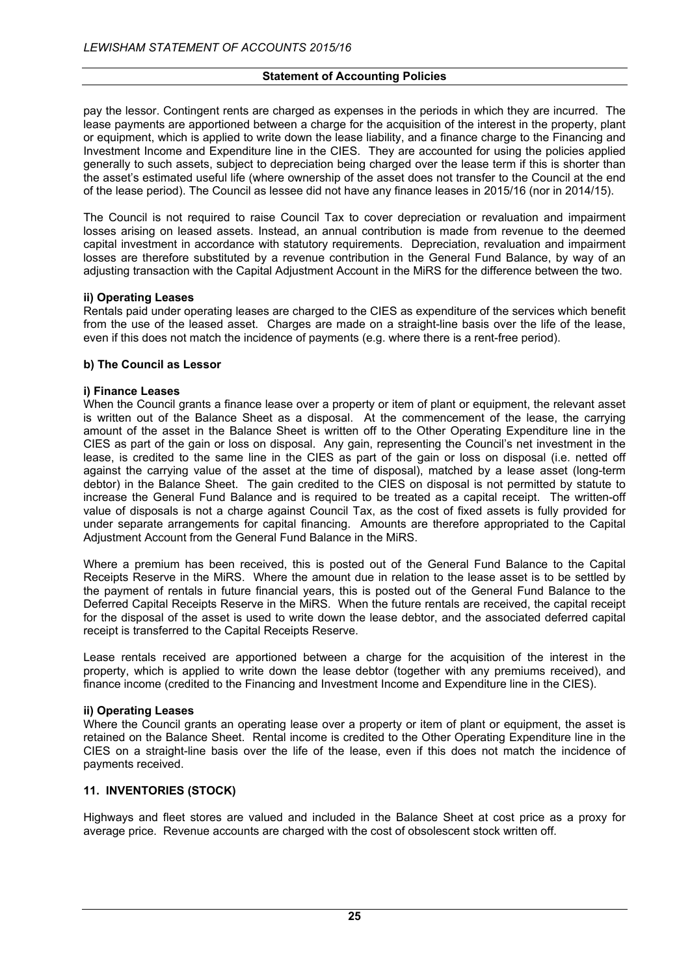pay the lessor. Contingent rents are charged as expenses in the periods in which they are incurred. The lease payments are apportioned between a charge for the acquisition of the interest in the property, plant or equipment, which is applied to write down the lease liability, and a finance charge to the Financing and Investment Income and Expenditure line in the CIES. They are accounted for using the policies applied generally to such assets, subject to depreciation being charged over the lease term if this is shorter than the asset's estimated useful life (where ownership of the asset does not transfer to the Council at the end of the lease period). The Council as lessee did not have any finance leases in 2015/16 (nor in 2014/15).

The Council is not required to raise Council Tax to cover depreciation or revaluation and impairment losses arising on leased assets. Instead, an annual contribution is made from revenue to the deemed capital investment in accordance with statutory requirements. Depreciation, revaluation and impairment losses are therefore substituted by a revenue contribution in the General Fund Balance, by way of an adjusting transaction with the Capital Adjustment Account in the MiRS for the difference between the two.

#### **ii) Operating Leases**

Rentals paid under operating leases are charged to the CIES as expenditure of the services which benefit from the use of the leased asset. Charges are made on a straight-line basis over the life of the lease, even if this does not match the incidence of payments (e.g. where there is a rent-free period).

## **b) The Council as Lessor**

## **i) Finance Leases**

When the Council grants a finance lease over a property or item of plant or equipment, the relevant asset is written out of the Balance Sheet as a disposal. At the commencement of the lease, the carrying amount of the asset in the Balance Sheet is written off to the Other Operating Expenditure line in the CIES as part of the gain or loss on disposal. Any gain, representing the Council's net investment in the lease, is credited to the same line in the CIES as part of the gain or loss on disposal (i.e. netted off against the carrying value of the asset at the time of disposal), matched by a lease asset (long-term debtor) in the Balance Sheet. The gain credited to the CIES on disposal is not permitted by statute to increase the General Fund Balance and is required to be treated as a capital receipt. The written-off value of disposals is not a charge against Council Tax, as the cost of fixed assets is fully provided for under separate arrangements for capital financing. Amounts are therefore appropriated to the Capital Adjustment Account from the General Fund Balance in the MiRS.

Where a premium has been received, this is posted out of the General Fund Balance to the Capital Receipts Reserve in the MiRS. Where the amount due in relation to the lease asset is to be settled by the payment of rentals in future financial years, this is posted out of the General Fund Balance to the Deferred Capital Receipts Reserve in the MiRS. When the future rentals are received, the capital receipt for the disposal of the asset is used to write down the lease debtor, and the associated deferred capital receipt is transferred to the Capital Receipts Reserve.

Lease rentals received are apportioned between a charge for the acquisition of the interest in the property, which is applied to write down the lease debtor (together with any premiums received), and finance income (credited to the Financing and Investment Income and Expenditure line in the CIES).

#### **ii) Operating Leases**

Where the Council grants an operating lease over a property or item of plant or equipment, the asset is retained on the Balance Sheet. Rental income is credited to the Other Operating Expenditure line in the CIES on a straight-line basis over the life of the lease, even if this does not match the incidence of payments received.

## **11. INVENTORIES (STOCK)**

Highways and fleet stores are valued and included in the Balance Sheet at cost price as a proxy for average price. Revenue accounts are charged with the cost of obsolescent stock written off.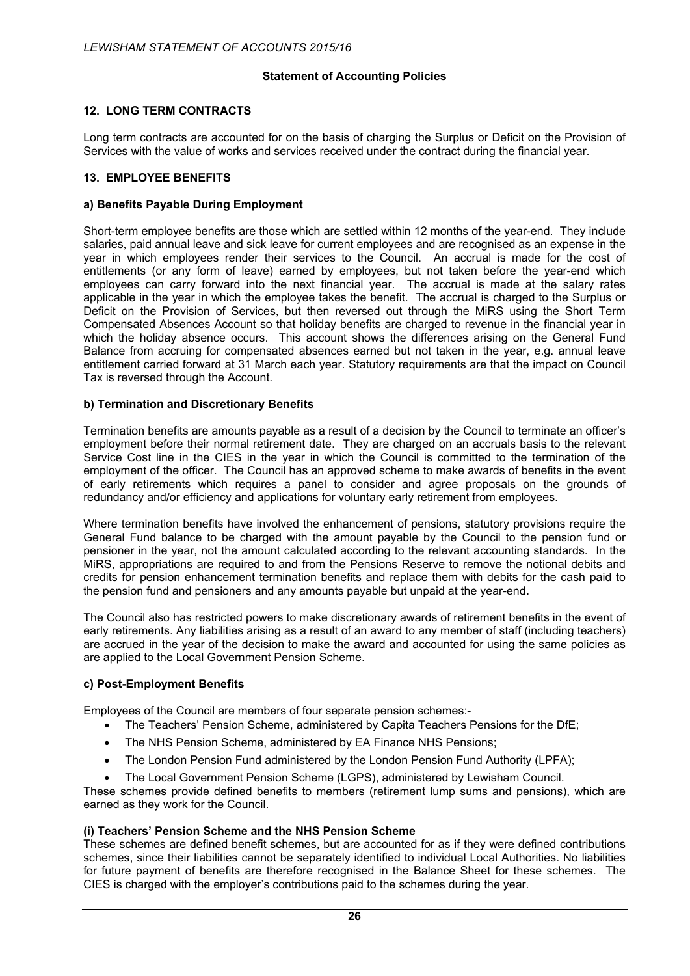## **12. LONG TERM CONTRACTS**

Long term contracts are accounted for on the basis of charging the Surplus or Deficit on the Provision of Services with the value of works and services received under the contract during the financial year.

#### **13. EMPLOYEE BENEFITS**

#### **a) Benefits Payable During Employment**

Short-term employee benefits are those which are settled within 12 months of the year-end. They include salaries, paid annual leave and sick leave for current employees and are recognised as an expense in the year in which employees render their services to the Council. An accrual is made for the cost of entitlements (or any form of leave) earned by employees, but not taken before the year-end which employees can carry forward into the next financial year. The accrual is made at the salary rates applicable in the year in which the employee takes the benefit. The accrual is charged to the Surplus or Deficit on the Provision of Services, but then reversed out through the MiRS using the Short Term Compensated Absences Account so that holiday benefits are charged to revenue in the financial year in which the holiday absence occurs. This account shows the differences arising on the General Fund Balance from accruing for compensated absences earned but not taken in the year, e.g. annual leave entitlement carried forward at 31 March each year. Statutory requirements are that the impact on Council Tax is reversed through the Account.

## **b) Termination and Discretionary Benefits**

Termination benefits are amounts payable as a result of a decision by the Council to terminate an officer's employment before their normal retirement date. They are charged on an accruals basis to the relevant Service Cost line in the CIES in the year in which the Council is committed to the termination of the employment of the officer. The Council has an approved scheme to make awards of benefits in the event of early retirements which requires a panel to consider and agree proposals on the grounds of redundancy and/or efficiency and applications for voluntary early retirement from employees.

Where termination benefits have involved the enhancement of pensions, statutory provisions require the General Fund balance to be charged with the amount payable by the Council to the pension fund or pensioner in the year, not the amount calculated according to the relevant accounting standards. In the MiRS, appropriations are required to and from the Pensions Reserve to remove the notional debits and credits for pension enhancement termination benefits and replace them with debits for the cash paid to the pension fund and pensioners and any amounts payable but unpaid at the year-end**.**

The Council also has restricted powers to make discretionary awards of retirement benefits in the event of early retirements. Any liabilities arising as a result of an award to any member of staff (including teachers) are accrued in the year of the decision to make the award and accounted for using the same policies as are applied to the Local Government Pension Scheme.

#### **c) Post-Employment Benefits**

Employees of the Council are members of four separate pension schemes:-

- The Teachers' Pension Scheme, administered by Capita Teachers Pensions for the DfE;
- The NHS Pension Scheme, administered by EA Finance NHS Pensions:
- The London Pension Fund administered by the London Pension Fund Authority (LPFA);
- The Local Government Pension Scheme (LGPS), administered by Lewisham Council.

These schemes provide defined benefits to members (retirement lump sums and pensions), which are earned as they work for the Council.

#### **(i) Teachers' Pension Scheme and the NHS Pension Scheme**

These schemes are defined benefit schemes, but are accounted for as if they were defined contributions schemes, since their liabilities cannot be separately identified to individual Local Authorities. No liabilities for future payment of benefits are therefore recognised in the Balance Sheet for these schemes. The CIES is charged with the employer's contributions paid to the schemes during the year.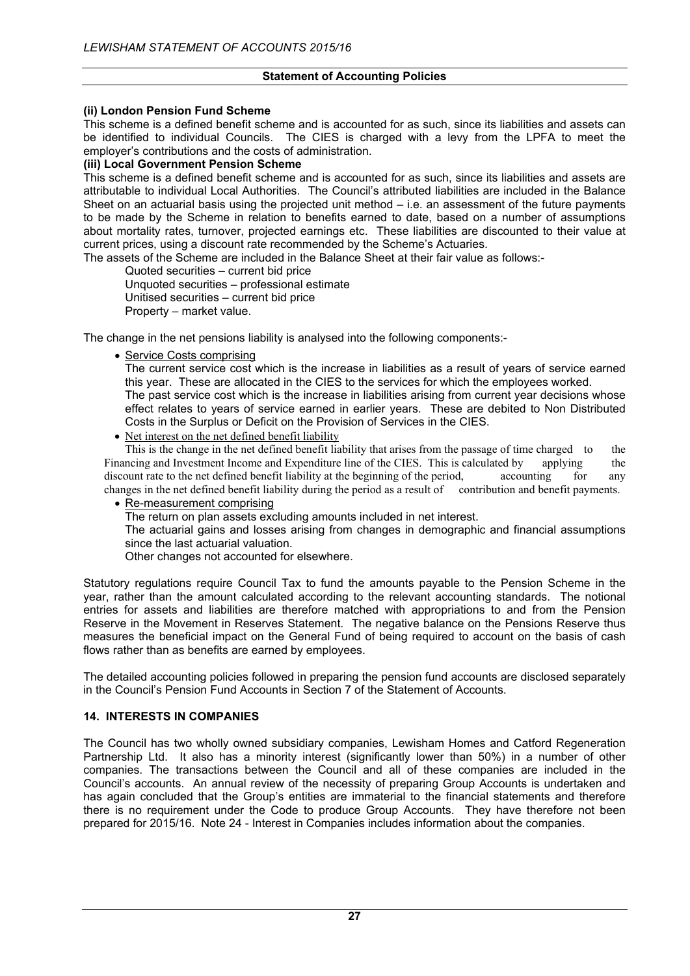## **(ii) London Pension Fund Scheme**

This scheme is a defined benefit scheme and is accounted for as such, since its liabilities and assets can be identified to individual Councils. The CIES is charged with a levy from the LPFA to meet the employer's contributions and the costs of administration.

## **(iii) Local Government Pension Scheme**

This scheme is a defined benefit scheme and is accounted for as such, since its liabilities and assets are attributable to individual Local Authorities. The Council's attributed liabilities are included in the Balance Sheet on an actuarial basis using the projected unit method – i.e. an assessment of the future payments to be made by the Scheme in relation to benefits earned to date, based on a number of assumptions about mortality rates, turnover, projected earnings etc. These liabilities are discounted to their value at current prices, using a discount rate recommended by the Scheme's Actuaries.

The assets of the Scheme are included in the Balance Sheet at their fair value as follows:-

Quoted securities – current bid price Unquoted securities – professional estimate Unitised securities – current bid price Property – market value.

The change in the net pensions liability is analysed into the following components:-

• Service Costs comprising

The current service cost which is the increase in liabilities as a result of years of service earned this year. These are allocated in the CIES to the services for which the employees worked.

The past service cost which is the increase in liabilities arising from current year decisions whose effect relates to years of service earned in earlier years. These are debited to Non Distributed Costs in the Surplus or Deficit on the Provision of Services in the CIES.

• Net interest on the net defined benefit liability

This is the change in the net defined benefit liability that arises from the passage of time charged to the Financing and Investment Income and Expenditure line of the CIES. This is calculated by applying the discount rate to the net defined benefit liability at the beginning of the period, accounting for any changes in the net defined benefit liability during the period as a result of contribution and benefit payments.

• Re-measurement comprising

The return on plan assets excluding amounts included in net interest.

The actuarial gains and losses arising from changes in demographic and financial assumptions since the last actuarial valuation.

Other changes not accounted for elsewhere.

Statutory regulations require Council Tax to fund the amounts payable to the Pension Scheme in the year, rather than the amount calculated according to the relevant accounting standards. The notional entries for assets and liabilities are therefore matched with appropriations to and from the Pension Reserve in the Movement in Reserves Statement. The negative balance on the Pensions Reserve thus measures the beneficial impact on the General Fund of being required to account on the basis of cash flows rather than as benefits are earned by employees.

The detailed accounting policies followed in preparing the pension fund accounts are disclosed separately in the Council's Pension Fund Accounts in Section 7 of the Statement of Accounts.

## **14. INTERESTS IN COMPANIES**

The Council has two wholly owned subsidiary companies, Lewisham Homes and Catford Regeneration Partnership Ltd. It also has a minority interest (significantly lower than 50%) in a number of other companies. The transactions between the Council and all of these companies are included in the Council's accounts. An annual review of the necessity of preparing Group Accounts is undertaken and has again concluded that the Group's entities are immaterial to the financial statements and therefore there is no requirement under the Code to produce Group Accounts. They have therefore not been prepared for 2015/16. Note 24 - Interest in Companies includes information about the companies.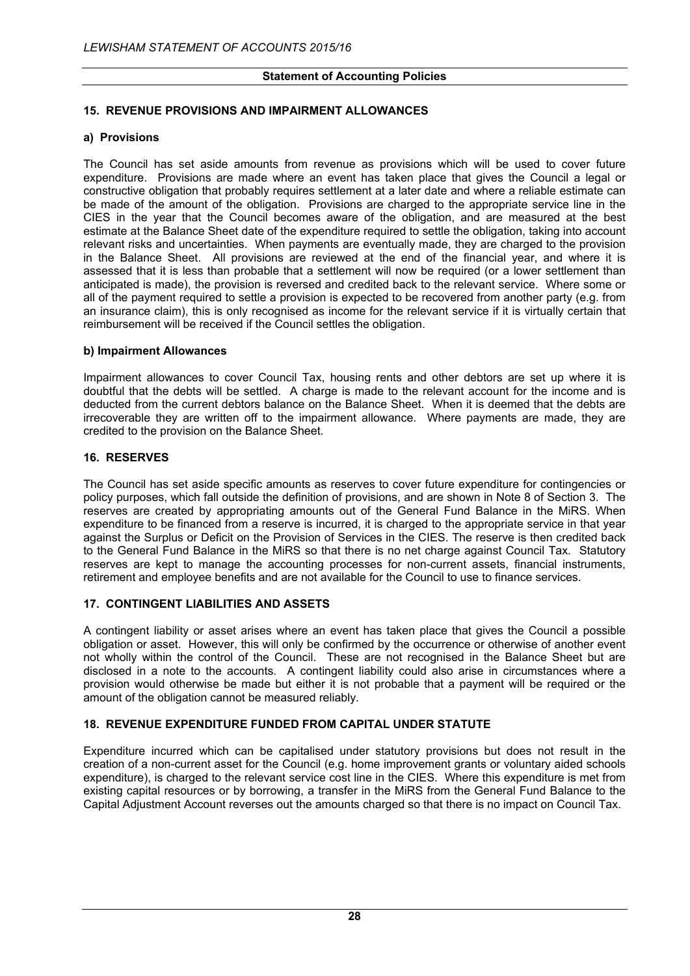## **15. REVENUE PROVISIONS AND IMPAIRMENT ALLOWANCES**

## **a) Provisions**

The Council has set aside amounts from revenue as provisions which will be used to cover future expenditure. Provisions are made where an event has taken place that gives the Council a legal or constructive obligation that probably requires settlement at a later date and where a reliable estimate can be made of the amount of the obligation. Provisions are charged to the appropriate service line in the CIES in the year that the Council becomes aware of the obligation, and are measured at the best estimate at the Balance Sheet date of the expenditure required to settle the obligation, taking into account relevant risks and uncertainties. When payments are eventually made, they are charged to the provision in the Balance Sheet. All provisions are reviewed at the end of the financial year, and where it is assessed that it is less than probable that a settlement will now be required (or a lower settlement than anticipated is made), the provision is reversed and credited back to the relevant service. Where some or all of the payment required to settle a provision is expected to be recovered from another party (e.g. from an insurance claim), this is only recognised as income for the relevant service if it is virtually certain that reimbursement will be received if the Council settles the obligation.

## **b) Impairment Allowances**

Impairment allowances to cover Council Tax, housing rents and other debtors are set up where it is doubtful that the debts will be settled. A charge is made to the relevant account for the income and is deducted from the current debtors balance on the Balance Sheet. When it is deemed that the debts are irrecoverable they are written off to the impairment allowance. Where payments are made, they are credited to the provision on the Balance Sheet.

## **16. RESERVES**

The Council has set aside specific amounts as reserves to cover future expenditure for contingencies or policy purposes, which fall outside the definition of provisions, and are shown in Note 8 of Section 3. The reserves are created by appropriating amounts out of the General Fund Balance in the MiRS. When expenditure to be financed from a reserve is incurred, it is charged to the appropriate service in that year against the Surplus or Deficit on the Provision of Services in the CIES. The reserve is then credited back to the General Fund Balance in the MiRS so that there is no net charge against Council Tax. Statutory reserves are kept to manage the accounting processes for non-current assets, financial instruments, retirement and employee benefits and are not available for the Council to use to finance services.

## **17. CONTINGENT LIABILITIES AND ASSETS**

A contingent liability or asset arises where an event has taken place that gives the Council a possible obligation or asset. However, this will only be confirmed by the occurrence or otherwise of another event not wholly within the control of the Council. These are not recognised in the Balance Sheet but are disclosed in a note to the accounts. A contingent liability could also arise in circumstances where a provision would otherwise be made but either it is not probable that a payment will be required or the amount of the obligation cannot be measured reliably.

## **18. REVENUE EXPENDITURE FUNDED FROM CAPITAL UNDER STATUTE**

Expenditure incurred which can be capitalised under statutory provisions but does not result in the creation of a non-current asset for the Council (e.g. home improvement grants or voluntary aided schools expenditure), is charged to the relevant service cost line in the CIES. Where this expenditure is met from existing capital resources or by borrowing, a transfer in the MiRS from the General Fund Balance to the Capital Adjustment Account reverses out the amounts charged so that there is no impact on Council Tax.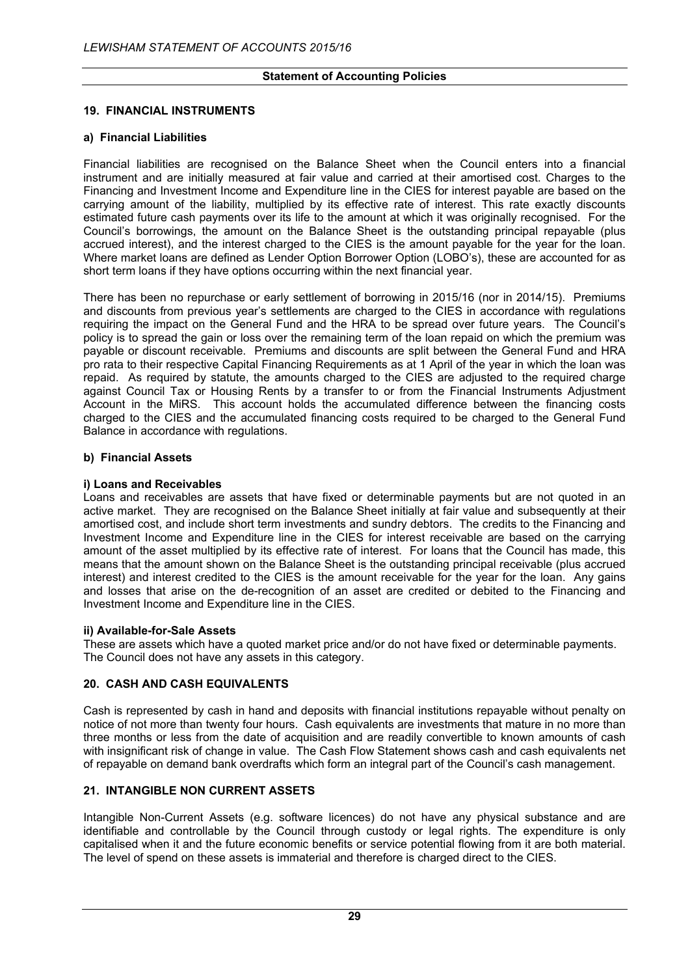## **19. FINANCIAL INSTRUMENTS**

#### **a) Financial Liabilities**

Financial liabilities are recognised on the Balance Sheet when the Council enters into a financial instrument and are initially measured at fair value and carried at their amortised cost. Charges to the Financing and Investment Income and Expenditure line in the CIES for interest payable are based on the carrying amount of the liability, multiplied by its effective rate of interest. This rate exactly discounts estimated future cash payments over its life to the amount at which it was originally recognised. For the Council's borrowings, the amount on the Balance Sheet is the outstanding principal repayable (plus accrued interest), and the interest charged to the CIES is the amount payable for the year for the loan. Where market loans are defined as Lender Option Borrower Option (LOBO's), these are accounted for as short term loans if they have options occurring within the next financial year.

There has been no repurchase or early settlement of borrowing in 2015/16 (nor in 2014/15). Premiums and discounts from previous year's settlements are charged to the CIES in accordance with regulations requiring the impact on the General Fund and the HRA to be spread over future years. The Council's policy is to spread the gain or loss over the remaining term of the loan repaid on which the premium was payable or discount receivable. Premiums and discounts are split between the General Fund and HRA pro rata to their respective Capital Financing Requirements as at 1 April of the year in which the loan was repaid. As required by statute, the amounts charged to the CIES are adjusted to the required charge against Council Tax or Housing Rents by a transfer to or from the Financial Instruments Adjustment Account in the MiRS. This account holds the accumulated difference between the financing costs charged to the CIES and the accumulated financing costs required to be charged to the General Fund Balance in accordance with regulations.

## **b) Financial Assets**

## **i) Loans and Receivables**

Loans and receivables are assets that have fixed or determinable payments but are not quoted in an active market. They are recognised on the Balance Sheet initially at fair value and subsequently at their amortised cost, and include short term investments and sundry debtors. The credits to the Financing and Investment Income and Expenditure line in the CIES for interest receivable are based on the carrying amount of the asset multiplied by its effective rate of interest. For loans that the Council has made, this means that the amount shown on the Balance Sheet is the outstanding principal receivable (plus accrued interest) and interest credited to the CIES is the amount receivable for the year for the loan. Any gains and losses that arise on the de-recognition of an asset are credited or debited to the Financing and Investment Income and Expenditure line in the CIES.

#### **ii) Available-for-Sale Assets**

These are assets which have a quoted market price and/or do not have fixed or determinable payments. The Council does not have any assets in this category.

## **20. CASH AND CASH EQUIVALENTS**

Cash is represented by cash in hand and deposits with financial institutions repayable without penalty on notice of not more than twenty four hours. Cash equivalents are investments that mature in no more than three months or less from the date of acquisition and are readily convertible to known amounts of cash with insignificant risk of change in value. The Cash Flow Statement shows cash and cash equivalents net of repayable on demand bank overdrafts which form an integral part of the Council's cash management.

## **21. INTANGIBLE NON CURRENT ASSETS**

Intangible Non-Current Assets (e.g. software licences) do not have any physical substance and are identifiable and controllable by the Council through custody or legal rights. The expenditure is only capitalised when it and the future economic benefits or service potential flowing from it are both material. The level of spend on these assets is immaterial and therefore is charged direct to the CIES.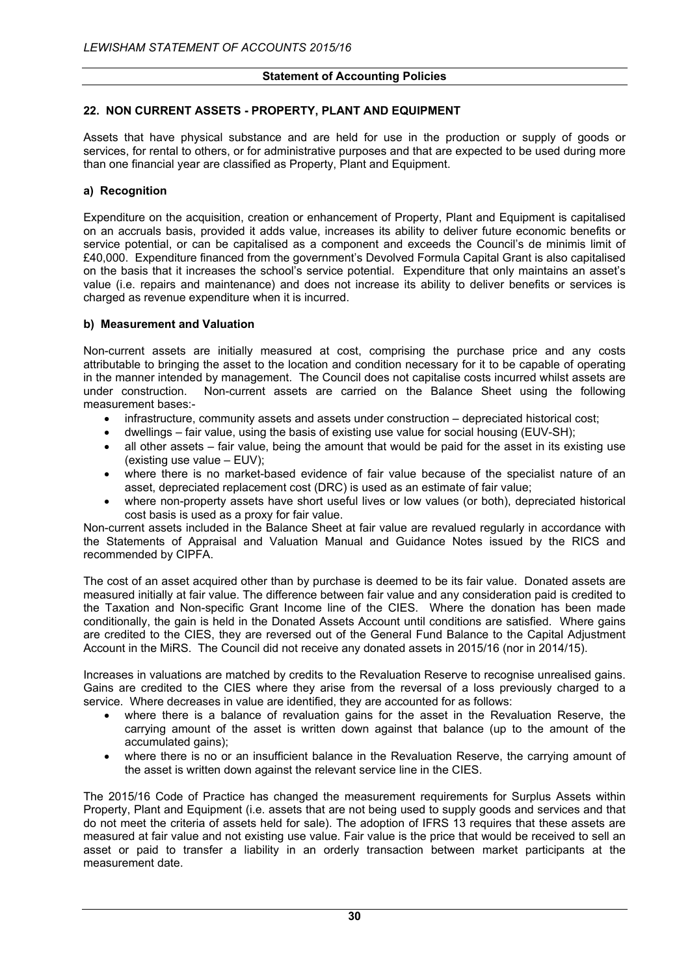## **22. NON CURRENT ASSETS - PROPERTY, PLANT AND EQUIPMENT**

Assets that have physical substance and are held for use in the production or supply of goods or services, for rental to others, or for administrative purposes and that are expected to be used during more than one financial year are classified as Property, Plant and Equipment.

## **a) Recognition**

Expenditure on the acquisition, creation or enhancement of Property, Plant and Equipment is capitalised on an accruals basis, provided it adds value, increases its ability to deliver future economic benefits or service potential, or can be capitalised as a component and exceeds the Council's de minimis limit of £40,000. Expenditure financed from the government's Devolved Formula Capital Grant is also capitalised on the basis that it increases the school's service potential. Expenditure that only maintains an asset's value (i.e. repairs and maintenance) and does not increase its ability to deliver benefits or services is charged as revenue expenditure when it is incurred.

## **b) Measurement and Valuation**

Non-current assets are initially measured at cost, comprising the purchase price and any costs attributable to bringing the asset to the location and condition necessary for it to be capable of operating in the manner intended by management. The Council does not capitalise costs incurred whilst assets are under construction. Non-current assets are carried on the Balance Sheet using the following measurement bases:-

- infrastructure, community assets and assets under construction depreciated historical cost;
- dwellings fair value, using the basis of existing use value for social housing (EUV-SH);
- all other assets fair value, being the amount that would be paid for the asset in its existing use (existing use value – EUV);
- where there is no market-based evidence of fair value because of the specialist nature of an asset, depreciated replacement cost (DRC) is used as an estimate of fair value;
- where non-property assets have short useful lives or low values (or both), depreciated historical cost basis is used as a proxy for fair value.

Non-current assets included in the Balance Sheet at fair value are revalued regularly in accordance with the Statements of Appraisal and Valuation Manual and Guidance Notes issued by the RICS and recommended by CIPFA.

The cost of an asset acquired other than by purchase is deemed to be its fair value. Donated assets are measured initially at fair value. The difference between fair value and any consideration paid is credited to the Taxation and Non-specific Grant Income line of the CIES. Where the donation has been made conditionally, the gain is held in the Donated Assets Account until conditions are satisfied. Where gains are credited to the CIES, they are reversed out of the General Fund Balance to the Capital Adjustment Account in the MiRS. The Council did not receive any donated assets in 2015/16 (nor in 2014/15).

Increases in valuations are matched by credits to the Revaluation Reserve to recognise unrealised gains. Gains are credited to the CIES where they arise from the reversal of a loss previously charged to a service. Where decreases in value are identified, they are accounted for as follows:

- where there is a balance of revaluation gains for the asset in the Revaluation Reserve, the carrying amount of the asset is written down against that balance (up to the amount of the accumulated gains);
- where there is no or an insufficient balance in the Revaluation Reserve, the carrying amount of the asset is written down against the relevant service line in the CIES.

The 2015/16 Code of Practice has changed the measurement requirements for Surplus Assets within Property, Plant and Equipment (i.e. assets that are not being used to supply goods and services and that do not meet the criteria of assets held for sale). The adoption of IFRS 13 requires that these assets are measured at fair value and not existing use value. Fair value is the price that would be received to sell an asset or paid to transfer a liability in an orderly transaction between market participants at the measurement date.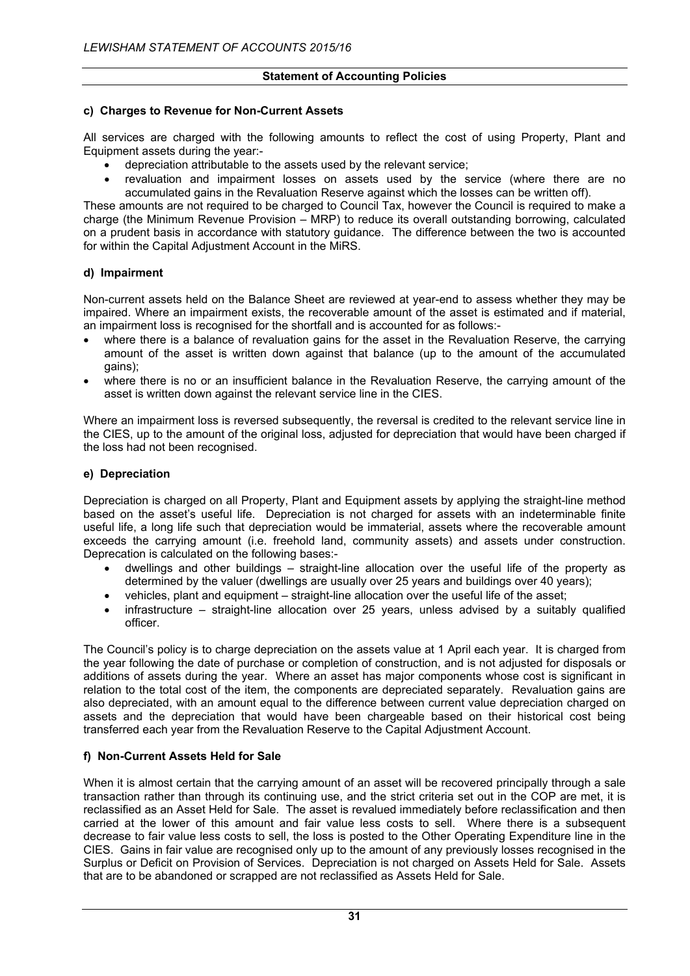### **c) Charges to Revenue for Non-Current Assets**

All services are charged with the following amounts to reflect the cost of using Property, Plant and Equipment assets during the year:-

- depreciation attributable to the assets used by the relevant service;
- revaluation and impairment losses on assets used by the service (where there are no accumulated gains in the Revaluation Reserve against which the losses can be written off).

These amounts are not required to be charged to Council Tax, however the Council is required to make a charge (the Minimum Revenue Provision – MRP) to reduce its overall outstanding borrowing, calculated on a prudent basis in accordance with statutory guidance. The difference between the two is accounted for within the Capital Adjustment Account in the MiRS.

## **d) Impairment**

Non-current assets held on the Balance Sheet are reviewed at year-end to assess whether they may be impaired. Where an impairment exists, the recoverable amount of the asset is estimated and if material, an impairment loss is recognised for the shortfall and is accounted for as follows:-

- where there is a balance of revaluation gains for the asset in the Revaluation Reserve, the carrying amount of the asset is written down against that balance (up to the amount of the accumulated gains);
- where there is no or an insufficient balance in the Revaluation Reserve, the carrying amount of the asset is written down against the relevant service line in the CIES.

Where an impairment loss is reversed subsequently, the reversal is credited to the relevant service line in the CIES, up to the amount of the original loss, adjusted for depreciation that would have been charged if the loss had not been recognised.

## **e) Depreciation**

Depreciation is charged on all Property, Plant and Equipment assets by applying the straight-line method based on the asset's useful life. Depreciation is not charged for assets with an indeterminable finite useful life, a long life such that depreciation would be immaterial, assets where the recoverable amount exceeds the carrying amount (i.e. freehold land, community assets) and assets under construction. Deprecation is calculated on the following bases:-

- dwellings and other buildings straight-line allocation over the useful life of the property as determined by the valuer (dwellings are usually over 25 years and buildings over 40 years);
- vehicles, plant and equipment straight-line allocation over the useful life of the asset;
- infrastructure straight-line allocation over 25 years, unless advised by a suitably qualified officer.

The Council's policy is to charge depreciation on the assets value at 1 April each year. It is charged from the year following the date of purchase or completion of construction, and is not adjusted for disposals or additions of assets during the year. Where an asset has major components whose cost is significant in relation to the total cost of the item, the components are depreciated separately. Revaluation gains are also depreciated, with an amount equal to the difference between current value depreciation charged on assets and the depreciation that would have been chargeable based on their historical cost being transferred each year from the Revaluation Reserve to the Capital Adjustment Account.

## **f) Non-Current Assets Held for Sale**

When it is almost certain that the carrying amount of an asset will be recovered principally through a sale transaction rather than through its continuing use, and the strict criteria set out in the COP are met, it is reclassified as an Asset Held for Sale. The asset is revalued immediately before reclassification and then carried at the lower of this amount and fair value less costs to sell. Where there is a subsequent decrease to fair value less costs to sell, the loss is posted to the Other Operating Expenditure line in the CIES. Gains in fair value are recognised only up to the amount of any previously losses recognised in the Surplus or Deficit on Provision of Services. Depreciation is not charged on Assets Held for Sale. Assets that are to be abandoned or scrapped are not reclassified as Assets Held for Sale.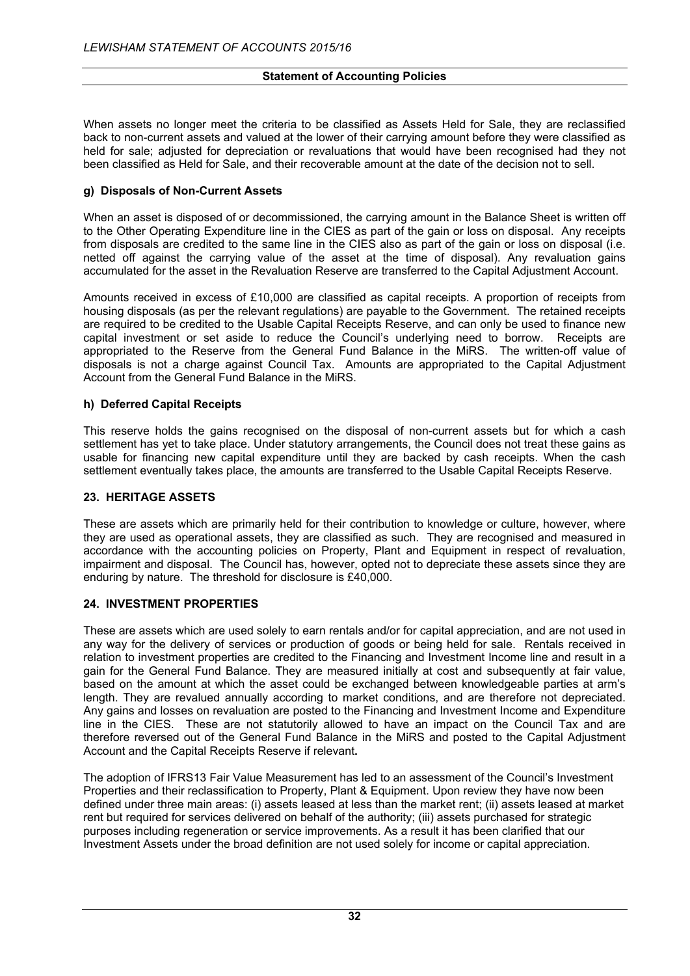When assets no longer meet the criteria to be classified as Assets Held for Sale, they are reclassified back to non-current assets and valued at the lower of their carrying amount before they were classified as held for sale; adjusted for depreciation or revaluations that would have been recognised had they not been classified as Held for Sale, and their recoverable amount at the date of the decision not to sell.

## **g) Disposals of Non-Current Assets**

When an asset is disposed of or decommissioned, the carrying amount in the Balance Sheet is written off to the Other Operating Expenditure line in the CIES as part of the gain or loss on disposal. Any receipts from disposals are credited to the same line in the CIES also as part of the gain or loss on disposal (i.e. netted off against the carrying value of the asset at the time of disposal). Any revaluation gains accumulated for the asset in the Revaluation Reserve are transferred to the Capital Adjustment Account.

Amounts received in excess of £10,000 are classified as capital receipts. A proportion of receipts from housing disposals (as per the relevant regulations) are payable to the Government. The retained receipts are required to be credited to the Usable Capital Receipts Reserve, and can only be used to finance new capital investment or set aside to reduce the Council's underlying need to borrow. Receipts are appropriated to the Reserve from the General Fund Balance in the MiRS. The written-off value of disposals is not a charge against Council Tax. Amounts are appropriated to the Capital Adjustment Account from the General Fund Balance in the MiRS.

## **h) Deferred Capital Receipts**

This reserve holds the gains recognised on the disposal of non-current assets but for which a cash settlement has yet to take place. Under statutory arrangements, the Council does not treat these gains as usable for financing new capital expenditure until they are backed by cash receipts. When the cash settlement eventually takes place, the amounts are transferred to the Usable Capital Receipts Reserve.

#### **23. HERITAGE ASSETS**

These are assets which are primarily held for their contribution to knowledge or culture, however, where they are used as operational assets, they are classified as such. They are recognised and measured in accordance with the accounting policies on Property, Plant and Equipment in respect of revaluation, impairment and disposal. The Council has, however, opted not to depreciate these assets since they are enduring by nature. The threshold for disclosure is £40,000.

#### **24. INVESTMENT PROPERTIES**

These are assets which are used solely to earn rentals and/or for capital appreciation, and are not used in any way for the delivery of services or production of goods or being held for sale. Rentals received in relation to investment properties are credited to the Financing and Investment Income line and result in a gain for the General Fund Balance. They are measured initially at cost and subsequently at fair value, based on the amount at which the asset could be exchanged between knowledgeable parties at arm's length. They are revalued annually according to market conditions, and are therefore not depreciated. Any gains and losses on revaluation are posted to the Financing and Investment Income and Expenditure line in the CIES. These are not statutorily allowed to have an impact on the Council Tax and are therefore reversed out of the General Fund Balance in the MiRS and posted to the Capital Adjustment Account and the Capital Receipts Reserve if relevant**.**

The adoption of IFRS13 Fair Value Measurement has led to an assessment of the Council's Investment Properties and their reclassification to Property, Plant & Equipment. Upon review they have now been defined under three main areas: (i) assets leased at less than the market rent; (ii) assets leased at market rent but required for services delivered on behalf of the authority; (iii) assets purchased for strategic purposes including regeneration or service improvements. As a result it has been clarified that our Investment Assets under the broad definition are not used solely for income or capital appreciation.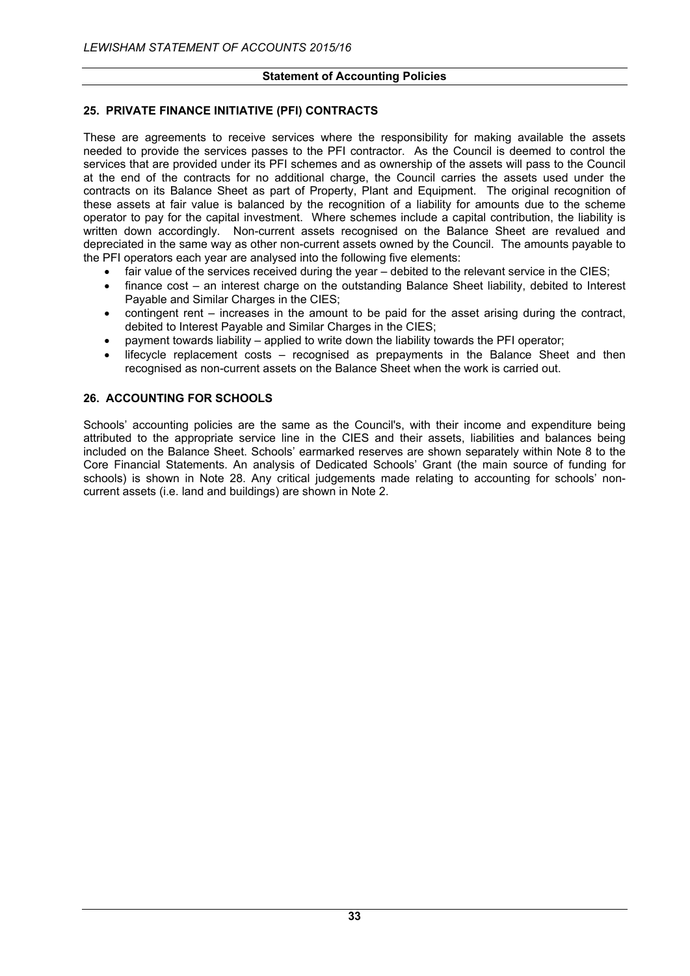## **25. PRIVATE FINANCE INITIATIVE (PFI) CONTRACTS**

These are agreements to receive services where the responsibility for making available the assets needed to provide the services passes to the PFI contractor. As the Council is deemed to control the services that are provided under its PFI schemes and as ownership of the assets will pass to the Council at the end of the contracts for no additional charge, the Council carries the assets used under the contracts on its Balance Sheet as part of Property, Plant and Equipment. The original recognition of these assets at fair value is balanced by the recognition of a liability for amounts due to the scheme operator to pay for the capital investment. Where schemes include a capital contribution, the liability is written down accordingly. Non-current assets recognised on the Balance Sheet are revalued and depreciated in the same way as other non-current assets owned by the Council. The amounts payable to the PFI operators each year are analysed into the following five elements:

- fair value of the services received during the year debited to the relevant service in the CIES;
- finance cost an interest charge on the outstanding Balance Sheet liability, debited to Interest Payable and Similar Charges in the CIES;
- $\bullet$  contingent rent increases in the amount to be paid for the asset arising during the contract, debited to Interest Payable and Similar Charges in the CIES;
- payment towards liability applied to write down the liability towards the PFI operator;
- lifecycle replacement costs recognised as prepayments in the Balance Sheet and then recognised as non-current assets on the Balance Sheet when the work is carried out.

## **26. ACCOUNTING FOR SCHOOLS**

Schools' accounting policies are the same as the Council's, with their income and expenditure being attributed to the appropriate service line in the CIES and their assets, liabilities and balances being included on the Balance Sheet. Schools' earmarked reserves are shown separately within Note 8 to the Core Financial Statements. An analysis of Dedicated Schools' Grant (the main source of funding for schools) is shown in Note 28. Any critical judgements made relating to accounting for schools' noncurrent assets (i.e. land and buildings) are shown in Note 2.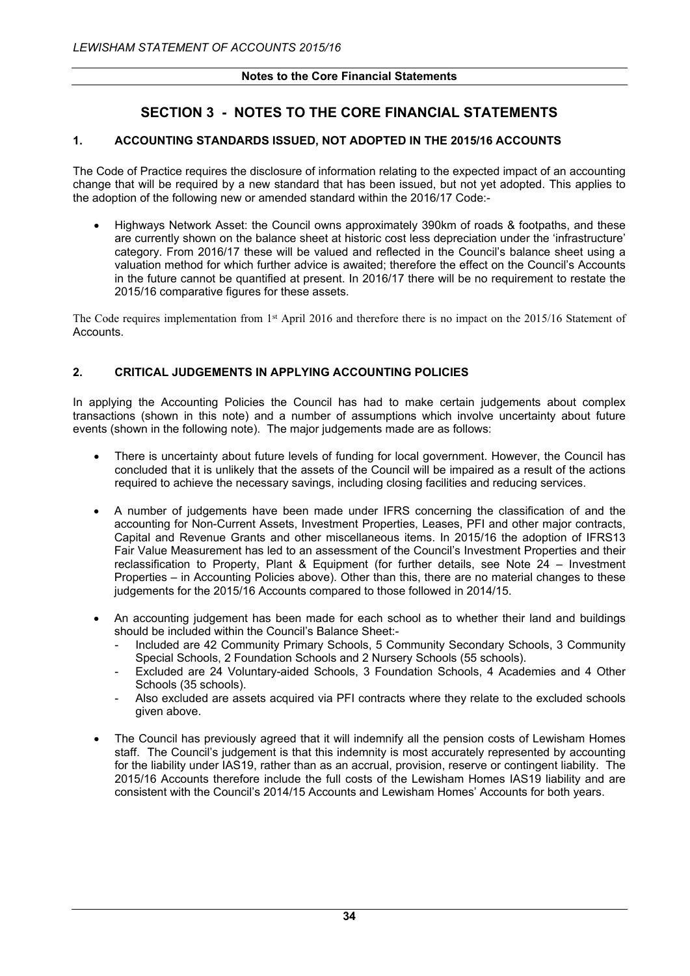# **SECTION 3 - NOTES TO THE CORE FINANCIAL STATEMENTS**

## **1. ACCOUNTING STANDARDS ISSUED, NOT ADOPTED IN THE 2015/16 ACCOUNTS**

The Code of Practice requires the disclosure of information relating to the expected impact of an accounting change that will be required by a new standard that has been issued, but not yet adopted. This applies to the adoption of the following new or amended standard within the 2016/17 Code:-

 Highways Network Asset: the Council owns approximately 390km of roads & footpaths, and these are currently shown on the balance sheet at historic cost less depreciation under the 'infrastructure' category. From 2016/17 these will be valued and reflected in the Council's balance sheet using a valuation method for which further advice is awaited; therefore the effect on the Council's Accounts in the future cannot be quantified at present. In 2016/17 there will be no requirement to restate the 2015/16 comparative figures for these assets.

The Code requires implementation from 1<sup>st</sup> April 2016 and therefore there is no impact on the 2015/16 Statement of Accounts.

## **2. CRITICAL JUDGEMENTS IN APPLYING ACCOUNTING POLICIES**

In applying the Accounting Policies the Council has had to make certain judgements about complex transactions (shown in this note) and a number of assumptions which involve uncertainty about future events (shown in the following note). The major judgements made are as follows:

- There is uncertainty about future levels of funding for local government. However, the Council has concluded that it is unlikely that the assets of the Council will be impaired as a result of the actions required to achieve the necessary savings, including closing facilities and reducing services.
- A number of judgements have been made under IFRS concerning the classification of and the accounting for Non-Current Assets, Investment Properties, Leases, PFI and other major contracts, Capital and Revenue Grants and other miscellaneous items. In 2015/16 the adoption of IFRS13 Fair Value Measurement has led to an assessment of the Council's Investment Properties and their reclassification to Property, Plant & Equipment (for further details, see Note 24 – Investment Properties – in Accounting Policies above). Other than this, there are no material changes to these judgements for the 2015/16 Accounts compared to those followed in 2014/15.
- An accounting judgement has been made for each school as to whether their land and buildings should be included within the Council's Balance Sheet:-
	- Included are 42 Community Primary Schools, 5 Community Secondary Schools, 3 Community Special Schools, 2 Foundation Schools and 2 Nursery Schools (55 schools).
	- Excluded are 24 Voluntary-aided Schools, 3 Foundation Schools, 4 Academies and 4 Other Schools (35 schools).
	- Also excluded are assets acquired via PFI contracts where they relate to the excluded schools given above.
- The Council has previously agreed that it will indemnify all the pension costs of Lewisham Homes staff. The Council's judgement is that this indemnity is most accurately represented by accounting for the liability under IAS19, rather than as an accrual, provision, reserve or contingent liability. The 2015/16 Accounts therefore include the full costs of the Lewisham Homes IAS19 liability and are consistent with the Council's 2014/15 Accounts and Lewisham Homes' Accounts for both years.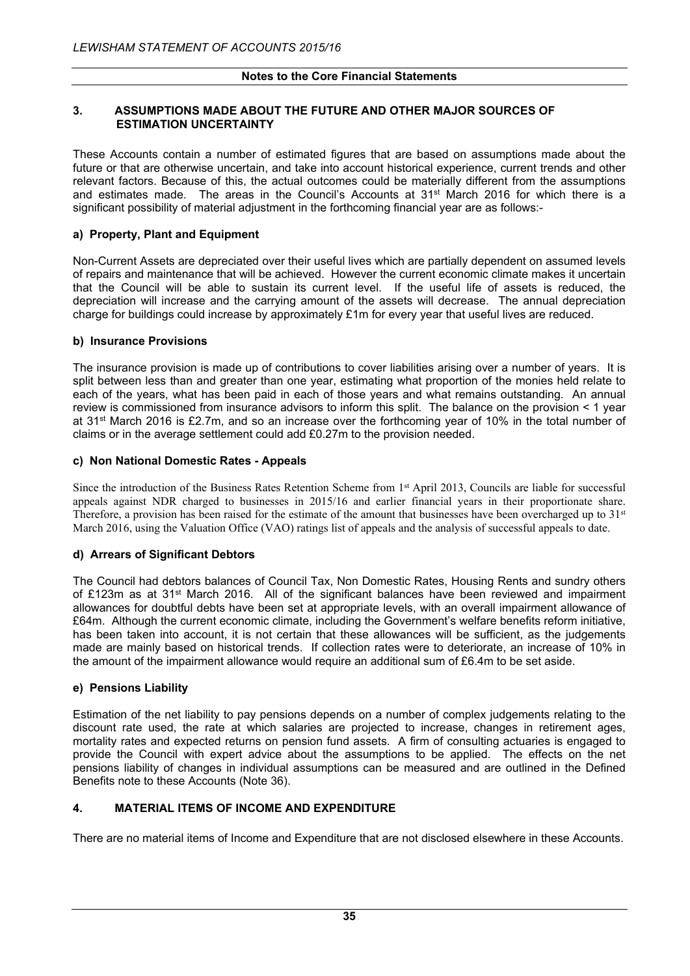## **3. ASSUMPTIONS MADE ABOUT THE FUTURE AND OTHER MAJOR SOURCES OF ESTIMATION UNCERTAINTY**

These Accounts contain a number of estimated figures that are based on assumptions made about the future or that are otherwise uncertain, and take into account historical experience, current trends and other relevant factors. Because of this, the actual outcomes could be materially different from the assumptions and estimates made. The areas in the Council's Accounts at 31<sup>st</sup> March 2016 for which there is a significant possibility of material adjustment in the forthcoming financial year are as follows:-

## **a) Property, Plant and Equipment**

Non-Current Assets are depreciated over their useful lives which are partially dependent on assumed levels of repairs and maintenance that will be achieved. However the current economic climate makes it uncertain that the Council will be able to sustain its current level. If the useful life of assets is reduced, the depreciation will increase and the carrying amount of the assets will decrease. The annual depreciation charge for buildings could increase by approximately £1m for every year that useful lives are reduced.

## **b) Insurance Provisions**

The insurance provision is made up of contributions to cover liabilities arising over a number of years. It is split between less than and greater than one year, estimating what proportion of the monies held relate to each of the years, what has been paid in each of those years and what remains outstanding. An annual review is commissioned from insurance advisors to inform this split. The balance on the provision < 1 year at 31st March 2016 is £2.7m, and so an increase over the forthcoming year of 10% in the total number of claims or in the average settlement could add £0.27m to the provision needed.

## **c) Non National Domestic Rates - Appeals**

Since the introduction of the Business Rates Retention Scheme from 1<sup>st</sup> April 2013, Councils are liable for successful appeals against NDR charged to businesses in 2015/16 and earlier financial years in their proportionate share. Therefore, a provision has been raised for the estimate of the amount that businesses have been overcharged up to  $31<sup>st</sup>$ March 2016, using the Valuation Office (VAO) ratings list of appeals and the analysis of successful appeals to date.

## **d) Arrears of Significant Debtors**

The Council had debtors balances of Council Tax, Non Domestic Rates, Housing Rents and sundry others of £123m as at 31st March 2016. All of the significant balances have been reviewed and impairment allowances for doubtful debts have been set at appropriate levels, with an overall impairment allowance of £64m. Although the current economic climate, including the Government's welfare benefits reform initiative, has been taken into account, it is not certain that these allowances will be sufficient, as the judgements made are mainly based on historical trends. If collection rates were to deteriorate, an increase of 10% in the amount of the impairment allowance would require an additional sum of £6.4m to be set aside.

## **e) Pensions Liability**

Estimation of the net liability to pay pensions depends on a number of complex judgements relating to the discount rate used, the rate at which salaries are projected to increase, changes in retirement ages, mortality rates and expected returns on pension fund assets. A firm of consulting actuaries is engaged to provide the Council with expert advice about the assumptions to be applied. The effects on the net pensions liability of changes in individual assumptions can be measured and are outlined in the Defined Benefits note to these Accounts (Note 36).

## **4. MATERIAL ITEMS OF INCOME AND EXPENDITURE**

There are no material items of Income and Expenditure that are not disclosed elsewhere in these Accounts.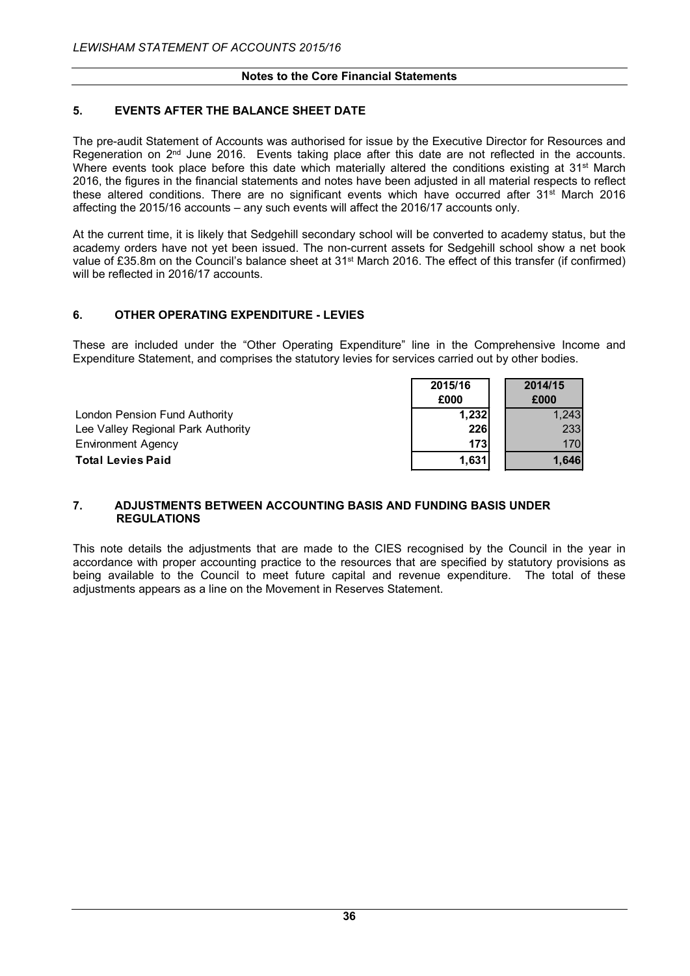#### **Notes to the Core Financial Statements**

## **5. EVENTS AFTER THE BALANCE SHEET DATE**

The pre-audit Statement of Accounts was authorised for issue by the Executive Director for Resources and Regeneration on  $2<sup>nd</sup>$  June 2016. Events taking place after this date are not reflected in the accounts. Where events took place before this date which materially altered the conditions existing at 31<sup>st</sup> March 2016, the figures in the financial statements and notes have been adjusted in all material respects to reflect these altered conditions. There are no significant events which have occurred after 31st March 2016 affecting the 2015/16 accounts – any such events will affect the 2016/17 accounts only.

At the current time, it is likely that Sedgehill secondary school will be converted to academy status, but the academy orders have not yet been issued. The non-current assets for Sedgehill school show a net book value of £35.8m on the Council's balance sheet at 31<sup>st</sup> March 2016. The effect of this transfer (if confirmed) will be reflected in 2016/17 accounts.

## **6. OTHER OPERATING EXPENDITURE - LEVIES**

These are included under the "Other Operating Expenditure" line in the Comprehensive Income and Expenditure Statement, and comprises the statutory levies for services carried out by other bodies.

|                                    | 2015/16 | 2014/15 |
|------------------------------------|---------|---------|
|                                    | £000    | £000    |
| London Pension Fund Authority      | 1,232   | 1.243   |
| Lee Valley Regional Park Authority | 226     | 233     |
| <b>Environment Agency</b>          | 173     | 170     |
| <b>Total Levies Paid</b>           | 1,631   | 1.646   |

#### **7. ADJUSTMENTS BETWEEN ACCOUNTING BASIS AND FUNDING BASIS UNDER REGULATIONS**

This note details the adjustments that are made to the CIES recognised by the Council in the year in accordance with proper accounting practice to the resources that are specified by statutory provisions as being available to the Council to meet future capital and revenue expenditure. The total of these adjustments appears as a line on the Movement in Reserves Statement.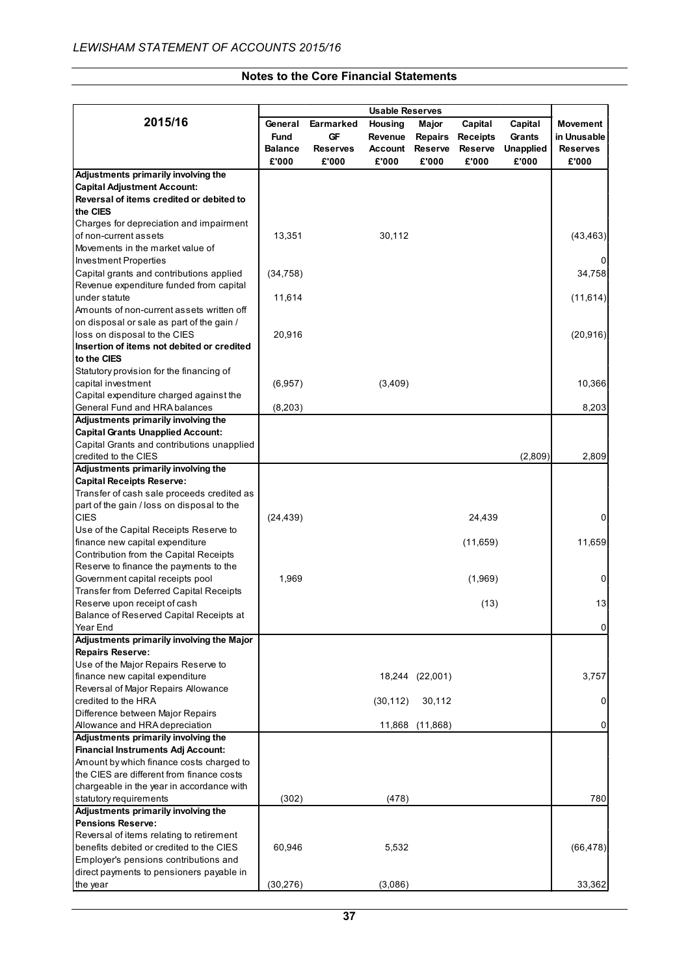## **Notes to the Core Financial Statements**

|                                                                 |                |                 | <b>Usable Reserves</b> |                 |                 |                  |                 |
|-----------------------------------------------------------------|----------------|-----------------|------------------------|-----------------|-----------------|------------------|-----------------|
| 2015/16                                                         | General        | Earmarked       | Housing                | Major           | Capital         | Capital          | Movement        |
|                                                                 | Fund           | GF              | Revenue                | <b>Repairs</b>  | <b>Receipts</b> | Grants           | in Unusable     |
|                                                                 | <b>Balance</b> | <b>Reserves</b> | Account                | <b>Reserve</b>  | <b>Reserve</b>  | <b>Unapplied</b> | <b>Reserves</b> |
|                                                                 | £'000          | £'000           | £'000                  | £'000           | £'000           | £'000            | £'000           |
| Adjustments primarily involving the                             |                |                 |                        |                 |                 |                  |                 |
| <b>Capital Adjustment Account:</b>                              |                |                 |                        |                 |                 |                  |                 |
| Reversal of items credited or debited to                        |                |                 |                        |                 |                 |                  |                 |
| the CIES                                                        |                |                 |                        |                 |                 |                  |                 |
| Charges for depreciation and impairment                         |                |                 |                        |                 |                 |                  |                 |
| of non-current assets                                           | 13,351         |                 | 30,112                 |                 |                 |                  | (43, 463)       |
| Movements in the market value of                                |                |                 |                        |                 |                 |                  |                 |
| <b>Investment Properties</b>                                    |                |                 |                        |                 |                 |                  |                 |
| Capital grants and contributions applied                        | (34, 758)      |                 |                        |                 |                 |                  | 34,758          |
| Revenue expenditure funded from capital                         |                |                 |                        |                 |                 |                  |                 |
| under statute                                                   | 11,614         |                 |                        |                 |                 |                  | (11, 614)       |
| Amounts of non-current assets written off                       |                |                 |                        |                 |                 |                  |                 |
| on disposal or sale as part of the gain /                       |                |                 |                        |                 |                 |                  |                 |
| loss on disposal to the CIES                                    | 20,916         |                 |                        |                 |                 |                  | (20, 916)       |
| Insertion of items not debited or credited                      |                |                 |                        |                 |                 |                  |                 |
| to the CIES                                                     |                |                 |                        |                 |                 |                  |                 |
| Statutory provision for the financing of                        |                |                 |                        |                 |                 |                  |                 |
| capital investment                                              | (6,957)        |                 | (3,409)                |                 |                 |                  | 10,366          |
| Capital expenditure charged against the                         |                |                 |                        |                 |                 |                  |                 |
| General Fund and HRA balances                                   | (8,203)        |                 |                        |                 |                 |                  | 8,203           |
| Adjustments primarily involving the                             |                |                 |                        |                 |                 |                  |                 |
| <b>Capital Grants Unapplied Account:</b>                        |                |                 |                        |                 |                 |                  |                 |
| Capital Grants and contributions unapplied                      |                |                 |                        |                 |                 |                  |                 |
| credited to the CIES                                            |                |                 |                        |                 |                 | (2,809)          | 2,809           |
| Adjustments primarily involving the                             |                |                 |                        |                 |                 |                  |                 |
| <b>Capital Receipts Reserve:</b>                                |                |                 |                        |                 |                 |                  |                 |
| Transfer of cash sale proceeds credited as                      |                |                 |                        |                 |                 |                  |                 |
| part of the gain / loss on disposal to the                      |                |                 |                        |                 |                 |                  |                 |
| <b>CIES</b>                                                     | (24, 439)      |                 |                        |                 | 24,439          |                  | 0               |
| Use of the Capital Receipts Reserve to                          |                |                 |                        |                 |                 |                  |                 |
| finance new capital expenditure                                 |                |                 |                        |                 | (11, 659)       |                  | 11,659          |
| Contribution from the Capital Receipts                          |                |                 |                        |                 |                 |                  |                 |
| Reserve to finance the payments to the                          |                |                 |                        |                 |                 |                  |                 |
| Government capital receipts pool                                | 1,969          |                 |                        |                 | (1,969)         |                  | 0               |
| <b>Transfer from Deferred Capital Receipts</b>                  |                |                 |                        |                 |                 |                  |                 |
| Reserve upon receipt of cash                                    |                |                 |                        |                 | (13)            |                  | 13              |
| Balance of Reserved Capital Receipts at                         |                |                 |                        |                 |                 |                  |                 |
| Year End                                                        |                |                 |                        |                 |                 |                  | $\overline{0}$  |
| Adjustments primarily involving the Major                       |                |                 |                        |                 |                 |                  |                 |
| <b>Repairs Reserve:</b>                                         |                |                 |                        |                 |                 |                  |                 |
| Use of the Major Repairs Reserve to                             |                |                 |                        |                 |                 |                  |                 |
| finance new capital expenditure                                 |                |                 |                        | 18,244 (22,001) |                 |                  | 3,757           |
| Reversal of Major Repairs Allowance                             |                |                 |                        |                 |                 |                  |                 |
| credited to the HRA                                             |                |                 | (30, 112)              | 30,112          |                 |                  | 0               |
| Difference between Major Repairs                                |                |                 |                        |                 |                 |                  |                 |
| Allowance and HRA depreciation                                  |                |                 |                        | 11,868 (11,868) |                 |                  | 0               |
| Adjustments primarily involving the                             |                |                 |                        |                 |                 |                  |                 |
| <b>Financial Instruments Adj Account:</b>                       |                |                 |                        |                 |                 |                  |                 |
| Amount by which finance costs charged to                        |                |                 |                        |                 |                 |                  |                 |
| the CIES are different from finance costs                       |                |                 |                        |                 |                 |                  |                 |
| chargeable in the year in accordance with                       |                |                 |                        |                 |                 |                  |                 |
| statutory requirements                                          | (302)          |                 | (478)                  |                 |                 |                  | 780             |
| Adjustments primarily involving the<br><b>Pensions Reserve:</b> |                |                 |                        |                 |                 |                  |                 |
| Reversal of items relating to retirement                        |                |                 |                        |                 |                 |                  |                 |
| benefits debited or credited to the CIES                        | 60,946         |                 | 5,532                  |                 |                 |                  | (66, 478)       |
| Employer's pensions contributions and                           |                |                 |                        |                 |                 |                  |                 |
| direct payments to pensioners payable in                        |                |                 |                        |                 |                 |                  |                 |
| the year                                                        | (30, 276)      |                 | (3,086)                |                 |                 |                  | 33,362          |
|                                                                 |                |                 |                        |                 |                 |                  |                 |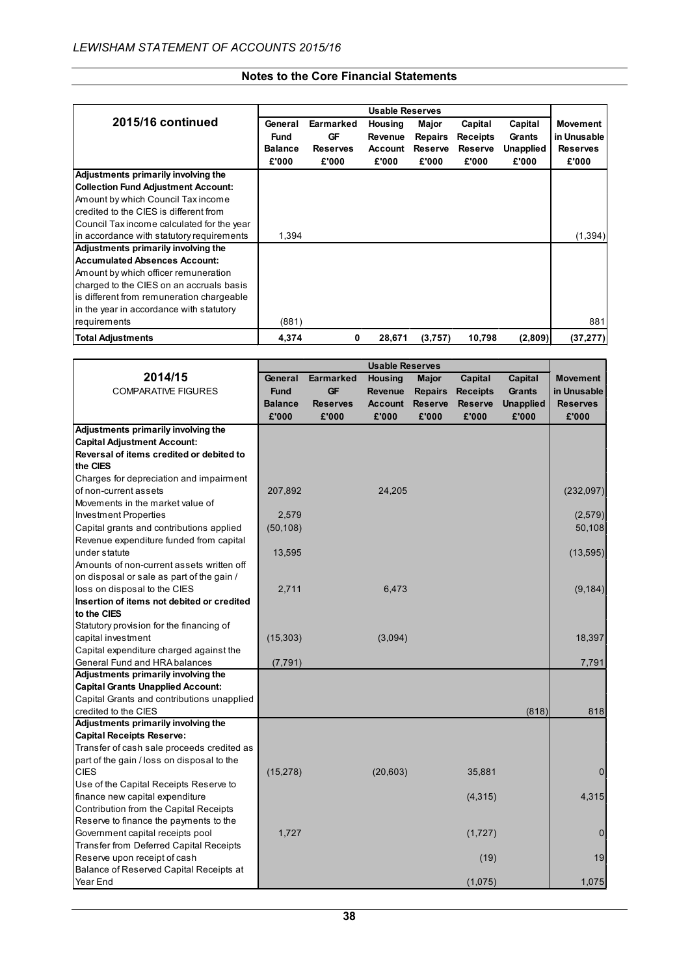|                                            |                |                 | <b>Usable Reserves</b> |                |                 |                  |                 |
|--------------------------------------------|----------------|-----------------|------------------------|----------------|-----------------|------------------|-----------------|
| 2015/16 continued                          | General        | Earmarked       | Housing                | Major          | Capital         | Capital          | <b>Movement</b> |
|                                            | <b>Fund</b>    | GF              | <b>Revenue</b>         | <b>Repairs</b> | <b>Receipts</b> | Grants           | in Unusable     |
|                                            | <b>Balance</b> | <b>Reserves</b> | <b>Account</b>         | <b>Reserve</b> | <b>Reserve</b>  | <b>Unapplied</b> | <b>Reserves</b> |
|                                            | £'000          | £'000           | £'000                  | £'000          | £'000           | £'000            | £'000           |
| Adjustments primarily involving the        |                |                 |                        |                |                 |                  |                 |
| <b>Collection Fund Adjustment Account:</b> |                |                 |                        |                |                 |                  |                 |
| Amount by which Council Tax income         |                |                 |                        |                |                 |                  |                 |
| credited to the CIES is different from     |                |                 |                        |                |                 |                  |                 |
| Council Tax income calculated for the year |                |                 |                        |                |                 |                  |                 |
| in accordance with statutory requirements  | 1,394          |                 |                        |                |                 |                  | (1, 394)        |
| Adjustments primarily involving the        |                |                 |                        |                |                 |                  |                 |
| <b>Accumulated Absences Account:</b>       |                |                 |                        |                |                 |                  |                 |
| Amount by which officer remuneration       |                |                 |                        |                |                 |                  |                 |
| charged to the CIES on an accruals basis   |                |                 |                        |                |                 |                  |                 |
| is different from remuneration chargeable  |                |                 |                        |                |                 |                  |                 |
| in the year in accordance with statutory   |                |                 |                        |                |                 |                  |                 |
| requirements                               | (881)          |                 |                        |                |                 |                  | 881             |
| <b>Total Adjustments</b>                   | 4,374          | 0               | 28,671                 | (3,757)        | 10,798          | (2,809)          | (37, 277)       |

|                                            |                |                 | <b>Usable Reserves</b> |                |                 |                  |                 |
|--------------------------------------------|----------------|-----------------|------------------------|----------------|-----------------|------------------|-----------------|
| 2014/15                                    | General        | Earmarked       | Housing                | <b>Major</b>   | Capital         | Capital          | <b>Movement</b> |
| <b>COMPARATIVE FIGURES</b>                 | <b>Fund</b>    | GF              | <b>Revenue</b>         | <b>Repairs</b> | <b>Receipts</b> | <b>Grants</b>    | in Unusable     |
|                                            | <b>Balance</b> | <b>Reserves</b> | <b>Account</b>         | <b>Reserve</b> | <b>Reserve</b>  | <b>Unapplied</b> | <b>Reserves</b> |
|                                            | £'000          | £'000           | £'000                  | £'000          | £'000           | £'000            | £'000           |
| Adjustments primarily involving the        |                |                 |                        |                |                 |                  |                 |
| <b>Capital Adjustment Account:</b>         |                |                 |                        |                |                 |                  |                 |
| Reversal of items credited or debited to   |                |                 |                        |                |                 |                  |                 |
| the CIES                                   |                |                 |                        |                |                 |                  |                 |
| Charges for depreciation and impairment    |                |                 |                        |                |                 |                  |                 |
| of non-current assets                      | 207,892        |                 | 24,205                 |                |                 |                  | (232,097)       |
| Movements in the market value of           |                |                 |                        |                |                 |                  |                 |
| <b>Investment Properties</b>               | 2,579          |                 |                        |                |                 |                  | (2,579)         |
| Capital grants and contributions applied   | (50, 108)      |                 |                        |                |                 |                  | 50,108          |
| Revenue expenditure funded from capital    |                |                 |                        |                |                 |                  |                 |
| under statute                              | 13,595         |                 |                        |                |                 |                  | (13, 595)       |
| Amounts of non-current assets written off  |                |                 |                        |                |                 |                  |                 |
| on disposal or sale as part of the gain /  |                |                 |                        |                |                 |                  |                 |
| loss on disposal to the CIES               | 2,711          |                 | 6,473                  |                |                 |                  | (9, 184)        |
| Insertion of items not debited or credited |                |                 |                        |                |                 |                  |                 |
| to the CIES                                |                |                 |                        |                |                 |                  |                 |
| Statutory provision for the financing of   |                |                 |                        |                |                 |                  |                 |
| capital investment                         | (15,303)       |                 | (3,094)                |                |                 |                  | 18,397          |
| Capital expenditure charged against the    |                |                 |                        |                |                 |                  |                 |
| General Fund and HRA balances              | (7, 791)       |                 |                        |                |                 |                  | 7,791           |
| Adjustments primarily involving the        |                |                 |                        |                |                 |                  |                 |
| <b>Capital Grants Unapplied Account:</b>   |                |                 |                        |                |                 |                  |                 |
| Capital Grants and contributions unapplied |                |                 |                        |                |                 |                  |                 |
| credited to the CIES                       |                |                 |                        |                |                 | (818)            | 818             |
| Adjustments primarily involving the        |                |                 |                        |                |                 |                  |                 |
| <b>Capital Receipts Reserve:</b>           |                |                 |                        |                |                 |                  |                 |
| Transfer of cash sale proceeds credited as |                |                 |                        |                |                 |                  |                 |
| part of the gain / loss on disposal to the |                |                 |                        |                |                 |                  |                 |
| <b>CIES</b>                                | (15, 278)      |                 | (20, 603)              |                | 35,881          |                  | $\mathbf 0$     |
| Use of the Capital Receipts Reserve to     |                |                 |                        |                |                 |                  |                 |
| finance new capital expenditure            |                |                 |                        |                | (4,315)         |                  | 4,315           |
| Contribution from the Capital Receipts     |                |                 |                        |                |                 |                  |                 |
| Reserve to finance the payments to the     |                |                 |                        |                |                 |                  |                 |
| Government capital receipts pool           | 1,727          |                 |                        |                | (1,727)         |                  | $\mathbf 0$     |
| Transfer from Deferred Capital Receipts    |                |                 |                        |                |                 |                  |                 |
| Reserve upon receipt of cash               |                |                 |                        |                | (19)            |                  | 19              |
| Balance of Reserved Capital Receipts at    |                |                 |                        |                |                 |                  |                 |
| Year End                                   |                |                 |                        |                | (1,075)         |                  | 1,075           |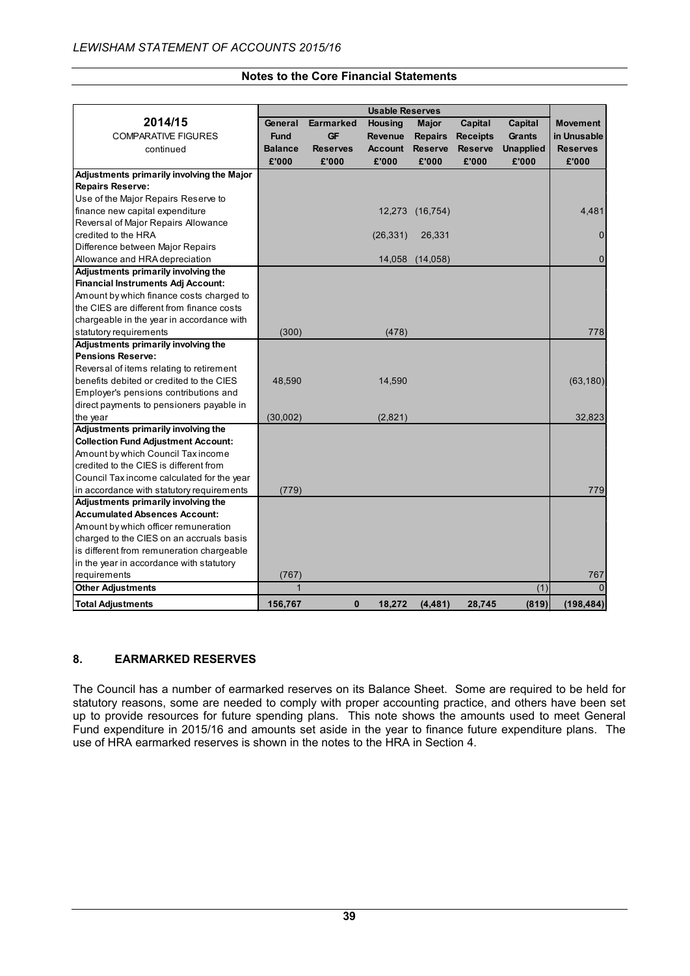|                                            |                |                 | <b>Usable Reserves</b> |                |                 |                  |                 |
|--------------------------------------------|----------------|-----------------|------------------------|----------------|-----------------|------------------|-----------------|
| 2014/15                                    | General        | Earmarked       | <b>Housing</b>         | Major          | Capital         | Capital          | <b>Movement</b> |
| <b>COMPARATIVE FIGURES</b>                 | <b>Fund</b>    | <b>GF</b>       | Revenue                | <b>Repairs</b> | <b>Receipts</b> | Grants           | in Unusable     |
| continued                                  | <b>Balance</b> | <b>Reserves</b> | <b>Account</b>         | <b>Reserve</b> | <b>Reserve</b>  | <b>Unapplied</b> | <b>Reserves</b> |
|                                            | £'000          | £'000           | £'000                  | £'000          | £'000           | £'000            | £'000           |
| Adjustments primarily involving the Major  |                |                 |                        |                |                 |                  |                 |
| <b>Repairs Reserve:</b>                    |                |                 |                        |                |                 |                  |                 |
| Use of the Major Repairs Reserve to        |                |                 |                        |                |                 |                  |                 |
| finance new capital expenditure            |                |                 | 12,273                 | (16, 754)      |                 |                  | 4,481           |
| Reversal of Major Repairs Allowance        |                |                 |                        |                |                 |                  |                 |
| credited to the HRA                        |                |                 | (26, 331)              | 26,331         |                 |                  | 0               |
| Difference between Major Repairs           |                |                 |                        |                |                 |                  |                 |
| Allowance and HRA depreciation             |                |                 | 14,058                 | (14, 058)      |                 |                  | 0               |
| Adjustments primarily involving the        |                |                 |                        |                |                 |                  |                 |
| <b>Financial Instruments Adj Account:</b>  |                |                 |                        |                |                 |                  |                 |
| Amount by which finance costs charged to   |                |                 |                        |                |                 |                  |                 |
| the CIES are different from finance costs  |                |                 |                        |                |                 |                  |                 |
| chargeable in the year in accordance with  |                |                 |                        |                |                 |                  |                 |
| statutory requirements                     | (300)          |                 | (478)                  |                |                 |                  | 778             |
| Adjustments primarily involving the        |                |                 |                        |                |                 |                  |                 |
| <b>Pensions Reserve:</b>                   |                |                 |                        |                |                 |                  |                 |
| Reversal of items relating to retirement   |                |                 |                        |                |                 |                  |                 |
| benefits debited or credited to the CIES   | 48,590         |                 | 14,590                 |                |                 |                  | (63, 180)       |
| Employer's pensions contributions and      |                |                 |                        |                |                 |                  |                 |
| direct payments to pensioners payable in   |                |                 |                        |                |                 |                  |                 |
| the year                                   | (30,002)       |                 | (2,821)                |                |                 |                  | 32,823          |
| Adjustments primarily involving the        |                |                 |                        |                |                 |                  |                 |
| <b>Collection Fund Adjustment Account:</b> |                |                 |                        |                |                 |                  |                 |
| Amount by which Council Tax income         |                |                 |                        |                |                 |                  |                 |
| credited to the CIES is different from     |                |                 |                        |                |                 |                  |                 |
| Council Tax income calculated for the year |                |                 |                        |                |                 |                  |                 |
| in accordance with statutory requirements  | (779)          |                 |                        |                |                 |                  | 779             |
| Adjustments primarily involving the        |                |                 |                        |                |                 |                  |                 |
| <b>Accumulated Absences Account:</b>       |                |                 |                        |                |                 |                  |                 |
| Amount by which officer remuneration       |                |                 |                        |                |                 |                  |                 |
| charged to the CIES on an accruals basis   |                |                 |                        |                |                 |                  |                 |
| is different from remuneration chargeable  |                |                 |                        |                |                 |                  |                 |
| in the year in accordance with statutory   |                |                 |                        |                |                 |                  |                 |
| requirements                               | (767)          |                 |                        |                |                 |                  | 767             |
| <b>Other Adjustments</b>                   | $\mathbf{1}$   |                 |                        |                |                 | (1)              | $\Omega$        |
| <b>Total Adjustments</b>                   | 156,767        | 0               | 18,272                 | (4, 481)       | 28,745          | (819)            | (198, 484)      |

## **8. EARMARKED RESERVES**

The Council has a number of earmarked reserves on its Balance Sheet. Some are required to be held for statutory reasons, some are needed to comply with proper accounting practice, and others have been set up to provide resources for future spending plans. This note shows the amounts used to meet General Fund expenditure in 2015/16 and amounts set aside in the year to finance future expenditure plans. The use of HRA earmarked reserves is shown in the notes to the HRA in Section 4.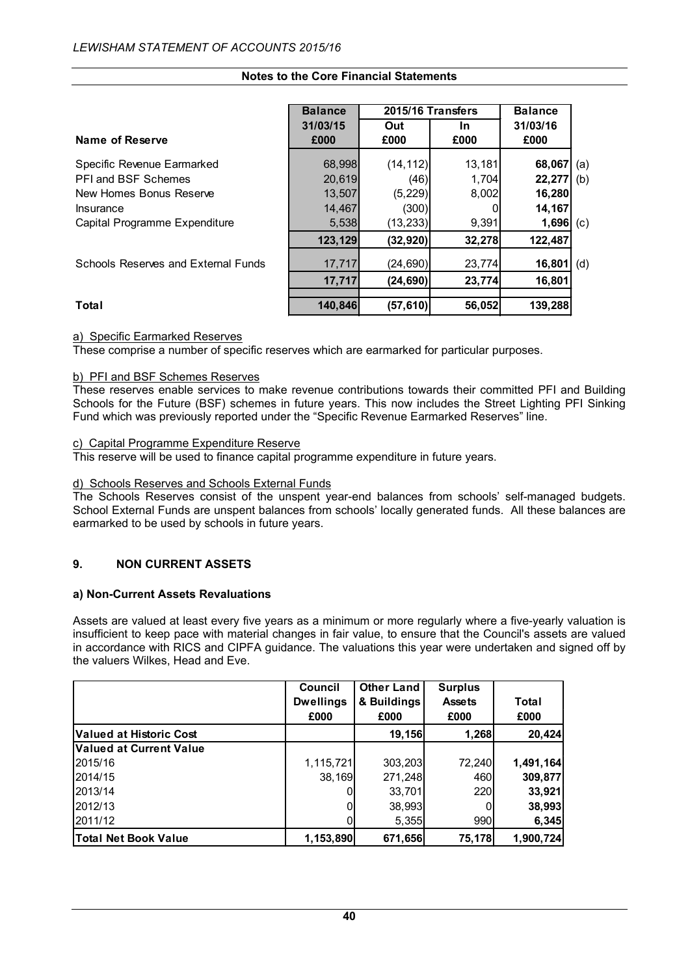|                                     | <b>Balance</b> | 2015/16 Transfers |        |          |     |
|-------------------------------------|----------------|-------------------|--------|----------|-----|
|                                     | 31/03/15       | Out               | In.    | 31/03/16 |     |
| Name of Reserve                     | £000           | £000              | £000   | £000     |     |
| Specific Revenue Earmarked          | 68,998         | (14, 112)         | 13,181 | 68,067   | (a) |
| <b>PFI and BSF Schemes</b>          | 20,619         | (46)              | 1,704  | 22,277   | (b) |
| New Homes Bonus Reserve             | 13,507         | (5, 229)          | 8,002  | 16,280   |     |
| Insurance                           | 14,467         | (300)             |        | 14,167   |     |
| Capital Programme Expenditure       | 5,538          | (13, 233)         | 9,391  | 1,696    | (c) |
|                                     | 123,129        | (32, 920)         | 32,278 | 122,487  |     |
| Schools Reserves and External Funds | 17,717         | (24, 690)         | 23,774 | 16,801   | (d) |
|                                     | 17,717         | (24, 690)         | 23,774 | 16,801   |     |
| Total                               | 140,846        | (57,610)          | 56,052 | 139,288  |     |

# a) Specific Earmarked Reserves

These comprise a number of specific reserves which are earmarked for particular purposes.

#### b) PFI and BSF Schemes Reserves

These reserves enable services to make revenue contributions towards their committed PFI and Building Schools for the Future (BSF) schemes in future years. This now includes the Street Lighting PFI Sinking Fund which was previously reported under the "Specific Revenue Earmarked Reserves" line.

#### c) Capital Programme Expenditure Reserve

This reserve will be used to finance capital programme expenditure in future years.

#### d) Schools Reserves and Schools External Funds

The Schools Reserves consist of the unspent year-end balances from schools' self-managed budgets. School External Funds are unspent balances from schools' locally generated funds. All these balances are earmarked to be used by schools in future years.

## **9. NON CURRENT ASSETS**

#### **a) Non-Current Assets Revaluations**

Assets are valued at least every five years as a minimum or more regularly where a five-yearly valuation is insufficient to keep pace with material changes in fair value, to ensure that the Council's assets are valued in accordance with RICS and CIPFA guidance. The valuations this year were undertaken and signed off by the valuers Wilkes, Head and Eve.

|                                | Council<br><b>Dwellings</b><br>£000 | <b>Other Land</b><br>& Buildings<br>£000 | <b>Surplus</b><br><b>Assets</b><br>£000 | Total<br>£000 |
|--------------------------------|-------------------------------------|------------------------------------------|-----------------------------------------|---------------|
| <b>Valued at Historic Cost</b> |                                     | 19,156                                   | 1,268                                   | 20,424        |
| <b>Valued at Current Value</b> |                                     |                                          |                                         |               |
| 2015/16                        | 1,115,721                           | 303,203                                  | 72,240                                  | 1,491,164     |
| 2014/15                        | 38,169                              | 271,248                                  | 460                                     | 309,877       |
| 2013/14                        |                                     | 33,701                                   | <b>220</b>                              | 33,921        |
| 2012/13                        |                                     | 38,993                                   |                                         | 38,993        |
| 2011/12                        |                                     | 5,355                                    | 990                                     | 6,345         |
| <b>Total Net Book Value</b>    | 1,153,890                           | 671,656                                  | 75,178                                  | 1,900,724     |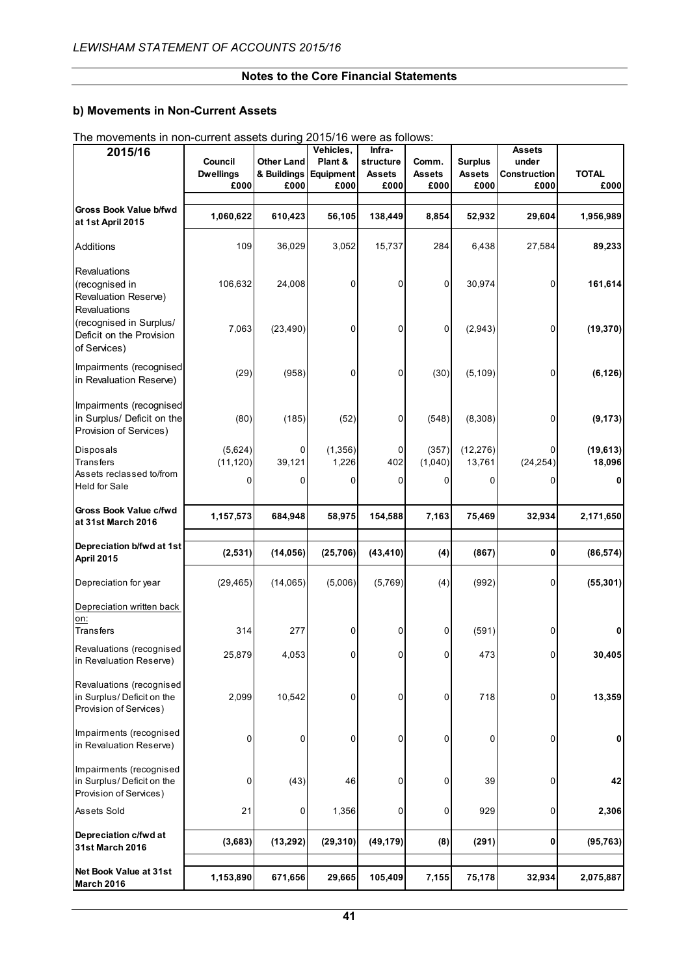## **b) Movements in Non-Current Assets**

| 2015/16                                                                         | Council                  | <b>Other Land</b>   | Vehicles,<br>Plant & | Infra-<br>structure   | Comm.                 | <b>Surplus</b>        | <b>Assets</b><br>under      |                      |
|---------------------------------------------------------------------------------|--------------------------|---------------------|----------------------|-----------------------|-----------------------|-----------------------|-----------------------------|----------------------|
|                                                                                 | <b>Dwellings</b><br>£000 | & Buildings<br>£000 | Equipment<br>£000    | <b>Assets</b><br>£000 | <b>Assets</b><br>£000 | <b>Assets</b><br>£000 | <b>Construction</b><br>£000 | <b>TOTAL</b><br>£000 |
| Gross Book Value b/fwd                                                          |                          |                     |                      |                       |                       |                       |                             |                      |
| at 1st April 2015                                                               | 1,060,622                | 610,423             | 56,105               | 138,449               | 8,854                 | 52,932                | 29,604                      | 1,956,989            |
| Additions                                                                       | 109                      | 36,029              | 3,052                | 15,737                | 284                   | 6,438                 | 27,584                      | 89,233               |
| Revaluations<br>(recognised in<br>Revaluation Reserve)<br>Revaluations          | 106,632                  | 24,008              | 0                    | 0                     | 0                     | 30,974                | 0                           | 161,614              |
| (recognised in Surplus/<br>Deficit on the Provision<br>of Services)             | 7,063                    | (23, 490)           | 0                    | 0                     | 0                     | (2,943)               | 0                           | (19, 370)            |
| Impairments (recognised<br>in Revaluation Reserve)                              | (29)                     | (958)               | 0                    | 0                     | (30)                  | (5, 109)              | 0                           | (6, 126)             |
| Impairments (recognised<br>in Surplus/ Deficit on the<br>Provision of Services) | (80)                     | (185)               | (52)                 | 0                     | (548)                 | (8,308)               | 0                           | (9, 173)             |
| Disposals<br><b>Transfers</b>                                                   | (5,624)<br>(11, 120)     | 0<br>39,121         | (1, 356)<br>1,226    | 0<br>402              | (357)<br>(1,040)      | (12, 276)<br>13,761   | (24, 254)                   | (19, 613)<br>18,096  |
| Assets reclassed to/from<br><b>Held for Sale</b>                                | 0                        | 0                   | 0                    | $\Omega$              | 0                     | 0                     | 0                           | 0                    |
| Gross Book Value c/fwd<br>at 31st March 2016                                    | 1,157,573                | 684,948             | 58,975               | 154,588               | 7,163                 | 75,469                | 32,934                      | 2,171,650            |
| Depreciation b/fwd at 1st<br>April 2015                                         | (2,531)                  | (14,056)            | (25, 706)            | (43, 410)             | (4)                   | (867)                 | 0                           | (86, 574)            |
| Depreciation for year                                                           | (29, 465)                | (14,065)            | (5,006)              | (5,769)               | (4)                   | (992)                 | 0                           | (55, 301)            |
| Depreciation written back<br>on:                                                |                          |                     |                      |                       |                       |                       |                             |                      |
| Transfers                                                                       | 314                      | 277                 | 0                    | 0                     | 0                     | (591)                 | 0                           | 0                    |
| Revaluations (recognised<br>in Revaluation Reserve)                             | 25,879                   | 4,053               | 0                    | 0                     | 0                     | 473                   | 0                           | 30,405               |
| Revaluations (recognised<br>in Surplus/Deficit on the<br>Provision of Services) | 2,099                    | 10,542              | 0                    | 0                     | 0                     | 718                   | $\overline{0}$              | 13,359               |
| Impairments (recognised<br>in Revaluation Reserve)                              | 0                        | 0                   | 0                    | 0                     | 0                     | 0                     | 0                           | 0                    |
| Impairments (recognised<br>in Surplus/Deficit on the<br>Provision of Services)  | 0                        | (43)                | 46                   | 0                     | 0                     | 39                    | 0                           | 42                   |
| Assets Sold                                                                     | 21                       | 0                   | 1,356                | 0                     | 0                     | 929                   | 0                           | 2,306                |
| Depreciation c/fwd at<br>31st March 2016                                        | (3,683)                  | (13, 292)           | (29, 310)            | (49, 179)             | (8)                   | (291)                 | 0                           | (95, 763)            |
| Net Book Value at 31st<br>March 2016                                            | 1,153,890                | 671,656             | 29,665               | 105,409               | 7,155                 | 75,178                | 32,934                      | 2,075,887            |

The movements in non-current assets during 2015/16 were as follows: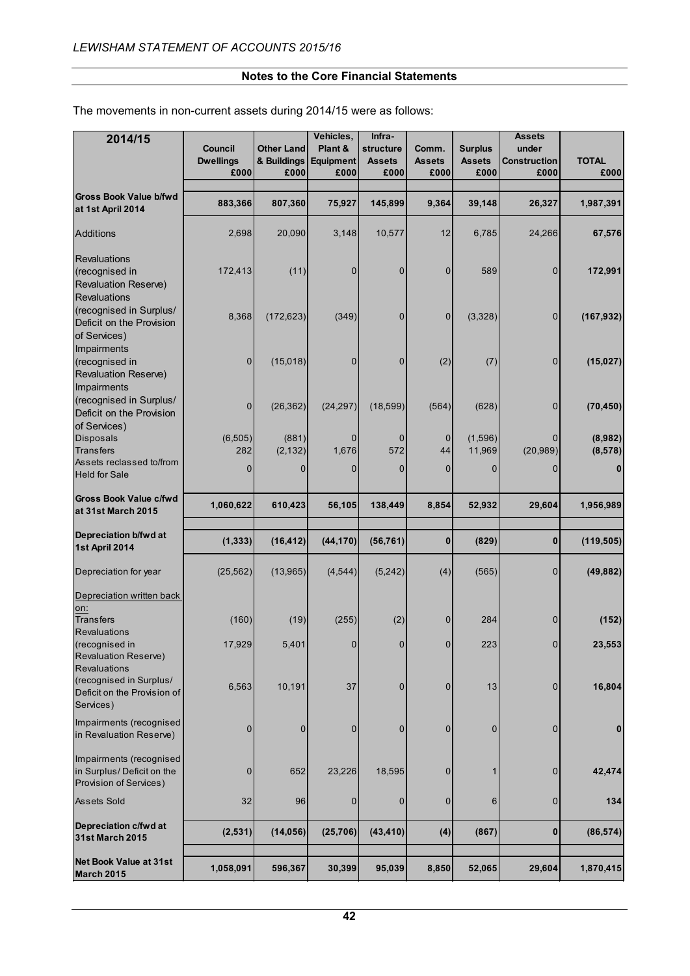The movements in non-current assets during 2014/15 were as follows:

| 2014/15                                                                                           | Council<br><b>Dwellings</b><br>£000 | <b>Other Land</b><br>& Buildings<br>£000 | Vehicles,<br>Plant &<br>Equipment<br>£000 | Infra-<br>structure<br><b>Assets</b><br>£000 | Comm.<br><b>Assets</b><br>£000 | <b>Surplus</b><br><b>Assets</b><br>£000 | <b>Assets</b><br>under<br><b>Construction</b><br>£000 | <b>TOTAL</b><br>£000     |
|---------------------------------------------------------------------------------------------------|-------------------------------------|------------------------------------------|-------------------------------------------|----------------------------------------------|--------------------------------|-----------------------------------------|-------------------------------------------------------|--------------------------|
| <b>Gross Book Value b/fwd</b><br>at 1st April 2014                                                | 883,366                             | 807,360                                  | 75,927                                    | 145,899                                      | 9,364                          | 39,148                                  | 26,327                                                | 1,987,391                |
| <b>Additions</b>                                                                                  | 2,698                               | 20,090                                   | 3,148                                     | 10,577                                       | 12                             | 6,785                                   | 24,266                                                | 67,576                   |
| <b>Revaluations</b><br>(recognised in<br><b>Revaluation Reserve)</b><br>Revaluations              | 172,413                             | (11)                                     | 0                                         | $\mathbf 0$                                  | 0                              | 589                                     | 0                                                     | 172,991                  |
| (recognised in Surplus/<br>Deficit on the Provision<br>of Services)                               | 8,368                               | (172, 623)                               | (349)                                     | 0                                            | 0                              | (3,328)                                 | 0                                                     | (167, 932)               |
| Impairments<br>(recognised in<br><b>Revaluation Reserve)</b><br>Impairments                       | 0                                   | (15,018)                                 | 0                                         | 0                                            | (2)                            | (7)                                     | 0                                                     | (15, 027)                |
| (recognised in Surplus/<br>Deficit on the Provision                                               | 0                                   | (26, 362)                                | (24, 297)                                 | (18, 599)                                    | (564)                          | (628)                                   | 0                                                     | (70, 450)                |
| of Services)<br><b>Disposals</b><br>Transfers<br>Assets reclassed to/from<br><b>Held for Sale</b> | (6,505)<br>282<br>$\mathbf{0}$      | (881)<br>(2, 132)<br>0                   | 0<br>1,676<br>0                           | 0<br>572<br>0                                | $\mathbf 0$<br>44<br>0         | (1,596)<br>11,969<br>0                  | (20, 989)                                             | (8,982)<br>(8, 578)<br>0 |
| Gross Book Value c/fwd<br>at 31st March 2015                                                      | 1,060,622                           | 610,423                                  | 56,105                                    | 138,449                                      | 8,854                          | 52,932                                  | 29,604                                                | 1,956,989                |
| Depreciation b/fwd at<br>1st April 2014                                                           | (1, 333)                            | (16, 412)                                | (44, 170)                                 | (56, 761)                                    | $\bf{0}$                       | (829)                                   | $\bf{0}$                                              | (119, 505)               |
| Depreciation for year                                                                             | (25, 562)                           | (13,965)                                 | (4, 544)                                  | (5,242)                                      | (4)                            | (565)                                   | $\overline{0}$                                        | (49, 882)                |
| Depreciation written back<br>on:                                                                  |                                     |                                          |                                           |                                              |                                |                                         |                                                       |                          |
| <b>Transfers</b><br><b>Revaluations</b>                                                           | (160)                               | (19)                                     | (255)                                     | (2)                                          | 0                              | 284                                     | 0                                                     | (152)                    |
| (recognised in<br>Revaluation Reserve)<br><b>Revaluations</b>                                     | 17,929                              | 5,401                                    | $\overline{0}$                            | $\mathbf 0$                                  | $\overline{0}$                 | 223                                     | $\overline{0}$                                        | 23.553                   |
| (recognised in Surplus/<br>Deficit on the Provision of<br>Services)                               | 6,563                               | 10,191                                   | 37                                        | $\mathbf{0}$                                 | $\mathbf{0}$                   | 13                                      | $\overline{0}$                                        | 16,804                   |
| Impairments (recognised<br>in Revaluation Reserve)                                                | 0                                   | $\mathbf{0}$                             | 0                                         | 0                                            | 0                              | 0                                       | $\Omega$                                              | 0                        |
| Impairments (recognised<br>in Surplus/Deficit on the<br>Provision of Services)                    | 0                                   | 652                                      | 23,226                                    | 18,595                                       | 0                              | 1                                       | 0                                                     | 42,474                   |
| Assets Sold                                                                                       | 32                                  | 96                                       | 0                                         | 0                                            | $\mathbf 0$                    | 6                                       | 0                                                     | 134                      |
| Depreciation c/fwd at<br><b>31st March 2015</b>                                                   | (2,531)                             | (14, 056)                                | (25, 706)                                 | (43, 410)                                    | (4)                            | (867)                                   | $\boldsymbol{0}$                                      | (86, 574)                |
| Net Book Value at 31st<br><b>March 2015</b>                                                       | 1,058,091                           | 596,367                                  | 30,399                                    | 95,039                                       | 8,850                          | 52,065                                  | 29,604                                                | 1,870,415                |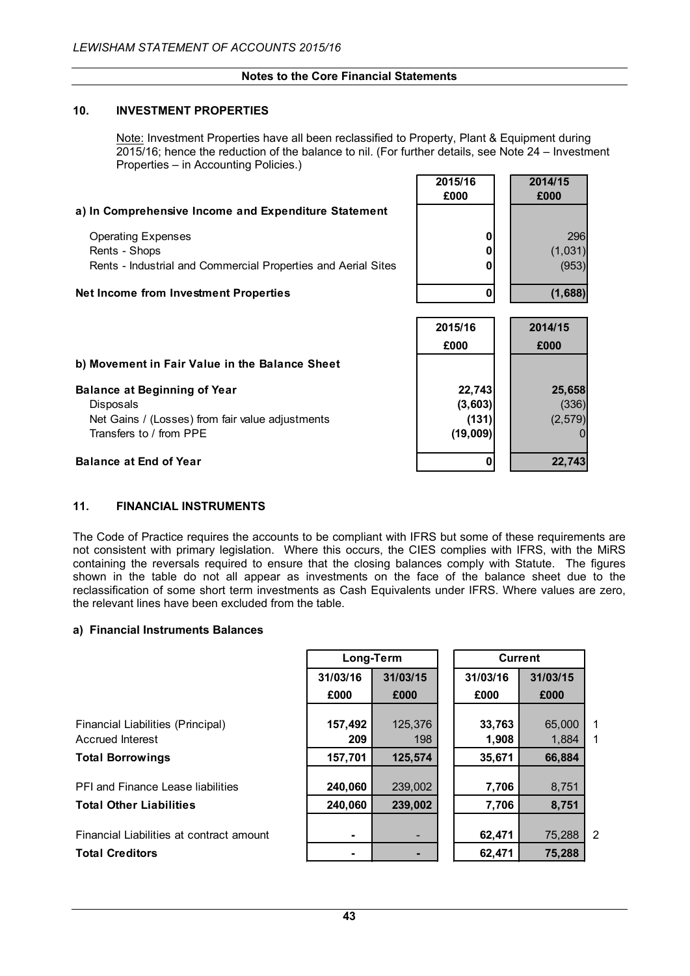## **10. INVESTMENT PROPERTIES**

Note: Investment Properties have all been reclassified to Property, Plant & Equipment during 2015/16; hence the reduction of the balance to nil. (For further details, see Note 24 – Investment Properties – in Accounting Policies.)

**2015/16 2014/15**

|                                                               | £000    | £000            |
|---------------------------------------------------------------|---------|-----------------|
| a) In Comprehensive Income and Expenditure Statement          |         |                 |
| <b>Operating Expenses</b>                                     |         | 296             |
| Rents - Shops                                                 |         | (1,031)         |
| Rents - Industrial and Commercial Properties and Aerial Sites |         | (953)           |
| <b>Net Income from Investment Properties</b>                  |         | (1,688)         |
|                                                               | 2015/16 | 2014/15         |
|                                                               |         |                 |
|                                                               | £000    | £000            |
| b) Movement in Fair Value in the Balance Sheet                |         |                 |
| <b>Balance at Beginning of Year</b>                           | 22,743  |                 |
| Disposals                                                     | (3,603) | 25,658<br>(336) |
| Net Gains / (Losses) from fair value adjustments              | (131)   | (2,579)         |

## **Balance at End of Year 0 22,743**

## **11. FINANCIAL INSTRUMENTS**

The Code of Practice requires the accounts to be compliant with IFRS but some of these requirements are not consistent with primary legislation. Where this occurs, the CIES complies with IFRS, with the MiRS containing the reversals required to ensure that the closing balances comply with Statute. The figures shown in the table do not all appear as investments on the face of the balance sheet due to the reclassification of some short term investments as Cash Equivalents under IFRS. Where values are zero, the relevant lines have been excluded from the table.

#### **a) Financial Instruments Balances**

|                                          | Long-Term |          | <b>Current</b> |          |                |
|------------------------------------------|-----------|----------|----------------|----------|----------------|
|                                          | 31/03/16  | 31/03/15 | 31/03/16       | 31/03/15 |                |
|                                          | £000      | £000     | £000           | £000     |                |
|                                          |           |          |                |          |                |
| Financial Liabilities (Principal)        | 157,492   | 125,376  | 33,763         | 65,000   | $\mathbf{1}$   |
| Accrued Interest                         | 209       | 198      | 1,908          | 1,884    | 1              |
| <b>Total Borrowings</b>                  | 157,701   | 125,574  | 35,671         | 66,884   |                |
| PFI and Finance Lease liabilities        | 240,060   | 239,002  | 7,706          | 8,751    |                |
| <b>Total Other Liabilities</b>           | 240,060   | 239,002  | 7,706          | 8,751    |                |
| Financial Liabilities at contract amount |           |          | 62,471         | 75,288   | $\overline{2}$ |
| <b>Total Creditors</b>                   |           |          | 62,471         | 75,288   |                |
|                                          |           |          |                |          |                |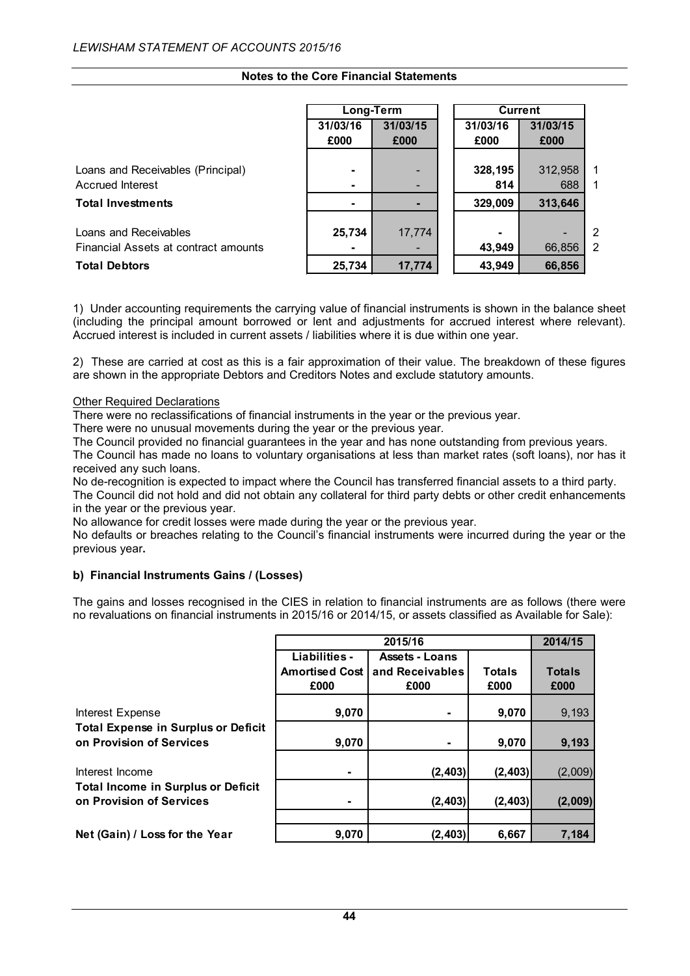|                                      | Long-Term |          |          | <b>Current</b> |             |
|--------------------------------------|-----------|----------|----------|----------------|-------------|
|                                      | 31/03/16  | 31/03/15 | 31/03/16 | 31/03/15       |             |
|                                      | £000      | £000     | £000     | £000           |             |
|                                      |           |          |          |                |             |
| Loans and Receivables (Principal)    |           |          | 328,195  | 312,958        | 1           |
| <b>Accrued Interest</b>              |           |          | 814      | 688            | $\mathbf 1$ |
| <b>Total Investments</b>             |           |          | 329,009  | 313,646        |             |
|                                      |           |          |          |                |             |
| Loans and Receivables                | 25,734    | 17,774   |          |                | 2           |
| Financial Assets at contract amounts |           |          | 43,949   | 66,856         | 2           |
| <b>Total Debtors</b>                 | 25,734    | 17,774   | 43,949   | 66,856         |             |

1) Under accounting requirements the carrying value of financial instruments is shown in the balance sheet (including the principal amount borrowed or lent and adjustments for accrued interest where relevant). Accrued interest is included in current assets / liabilities where it is due within one year.

2) These are carried at cost as this is a fair approximation of their value. The breakdown of these figures are shown in the appropriate Debtors and Creditors Notes and exclude statutory amounts.

#### Other Required Declarations

There were no reclassifications of financial instruments in the year or the previous year.

There were no unusual movements during the year or the previous year.

The Council provided no financial guarantees in the year and has none outstanding from previous years.

The Council has made no loans to voluntary organisations at less than market rates (soft loans), nor has it received any such loans.

No de-recognition is expected to impact where the Council has transferred financial assets to a third party. The Council did not hold and did not obtain any collateral for third party debts or other credit enhancements in the year or the previous year.

No allowance for credit losses were made during the year or the previous year.

No defaults or breaches relating to the Council's financial instruments were incurred during the year or the previous year**.**

#### **b) Financial Instruments Gains / (Losses)**

The gains and losses recognised in the CIES in relation to financial instruments are as follows (there were no revaluations on financial instruments in 2015/16 or 2014/15, or assets classified as Available for Sale):

|                                                                       |                       | 2015/16               |               |               |  |  |  |
|-----------------------------------------------------------------------|-----------------------|-----------------------|---------------|---------------|--|--|--|
|                                                                       | Liabilities -         | <b>Assets - Loans</b> |               |               |  |  |  |
|                                                                       | <b>Amortised Cost</b> | and Receivables       | <b>Totals</b> | <b>Totals</b> |  |  |  |
|                                                                       | £000                  | £000                  | £000          | £000          |  |  |  |
| <b>Interest Expense</b>                                               | 9,070                 |                       | 9,070         | 9,193         |  |  |  |
| <b>Total Expense in Surplus or Deficit</b>                            |                       |                       |               |               |  |  |  |
| on Provision of Services                                              | 9,070                 |                       | 9,070         | 9,193         |  |  |  |
| Interest Income                                                       | ۰                     | (2, 403)              | (2, 403)      | (2,009)       |  |  |  |
| <b>Total Income in Surplus or Deficit</b><br>on Provision of Services | ۰                     | (2, 403)              | (2, 403)      | (2,009)       |  |  |  |
|                                                                       |                       |                       |               |               |  |  |  |
| Net (Gain) / Loss for the Year                                        | 9,070                 | (2, 403)              | 6,667         | 7,184         |  |  |  |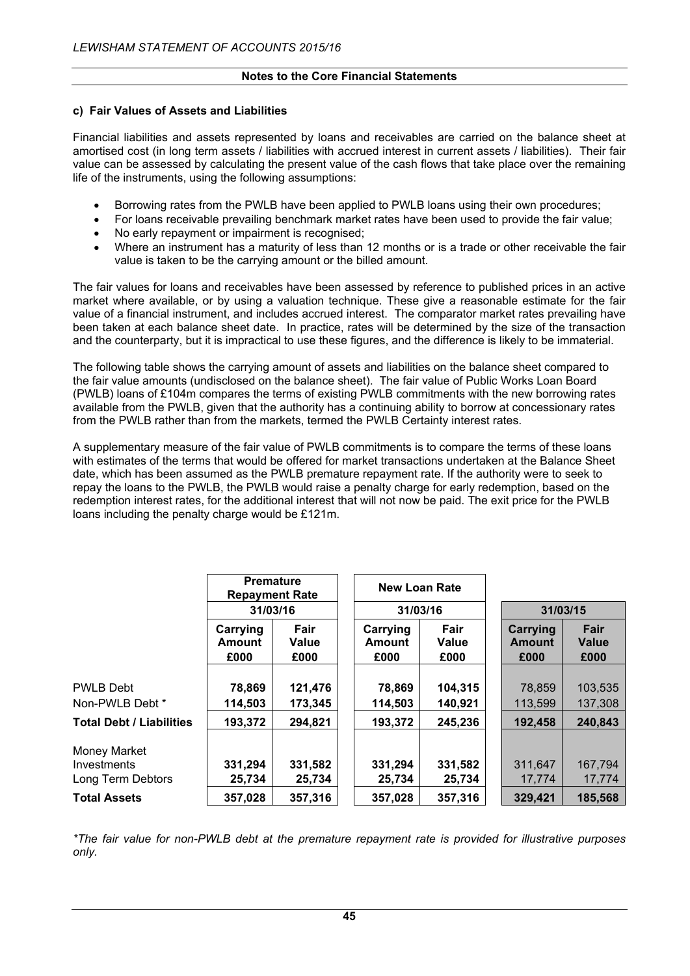#### **c) Fair Values of Assets and Liabilities**

Financial liabilities and assets represented by loans and receivables are carried on the balance sheet at amortised cost (in long term assets / liabilities with accrued interest in current assets / liabilities). Their fair value can be assessed by calculating the present value of the cash flows that take place over the remaining life of the instruments, using the following assumptions:

- Borrowing rates from the PWLB have been applied to PWLB loans using their own procedures;
- For loans receivable prevailing benchmark market rates have been used to provide the fair value;
- No early repayment or impairment is recognised;
- Where an instrument has a maturity of less than 12 months or is a trade or other receivable the fair value is taken to be the carrying amount or the billed amount.

The fair values for loans and receivables have been assessed by reference to published prices in an active market where available, or by using a valuation technique. These give a reasonable estimate for the fair value of a financial instrument, and includes accrued interest. The comparator market rates prevailing have been taken at each balance sheet date. In practice, rates will be determined by the size of the transaction and the counterparty, but it is impractical to use these figures, and the difference is likely to be immaterial.

The following table shows the carrying amount of assets and liabilities on the balance sheet compared to the fair value amounts (undisclosed on the balance sheet). The fair value of Public Works Loan Board (PWLB) loans of £104m compares the terms of existing PWLB commitments with the new borrowing rates available from the PWLB, given that the authority has a continuing ability to borrow at concessionary rates from the PWLB rather than from the markets, termed the PWLB Certainty interest rates.

A supplementary measure of the fair value of PWLB commitments is to compare the terms of these loans with estimates of the terms that would be offered for market transactions undertaken at the Balance Sheet date, which has been assumed as the PWLB premature repayment rate. If the authority were to seek to repay the loans to the PWLB, the PWLB would raise a penalty charge for early redemption, based on the redemption interest rates, for the additional interest that will not now be paid. The exit price for the PWLB loans including the penalty charge would be £121m.

|                                                  | <b>Premature</b><br><b>Repayment Rate</b><br>31/03/16 |                       |                            | <b>New Loan Rate</b><br>31/03/16 |                   | 31/03/15                          |
|--------------------------------------------------|-------------------------------------------------------|-----------------------|----------------------------|----------------------------------|-------------------|-----------------------------------|
|                                                  | Carrying<br>Amount<br>£000                            | Fair<br>Value<br>£000 | Carrying<br>Amount<br>£000 | Fair<br>Value<br>£000            |                   | Fair<br>Carrying<br>Value<br>£000 |
| <b>PWLB Debt</b><br>Non-PWLB Debt *              | 78,869<br>114,503                                     | 121,476<br>173,345    | 78,869<br>114,503          | 104,315<br>140,921               | 78,859<br>113,599 | 103,535<br>137,308                |
| <b>Total Debt / Liabilities</b>                  | 193,372                                               | 294,821               | 193,372                    | 245,236                          | 192,458           | 240,843                           |
| Money Market<br>Investments<br>Long Term Debtors | 331,294<br>25,734                                     | 331,582<br>25,734     | 331,294<br>25,734          | 331,582<br>25,734                | 311,647<br>17,774 | 167,794<br>17,774                 |
| <b>Total Assets</b>                              | 357,028                                               | 357,316               | 357,028                    | 357,316                          | 329,421           | 185,568                           |

*\*The fair value for non-PWLB debt at the premature repayment rate is provided for illustrative purposes only.*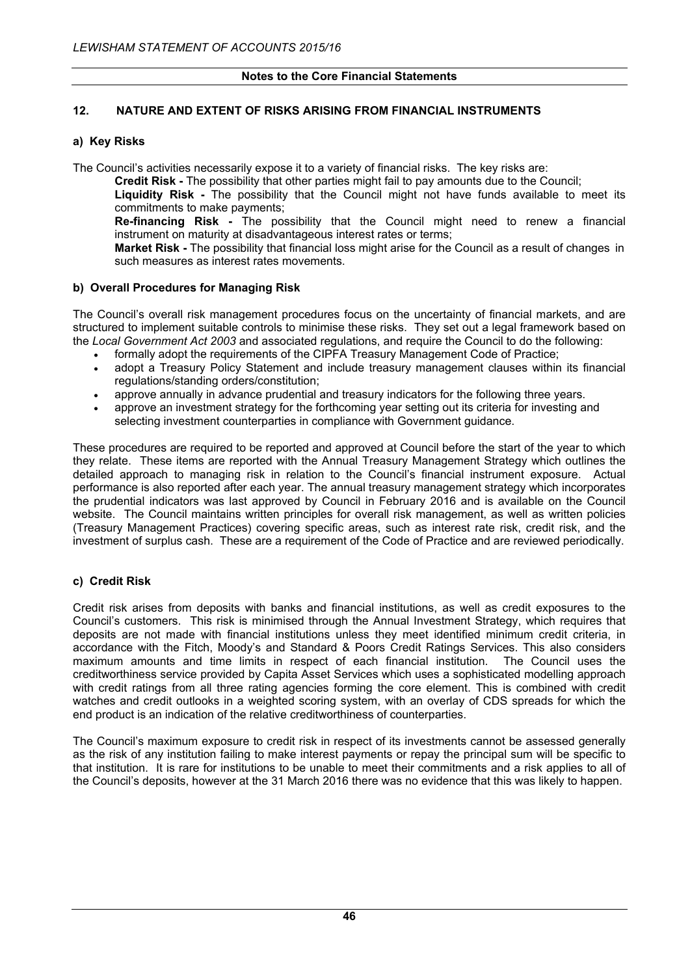## **12. NATURE AND EXTENT OF RISKS ARISING FROM FINANCIAL INSTRUMENTS**

## **a) Key Risks**

The Council's activities necessarily expose it to a variety of financial risks. The key risks are:

**Credit Risk -** The possibility that other parties might fail to pay amounts due to the Council;

 **Liquidity Risk -** The possibility that the Council might not have funds available to meet its commitments to make payments;

 **Re-financing Risk -** The possibility that the Council might need to renew a financial instrument on maturity at disadvantageous interest rates or terms;

 **Market Risk -** The possibility that financial loss might arise for the Council as a result of changes in such measures as interest rates movements.

## **b) Overall Procedures for Managing Risk**

The Council's overall risk management procedures focus on the uncertainty of financial markets, and are structured to implement suitable controls to minimise these risks. They set out a legal framework based on the *Local Government Act 2003* and associated regulations, and require the Council to do the following:

- formally adopt the requirements of the CIPFA Treasury Management Code of Practice;
- adopt a Treasury Policy Statement and include treasury management clauses within its financial regulations/standing orders/constitution;
- approve annually in advance prudential and treasury indicators for the following three years.
- approve an investment strategy for the forthcoming year setting out its criteria for investing and selecting investment counterparties in compliance with Government guidance.

These procedures are required to be reported and approved at Council before the start of the year to which they relate. These items are reported with the Annual Treasury Management Strategy which outlines the detailed approach to managing risk in relation to the Council's financial instrument exposure. Actual performance is also reported after each year. The annual treasury management strategy which incorporates the prudential indicators was last approved by Council in February 2016 and is available on the Council website. The Council maintains written principles for overall risk management, as well as written policies (Treasury Management Practices) covering specific areas, such as interest rate risk, credit risk, and the investment of surplus cash. These are a requirement of the Code of Practice and are reviewed periodically.

## **c) Credit Risk**

Credit risk arises from deposits with banks and financial institutions, as well as credit exposures to the Council's customers. This risk is minimised through the Annual Investment Strategy, which requires that deposits are not made with financial institutions unless they meet identified minimum credit criteria, in accordance with the Fitch, Moody's and Standard & Poors Credit Ratings Services. This also considers maximum amounts and time limits in respect of each financial institution. The Council uses the creditworthiness service provided by Capita Asset Services which uses a sophisticated modelling approach with credit ratings from all three rating agencies forming the core element. This is combined with credit watches and credit outlooks in a weighted scoring system, with an overlay of CDS spreads for which the end product is an indication of the relative creditworthiness of counterparties.

The Council's maximum exposure to credit risk in respect of its investments cannot be assessed generally as the risk of any institution failing to make interest payments or repay the principal sum will be specific to that institution. It is rare for institutions to be unable to meet their commitments and a risk applies to all of the Council's deposits, however at the 31 March 2016 there was no evidence that this was likely to happen.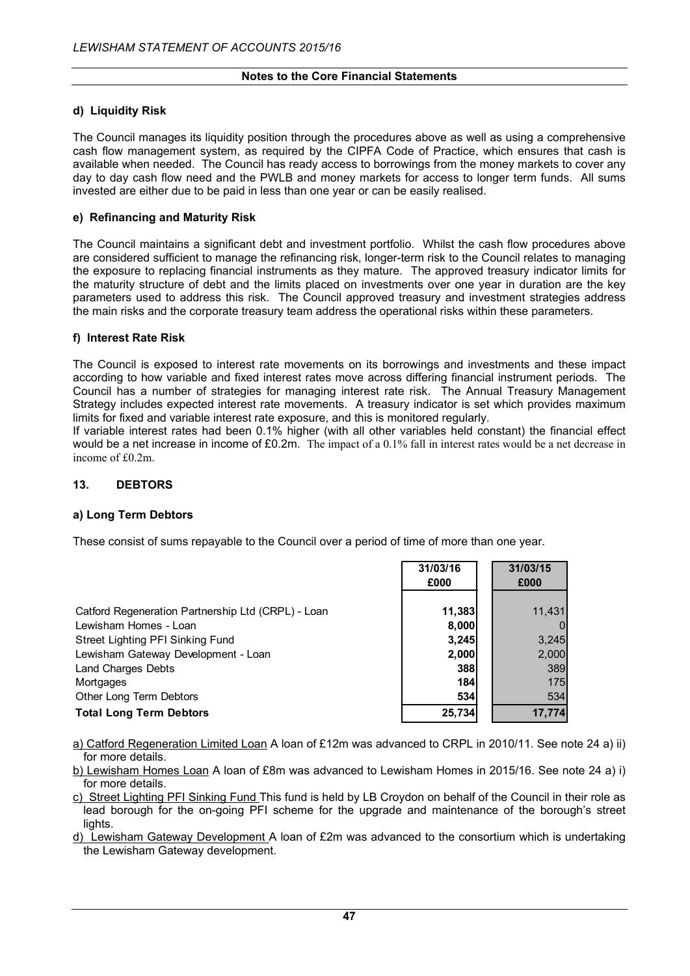## **d) Liquidity Risk**

The Council manages its liquidity position through the procedures above as well as using a comprehensive cash flow management system, as required by the CIPFA Code of Practice, which ensures that cash is available when needed. The Council has ready access to borrowings from the money markets to cover any day to day cash flow need and the PWLB and money markets for access to longer term funds. All sums invested are either due to be paid in less than one year or can be easily realised.

## **e) Refinancing and Maturity Risk**

The Council maintains a significant debt and investment portfolio. Whilst the cash flow procedures above are considered sufficient to manage the refinancing risk, longer-term risk to the Council relates to managing the exposure to replacing financial instruments as they mature. The approved treasury indicator limits for the maturity structure of debt and the limits placed on investments over one year in duration are the key parameters used to address this risk. The Council approved treasury and investment strategies address the main risks and the corporate treasury team address the operational risks within these parameters.

#### **f) Interest Rate Risk**

The Council is exposed to interest rate movements on its borrowings and investments and these impact according to how variable and fixed interest rates move across differing financial instrument periods. The Council has a number of strategies for managing interest rate risk. The Annual Treasury Management Strategy includes expected interest rate movements. A treasury indicator is set which provides maximum limits for fixed and variable interest rate exposure, and this is monitored regularly.

If variable interest rates had been 0.1% higher (with all other variables held constant) the financial effect would be a net increase in income of £0.2m. The impact of a 0.1% fall in interest rates would be a net decrease in income of £0.2m.

## **13. DEBTORS**

#### **a) Long Term Debtors**

These consist of sums repayable to the Council over a period of time of more than one year.

|                                                    | 31/03/16 | 31/03/15 |
|----------------------------------------------------|----------|----------|
|                                                    | £000     | £000     |
|                                                    |          |          |
| Catford Regeneration Partnership Ltd (CRPL) - Loan | 11,383   | 11,431   |
| Lewisham Homes - Loan                              | 8,000    |          |
| Street Lighting PFI Sinking Fund                   | 3,245    | 3,245    |
| Lewisham Gateway Development - Loan                | 2,000    | 2,000    |
| <b>Land Charges Debts</b>                          | 388      | 389      |
| Mortgages                                          | 184      | 175      |
| Other Long Term Debtors                            | 534      | 534      |
| <b>Total Long Term Debtors</b>                     | 25,734   | 17,774   |

a) Catford Regeneration Limited Loan A loan of £12m was advanced to CRPL in 2010/11. See note 24 a) ii) for more details.

b) Lewisham Homes Loan A loan of £8m was advanced to Lewisham Homes in 2015/16. See note 24 a) i) for more details.

c) Street Lighting PFI Sinking Fund This fund is held by LB Croydon on behalf of the Council in their role as lead borough for the on-going PFI scheme for the upgrade and maintenance of the borough's street lights.

d) Lewisham Gateway Development A loan of £2m was advanced to the consortium which is undertaking the Lewisham Gateway development.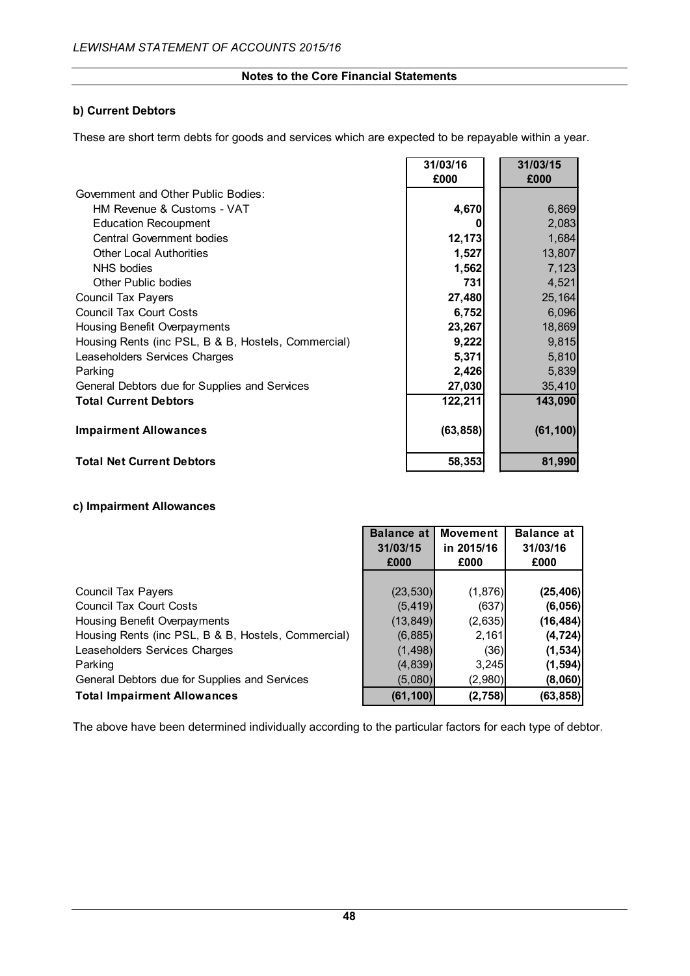## **b) Current Debtors**

These are short term debts for goods and services which are expected to be repayable within a year.

|                                                     | 31/03/16  | 31/03/15  |
|-----------------------------------------------------|-----------|-----------|
|                                                     | £000      | £000      |
| Government and Other Public Bodies:                 |           |           |
| HM Revenue & Customs - VAT                          | 4,670     | 6,869     |
| <b>Education Recoupment</b>                         | 0         | 2,083     |
| <b>Central Government bodies</b>                    | 12, 173   | 1,684     |
| <b>Other Local Authorities</b>                      | 1,527     | 13,807    |
| NHS bodies                                          | 1,562     | 7,123     |
| Other Public bodies                                 | 731       | 4,521     |
| <b>Council Tax Payers</b>                           | 27,480    | 25,164    |
| <b>Council Tax Court Costs</b>                      | 6,752     | 6,096     |
| Housing Benefit Overpayments                        | 23,267    | 18,869    |
| Housing Rents (inc PSL, B & B, Hostels, Commercial) | 9,222     | 9,815     |
| Leaseholders Services Charges                       | 5,371     | 5,810     |
| Parking                                             | 2,426     | 5,839     |
| General Debtors due for Supplies and Services       | 27,030    | 35,410    |
| <b>Total Current Debtors</b>                        | 122,211   | 143,090   |
| <b>Impairment Allowances</b>                        | (63, 858) | (61, 100) |
| <b>Total Net Current Debtors</b>                    | 58,353    | 81,990    |

## **c) Impairment Allowances**

|                                                     | <b>Balance at</b> | <b>Movement</b> | <b>Balance at</b> |
|-----------------------------------------------------|-------------------|-----------------|-------------------|
|                                                     | 31/03/15          | in 2015/16      | 31/03/16          |
|                                                     | £000              | £000            | £000              |
|                                                     |                   |                 |                   |
| <b>Council Tax Payers</b>                           | (23, 530)         | (1,876)         | (25, 406)         |
| <b>Council Tax Court Costs</b>                      | (5, 419)          | (637)           | (6,056)           |
| Housing Benefit Overpayments                        | (13, 849)         | (2,635)         | (16, 484)         |
| Housing Rents (inc PSL, B & B, Hostels, Commercial) | (6,885)           | 2,161           | (4, 724)          |
| Leaseholders Services Charges                       | (1, 498)          | (36)            | (1, 534)          |
| Parking                                             | (4,839)           | 3,245           | (1, 594)          |
| General Debtors due for Supplies and Services       | (5,080)           | (2,980)         | (8,060)           |
| <b>Total Impairment Allowances</b>                  | (61, 100)         | (2,758)         | (63, 858)         |

The above have been determined individually according to the particular factors for each type of debtor.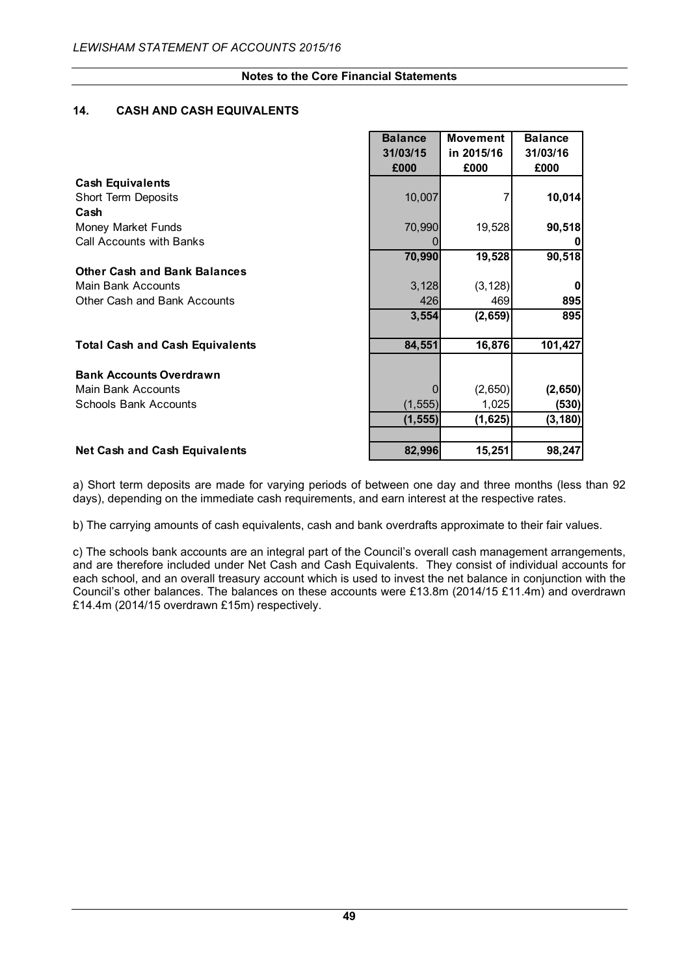## **14. CASH AND CASH EQUIVALENTS**

|                                        | <b>Balance</b> | <b>Movement</b> | <b>Balance</b> |
|----------------------------------------|----------------|-----------------|----------------|
|                                        | 31/03/15       | in 2015/16      | 31/03/16       |
|                                        | £000           | £000            | £000           |
| <b>Cash Equivalents</b>                |                |                 |                |
| <b>Short Term Deposits</b>             | 10,007         |                 | 10,014         |
| Cash                                   |                |                 |                |
| Money Market Funds                     | 70,990         | 19,528          | 90,518         |
| <b>Call Accounts with Banks</b>        |                |                 | 0              |
|                                        | 70,990         | 19,528          | 90,518         |
| <b>Other Cash and Bank Balances</b>    |                |                 |                |
| Main Bank Accounts                     | 3,128          | (3, 128)        | $\mathbf{0}$   |
| Other Cash and Bank Accounts           | 426            | 469             | 895            |
|                                        | 3,554          | (2,659)         | 895            |
|                                        |                |                 |                |
| <b>Total Cash and Cash Equivalents</b> | 84,551         | 16,876          | 101,427        |
|                                        |                |                 |                |
| <b>Bank Accounts Overdrawn</b>         |                |                 |                |
| Main Bank Accounts                     |                | (2,650)         | (2,650)        |
| <b>Schools Bank Accounts</b>           | (1, 555)       | 1,025           | (530)          |
|                                        | (1, 555)       | (1,625)         | (3, 180)       |
|                                        |                |                 |                |
| Net Cash and Cash Equivalents          | 82,996         | 15,251          | 98,247         |

a) Short term deposits are made for varying periods of between one day and three months (less than 92 days), depending on the immediate cash requirements, and earn interest at the respective rates.

b) The carrying amounts of cash equivalents, cash and bank overdrafts approximate to their fair values.

c) The schools bank accounts are an integral part of the Council's overall cash management arrangements, and are therefore included under Net Cash and Cash Equivalents. They consist of individual accounts for each school, and an overall treasury account which is used to invest the net balance in conjunction with the Council's other balances. The balances on these accounts were £13.8m (2014/15 £11.4m) and overdrawn £14.4m (2014/15 overdrawn £15m) respectively.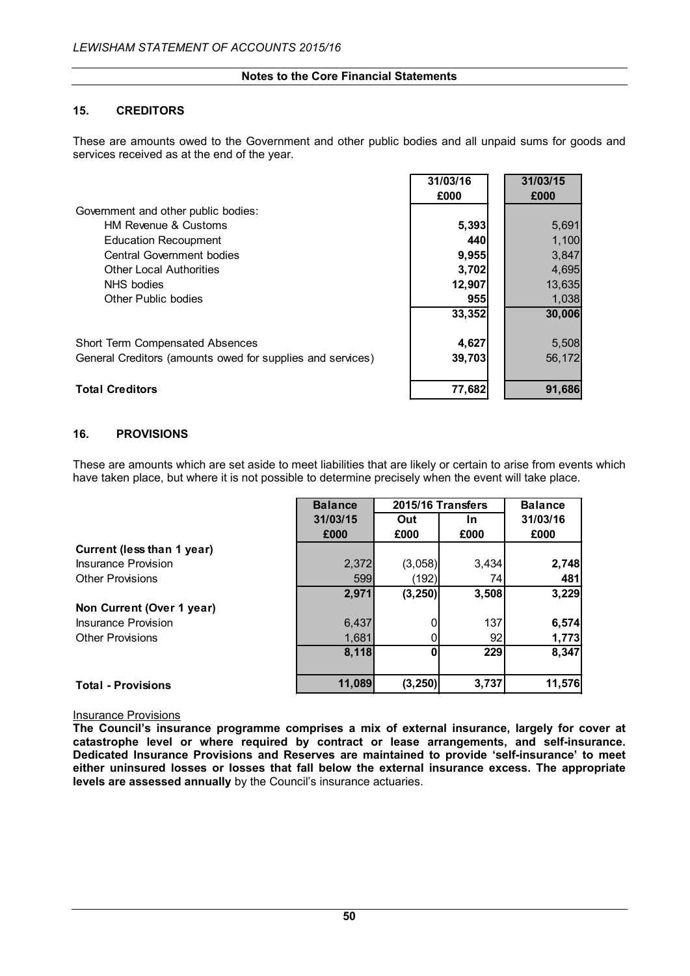## **15. CREDITORS**

These are amounts owed to the Government and other public bodies and all unpaid sums for goods and services received as at the end of the year.

 $\mathbf{r}$ 

**31/03/16 31/03/15**

|                                                            | 31/03/16<br>£000 | 31/03/15<br>£000 |
|------------------------------------------------------------|------------------|------------------|
| Government and other public bodies:                        |                  |                  |
| <b>HM Revenue &amp; Customs</b>                            | 5,393            | 5,691            |
| <b>Education Recoupment</b>                                | 440              | 1,100            |
| Central Government bodies                                  | 9,955            | 3,847            |
| <b>Other Local Authorities</b>                             | 3,702            | 4,695            |
| NHS bodies                                                 | 12,907           | 13,635           |
| Other Public bodies                                        | 955              | 1,038            |
|                                                            | 33,352           | 30,006           |
| Short Term Compensated Absences                            | 4,627            | 5,508            |
| General Creditors (amounts owed for supplies and services) | 39,703           | 56,172           |
| <b>Total Creditors</b>                                     | 77,682           | 91.686           |

## **16. PROVISIONS**

These are amounts which are set aside to meet liabilities that are likely or certain to arise from events which have taken place, but where it is not possible to determine precisely when the event will take place.

|                            | <b>Balance</b> | 2015/16 Transfers |           | <b>Balance</b> |
|----------------------------|----------------|-------------------|-----------|----------------|
|                            | 31/03/15       | Out               | <u>In</u> | 31/03/16       |
|                            | £000           | £000              | £000      | £000           |
| Current (less than 1 year) |                |                   |           |                |
| Insurance Provision        | 2,372          | (3,058)           | 3,434     | 2,748          |
| <b>Other Provisions</b>    | 599            | (192)             | 74        | 481            |
|                            | 2,971          | (3, 250)          | 3,508     | 3,229          |
| Non Current (Over 1 year)  |                |                   |           |                |
| Insurance Provision        | 6,437          |                   | 137       | 6,574          |
| <b>Other Provisions</b>    | 1,681          |                   | 92        | 1,773          |
|                            | 8,118          |                   | 229       | 8,347          |
|                            |                |                   |           |                |
| <b>Total - Provisions</b>  | 11,089         | (3, 250)          | 3,737     | 11,576         |

#### Insurance Provisions

**The Council's insurance programme comprises a mix of external insurance, largely for cover at catastrophe level or where required by contract or lease arrangements, and self-insurance. Dedicated Insurance Provisions and Reserves are maintained to provide 'self-insurance' to meet either uninsured losses or losses that fall below the external insurance excess. The appropriate levels are assessed annually** by the Council's insurance actuaries.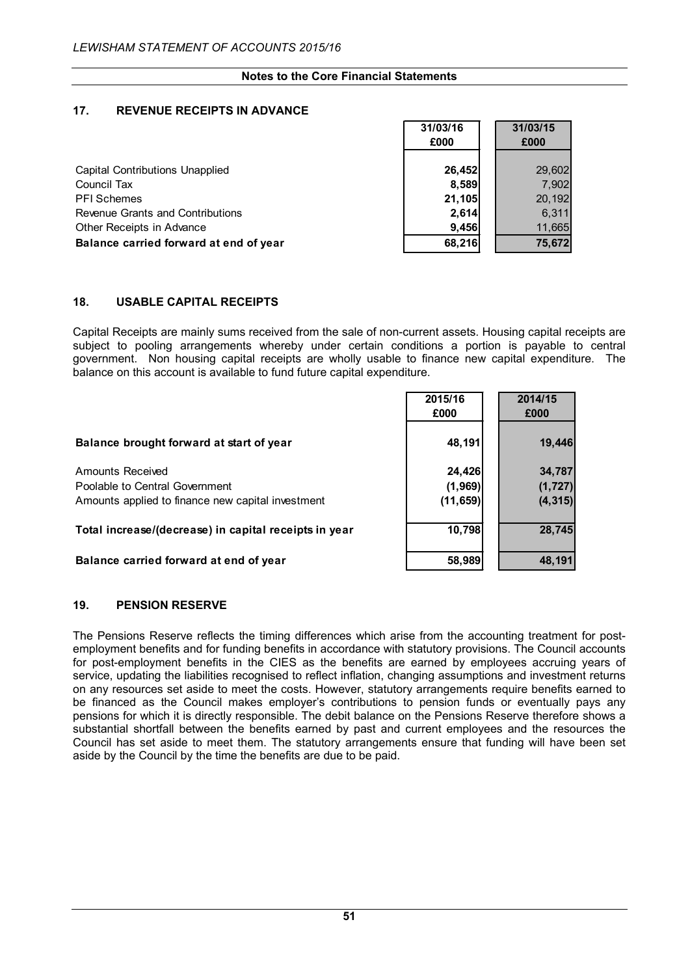## **17. REVENUE RECEIPTS IN ADVANCE**

|                                        | 31/03/16 | 31/03/15 |
|----------------------------------------|----------|----------|
|                                        | £000     | £000     |
|                                        |          |          |
| <b>Capital Contributions Unapplied</b> | 26,452   | 29,602   |
| Council Tax                            | 8,589    | 7,902    |
| <b>PFI</b> Schemes                     | 21,105   | 20,192   |
| Revenue Grants and Contributions       | 2,614    | 6,311    |
| Other Receipts in Advance              | 9,456    | 11,665   |
| Balance carried forward at end of year | 68,216   | 75,672   |

## **18. USABLE CAPITAL RECEIPTS**

Capital Receipts are mainly sums received from the sale of non-current assets. Housing capital receipts are subject to pooling arrangements whereby under certain conditions a portion is payable to central government. Non housing capital receipts are wholly usable to finance new capital expenditure. The balance on this account is available to fund future capital expenditure.

|                                                       | 2015/16<br>£000 | 2014/15<br>£000 |
|-------------------------------------------------------|-----------------|-----------------|
|                                                       |                 |                 |
| Balance brought forward at start of year              | 48,191          | 19,446          |
| <b>Amounts Received</b>                               | 24,426          | 34,787          |
| Poolable to Central Government                        | (1, 969)        | (1, 727)        |
| Amounts applied to finance new capital investment     | (11, 659)       | (4, 315)        |
| Total increase/(decrease) in capital receipts in year | 10,798          | 28,745          |

#### **Balance carried forward at end of year 58,989 48,191**

#### **19. PENSION RESERVE**

The Pensions Reserve reflects the timing differences which arise from the accounting treatment for postemployment benefits and for funding benefits in accordance with statutory provisions. The Council accounts for post-employment benefits in the CIES as the benefits are earned by employees accruing years of service, updating the liabilities recognised to reflect inflation, changing assumptions and investment returns on any resources set aside to meet the costs. However, statutory arrangements require benefits earned to be financed as the Council makes employer's contributions to pension funds or eventually pays any pensions for which it is directly responsible. The debit balance on the Pensions Reserve therefore shows a substantial shortfall between the benefits earned by past and current employees and the resources the Council has set aside to meet them. The statutory arrangements ensure that funding will have been set aside by the Council by the time the benefits are due to be paid.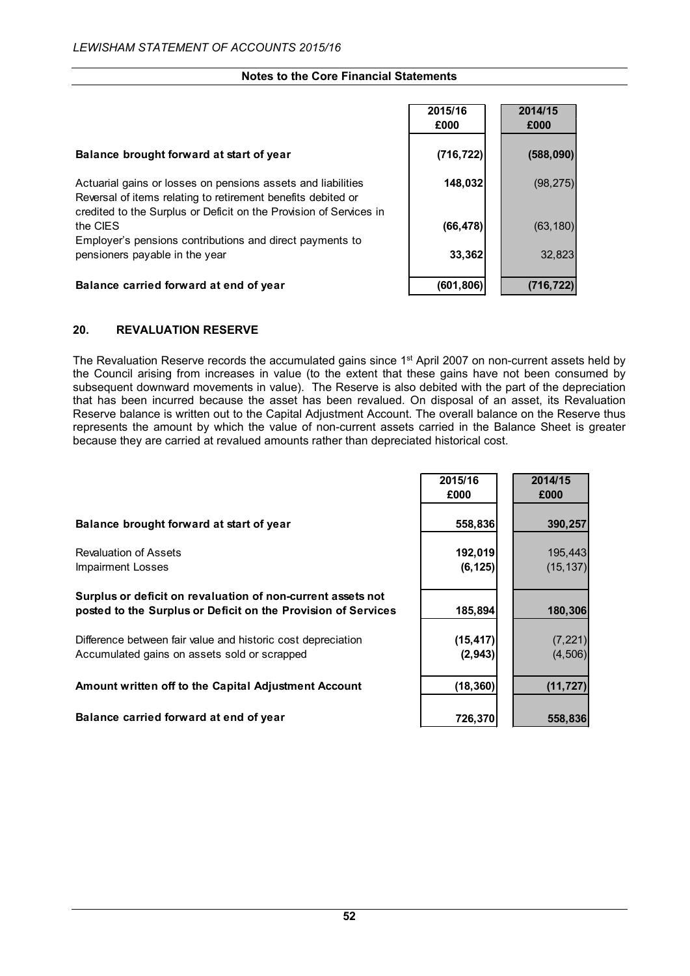|                                                                                                                                                                                                    | 2015/16<br>£000 | 2014/15<br>£000 |
|----------------------------------------------------------------------------------------------------------------------------------------------------------------------------------------------------|-----------------|-----------------|
| Balance brought forward at start of year                                                                                                                                                           | (716, 722)      | (588,090)       |
| Actuarial gains or losses on pensions assets and liabilities<br>Reversal of items relating to retirement benefits debited or<br>credited to the Surplus or Deficit on the Provision of Services in | 148,032         | (98, 275)       |
| the CIES                                                                                                                                                                                           | (66, 478)       | (63, 180)       |
| Employer's pensions contributions and direct payments to<br>pensioners payable in the year                                                                                                         | 33,362          | 32,823          |
| Balance carried forward at end of year                                                                                                                                                             | (601,806)       | (716,722        |

## **20. REVALUATION RESERVE**

The Revaluation Reserve records the accumulated gains since 1<sup>st</sup> April 2007 on non-current assets held by the Council arising from increases in value (to the extent that these gains have not been consumed by subsequent downward movements in value). The Reserve is also debited with the part of the depreciation that has been incurred because the asset has been revalued. On disposal of an asset, its Revaluation Reserve balance is written out to the Capital Adjustment Account. The overall balance on the Reserve thus represents the amount by which the value of non-current assets carried in the Balance Sheet is greater because they are carried at revalued amounts rather than depreciated historical cost.

|                                                                                                                              | 2015/16<br>£000       | 2014/15<br>£000      |
|------------------------------------------------------------------------------------------------------------------------------|-----------------------|----------------------|
| Balance brought forward at start of year                                                                                     | 558,836               | 390,257              |
| <b>Revaluation of Assets</b><br><b>Impairment Losses</b>                                                                     | 192,019<br>(6, 125)   | 195,443<br>(15, 137) |
| Surplus or deficit on revaluation of non-current assets not<br>posted to the Surplus or Deficit on the Provision of Services | 185,894               | 180,306              |
| Difference between fair value and historic cost depreciation<br>Accumulated gains on assets sold or scrapped                 | (15, 417)<br>(2, 943) | (7, 221)<br>(4, 506) |
| Amount written off to the Capital Adjustment Account                                                                         | (18, 360)             | (11, 727)            |
| Balance carried forward at end of year                                                                                       | 726,370               | 558,836              |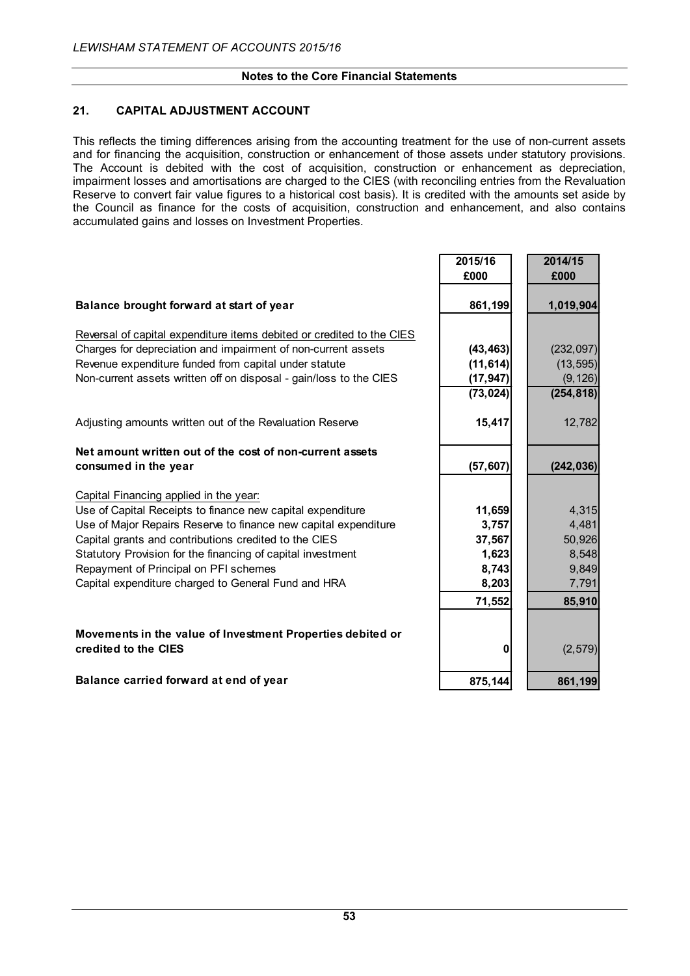## **21. CAPITAL ADJUSTMENT ACCOUNT**

This reflects the timing differences arising from the accounting treatment for the use of non-current assets and for financing the acquisition, construction or enhancement of those assets under statutory provisions. The Account is debited with the cost of acquisition, construction or enhancement as depreciation, impairment losses and amortisations are charged to the CIES (with reconciling entries from the Revaluation Reserve to convert fair value figures to a historical cost basis). It is credited with the amounts set aside by the Council as finance for the costs of acquisition, construction and enhancement, and also contains accumulated gains and losses on Investment Properties.

|                                                                                    | 2015/16   | 2014/15    |
|------------------------------------------------------------------------------------|-----------|------------|
|                                                                                    | £000      | £000       |
| Balance brought forward at start of year                                           | 861,199   | 1,019,904  |
| Reversal of capital expenditure items debited or credited to the CIES              |           |            |
| Charges for depreciation and impairment of non-current assets                      | (43, 463) | (232,097)  |
| Revenue expenditure funded from capital under statute                              | (11, 614) | (13, 595)  |
| Non-current assets written off on disposal - gain/loss to the CIES                 | (17, 947) | (9, 126)   |
|                                                                                    | (73, 024) | (254, 818) |
| Adjusting amounts written out of the Revaluation Reserve                           | 15,417    | 12,782     |
| Net amount written out of the cost of non-current assets                           |           |            |
| consumed in the year                                                               | (57, 607) | (242, 036) |
| Capital Financing applied in the year:                                             |           |            |
| Use of Capital Receipts to finance new capital expenditure                         | 11,659    | 4,315      |
| Use of Major Repairs Reserve to finance new capital expenditure                    | 3,757     | 4,481      |
| Capital grants and contributions credited to the CIES                              | 37,567    | 50,926     |
| Statutory Provision for the financing of capital investment                        | 1,623     | 8,548      |
| Repayment of Principal on PFI schemes                                              | 8,743     | 9,849      |
| Capital expenditure charged to General Fund and HRA                                | 8,203     | 7,791      |
|                                                                                    | 71,552    | 85,910     |
| Movements in the value of Investment Properties debited or<br>credited to the CIES | 0         | (2,579)    |
| Balance carried forward at end of year                                             | 875,144   | 861,199    |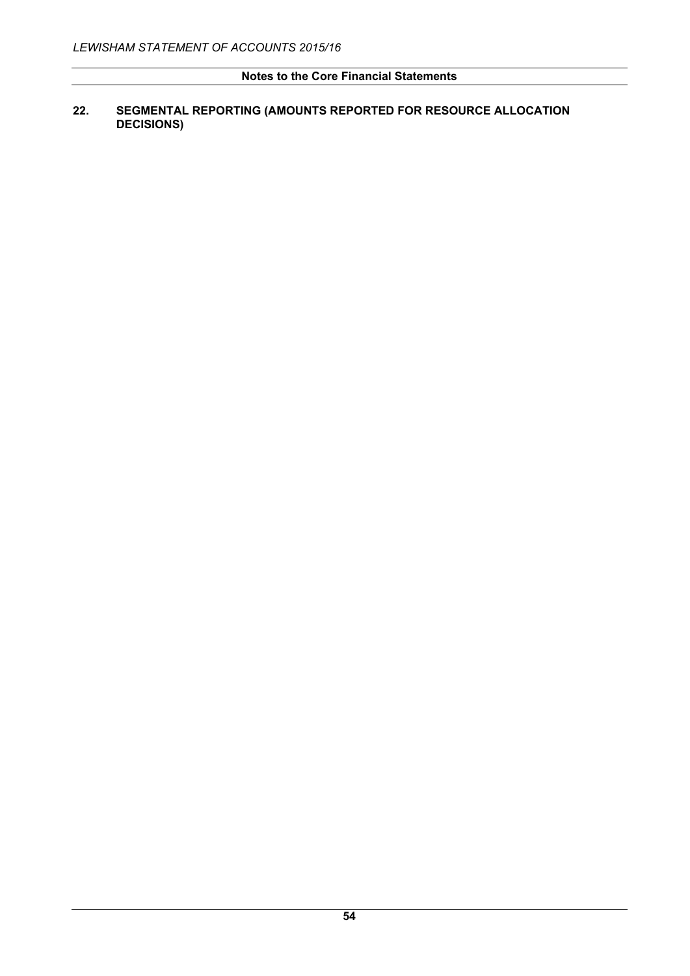## **22. SEGMENTAL REPORTING (AMOUNTS REPORTED FOR RESOURCE ALLOCATION DECISIONS)**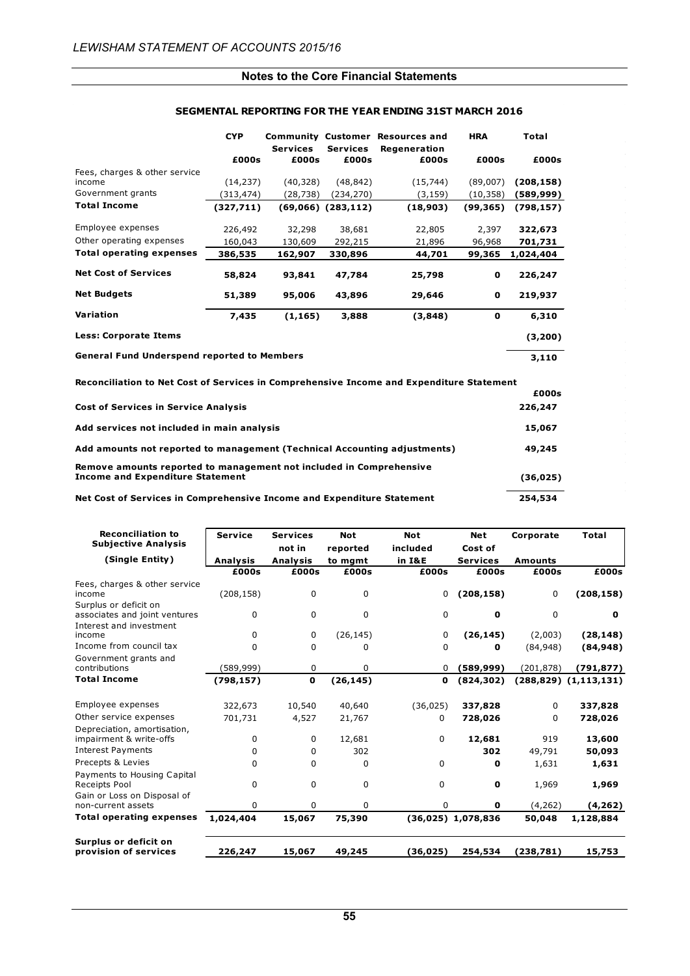|                                                    | <b>CYP</b> |                          |                          | <b>Community Customer Resources and</b> | <b>HRA</b> | Total      |  |
|----------------------------------------------------|------------|--------------------------|--------------------------|-----------------------------------------|------------|------------|--|
|                                                    | £000s      | <b>Services</b><br>£000s | <b>Services</b><br>£000s | Regeneration<br>£000s                   | £000s      | £000s      |  |
| Fees, charges & other service<br>income            | (14, 237)  | (40,328)                 | (48, 842)                | (15, 744)                               | (89,007)   | (208, 158) |  |
| Government grants                                  | (313,474)  | (28,738)                 | (234,270)                | (3, 159)                                | (10, 358)  | (589,999)  |  |
| <b>Total Income</b>                                | (327,711)  |                          | $(69,066)$ $(283,112)$   | (18,903)                                | (99, 365)  | (798, 157) |  |
| Employee expenses                                  | 226,492    | 32,298                   | 38,681                   | 22,805                                  | 2,397      | 322,673    |  |
| Other operating expenses                           | 160,043    | 130,609                  | 292,215                  | 21,896                                  | 96,968     | 701,731    |  |
| <b>Total operating expenses</b>                    | 386,535    | 162,907                  | 330,896                  | 44,701                                  | 99,365     | 1,024,404  |  |
| <b>Net Cost of Services</b>                        | 58,824     | 93,841                   | 47,784                   | 25,798                                  | 0          | 226,247    |  |
| <b>Net Budgets</b>                                 | 51,389     | 95,006                   | 43,896                   | 29,646                                  | 0          | 219,937    |  |
| <b>Variation</b>                                   | 7,435      | (1, 165)                 | 3,888                    | (3,848)                                 | 0          | 6,310      |  |
| <b>Less: Corporate Items</b>                       |            |                          |                          |                                         |            | (3,200)    |  |
| <b>General Fund Underspend reported to Members</b> |            |                          |                          |                                         |            | 3,110      |  |

#### **SEGMENTAL REPORTING FOR THE YEAR ENDING 31ST MARCH 2016**

| Reconciliation to Net Cost of Services in Comprehensive Income and Expenditure Statement                       |           |  |  |  |  |
|----------------------------------------------------------------------------------------------------------------|-----------|--|--|--|--|
|                                                                                                                | £000s     |  |  |  |  |
| <b>Cost of Services in Service Analysis</b>                                                                    | 226,247   |  |  |  |  |
| Add services not included in main analysis                                                                     | 15,067    |  |  |  |  |
| Add amounts not reported to management (Technical Accounting adjustments)                                      | 49,245    |  |  |  |  |
| Remove amounts reported to management not included in Comprehensive<br><b>Income and Expenditure Statement</b> | (36, 025) |  |  |  |  |
| Net Cost of Services in Comprehensive Income and Expenditure Statement                                         | 254,534   |  |  |  |  |

| <b>Reconciliation to</b><br><b>Subjective Analysis</b>                             | <b>Service</b>  | <b>Services</b><br>not in | <b>Not</b><br>reported | <b>Not</b><br>included | <b>Net</b><br>Cost of | Corporate      | <b>Total</b>                 |
|------------------------------------------------------------------------------------|-----------------|---------------------------|------------------------|------------------------|-----------------------|----------------|------------------------------|
| (Single Entity)                                                                    | <b>Analysis</b> | <b>Analysis</b>           | to mgmt                | in I&E                 | <b>Services</b>       | <b>Amounts</b> |                              |
|                                                                                    | £000s           | £000s                     | £000s                  | £000s                  | £000s                 | £000s          | £000s                        |
| Fees, charges & other service<br>income<br>Surplus or deficit on                   | (208, 158)      | 0                         | 0                      | 0                      | (208, 158)            | 0              | (208, 158)                   |
| associates and joint ventures<br>Interest and investment                           | 0               | $\Omega$                  | $\Omega$               | 0                      | 0                     | $\Omega$       | 0                            |
| income                                                                             | 0               | 0                         | (26, 145)              | 0                      | (26, 145)             | (2,003)        | (28, 148)                    |
| Income from council tax                                                            | $\Omega$        | 0                         | 0                      | 0                      | 0                     | (84, 948)      | (84, 948)                    |
| Government grants and<br>contributions                                             | (589,999)       | 0                         | 0                      | 0                      | (589,999)             | (201, 878)     | (791,877)                    |
| <b>Total Income</b>                                                                | (798, 157)      | 0                         | (26, 145)              | 0                      | (824, 302)            |                | $(288, 829)$ $(1, 113, 131)$ |
| Employee expenses                                                                  | 322,673         | 10,540                    | 40,640                 | (36, 025)              | 337,828               | $\Omega$       | 337,828                      |
| Other service expenses                                                             | 701,731         | 4,527                     | 21,767                 | 0                      | 728,026               | $\Omega$       | 728,026                      |
| Depreciation, amortisation,<br>impairment & write-offs<br><b>Interest Payments</b> | 0<br>0          | 0<br>0                    | 12,681<br>302          | 0                      | 12,681<br>302         | 919<br>49,791  | 13,600<br>50,093             |
| Precepts & Levies                                                                  | $\Omega$        | 0                         | 0                      | 0                      | 0                     | 1,631          | 1,631                        |
| Payments to Housing Capital<br>Receipts Pool                                       | $\mathbf 0$     | 0                         | $\Omega$               | 0                      | O                     | 1,969          | 1,969                        |
| Gain or Loss on Disposal of<br>non-current assets                                  | $\Omega$        | 0                         | 0                      | 0                      | 0                     | (4, 262)       | (4, 262)                     |
| <b>Total operating expenses</b>                                                    | 1,024,404       | 15,067                    | 75,390                 |                        | $(36,025)$ 1,078,836  | 50,048         | 1,128,884                    |
| Surplus or deficit on<br>provision of services                                     | 226,247         | 15,067                    | 49,245                 | (36,025)               | 254,534               | (238,781)      | 15,753                       |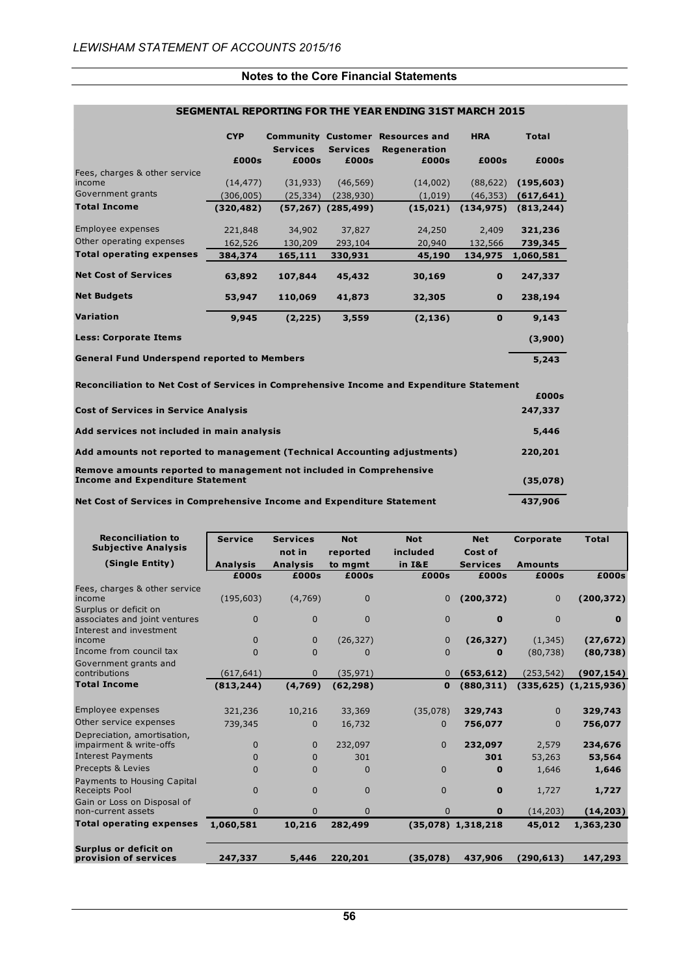|                                                                                          | <b>CYP</b> |                 |                          | <b>Community Customer Resources and</b> | <b>HRA</b>   | <b>Total</b> |
|------------------------------------------------------------------------------------------|------------|-----------------|--------------------------|-----------------------------------------|--------------|--------------|
|                                                                                          |            | <b>Services</b> | <b>Services</b>          | <b>Regeneration</b>                     |              |              |
|                                                                                          | £000s      | £000s           | £000s                    | £000s                                   | £000s        | £000s        |
| Fees, charges & other service<br>income                                                  | (14, 477)  | (31, 933)       | (46, 569)                | (14,002)                                | (88, 622)    | (195, 603)   |
| Government grants                                                                        | (306,005)  | (25, 334)       | (238, 930)               | (1,019)                                 | (46, 353)    | (617, 641)   |
| <b>Total Income</b>                                                                      | (320, 482) |                 | $(57, 267)$ $(285, 499)$ | (15, 021)                               | (134, 975)   | (813, 244)   |
|                                                                                          |            |                 |                          |                                         |              |              |
| Employee expenses                                                                        | 221,848    | 34,902          | 37,827                   | 24,250                                  | 2,409        | 321,236      |
| Other operating expenses                                                                 | 162,526    | 130,209         | 293,104                  | 20,940                                  | 132,566      | 739,345      |
| <b>Total operating expenses</b>                                                          | 384,374    | 165,111         | 330,931                  | 45,190                                  | 134,975      | 1,060,581    |
|                                                                                          |            |                 |                          |                                         |              |              |
| <b>Net Cost of Services</b>                                                              | 63,892     | 107,844         | 45,432                   | 30,169                                  | $\mathbf 0$  | 247,337      |
| <b>Net Budgets</b>                                                                       | 53,947     | 110,069         | 41,873                   | 32,305                                  | $\mathbf 0$  | 238,194      |
| <b>Variation</b>                                                                         | 9,945      | (2, 225)        | 3,559                    | (2, 136)                                | $\mathbf{0}$ | 9,143        |
| <b>Less: Corporate Items</b>                                                             |            |                 |                          |                                         |              | (3,900)      |
| <b>General Fund Underspend reported to Members</b>                                       |            |                 |                          |                                         |              | 5,243        |
| Reconciliation to Net Cost of Services in Comprehensive Income and Expenditure Statement |            |                 |                          |                                         |              |              |
|                                                                                          |            |                 |                          |                                         |              | £000s        |
| <b>Cost of Services in Service Analysis</b>                                              |            |                 |                          |                                         |              | 247,337      |
| Add services not included in main analysis                                               |            |                 |                          |                                         |              |              |
| Add amounts not reported to management (Technical Accounting adjustments)                |            |                 |                          |                                         |              | 220,201      |
| Remove amounts reported to management not included in Comprehensive                      |            |                 |                          |                                         |              |              |
| <b>Income and Expenditure Statement</b>                                                  |            |                 |                          |                                         |              | (35,078)     |

#### **SEGMENTAL REPORTING FOR THE YEAR ENDING 31ST MARCH 2015**

**Net Cost of Services in Comprehensive Income and Expenditure Statement**

| <b>Reconciliation to</b><br><b>Subjective Analysis</b>                             | <b>Service</b>  | <b>Services</b><br>not in | <b>Not</b><br>reported | <b>Not</b><br>included | <b>Net</b><br>Cost of | Corporate       | <b>Total</b>                 |
|------------------------------------------------------------------------------------|-----------------|---------------------------|------------------------|------------------------|-----------------------|-----------------|------------------------------|
| (Single Entity)                                                                    | <b>Analysis</b> | <b>Analysis</b>           | to mgmt                | in I&E                 | <b>Services</b>       | <b>Amounts</b>  |                              |
|                                                                                    | £000s           | £000s                     | £000s                  | £000s                  | £000s                 | £000s           | £000s                        |
| Fees, charges & other service<br>income<br>Surplus or deficit on                   | (195, 603)      | (4,769)                   | $\mathbf{0}$           | $\mathbf{0}$           | (200, 372)            | $\mathbf{0}$    | (200, 372)                   |
| associates and joint ventures<br>Interest and investment                           | $\Omega$        | $\Omega$                  | $\Omega$               | $\Omega$               | $\bf{0}$              | $\Omega$        | $\bf{0}$                     |
| income                                                                             | $\Omega$        | $\Omega$                  | (26, 327)              | $\mathbf{0}$           | (26, 327)             | (1, 345)        | (27, 672)                    |
| Income from council tax                                                            | $\Omega$        | $\Omega$                  | $\Omega$               | $\mathbf{0}$           | $\bf{0}$              | (80, 738)       | (80, 738)                    |
| Government grants and<br>contributions                                             | (617, 641)      | $\overline{0}$            | (35, 971)              | $\mathbf 0$            | (653, 612)            | (253, 542)      | (907, 154)                   |
| <b>Total Income</b>                                                                | (813, 244)      | (4,769)                   | (62, 298)              | 0                      | (880, 311)            |                 | $(335, 625)$ $(1, 215, 936)$ |
| Employee expenses                                                                  | 321,236         | 10,216                    | 33,369                 | (35,078)               | 329,743               | $\mathbf{0}$    | 329,743                      |
| Other service expenses                                                             | 739,345         | 0                         | 16,732                 | $\Omega$               | 756,077               | $\Omega$        | 756,077                      |
| Depreciation, amortisation,<br>impairment & write-offs<br><b>Interest Payments</b> | 0<br>0          | $\Omega$<br>0             | 232,097<br>301         | $\Omega$               | 232,097<br>301        | 2,579<br>53,263 | 234,676<br>53,564            |
| Precepts & Levies                                                                  | $\Omega$        | $\Omega$                  | $\Omega$               | $\mathbf{0}$           | $\bf{0}$              | 1,646           | 1,646                        |
| Payments to Housing Capital<br><b>Receipts Pool</b><br>Gain or Loss on Disposal of | $\Omega$        | $\Omega$                  | $\Omega$               | $\mathbf{0}$           | $\mathbf 0$           | 1,727           | 1,727                        |
| non-current assets                                                                 | $\Omega$        | $\Omega$                  | $\Omega$               | $\Omega$               | $\bf{0}$              | (14, 203)       | (14, 203)                    |
| <b>Total operating expenses</b>                                                    | 1,060,581       | 10,216                    | 282,499                |                        | $(35,078)$ 1,318,218  | 45,012          | 1,363,230                    |
| Surplus or deficit on<br>provision of services                                     | 247,337         | 5,446                     | 220,201                | (35,078)               | 437,906               | (290, 613)      | 147,293                      |

**437,906**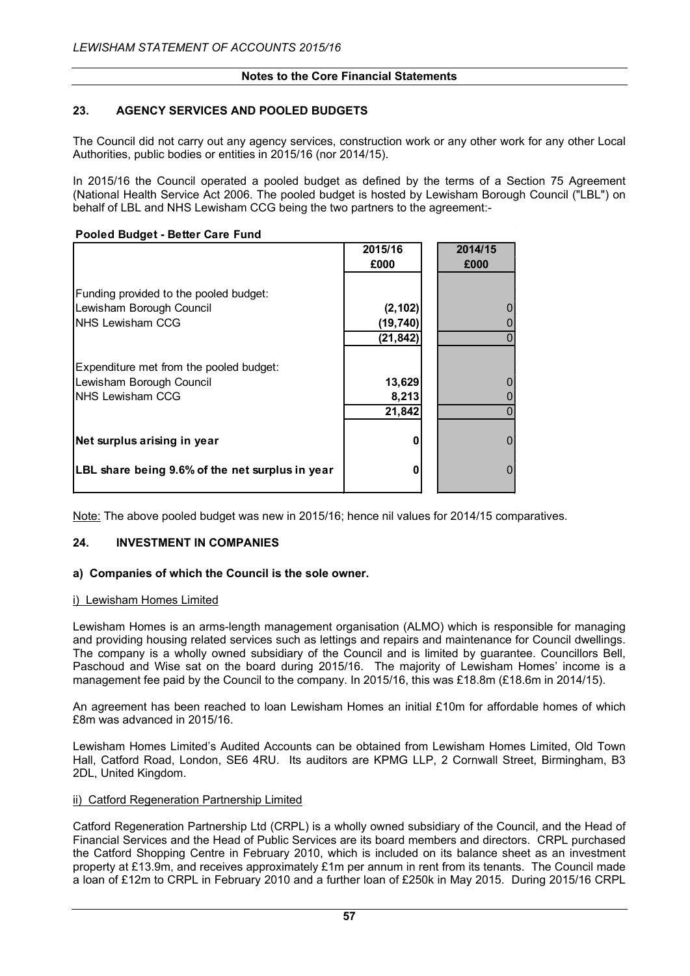## **23. AGENCY SERVICES AND POOLED BUDGETS**

The Council did not carry out any agency services, construction work or any other work for any other Local Authorities, public bodies or entities in 2015/16 (nor 2014/15).

In 2015/16 the Council operated a pooled budget as defined by the terms of a Section 75 Agreement (National Health Service Act 2006. The pooled budget is hosted by Lewisham Borough Council ("LBL") on behalf of LBL and NHS Lewisham CCG being the two partners to the agreement:-

#### **Pooled Budget - Better Care Fund**

|                                                 | 2015/16<br>£000 | 2014/15<br>£000 |
|-------------------------------------------------|-----------------|-----------------|
| Funding provided to the pooled budget:          |                 |                 |
| Lewisham Borough Council                        | (2, 102)        |                 |
| NHS Lewisham CCG                                | (19, 740)       |                 |
|                                                 | (21, 842)       |                 |
| Expenditure met from the pooled budget:         |                 |                 |
| Lewisham Borough Council                        | 13,629          |                 |
| <b>NHS Lewisham CCG</b>                         | 8,213           |                 |
|                                                 | 21,842          |                 |
| Net surplus arising in year                     | n               |                 |
|                                                 |                 |                 |
| LBL share being 9.6% of the net surplus in year | o               |                 |

Note: The above pooled budget was new in 2015/16; hence nil values for 2014/15 comparatives.

#### **24. INVESTMENT IN COMPANIES**

#### **a) Companies of which the Council is the sole owner.**

#### i) Lewisham Homes Limited

Lewisham Homes is an arms-length management organisation (ALMO) which is responsible for managing and providing housing related services such as lettings and repairs and maintenance for Council dwellings. The company is a wholly owned subsidiary of the Council and is limited by guarantee. Councillors Bell, Paschoud and Wise sat on the board during 2015/16. The majority of Lewisham Homes' income is a management fee paid by the Council to the company. In 2015/16, this was £18.8m (£18.6m in 2014/15).

An agreement has been reached to loan Lewisham Homes an initial £10m for affordable homes of which £8m was advanced in 2015/16.

Lewisham Homes Limited's Audited Accounts can be obtained from Lewisham Homes Limited, Old Town Hall, Catford Road, London, SE6 4RU. Its auditors are KPMG LLP, 2 Cornwall Street, Birmingham, B3 2DL, United Kingdom.

#### ii) Catford Regeneration Partnership Limited

Catford Regeneration Partnership Ltd (CRPL) is a wholly owned subsidiary of the Council, and the Head of Financial Services and the Head of Public Services are its board members and directors. CRPL purchased the Catford Shopping Centre in February 2010, which is included on its balance sheet as an investment property at £13.9m, and receives approximately £1m per annum in rent from its tenants. The Council made a loan of £12m to CRPL in February 2010 and a further loan of £250k in May 2015. During 2015/16 CRPL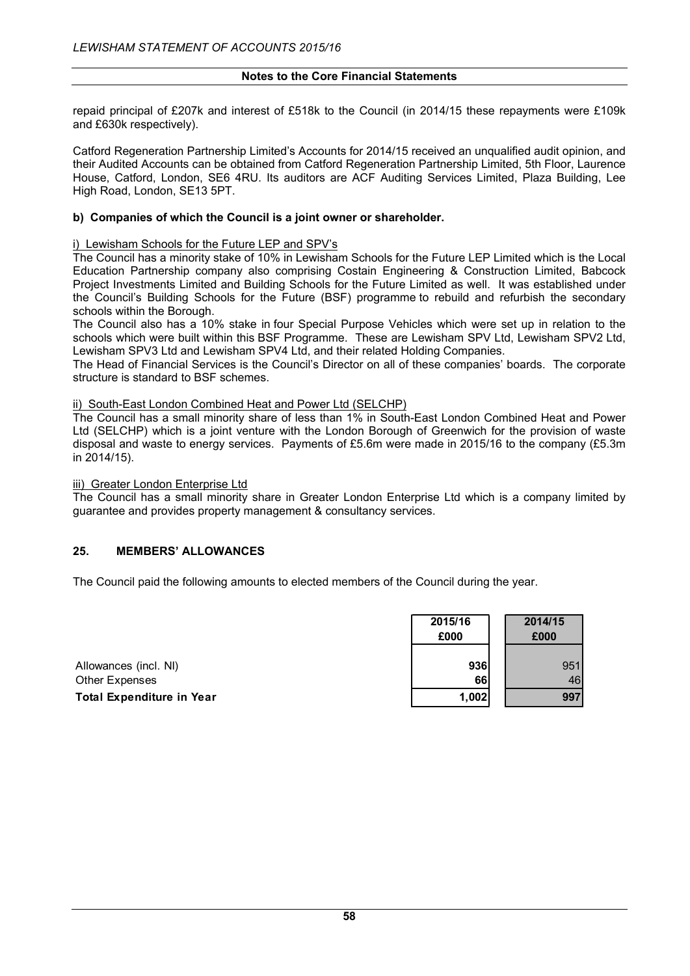repaid principal of £207k and interest of £518k to the Council (in 2014/15 these repayments were £109k and £630k respectively).

Catford Regeneration Partnership Limited's Accounts for 2014/15 received an unqualified audit opinion, and their Audited Accounts can be obtained from Catford Regeneration Partnership Limited, 5th Floor, Laurence House, Catford, London, SE6 4RU. Its auditors are ACF Auditing Services Limited, Plaza Building, Lee High Road, London, SE13 5PT.

## **b) Companies of which the Council is a joint owner or shareholder.**

#### i) Lewisham Schools for the Future LEP and SPV's

The Council has a minority stake of 10% in Lewisham Schools for the Future LEP Limited which is the Local Education Partnership company also comprising Costain Engineering & Construction Limited, Babcock Project Investments Limited and Building Schools for the Future Limited as well. It was established under the Council's Building Schools for the Future (BSF) programme to rebuild and refurbish the secondary schools within the Borough.

The Council also has a 10% stake in four Special Purpose Vehicles which were set up in relation to the schools which were built within this BSF Programme. These are Lewisham SPV Ltd, Lewisham SPV2 Ltd, Lewisham SPV3 Ltd and Lewisham SPV4 Ltd, and their related Holding Companies.

The Head of Financial Services is the Council's Director on all of these companies' boards. The corporate structure is standard to BSF schemes.

#### ii) South-East London Combined Heat and Power Ltd (SELCHP)

The Council has a small minority share of less than 1% in South-East London Combined Heat and Power Ltd (SELCHP) which is a joint venture with the London Borough of Greenwich for the provision of waste disposal and waste to energy services. Payments of £5.6m were made in 2015/16 to the company (£5.3m in 2014/15).

iii) Greater London Enterprise Ltd

The Council has a small minority share in Greater London Enterprise Ltd which is a company limited by guarantee and provides property management & consultancy services.

#### **25. MEMBERS' ALLOWANCES**

The Council paid the following amounts to elected members of the Council during the year.

|                                  | 2015/16 | 2014/15 |
|----------------------------------|---------|---------|
|                                  | £000    | £000    |
| Allowances (incl. NI)            | 936     | 951     |
| <b>Other Expenses</b>            | 66      | 46      |
| <b>Total Expenditure in Year</b> | 1,002   | 997     |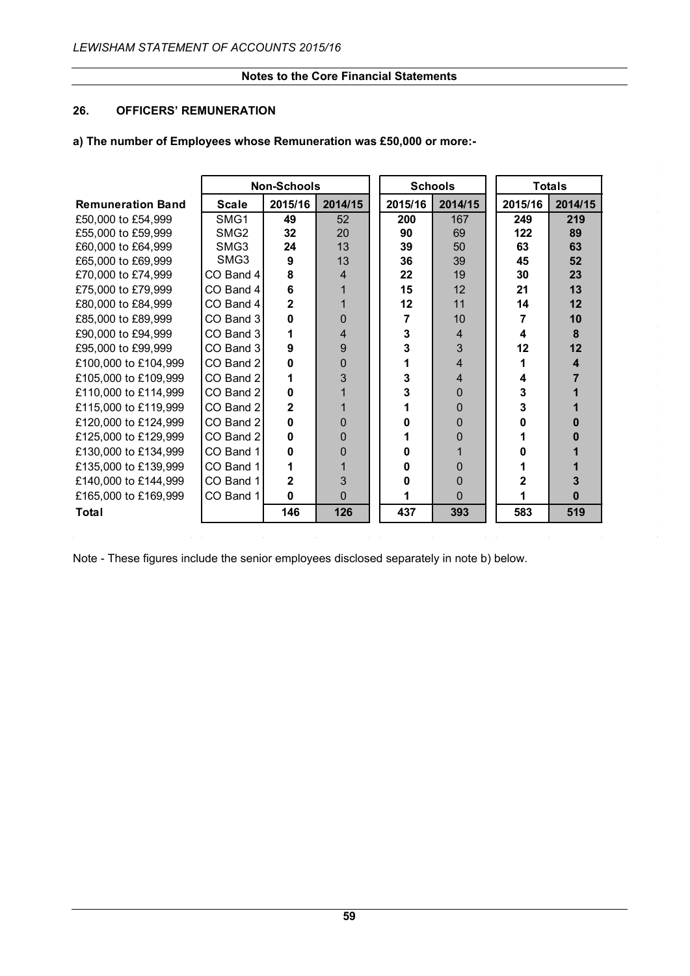## **26. OFFICERS' REMUNERATION**

#### **a) The number of Employees whose Remuneration was £50,000 or more:-**

|                          |                  | <b>Non-Schools</b> |          | <b>Schools</b> |          |  | <b>Totals</b> |         |  |
|--------------------------|------------------|--------------------|----------|----------------|----------|--|---------------|---------|--|
| <b>Remuneration Band</b> | <b>Scale</b>     | 2015/16            | 2014/15  | 2015/16        | 2014/15  |  | 2015/16       | 2014/15 |  |
| £50,000 to £54,999       | SMG1             | 49                 | 52       | 200            | 167      |  | 249           | 219     |  |
| £55,000 to £59,999       | SMG <sub>2</sub> | 32                 | 20       | 90             | 69       |  | 122           | 89      |  |
| £60,000 to £64,999       | SMG3             | 24                 | 13       | 39             | 50       |  | 63            | 63      |  |
| £65,000 to £69,999       | SMG3             | 9                  | 13       | 36             | 39       |  | 45            | 52      |  |
| £70,000 to £74,999       | $CO$ Band 4      | 8                  | 4        | 22             | 19       |  | 30            | 23      |  |
| £75,000 to £79,999       | CO Band 4        | 6                  |          | 15             | 12       |  | 21            | 13      |  |
| £80,000 to £84,999       | CO Band 4        | $\overline{2}$     |          | 12             | 11       |  | 14            | 12      |  |
| £85,000 to £89,999       | CO Band 3        | 0                  | 0        | 7              | 10       |  | 7             | 10      |  |
| £90,000 to £94,999       | CO Band 3        | 1                  | 4        | 3              | 4        |  | 4             | 8       |  |
| £95,000 to £99,999       | CO Band 3        | 9                  | 9        | 3              | 3        |  | 12            | 12      |  |
| £100,000 to £104,999     | CO Band 2        | 0                  | 0        | 1              | 4        |  |               | 4       |  |
| £105,000 to £109,999     | CO Band 2        | 1                  | 3        | 3              | 4        |  | 4             |         |  |
| £110,000 to £114,999     | CO Band 2        | 0                  |          | 3              | 0        |  | 3             |         |  |
| £115,000 to £119,999     | CO Band 2        | $\mathbf{2}$       |          |                | $\Omega$ |  | 3             |         |  |
| £120,000 to £124,999     | CO Band 2        | 0                  | 0        | n              | 0        |  |               | n       |  |
| £125,000 to £129,999     | CO Band 2        | $\Omega$           | 0        |                | 0        |  |               |         |  |
| £130,000 to £134,999     | CO Band 1        | 0                  | 0        | 0              |          |  |               |         |  |
| £135,000 to £139,999     | CO Band 1        | 1                  |          | 0              | 0        |  |               |         |  |
| £140,000 to £144,999     | CO Band 1        | $\mathbf 2$        | 3        | 0              | 0        |  |               |         |  |
| £165,000 to £169,999     | CO Band 1        | $\Omega$           | $\Omega$ |                | 0        |  |               | 0       |  |
| Total                    |                  | 146                | 126      | 437            | 393      |  | 583           | 519     |  |

Note - These figures include the senior employees disclosed separately in note b) below.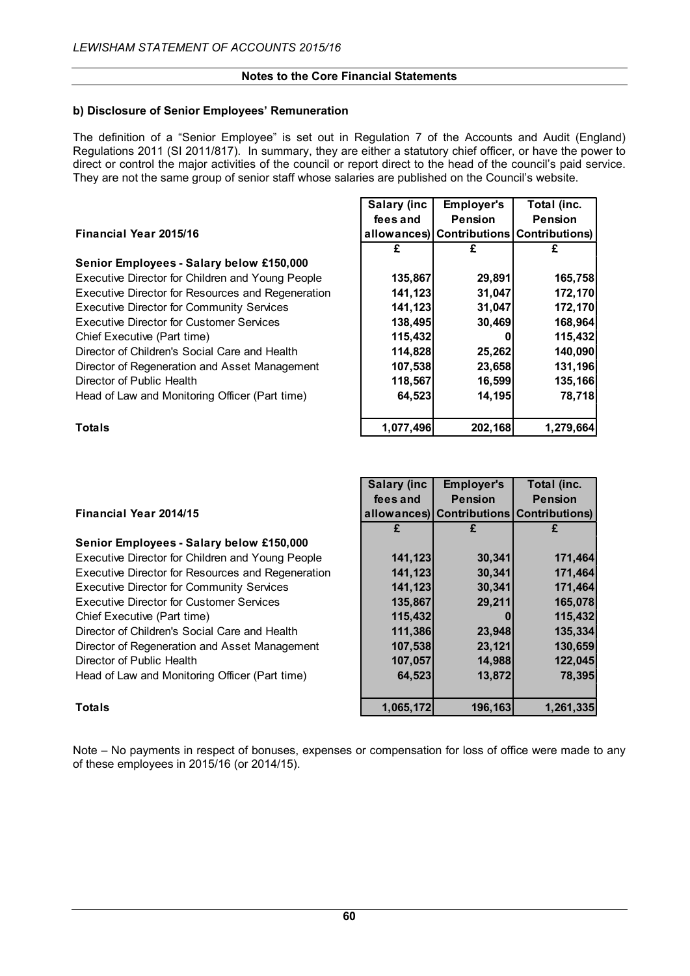## **b) Disclosure of Senior Employees' Remuneration**

The definition of a "Senior Employee" is set out in Regulation 7 of the Accounts and Audit (England) Regulations 2011 (SI 2011/817). In summary, they are either a statutory chief officer, or have the power to direct or control the major activities of the council or report direct to the head of the council's paid service. They are not the same group of senior staff whose salaries are published on the Council's website.

|                                                   | Salary (inc | <b>Employer's</b> | Total (inc.                              |
|---------------------------------------------------|-------------|-------------------|------------------------------------------|
|                                                   | fees and    | <b>Pension</b>    | <b>Pension</b>                           |
| <b>Financial Year 2015/16</b>                     |             |                   | allowances) Contributions Contributions) |
|                                                   | £           |                   |                                          |
| Senior Employees - Salary below £150,000          |             |                   |                                          |
| Executive Director for Children and Young People  | 135,867     | 29,891            | 165,758                                  |
| Executive Director for Resources and Regeneration | 141,123     | 31,047            | 172,170                                  |
| <b>Executive Director for Community Services</b>  | 141,123     | 31,047            | 172,170                                  |
| <b>Executive Director for Customer Services</b>   | 138,495     | 30,469            | 168,964                                  |
| Chief Executive (Part time)                       | 115,432     | 0                 | 115,432                                  |
| Director of Children's Social Care and Health     | 114,828     | 25,262            | 140,090                                  |
| Director of Regeneration and Asset Management     | 107,538     | 23,658            | 131,196                                  |
| Director of Public Health                         | 118,567     | 16,599            | 135,166                                  |
| Head of Law and Monitoring Officer (Part time)    | 64,523      | 14,195            | 78,718                                   |
| <b>Totals</b>                                     | 1,077,496   | 202,168           | 1,279,664                                |

|                                                   | <b>Salary (inc.</b> | <b>Employer's</b> | Total (inc.                          |
|---------------------------------------------------|---------------------|-------------------|--------------------------------------|
|                                                   | fees and            | <b>Pension</b>    | <b>Pension</b>                       |
| <b>Financial Year 2014/15</b>                     | allowances)         |                   | <b>Contributions Contributions</b> ) |
|                                                   |                     |                   |                                      |
| Senior Employees - Salary below £150,000          |                     |                   |                                      |
| Executive Director for Children and Young People  | 141,123             | 30,341            | 171,464                              |
| Executive Director for Resources and Regeneration | 141,123             | 30,341            | 171,464                              |
| <b>Executive Director for Community Services</b>  | 141,123             | 30,341            | 171,464                              |
| <b>Executive Director for Customer Services</b>   | 135,867             | 29,211            | 165,078                              |
| Chief Executive (Part time)                       | 115,432             |                   | 115,432                              |
| Director of Children's Social Care and Health     | 111,386             | 23,948            | 135,334                              |
| Director of Regeneration and Asset Management     | 107,538             | 23,121            | 130,659                              |
| Director of Public Health                         | 107,057             | 14,988            | 122,045                              |
| Head of Law and Monitoring Officer (Part time)    | 64,523              | 13,872            | 78,395                               |
| <b>Totals</b>                                     | 1,065,172           | 196,163           | 1,261,335                            |

T

Note – No payments in respect of bonuses, expenses or compensation for loss of office were made to any of these employees in 2015/16 (or 2014/15).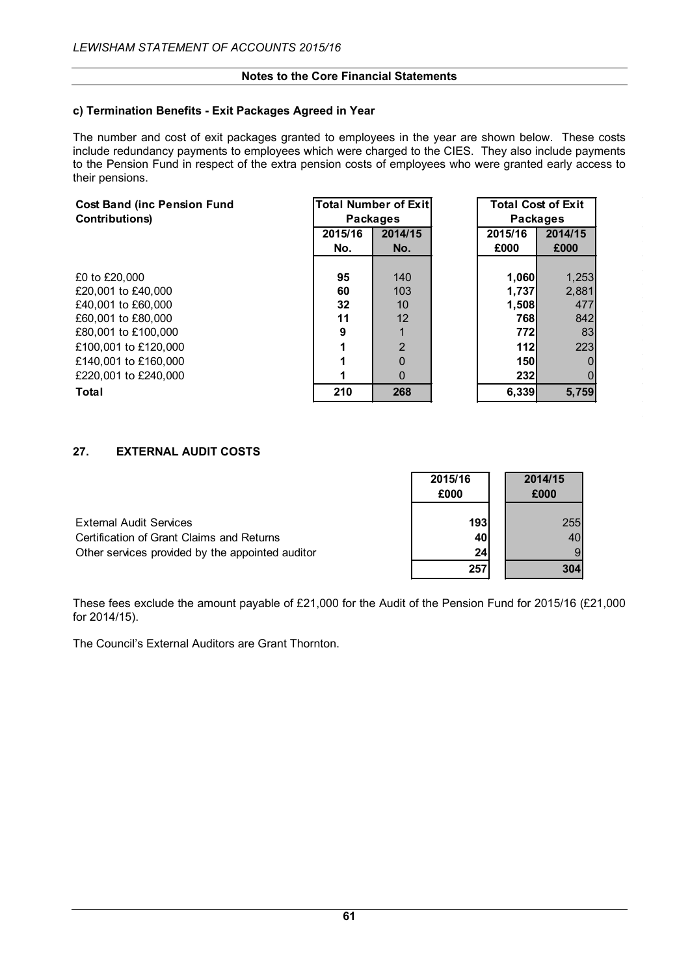## **c) Termination Benefits - Exit Packages Agreed in Year**

The number and cost of exit packages granted to employees in the year are shown below. These costs include redundancy payments to employees which were charged to the CIES. They also include payments to the Pension Fund in respect of the extra pension costs of employees who were granted early access to their pensions.

| <b>Cost Band (inc Pension Fund</b> |         | <b>Total Number of Exit</b> |  | <b>Total Cost of Exit</b> |         |                 |  |
|------------------------------------|---------|-----------------------------|--|---------------------------|---------|-----------------|--|
| Contributions)                     |         | <b>Packages</b>             |  |                           |         | <b>Packages</b> |  |
|                                    | 2015/16 | 2014/15                     |  | 2015/16                   | 2014/15 |                 |  |
|                                    | No.     | No.                         |  | £000                      | £000    |                 |  |
|                                    |         |                             |  |                           |         |                 |  |
| £0 to £20.000                      | 95      | 140                         |  | 1,060                     | 1,253   |                 |  |
| £20,001 to £40,000                 | 60      | 103                         |  | 1.737                     | 2,881   |                 |  |
| £40,001 to £60,000                 | 32      | 10                          |  | 1,508                     | 477     |                 |  |
| £60,001 to £80,000                 | 11      | 12                          |  | 768                       | 842     |                 |  |
| £80,001 to £100,000                | 9       |                             |  | 772                       | 83      |                 |  |
| £100.001 to £120.000               |         | $\overline{2}$              |  | 112                       | 223     |                 |  |
| £140.001 to £160.000               |         | $\mathbf 0$                 |  | 150                       |         |                 |  |
| £220.001 to £240.000               |         | $\Omega$                    |  | 232                       |         |                 |  |
| Total                              | 210     | 268                         |  | 6,339                     | 5,759   |                 |  |
|                                    |         |                             |  |                           |         |                 |  |

## **27. EXTERNAL AUDIT COSTS**

|                                                  | 2015/16<br>£000 | 2014/15<br>£000 |
|--------------------------------------------------|-----------------|-----------------|
| <b>External Audit Services</b>                   | 193             | 255             |
| Certification of Grant Claims and Returns        | 40              |                 |
| Other services provided by the appointed auditor | 24              | 9               |
|                                                  | 257             | 304             |

These fees exclude the amount payable of £21,000 for the Audit of the Pension Fund for 2015/16 (£21,000 for 2014/15).

The Council's External Auditors are Grant Thornton.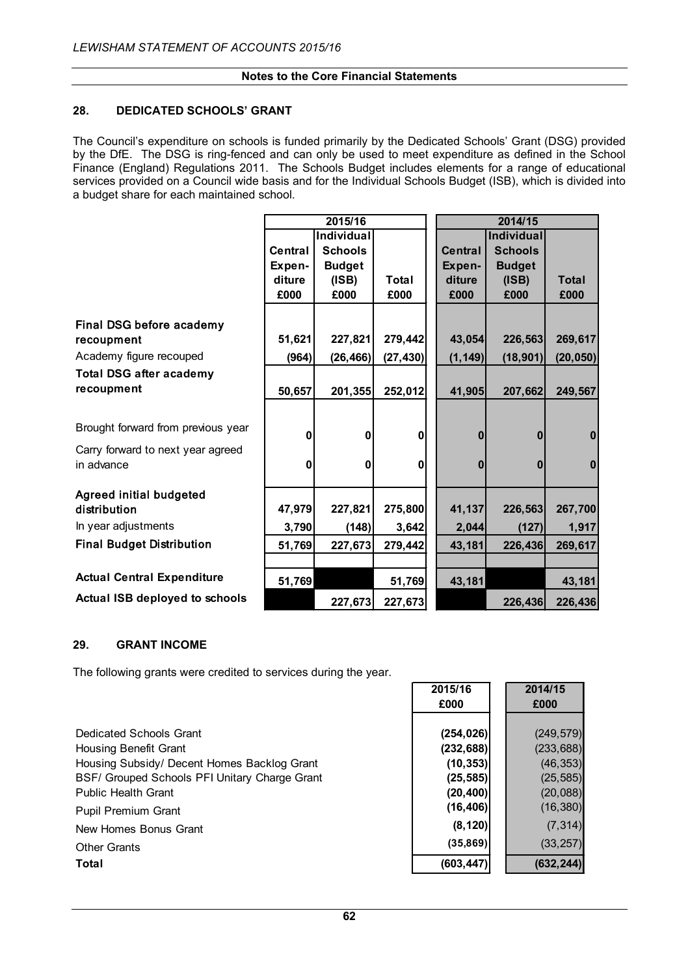## **28. DEDICATED SCHOOLS' GRANT**

The Council's expenditure on schools is funded primarily by the Dedicated Schools' Grant (DSG) provided by the DfE. The DSG is ring-fenced and can only be used to meet expenditure as defined in the School Finance (England) Regulations 2011. The Schools Budget includes elements for a range of educational services provided on a Council wide basis and for the Individual Schools Budget (ISB), which is divided into a budget share for each maintained school.

|                                       |         | 2015/16        |              |          | 2014/15           |              |  |  |
|---------------------------------------|---------|----------------|--------------|----------|-------------------|--------------|--|--|
|                                       |         | Individual     |              |          | <b>Individual</b> |              |  |  |
|                                       | Central | <b>Schools</b> |              | Central  | <b>Schools</b>    |              |  |  |
|                                       | Expen-  | <b>Budget</b>  |              | Expen-   | <b>Budget</b>     |              |  |  |
|                                       | diture  | (ISBN)         | Total        | diture   | (ISB)             | <b>Total</b> |  |  |
|                                       | £000    | £000           | £000         | £000     | £000              | £000         |  |  |
|                                       |         |                |              |          |                   |              |  |  |
| <b>Final DSG before academy</b>       |         |                |              |          |                   |              |  |  |
| recoupment                            | 51,621  | 227,821        | 279,442      | 43,054   | 226,563           | 269,617      |  |  |
| Academy figure recouped               | (964)   | (26, 466)      | (27, 430)    | (1, 149) | (18, 901)         | (20, 050)    |  |  |
| <b>Total DSG after academy</b>        |         |                |              |          |                   |              |  |  |
| recoupment                            | 50,657  | 201,355        | 252,012      | 41,905   | 207,662           | 249,567      |  |  |
|                                       |         |                |              |          |                   |              |  |  |
| Brought forward from previous year    |         |                |              |          |                   |              |  |  |
|                                       | 0       | $\bf{0}$       | $\mathbf{0}$ | $\bf{0}$ | $\bf{0}$          | $\mathbf{0}$ |  |  |
| Carry forward to next year agreed     |         |                |              |          |                   |              |  |  |
| in advance                            | 0       | $\mathbf{0}$   | $\mathbf{0}$ | n        | $\bf{0}$          | $\bf{0}$     |  |  |
| <b>Agreed initial budgeted</b>        |         |                |              |          |                   |              |  |  |
| distribution                          | 47,979  | 227,821        | 275,800      | 41,137   | 226,563           | 267,700      |  |  |
| In year adjustments                   | 3,790   | (148)          | 3,642        | 2,044    | (127)             | 1,917        |  |  |
| <b>Final Budget Distribution</b>      | 51,769  | 227,673        | 279,442      | 43,181   | 226,436           | 269,617      |  |  |
|                                       |         |                |              |          |                   |              |  |  |
| <b>Actual Central Expenditure</b>     | 51,769  |                | 51,769       | 43,181   |                   | 43,181       |  |  |
| <b>Actual ISB deployed to schools</b> |         | 227,673        | 227,673      |          | 226,436           | 226,436      |  |  |

## **29. GRANT INCOME**

The following grants were credited to services during the year.

| Dedicated Schools Grant                       | (254, 026) | (249, 579) |
|-----------------------------------------------|------------|------------|
| <b>Housing Benefit Grant</b>                  | (232, 688) | (233, 688) |
| Housing Subsidy/ Decent Homes Backlog Grant   | (10, 353)  | (46, 353)  |
| BSF/ Grouped Schools PFI Unitary Charge Grant | (25, 585)  | (25, 585)  |
| <b>Public Health Grant</b>                    | (20, 400)  | (20, 088)  |
| Pupil Premium Grant                           | (16, 406)  | (16, 380)  |
| New Homes Bonus Grant                         | (8, 120)   | (7, 314)   |
| <b>Other Grants</b>                           | (35,869)   | (33, 257)  |
| Total                                         | (603, 447) | (632, 244) |

| 2015/16    | 2014/15    |
|------------|------------|
| £000       | £000       |
|            |            |
| (254, 026) | (249, 579) |
| (232, 688) | (233, 688) |
| (10, 353)  | (46, 353)  |
| (25, 585)  | (25, 585)  |
| (20, 400)  | (20,088)   |
| (16, 406)  | (16, 380)  |
| (8, 120)   | (7, 314)   |
| (35, 869)  | (33, 257)  |
| (603, 447) | (632, 244) |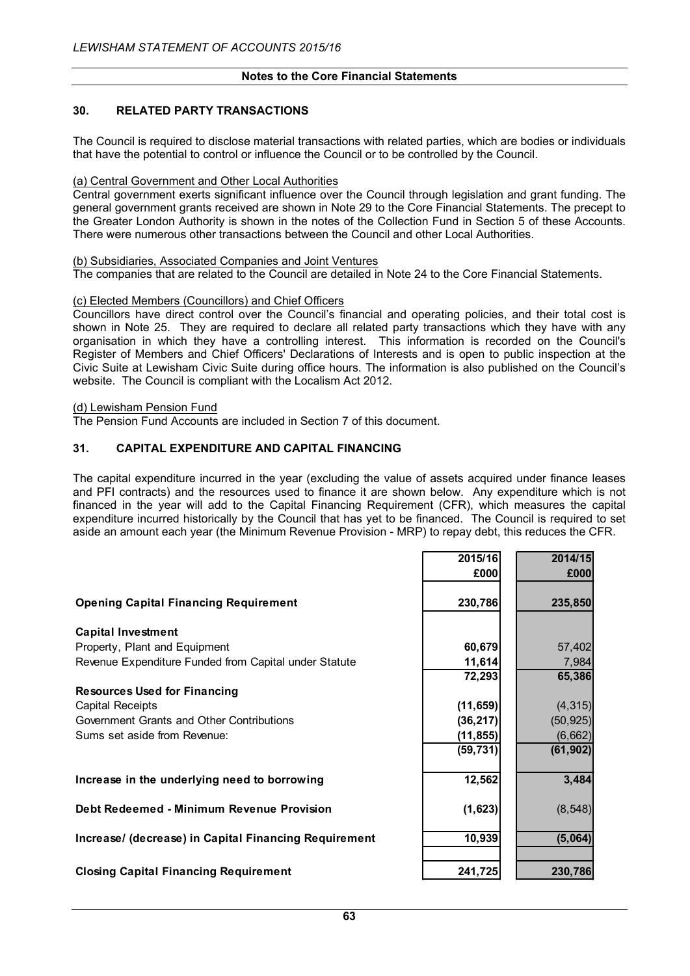## **30. RELATED PARTY TRANSACTIONS**

The Council is required to disclose material transactions with related parties, which are bodies or individuals that have the potential to control or influence the Council or to be controlled by the Council.

#### (a) Central Government and Other Local Authorities

Central government exerts significant influence over the Council through legislation and grant funding. The general government grants received are shown in Note 29 to the Core Financial Statements. The precept to the Greater London Authority is shown in the notes of the Collection Fund in Section 5 of these Accounts. There were numerous other transactions between the Council and other Local Authorities.

#### (b) Subsidiaries, Associated Companies and Joint Ventures

The companies that are related to the Council are detailed in Note 24 to the Core Financial Statements.

#### (c) Elected Members (Councillors) and Chief Officers

Councillors have direct control over the Council's financial and operating policies, and their total cost is shown in Note 25. They are required to declare all related party transactions which they have with any organisation in which they have a controlling interest. This information is recorded on the Council's Register of Members and Chief Officers' Declarations of Interests and is open to public inspection at the Civic Suite at Lewisham Civic Suite during office hours. The information is also published on the Council's website. The Council is compliant with the Localism Act 2012.

## (d) Lewisham Pension Fund

The Pension Fund Accounts are included in Section 7 of this document.

#### **31. CAPITAL EXPENDITURE AND CAPITAL FINANCING**

The capital expenditure incurred in the year (excluding the value of assets acquired under finance leases and PFI contracts) and the resources used to finance it are shown below. Any expenditure which is not financed in the year will add to the Capital Financing Requirement (CFR), which measures the capital expenditure incurred historically by the Council that has yet to be financed. The Council is required to set aside an amount each year (the Minimum Revenue Provision - MRP) to repay debt, this reduces the CFR.

|                                                       | 2015/16   | 2014/15   |
|-------------------------------------------------------|-----------|-----------|
|                                                       | £000      | £000      |
|                                                       |           |           |
| <b>Opening Capital Financing Requirement</b>          | 230,786   | 235,850   |
|                                                       |           |           |
| <b>Capital Investment</b>                             |           |           |
| Property, Plant and Equipment                         | 60,679    | 57,402    |
| Revenue Expenditure Funded from Capital under Statute | 11,614    | 7,984     |
|                                                       | 72,293    | 65,386    |
| <b>Resources Used for Financing</b>                   |           |           |
| <b>Capital Receipts</b>                               | (11, 659) | (4, 315)  |
| Government Grants and Other Contributions             | (36, 217) | (50, 925) |
| Sums set aside from Revenue:                          | (11, 855) | (6,662)   |
|                                                       | (59, 731) | (61, 902) |
|                                                       |           |           |
| Increase in the underlying need to borrowing          | 12,562    | 3,484     |
|                                                       |           |           |
| Debt Redeemed - Minimum Revenue Provision             | (1,623)   | (8, 548)  |
|                                                       |           |           |
| Increase/ (decrease) in Capital Financing Requirement | 10,939    | (5,064)   |
|                                                       |           |           |
| <b>Closing Capital Financing Requirement</b>          | 241,725   | 230,786   |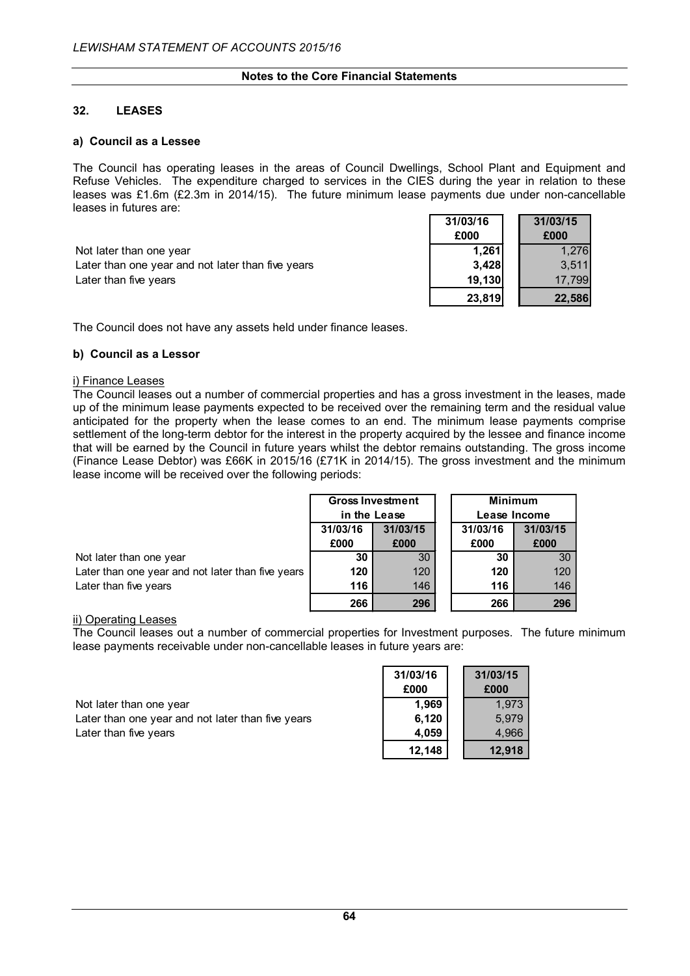## **32. LEASES**

#### **a) Council as a Lessee**

The Council has operating leases in the areas of Council Dwellings, School Plant and Equipment and Refuse Vehicles. The expenditure charged to services in the CIES during the year in relation to these leases was £1.6m (£2.3m in 2014/15). The future minimum lease payments due under non-cancellable leases in futures are:

|                                                   | ----   | .      |
|---------------------------------------------------|--------|--------|
| Not later than one year                           | 1.261  | 1.276  |
| Later than one year and not later than five years | 3.428  | 3.511  |
| Later than five years                             | 19.130 | 17.799 |

| 31/03/16 | 31/03/15 |
|----------|----------|
| £000     | £000     |
| 1,261    | 1.276    |
| 3,428    | 3,511    |
| 19,130   | 17,799   |
| 23,819   | 22,586   |

The Council does not have any assets held under finance leases.

## **b) Council as a Lessor**

#### i) Finance Leases

The Council leases out a number of commercial properties and has a gross investment in the leases, made up of the minimum lease payments expected to be received over the remaining term and the residual value anticipated for the property when the lease comes to an end. The minimum lease payments comprise settlement of the long-term debtor for the interest in the property acquired by the lessee and finance income that will be earned by the Council in future years whilst the debtor remains outstanding. The gross income (Finance Lease Debtor) was £66K in 2015/16 (£71K in 2014/15). The gross investment and the minimum lease income will be received over the following periods:

|                                                   | <b>Gross Investment</b>      |      |      | <b>Minimum</b>       |  |  |  |
|---------------------------------------------------|------------------------------|------|------|----------------------|--|--|--|
|                                                   | in the Lease<br>Lease Income |      |      |                      |  |  |  |
|                                                   | 31/03/15<br>31/03/16         |      |      | 31/03/15<br>31/03/16 |  |  |  |
|                                                   | £000                         | £000 | £000 | £000                 |  |  |  |
| Not later than one year                           | 30                           | 30   | 30   | 30                   |  |  |  |
| Later than one year and not later than five years | 120                          | 120  | 120  | 120                  |  |  |  |
| Later than five years                             | 116                          | 146  | 116  | 146                  |  |  |  |
|                                                   | 266                          | 296  | 266  | 296                  |  |  |  |

#### ii) Operating Leases

The Council leases out a number of commercial properties for Investment purposes. The future minimum lease payments receivable under non-cancellable leases in future years are:

Not later than one year Later than one year and not later than five years Later than five years

| 31/03/16 | 31/03/15 |
|----------|----------|
| £000     | £000     |
| 1,969    | 1,973    |
| 6,120    | 5,979    |
| 4,059    | 4,966    |
| 12,148   | 12,918   |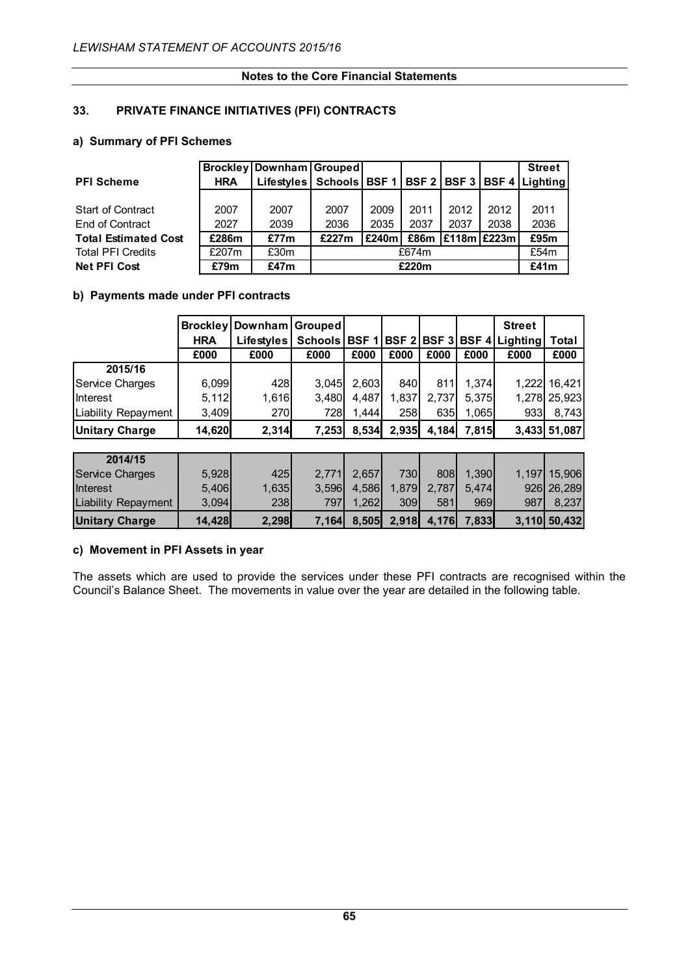## **33. PRIVATE FINANCE INITIATIVES (PFI) CONTRACTS**

## **a) Summary of PFI Schemes**

|                             |            | <b>Brockley   Downham   Grouped  </b> |                                 |       |      |                 |      | <b>Street</b>         |
|-----------------------------|------------|---------------------------------------|---------------------------------|-------|------|-----------------|------|-----------------------|
| <b>PFI Scheme</b>           | <b>HRA</b> | <b>Lifestyles</b>                     | Schools   BSF 1   BSF 2   BSF 3 |       |      |                 |      | <b>BSF 4 Lighting</b> |
|                             |            |                                       |                                 |       |      |                 |      |                       |
| <b>Start of Contract</b>    | 2007       | 2007                                  | 2007                            | 2009  | 2011 | 2012            | 2012 | 2011                  |
| End of Contract             | 2027       | 2039                                  | 2036                            | 2035  | 2037 | 2037            | 2038 | 2036                  |
| <b>Total Estimated Cost</b> | £286m      | £77m                                  | £227m                           | £240m | £86m | $E118m$ $E223m$ |      | £95m                  |
| <b>Total PFI Credits</b>    | £207m      | £30m                                  | £674m                           |       |      |                 |      | £54m                  |
| <b>Net PFI Cost</b>         | £79m       | £47m                                  |                                 | £41m  |      |                 |      |                       |

## **b) Payments made under PFI contracts**

|                            | <b>Brockley</b><br><b>HRA</b> | Downham<br>Lifestyles | Grouped<br><b>Schools</b> | <b>BSF</b> | <b>BSF2</b>  | BSF <sub>3</sub> | <b>BSF4</b> | <b>Street</b><br><b>Lighting</b> | Total        |
|----------------------------|-------------------------------|-----------------------|---------------------------|------------|--------------|------------------|-------------|----------------------------------|--------------|
|                            | £000                          | £000                  | £000                      | £000       | £000         | £000             | £000        | £000                             | £000         |
| 2015/16                    |                               |                       |                           |            |              |                  |             |                                  |              |
| Service Charges            | 6,099                         | 428                   | 3.045                     | 2,603      | 840          | 811              | 1.374       | 1,222                            | 16,421       |
| Interest                   | 5,112                         | 1,616                 | 3,480                     | 4,487      | 1,837        | 2,737            | 5,375       | 1,278                            | 25,923       |
| Liability Repayment        | 3,409                         | <b>270</b>            | 728                       | 1.444      | 258          | 635              | 1,065       | 933                              | 8,743        |
| <b>Unitary Charge</b>      | 14,620                        | 2,314                 | 7,253                     | 8,534      | 2,935        | 4,184            | 7,815       |                                  | 3,433 51,087 |
|                            |                               |                       |                           |            |              |                  |             |                                  |              |
| 2014/15                    |                               |                       |                           |            |              |                  |             |                                  |              |
| <b>Service Charges</b>     | 5,928                         | 425                   | 2,771                     | 2,657      | 730          | 808              | 1,390       | 1,197                            | 15,906       |
| Interest                   | 5,406                         | 1,635                 | 3,596                     | 4,586      | 1,879        | 2,787            | 5,474       | 926                              | 26,289       |
| <b>Liability Repayment</b> | 3,094                         | 238                   | 797                       | 1,262      | 309          | 581              | 969         | 987                              | 8,237        |
| <b>Unitary Charge</b>      | 14,428                        | 2,298                 | 7,164                     | 8.505      | <b>2.918</b> | 4,176            | 7,833       | <b>3.110</b>                     | 50,432       |

## **c) Movement in PFI Assets in year**

The assets which are used to provide the services under these PFI contracts are recognised within the Council's Balance Sheet. The movements in value over the year are detailed in the following table.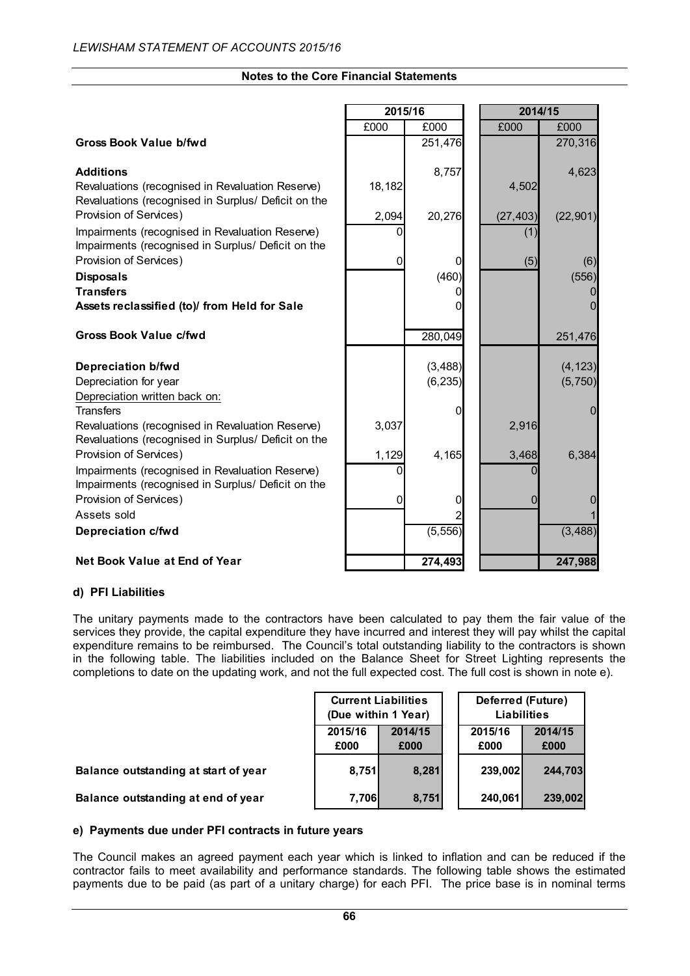| <b>Notes to the Core Financial Statements</b> |  |
|-----------------------------------------------|--|
|-----------------------------------------------|--|

|                                                                                                         | 2015/16 |          | 2014/15   |           |
|---------------------------------------------------------------------------------------------------------|---------|----------|-----------|-----------|
|                                                                                                         | £000    | £000     | £000      | £000      |
| <b>Gross Book Value b/fwd</b>                                                                           |         | 251,476  |           | 270,316   |
| <b>Additions</b>                                                                                        |         | 8,757    |           | 4,623     |
| Revaluations (recognised in Revaluation Reserve)<br>Revaluations (recognised in Surplus/ Deficit on the | 18,182  |          | 4,502     |           |
| Provision of Services)                                                                                  | 2,094   | 20,276   | (27, 403) | (22, 901) |
| Impairments (recognised in Revaluation Reserve)<br>Impairments (recognised in Surplus/ Deficit on the   |         |          | (1)       |           |
| Provision of Services)                                                                                  | 0       | 0        | (5)       | (6)       |
| <b>Disposals</b>                                                                                        |         | (460)    |           | (556)     |
| <b>Transfers</b>                                                                                        |         |          |           |           |
| Assets reclassified (to)/ from Held for Sale                                                            |         |          |           |           |
| <b>Gross Book Value c/fwd</b>                                                                           |         | 280,049  |           | 251,476   |
| Depreciation b/fwd                                                                                      |         | (3, 488) |           | (4, 123)  |
| Depreciation for year                                                                                   |         | (6, 235) |           | (5,750)   |
| Depreciation written back on:                                                                           |         |          |           |           |
| <b>Transfers</b>                                                                                        |         | 0        |           | 0         |
| Revaluations (recognised in Revaluation Reserve)<br>Revaluations (recognised in Surplus/ Deficit on the | 3,037   |          | 2,916     |           |
| Provision of Services)                                                                                  | 1,129   | 4,165    | 3,468     | 6,384     |
| Impairments (recognised in Revaluation Reserve)<br>Impairments (recognised in Surplus/ Deficit on the   |         |          |           |           |
| Provision of Services)                                                                                  | 0       | 0        | 0         |           |
| Assets sold                                                                                             |         |          |           |           |
| Depreciation c/fwd                                                                                      |         | (5, 556) |           | (3, 488)  |
| Net Book Value at End of Year                                                                           |         | 274,493  |           | 247,988   |

## **d) PFI Liabilities**

The unitary payments made to the contractors have been calculated to pay them the fair value of the services they provide, the capital expenditure they have incurred and interest they will pay whilst the capital expenditure remains to be reimbursed. The Council's total outstanding liability to the contractors is shown in the following table. The liabilities included on the Balance Sheet for Street Lighting represents the completions to date on the updating work, and not the full expected cost. The full cost is shown in note e).

|                                      | <b>Current Liabilities</b><br>(Due within 1 Year) |       |  | Deferred (Future)<br><b>Liabilities</b> |         |  |  |
|--------------------------------------|---------------------------------------------------|-------|--|-----------------------------------------|---------|--|--|
|                                      | 2015/16<br>2014/15<br>£000<br>£000                |       |  | 2014/15<br>2015/16<br>£000<br>£000      |         |  |  |
| Balance outstanding at start of year | 8,751                                             | 8,281 |  | 239,002                                 | 244.703 |  |  |
| Balance outstanding at end of year   | 7.706l                                            | 8,751 |  | 240.061                                 | 239,002 |  |  |

#### **e) Payments due under PFI contracts in future years**

The Council makes an agreed payment each year which is linked to inflation and can be reduced if the contractor fails to meet availability and performance standards. The following table shows the estimated payments due to be paid (as part of a unitary charge) for each PFI. The price base is in nominal terms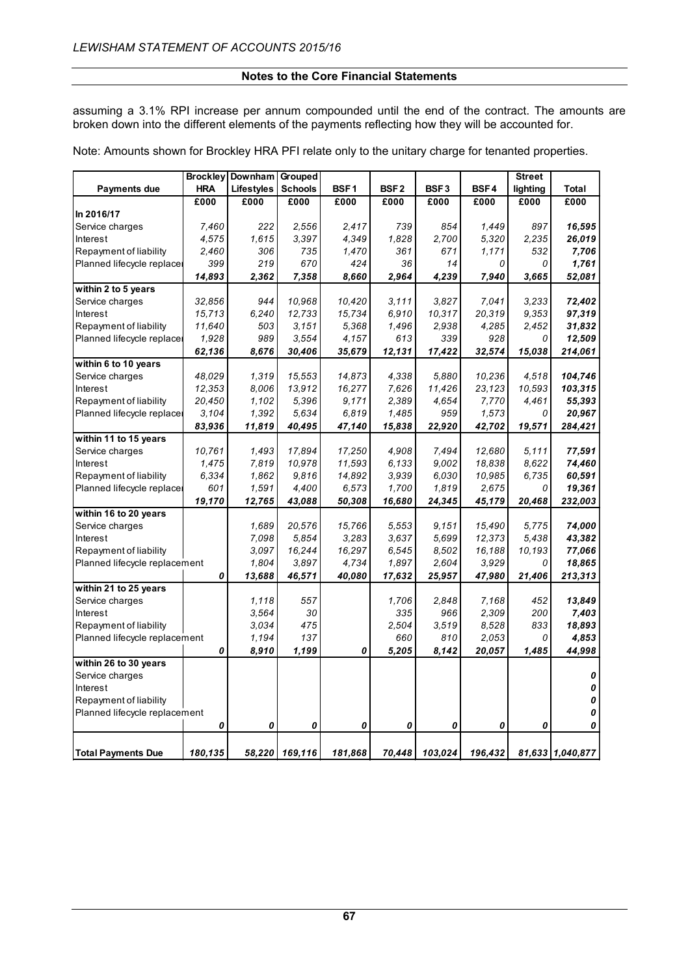assuming a 3.1% RPI increase per annum compounded until the end of the contract. The amounts are broken down into the different elements of the payments reflecting how they will be accounted for.

Note: Amounts shown for Brockley HRA PFI relate only to the unitary charge for tenanted properties.

|                               | <b>Brockley</b> | Downham    | Grouped        |                  |                  |                  |         | <b>Street</b> |                  |
|-------------------------------|-----------------|------------|----------------|------------------|------------------|------------------|---------|---------------|------------------|
| Payments due                  | <b>HRA</b>      | Lifestyles | <b>Schools</b> | BSF <sub>1</sub> | BSF <sub>2</sub> | BSF <sub>3</sub> | BSF4    | lighting      | <b>Total</b>     |
|                               | £000            | £000       | £000           | £000             | £000             | £000             | E000    | £000          | £000             |
| In 2016/17                    |                 |            |                |                  |                  |                  |         |               |                  |
| Service charges               | 7,460           | 222        | 2,556          | 2,417            | 739              | 854              | 1,449   | 897           | 16,595           |
| Interest                      | 4,575           | 1,615      | 3,397          | 4,349            | 1,828            | 2,700            | 5,320   | 2,235         | 26,019           |
| Repayment of liability        | 2,460           | 306        | 735            | 1,470            | 361              | 671              | 1,171   | 532           | 7,706            |
| Planned lifecycle replace     | 399             | 219        | 670            | 424              | 36               | 14               | 0       | 0             | 1,761            |
|                               | 14,893          | 2,362      | 7,358          | 8,660            | 2,964            | 4,239            | 7,940   | 3,665         | 52,081           |
| within 2 to 5 years           |                 |            |                |                  |                  |                  |         |               |                  |
| Service charges               | 32,856          | 944        | 10,968         | 10,420           | 3.111            | 3,827            | 7,041   | 3,233         | 72,402           |
| Interest                      | 15,713          | 6,240      | 12,733         | 15,734           | 6,910            | 10,317           | 20,319  | 9,353         | 97,319           |
| Repayment of liability        | 11,640          | 503        | 3.151          | 5,368            | 1,496            | 2,938            | 4,285   | 2,452         | 31,832           |
| Planned lifecycle replace     | 1,928           | 989        | 3,554          | 4,157            | 613              | 339              | 928     | 0             | 12,509           |
|                               | 62,136          | 8,676      | 30,406         | 35,679           | 12,131           | 17,422           | 32,574  | 15,038        | 214,061          |
| within 6 to 10 years          |                 |            |                |                  |                  |                  |         |               |                  |
| Service charges               | 48,029          | 1,319      | 15,553         | 14,873           | 4,338            | 5,880            | 10,236  | 4,518         | 104,746          |
| Interest                      | 12,353          | 8.006      | 13,912         | 16,277           | 7,626            | 11,426           | 23,123  | 10,593        | 103,315          |
| Repayment of liability        | 20,450          | 1,102      | 5,396          | 9,171            | 2,389            | 4,654            | 7,770   | 4,461         | 55,393           |
| Planned lifecycle replace     | 3.104           | 1,392      | 5.634          | 6,819            | 1,485            | 959              | 1,573   | 0             | 20,967           |
|                               | 83,936          | 11,819     | 40,495         | 47,140           | 15,838           | 22,920           | 42,702  | 19,571        | 284,421          |
| within 11 to 15 years         |                 |            |                |                  |                  |                  |         |               |                  |
| Service charges               | 10,761          | 1,493      | 17,894         | 17,250           | 4,908            | 7,494            | 12,680  | 5,111         | 77,591           |
| Interest                      | 1,475           | 7,819      | 10,978         | 11,593           | 6.133            | 9,002            | 18,838  | 8.622         | 74,460           |
| Repayment of liability        | 6,334           | 1,862      | 9,816          | 14,892           | 3,939            | 6,030            | 10,985  | 6,735         | 60,591           |
| Planned lifecycle replace     | 601             | 1,591      | 4,400          | 6,573            | 1,700            | 1,819            | 2,675   | 0             | 19,361           |
|                               | 19,170          | 12,765     | 43,088         | 50,308           | 16,680           | 24,345           | 45,179  | 20,468        | 232,003          |
| within 16 to 20 years         |                 |            |                |                  |                  |                  |         |               |                  |
| Service charges               |                 | 1,689      | 20,576         | 15,766           | 5,553            | 9,151            | 15,490  | 5,775         | 74,000           |
| Interest                      |                 | 7,098      | 5,854          | 3,283            | 3.637            | 5,699            | 12,373  | 5.438         | 43,382           |
| Repayment of liability        |                 | 3,097      | 16,244         | 16,297           | 6,545            | 8,502            | 16,188  | 10,193        | 77,066           |
| Planned lifecycle replacement |                 | 1,804      | 3,897          | 4,734            | 1,897            | 2,604            | 3,929   | 0             | 18,865           |
|                               | 0               | 13,688     | 46,571         | 40,080           | 17,632           | 25,957           | 47,980  | 21,406        | 213,313          |
| within 21 to 25 years         |                 |            |                |                  |                  |                  |         |               |                  |
| Service charges               |                 | 1,118      | 557            |                  | 1,706            | 2.848            | 7,168   | 452           | 13.849           |
| Interest                      |                 | 3.564      | 30             |                  | 335              | 966              | 2,309   | 200           | 7,403            |
| Repayment of liability        |                 | 3.034      | 475            |                  | 2,504            | 3,519            | 8.528   | 833           | 18,893           |
| Planned lifecycle replacement |                 | 1,194      | 137            |                  | 660              | 810              | 2,053   | 0             | 4,853            |
|                               | 0               | 8,910      | 1,199          | 0                | 5,205            | 8,142            | 20,057  | 1,485         | 44,998           |
| within 26 to 30 years         |                 |            |                |                  |                  |                  |         |               | 0                |
| Service charges               |                 |            |                |                  |                  |                  |         |               |                  |
| Interest                      |                 |            |                |                  |                  |                  |         |               | 0<br>0           |
| Repayment of liability        |                 |            |                |                  |                  |                  |         |               | 0                |
| Planned lifecycle replacement | 0               | 0          | 0              | 0                | 0                | 0                | 0       | 0             | 0                |
|                               |                 |            |                |                  |                  |                  |         |               |                  |
| <b>Total Payments Due</b>     | 180,135         | 58,220     | 169,116        | 181,868          | 70,448           | 103,024          | 196,432 |               | 81,633 1,040,877 |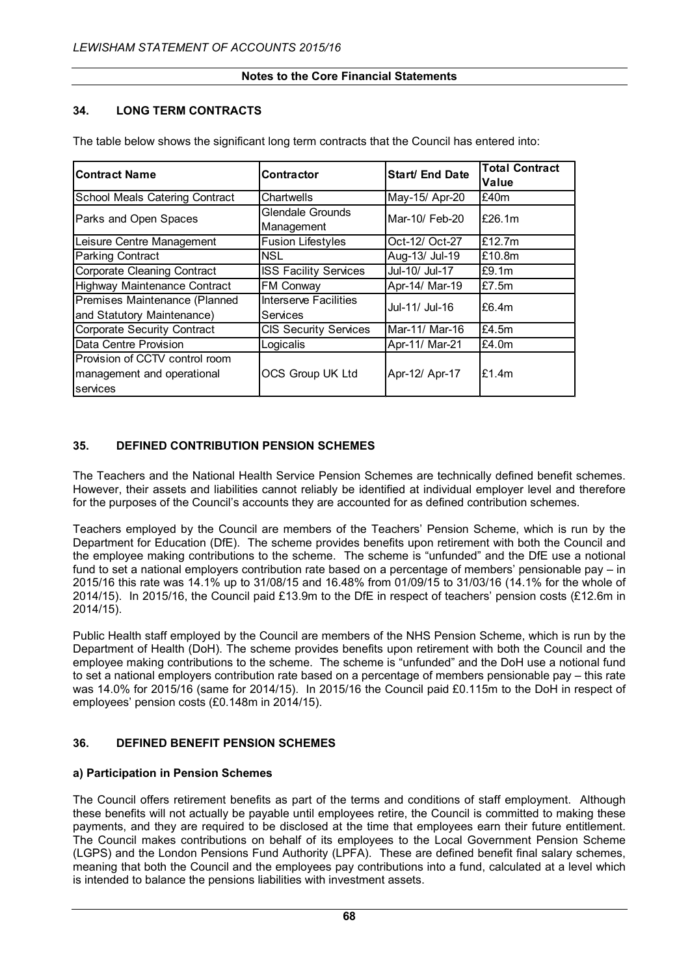## **34. LONG TERM CONTRACTS**

| <b>Contract Name</b>                                                     | Contractor                            | Start/ End Date | <b>Total Contract</b><br>Value |
|--------------------------------------------------------------------------|---------------------------------------|-----------------|--------------------------------|
| School Meals Catering Contract                                           | Chartwells                            | May-15/ Apr-20  | £40m                           |
| Parks and Open Spaces                                                    | <b>Glendale Grounds</b><br>Management | Mar-10/ Feb-20  | £26.1m                         |
| Leisure Centre Management                                                | <b>Fusion Lifestyles</b>              | Oct-12/ Oct-27  | £12.7 $m$                      |
| <b>Parking Contract</b>                                                  | <b>NSL</b>                            | Aug-13/ Jul-19  | £10.8m                         |
| Corporate Cleaning Contract                                              | <b>ISS Facility Services</b>          | Jul-10/ Jul-17  | £9.1m                          |
| <b>Highway Maintenance Contract</b>                                      | FM Conway                             | Apr-14/ Mar-19  | £7.5 $m$                       |
| Premises Maintenance (Planned<br>and Statutory Maintenance)              | Interserve Facilities<br>Services     | Jul-11/ Jul-16  | £6.4m                          |
| <b>Corporate Security Contract</b>                                       | <b>CIS Security Services</b>          | Mar-11/ Mar-16  | £4.5 $m$                       |
| Data Centre Provision                                                    | Logicalis                             | Apr-11/ Mar-21  | £4.0m                          |
| Provision of CCTV control room<br>management and operational<br>services | OCS Group UK Ltd                      | Apr-12/ Apr-17  | £1.4m                          |

The table below shows the significant long term contracts that the Council has entered into:

## **35. DEFINED CONTRIBUTION PENSION SCHEMES**

The Teachers and the National Health Service Pension Schemes are technically defined benefit schemes. However, their assets and liabilities cannot reliably be identified at individual employer level and therefore for the purposes of the Council's accounts they are accounted for as defined contribution schemes.

Teachers employed by the Council are members of the Teachers' Pension Scheme, which is run by the Department for Education (DfE). The scheme provides benefits upon retirement with both the Council and the employee making contributions to the scheme. The scheme is "unfunded" and the DfE use a notional fund to set a national employers contribution rate based on a percentage of members' pensionable pay – in 2015/16 this rate was 14.1% up to 31/08/15 and 16.48% from 01/09/15 to 31/03/16 (14.1% for the whole of 2014/15). In 2015/16, the Council paid £13.9m to the DfE in respect of teachers' pension costs (£12.6m in 2014/15).

Public Health staff employed by the Council are members of the NHS Pension Scheme, which is run by the Department of Health (DoH). The scheme provides benefits upon retirement with both the Council and the employee making contributions to the scheme. The scheme is "unfunded" and the DoH use a notional fund to set a national employers contribution rate based on a percentage of members pensionable pay – this rate was 14.0% for 2015/16 (same for 2014/15). In 2015/16 the Council paid £0.115m to the DoH in respect of employees' pension costs (£0.148m in 2014/15).

## **36. DEFINED BENEFIT PENSION SCHEMES**

## **a) Participation in Pension Schemes**

The Council offers retirement benefits as part of the terms and conditions of staff employment. Although these benefits will not actually be payable until employees retire, the Council is committed to making these payments, and they are required to be disclosed at the time that employees earn their future entitlement. The Council makes contributions on behalf of its employees to the Local Government Pension Scheme (LGPS) and the London Pensions Fund Authority (LPFA). These are defined benefit final salary schemes, meaning that both the Council and the employees pay contributions into a fund, calculated at a level which is intended to balance the pensions liabilities with investment assets.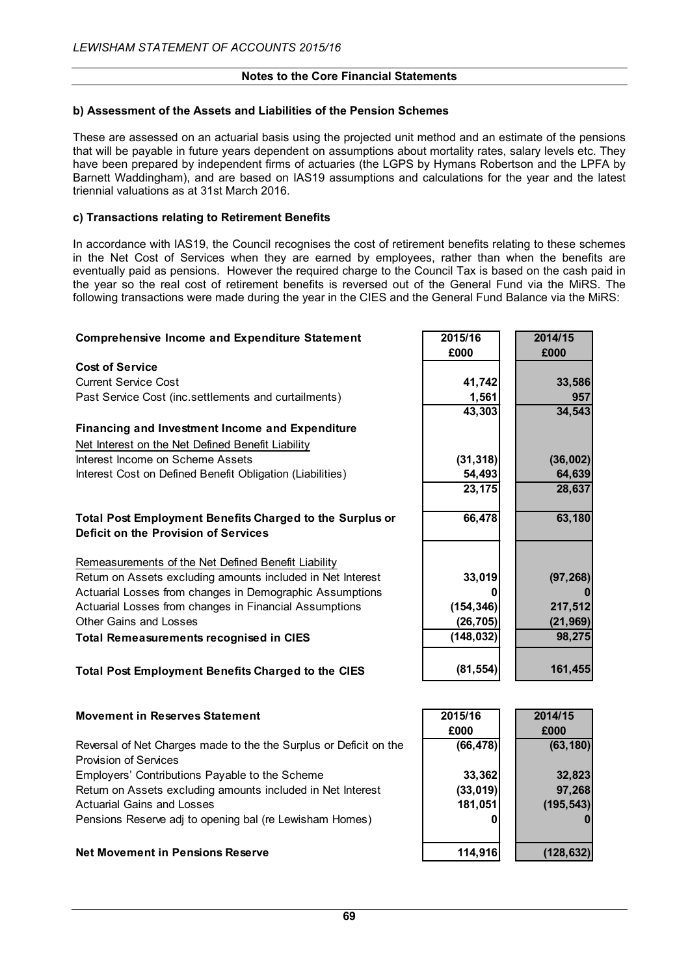## **b) Assessment of the Assets and Liabilities of the Pension Schemes**

These are assessed on an actuarial basis using the projected unit method and an estimate of the pensions that will be payable in future years dependent on assumptions about mortality rates, salary levels etc. They have been prepared by independent firms of actuaries (the LGPS by Hymans Robertson and the LPFA by Barnett Waddingham), and are based on IAS19 assumptions and calculations for the year and the latest triennial valuations as at 31st March 2016.

## **c) Transactions relating to Retirement Benefits**

In accordance with IAS19, the Council recognises the cost of retirement benefits relating to these schemes in the Net Cost of Services when they are earned by employees, rather than when the benefits are eventually paid as pensions. However the required charge to the Council Tax is based on the cash paid in the year so the real cost of retirement benefits is reversed out of the General Fund via the MiRS. The following transactions were made during the year in the CIES and the General Fund Balance via the MiRS:

| <b>Comprehensive Income and Expenditure Statement</b>           | 2015/16<br>£000 | 2014/15<br>£000 |
|-----------------------------------------------------------------|-----------------|-----------------|
| <b>Cost of Service</b>                                          |                 |                 |
| <b>Current Service Cost</b>                                     | 41,742          | 33,586          |
| Past Service Cost (inc.settlements and curtailments)            | 1,561           | 957             |
|                                                                 | 43,303          | 34,543          |
| <b>Financing and Investment Income and Expenditure</b>          |                 |                 |
| Net Interest on the Net Defined Benefit Liability               |                 |                 |
| Interest Income on Scheme Assets                                | (31, 318)       | (36,002)        |
| Interest Cost on Defined Benefit Obligation (Liabilities)       | 54,493          | 64,639          |
|                                                                 | 23,175          | 28,637          |
|                                                                 |                 |                 |
| <b>Total Post Employment Benefits Charged to the Surplus or</b> | 66,478          | 63,180          |
| Deficit on the Provision of Services                            |                 |                 |
|                                                                 |                 |                 |
| Remeasurements of the Net Defined Benefit Liability             |                 |                 |
| Return on Assets excluding amounts included in Net Interest     | 33,019          | (97, 268)       |
| Actuarial Losses from changes in Demographic Assumptions        | 0               |                 |
| Actuarial Losses from changes in Financial Assumptions          | (154, 346)      | 217,512         |
| Other Gains and Losses                                          | (26, 705)       | (21, 969)       |
| <b>Total Remeasurements recognised in CIES</b>                  | (148, 032)      | 98,275          |
|                                                                 |                 |                 |
| <b>Total Post Employment Benefits Charged to the CIES</b>       | (81, 554)       | 161,455         |
|                                                                 |                 |                 |
|                                                                 |                 |                 |

| <b>Movement in Reserves Statement</b>                             | 2015/16   | 2014/15    |
|-------------------------------------------------------------------|-----------|------------|
|                                                                   | £000      | £000       |
| Reversal of Net Charges made to the the Surplus or Deficit on the | (66, 478) | (63, 180)  |
| <b>Provision of Services</b>                                      |           |            |
| Employers' Contributions Payable to the Scheme                    | 33,362    | 32,823     |
| Return on Assets excluding amounts included in Net Interest       | (33,019)  | 97,268     |
| <b>Actuarial Gains and Losses</b>                                 | 181,051   | (195, 543) |
| Pensions Reserve adj to opening bal (re Lewisham Homes)           |           |            |
| <b>Net Movement in Pensions Reserve</b>                           | 114,916   | (128, 632) |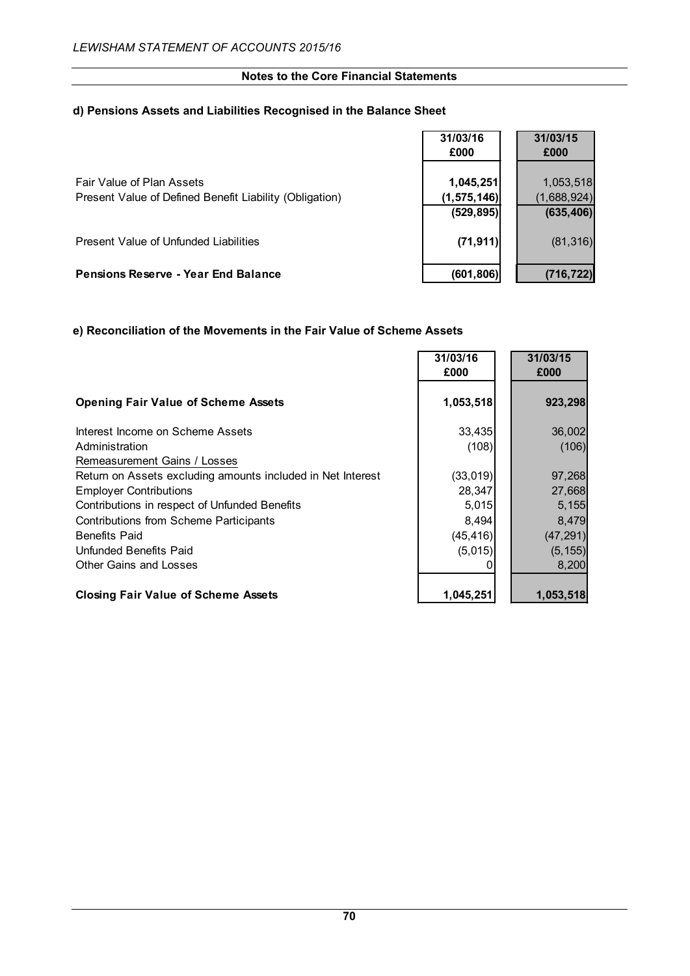# **d) Pensions Assets and Liabilities Recognised in the Balance Sheet**

|                                                         | 31/03/16      | 31/03/15    |
|---------------------------------------------------------|---------------|-------------|
|                                                         | £000          | £000        |
| Fair Value of Plan Assets                               | 1,045,251     | 1,053,518   |
| Present Value of Defined Benefit Liability (Obligation) | (1, 575, 146) | (1,688,924) |
|                                                         | (529, 895)    | (635, 406)  |
| Present Value of Unfunded Liabilities                   | (71, 911)     | (81, 316)   |
| <b>Pensions Reserve - Year End Balance</b>              | (601, 806)    | (716, 722)  |

## **e) Reconciliation of the Movements in the Fair Value of Scheme Assets**

|                                                             | 31/03/16<br>£000 | 31/03/15<br>£000 |
|-------------------------------------------------------------|------------------|------------------|
|                                                             |                  |                  |
| <b>Opening Fair Value of Scheme Assets</b>                  | 1,053,518        | 923,298          |
| Interest Income on Scheme Assets                            | 33,435           | 36,002           |
| Administration                                              | (108)            | (106)            |
| Remeasurement Gains / Losses                                |                  |                  |
| Return on Assets excluding amounts included in Net Interest | (33,019)         | 97,268           |
| <b>Employer Contributions</b>                               | 28,347           | 27,668           |
| Contributions in respect of Unfunded Benefits               | 5,015            | 5,155            |
| Contributions from Scheme Participants                      | 8,494            | 8,479            |
| <b>Benefits Paid</b>                                        | (45, 416)        | (47, 291)        |
| Unfunded Benefits Paid                                      | (5,015)          | (5, 155)         |
| <b>Other Gains and Losses</b>                               |                  | 8,200            |
| <b>Closing Fair Value of Scheme Assets</b>                  | 1,045,251        | 1,053,518        |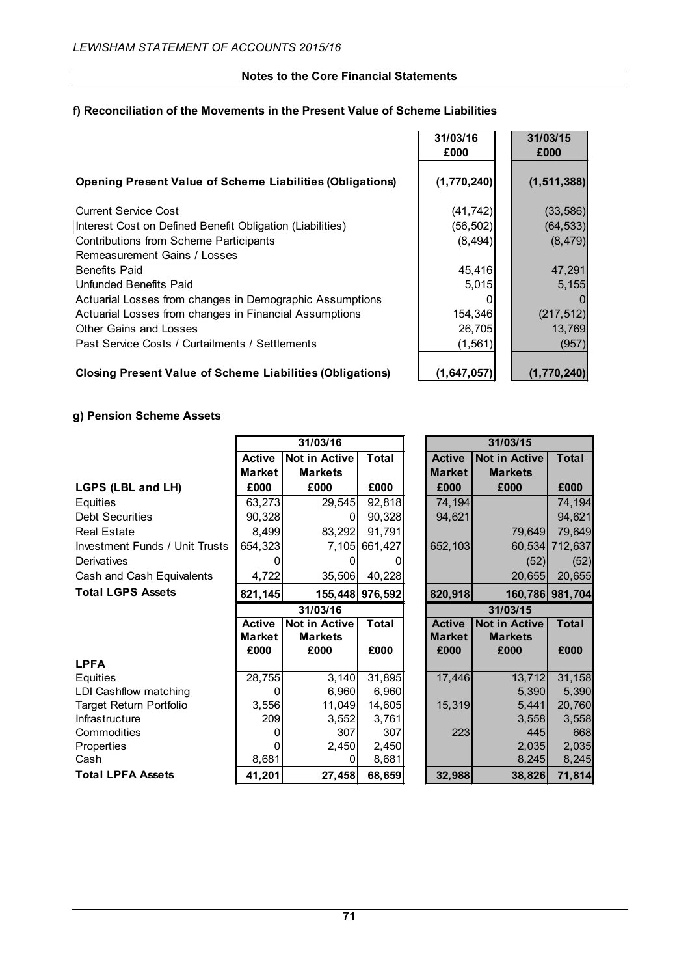## **f) Reconciliation of the Movements in the Present Value of Scheme Liabilities**

|                                                                  | 31/03/16<br>£000 | 31/03/15<br>£000 |
|------------------------------------------------------------------|------------------|------------------|
| <b>Opening Present Value of Scheme Liabilities (Obligations)</b> | (1,770,240)      | (1, 511, 388)    |
| Current Service Cost                                             | (41, 742)        | (33, 586)        |
| Interest Cost on Defined Benefit Obligation (Liabilities)        | (56, 502)        | (64, 533)        |
| <b>Contributions from Scheme Participants</b>                    | (8, 494)         | (8, 479)         |
| Remeasurement Gains / Losses                                     |                  |                  |
| <b>Benefits Paid</b>                                             | 45,416           | 47,291           |
| Unfunded Benefits Paid                                           | 5,015            | 5,155            |
| Actuarial Losses from changes in Demographic Assumptions         |                  | $\Omega$         |
| Actuarial Losses from changes in Financial Assumptions           | 154,346          | (217, 512)       |
| Other Gains and Losses                                           | 26,705           | 13,769           |
| Past Service Costs / Curtailments / Settlements                  | (1, 561)         | (957)            |
|                                                                  |                  |                  |

## **Closing Present Value of Scheme Liabilities (Obligations) (1,647,057) (1,770,240)**

## **g) Pension Scheme Assets**

|                                       |               | 31/03/16             |                 |               | 31/03/15             |                 |
|---------------------------------------|---------------|----------------------|-----------------|---------------|----------------------|-----------------|
|                                       | <b>Active</b> | <b>Not in Active</b> | <b>Total</b>    | <b>Active</b> | <b>Not in Active</b> | <b>Total</b>    |
|                                       | <b>Market</b> | <b>Markets</b>       |                 | <b>Market</b> | <b>Markets</b>       |                 |
| LGPS (LBL and LH)                     | £000          | £000                 | £000            | £000          | £000                 | £000            |
| <b>Equities</b>                       | 63,273        | 29,545               | 92,818          | 74,194        |                      | 74,194          |
| <b>Debt Securities</b>                | 90,328        | O                    | 90,328          | 94,621        |                      | 94,621          |
| <b>Real Estate</b>                    | 8,499         | 83,292               | 91,791          |               | 79,649               | 79,649          |
| <b>Investment Funds / Unit Trusts</b> | 654,323       | 7,105                | 661,427         | 652,103       | 60,534               | 712,637         |
| Derivatives                           |               | O                    |                 |               | (52)                 | (52)            |
| Cash and Cash Equivalents             | 4,722         | 35,506               | 40,228          |               | 20,655               | 20,655          |
| <b>Total LGPS Assets</b>              | 821,145       |                      | 155,448 976,592 | 820,918       |                      | 160,786 981,704 |
|                                       |               | 31/03/16             |                 | 31/03/15      |                      |                 |
|                                       | <b>Active</b> | <b>Not in Active</b> | <b>Total</b>    | <b>Active</b> | <b>Not in Active</b> | <b>Total</b>    |
|                                       | <b>Market</b> | <b>Markets</b>       |                 | <b>Market</b> | <b>Markets</b>       |                 |
|                                       | £000          | £000                 | £000            | £000          | £000                 | £000            |
| <b>LPFA</b>                           |               |                      |                 |               |                      |                 |
| Equities                              | 28,755        | 3,140                | 31,895          | 17,446        | 13,712               | 31,158          |
| LDI Cashflow matching                 |               | 6,960                | 6,960           |               | 5,390                | 5,390           |
| Target Return Portfolio               | 3,556         | 11,049               | 14,605          | 15,319        | 5,441                | 20,760          |
| Infrastructure                        | 209           | 3,552                | 3,761           |               | 3,558                | 3,558           |
| Commodities                           |               | 307                  | 307             | 223           | 445                  | 668             |
| Properties                            |               | 2,450                | 2,450           |               | 2,035                | 2,035           |
| Cash                                  | 8,681         | 0                    | 8,681           |               | 8,245                | 8,245           |
| <b>Total LPFA Assets</b>              | 41,201        | 27,458               | 68,659          | 32,988        | 38,826               | 71,814          |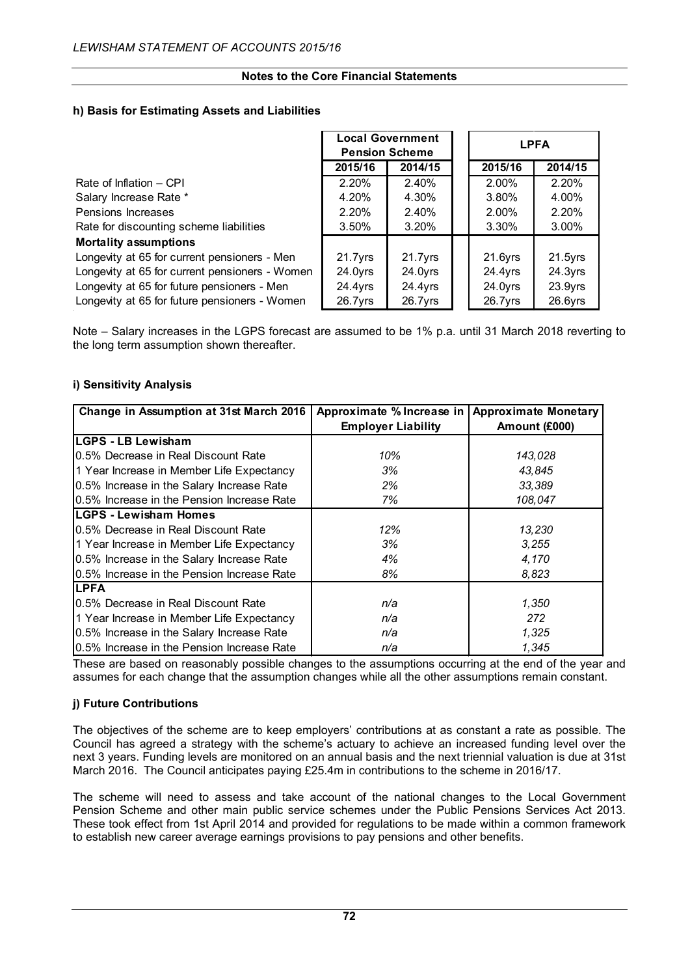## **h) Basis for Estimating Assets and Liabilities**

|                                                | <b>Local Government</b><br><b>Pension Scheme</b> |            |  | <b>LPFA</b> |            |  |  |
|------------------------------------------------|--------------------------------------------------|------------|--|-------------|------------|--|--|
|                                                | 2015/16                                          | 2014/15    |  | 2015/16     | 2014/15    |  |  |
| Rate of Inflation – CPI                        | 2.20%                                            | 2.40%      |  | 2.00%       | 2.20%      |  |  |
| Salary Increase Rate *                         | 4.20%                                            | 4.30%      |  | 3.80%       | 4.00%      |  |  |
| Pensions Increases                             | 2.20%                                            | 2.40%      |  | 2.00%       | 2.20%      |  |  |
| Rate for discounting scheme liabilities        | $3.50\%$                                         | 3.20%      |  | $3.30\%$    | 3.00%      |  |  |
| <b>Mortality assumptions</b>                   |                                                  |            |  |             |            |  |  |
| Longevity at 65 for current pensioners - Men   | $21.7$ yrs                                       | $21.7$ yrs |  | $21.6$ yrs  | $21.5$ yrs |  |  |
| Longevity at 65 for current pensioners - Women | 24.0yrs                                          | 24.0yrs    |  | 24.4yrs     | 24.3yrs    |  |  |
| Longevity at 65 for future pensioners - Men    | 24.4yrs                                          | 24.4yrs    |  | 24.0yrs     | $23.9$ yrs |  |  |
| Longevity at 65 for future pensioners - Women  | $26.7$ yrs                                       | $26.7$ yrs |  | $26.7$ yrs  | $26.6$ yrs |  |  |

Note – Salary increases in the LGPS forecast are assumed to be 1% p.a. until 31 March 2018 reverting to the long term assumption shown thereafter.

## **i) Sensitivity Analysis**

| Change in Assumption at 31st March 2016    | Approximate % Increase in | <b>Approximate Monetary</b> |
|--------------------------------------------|---------------------------|-----------------------------|
|                                            | <b>Employer Liability</b> | Amount (£000)               |
| <b>LGPS - LB Lewisham</b>                  |                           |                             |
| 0.5% Decrease in Real Discount Rate        | 10%                       | 143,028                     |
| 1 Year Increase in Member Life Expectancy  | 3%                        | 43,845                      |
| 0.5% Increase in the Salary Increase Rate  | 2%                        | 33,389                      |
| 0.5% Increase in the Pension Increase Rate | 7%                        | 108,047                     |
| <b>LGPS - Lewisham Homes</b>               |                           |                             |
| 0.5% Decrease in Real Discount Rate        | 12%                       | 13,230                      |
| 1 Year Increase in Member Life Expectancy  | 3%                        | 3,255                       |
| 0.5% Increase in the Salary Increase Rate  | 4%                        | 4,170                       |
| 0.5% Increase in the Pension Increase Rate | 8%                        | 8,823                       |
| <b>LPFA</b>                                |                           |                             |
| 0.5% Decrease in Real Discount Rate        | n/a                       | 1,350                       |
| 1 Year Increase in Member Life Expectancy  | n/a                       | 272                         |
| 0.5% Increase in the Salary Increase Rate  | n/a                       | 1,325                       |
| 0.5% Increase in the Pension Increase Rate | n/a                       | 1,345                       |

These are based on reasonably possible changes to the assumptions occurring at the end of the year and assumes for each change that the assumption changes while all the other assumptions remain constant.

## **j) Future Contributions**

The objectives of the scheme are to keep employers' contributions at as constant a rate as possible. The Council has agreed a strategy with the scheme's actuary to achieve an increased funding level over the next 3 years. Funding levels are monitored on an annual basis and the next triennial valuation is due at 31st March 2016. The Council anticipates paying £25.4m in contributions to the scheme in 2016/17.

The scheme will need to assess and take account of the national changes to the Local Government Pension Scheme and other main public service schemes under the Public Pensions Services Act 2013. These took effect from 1st April 2014 and provided for regulations to be made within a common framework to establish new career average earnings provisions to pay pensions and other benefits.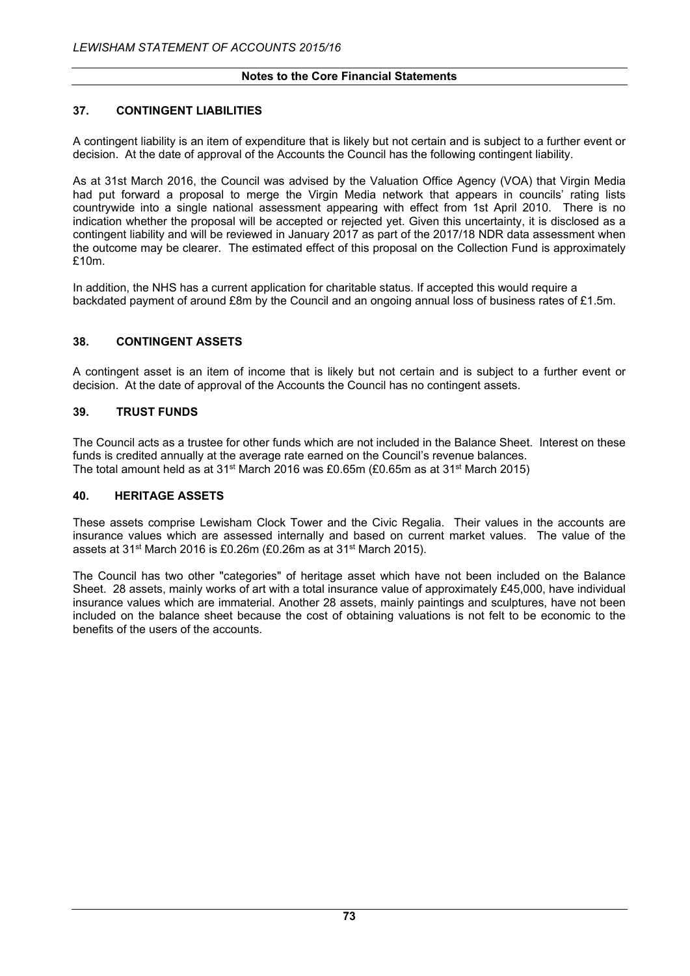## **37. CONTINGENT LIABILITIES**

A contingent liability is an item of expenditure that is likely but not certain and is subject to a further event or decision. At the date of approval of the Accounts the Council has the following contingent liability.

As at 31st March 2016, the Council was advised by the Valuation Office Agency (VOA) that Virgin Media had put forward a proposal to merge the Virgin Media network that appears in councils' rating lists countrywide into a single national assessment appearing with effect from 1st April 2010. There is no indication whether the proposal will be accepted or rejected yet. Given this uncertainty, it is disclosed as a contingent liability and will be reviewed in January 2017 as part of the 2017/18 NDR data assessment when the outcome may be clearer. The estimated effect of this proposal on the Collection Fund is approximately £10m.

In addition, the NHS has a current application for charitable status. If accepted this would require a backdated payment of around £8m by the Council and an ongoing annual loss of business rates of £1.5m.

## **38. CONTINGENT ASSETS**

A contingent asset is an item of income that is likely but not certain and is subject to a further event or decision. At the date of approval of the Accounts the Council has no contingent assets.

#### **39. TRUST FUNDS**

The Council acts as a trustee for other funds which are not included in the Balance Sheet. Interest on these funds is credited annually at the average rate earned on the Council's revenue balances. The total amount held as at 31<sup>st</sup> March 2016 was £0.65m (£0.65m as at 31<sup>st</sup> March 2015)

#### **40. HERITAGE ASSETS**

These assets comprise Lewisham Clock Tower and the Civic Regalia. Their values in the accounts are insurance values which are assessed internally and based on current market values. The value of the assets at 31st March 2016 is £0.26m (£0.26m as at 31st March 2015).

The Council has two other "categories" of heritage asset which have not been included on the Balance Sheet. 28 assets, mainly works of art with a total insurance value of approximately £45,000, have individual insurance values which are immaterial. Another 28 assets, mainly paintings and sculptures, have not been included on the balance sheet because the cost of obtaining valuations is not felt to be economic to the benefits of the users of the accounts.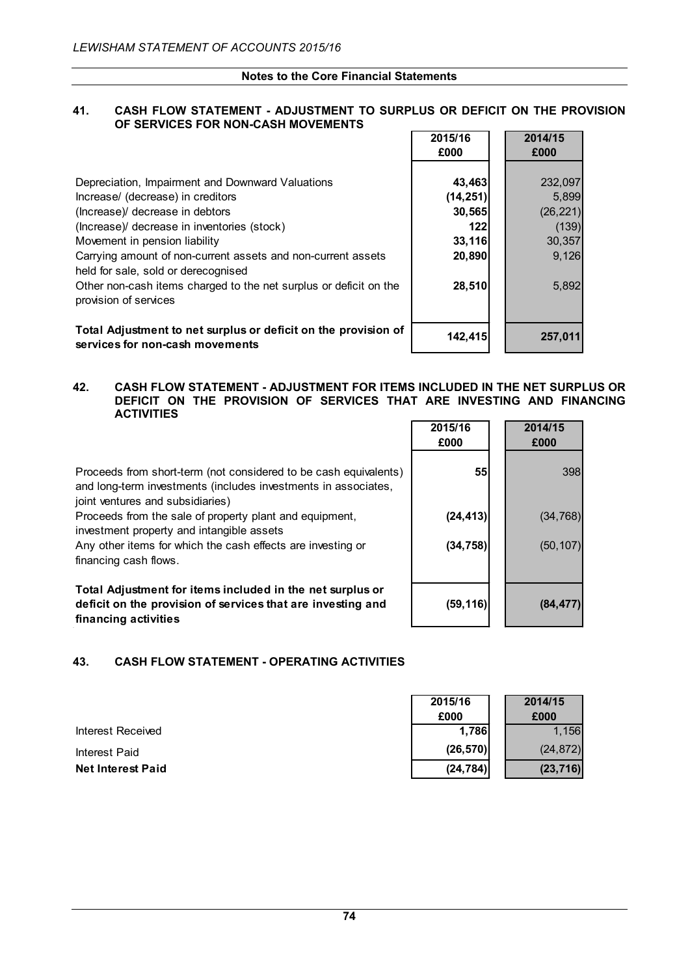### **Notes to the Core Financial Statements**

### **41. CASH FLOW STATEMENT - ADJUSTMENT TO SURPLUS OR DEFICIT ON THE PROVISION OF SERVICES FOR NON-CASH MOVEMENTS**

|                                                                                                     | 2015/16<br>£000 | 2014/15<br>£000 |
|-----------------------------------------------------------------------------------------------------|-----------------|-----------------|
| Depreciation, Impairment and Downward Valuations                                                    | 43,463          | 232,097         |
| Increase/ (decrease) in creditors                                                                   | (14, 251)       | 5,899           |
| (Increase)/ decrease in debtors                                                                     | 30,565          | (26, 221)       |
| (Increase)/ decrease in inventories (stock)                                                         | 122             | (139)           |
| Movement in pension liability                                                                       | 33,116          | 30,357          |
| Carrying amount of non-current assets and non-current assets<br>held for sale, sold or derecognised | 20,890          | 9,126           |
| Other non-cash items charged to the net surplus or deficit on the<br>provision of services          | 28,510          | 5,892           |
| Total Adjustment to net surplus or deficit on the provision of<br>services for non-cash movements   | 142,415         | 257,011         |

### **42. CASH FLOW STATEMENT - ADJUSTMENT FOR ITEMS INCLUDED IN THE NET SURPLUS OR DEFICIT ON THE PROVISION OF SERVICES THAT ARE INVESTING AND FINANCING ACTIVITIES**

Proceeds from short-term (not considered to be cash equivalents) and long-term investments (includes investments in associates, joint ventures and subsidiaries)

Proceeds from the sale of property plant and equipment,

investment property and intangible assets

Any other items for which the cash effects are investing or financing cash flows.

**Total Adjustment for items included in the net surplus or deficit on the provision of services that are investing and financing activities**

# **43. CASH FLOW STATEMENT - OPERATING ACTIVITIES**

|                          | 2015/16   | 2014/15   |
|--------------------------|-----------|-----------|
|                          | £000      | £000      |
| Interest Received        | 1.786     | 1.156     |
| Interest Paid            | (26, 570) | (24, 872) |
| <b>Net Interest Paid</b> | (24, 784) | (23, 716) |

| 2015/16<br>£000 | 2014/15<br>£000 |
|-----------------|-----------------|
| 55              | 398             |
| (24, 413)       | (34, 768)       |
| (34, 758)       | (50, 107)       |
|                 |                 |
| (59, 116)       | (84, 477)       |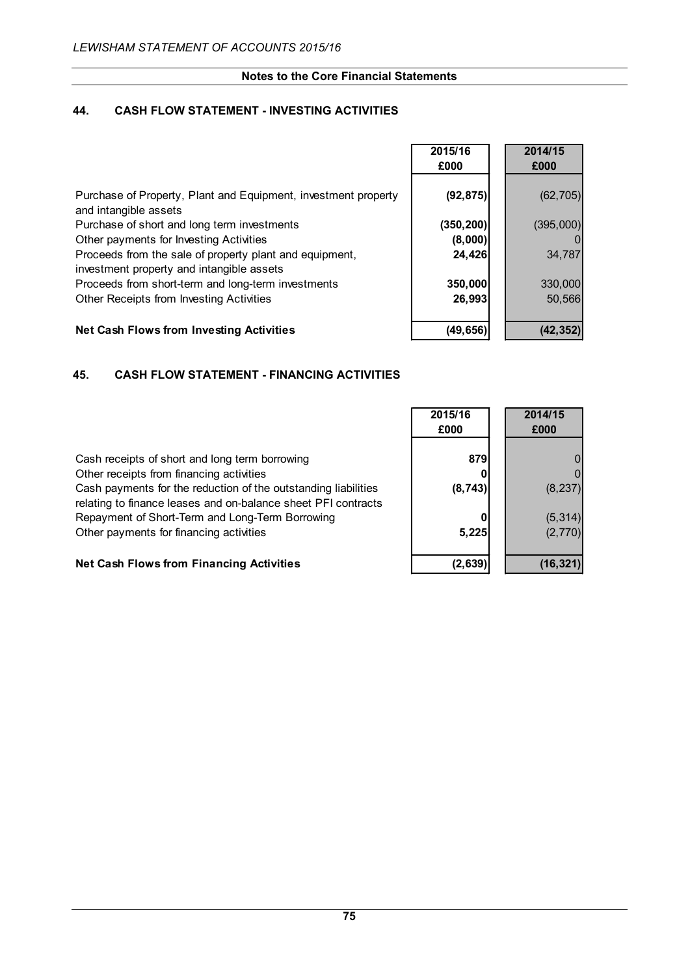# **Notes to the Core Financial Statements**

# **44. CASH FLOW STATEMENT - INVESTING ACTIVITIES**

|                                                                                         | 2015/16    | 2014/15   |
|-----------------------------------------------------------------------------------------|------------|-----------|
|                                                                                         | £000       | £000      |
| Purchase of Property, Plant and Equipment, investment property<br>and intangible assets | (92, 875)  | (62, 705) |
| Purchase of short and long term investments                                             | (350, 200) | (395,000) |
| Other payments for Investing Activities                                                 | (8,000)    |           |
| Proceeds from the sale of property plant and equipment,                                 | 24,426     | 34,787    |
| investment property and intangible assets                                               |            |           |
| Proceeds from short-term and long-term investments                                      | 350,000    | 330,000   |
| Other Receipts from Investing Activities                                                | 26,993     | 50,566    |
|                                                                                         |            |           |
| <b>Net Cash Flows from Investing Activities</b>                                         | (49, 656)  | (42, 352) |

# **45. CASH FLOW STATEMENT - FINANCING ACTIVITIES**

|                                                                                                                                 | 2015/16<br>£000 | 2014/15<br>£000 |
|---------------------------------------------------------------------------------------------------------------------------------|-----------------|-----------------|
| Cash receipts of short and long term borrowing                                                                                  | 879             |                 |
| Other receipts from financing activities                                                                                        |                 |                 |
| Cash payments for the reduction of the outstanding liabilities<br>relating to finance leases and on-balance sheet PFI contracts | (8, 743)        | (8, 237)        |
| Repayment of Short-Term and Long-Term Borrowing                                                                                 |                 | (5, 314)        |
| Other payments for financing activities                                                                                         | 5,225           | (2,770)         |
|                                                                                                                                 |                 |                 |

# **Net Cash Flows from Financing Activities (2,639) (16,321)**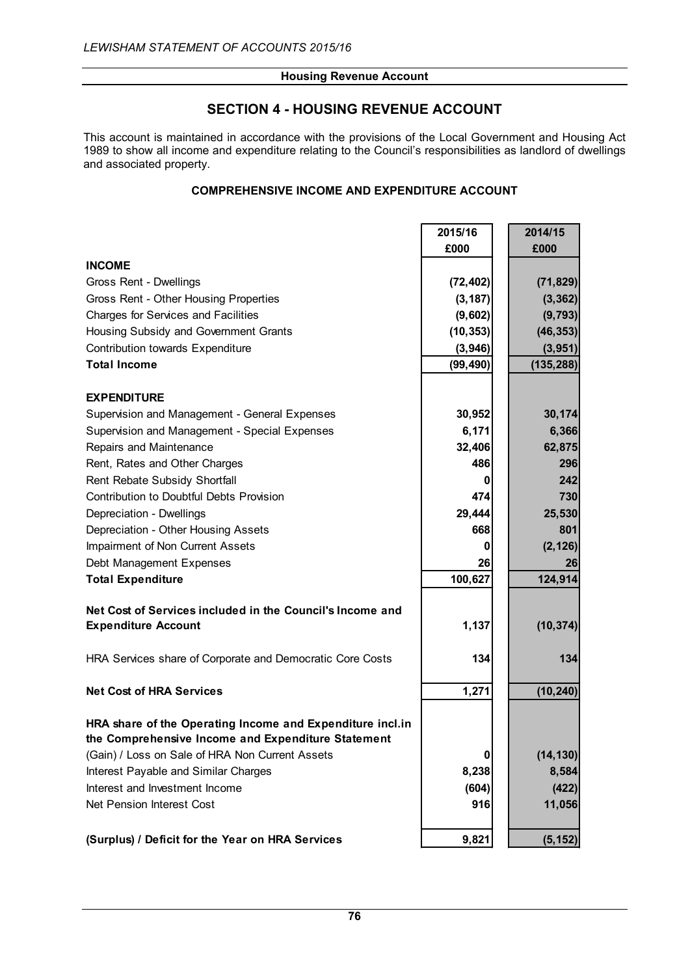# **SECTION 4 - HOUSING REVENUE ACCOUNT**

This account is maintained in accordance with the provisions of the Local Government and Housing Act 1989 to show all income and expenditure relating to the Council's responsibilities as landlord of dwellings and associated property.

# **COMPREHENSIVE INCOME AND EXPENDITURE ACCOUNT**

|                                                                                                                 | 2015/16   | 2014/15    |
|-----------------------------------------------------------------------------------------------------------------|-----------|------------|
|                                                                                                                 | £000      | £000       |
| <b>INCOME</b>                                                                                                   |           |            |
| Gross Rent - Dwellings                                                                                          | (72, 402) | (71, 829)  |
| Gross Rent - Other Housing Properties                                                                           | (3, 187)  | (3, 362)   |
| <b>Charges for Services and Facilities</b>                                                                      | (9,602)   | (9, 793)   |
| Housing Subsidy and Government Grants                                                                           | (10, 353) | (46, 353)  |
| Contribution towards Expenditure                                                                                | (3,946)   | (3,951)    |
| <b>Total Income</b>                                                                                             | (99, 490) | (135, 288) |
| <b>EXPENDITURE</b>                                                                                              |           |            |
| Supervision and Management - General Expenses                                                                   | 30,952    | 30,174     |
| Supervision and Management - Special Expenses                                                                   | 6,171     | 6,366      |
| Repairs and Maintenance                                                                                         | 32,406    | 62,875     |
| Rent, Rates and Other Charges                                                                                   | 486       | 296        |
| Rent Rebate Subsidy Shortfall                                                                                   | 0         | 242        |
| Contribution to Doubtful Debts Provision                                                                        | 474       | 730        |
| Depreciation - Dwellings                                                                                        | 29,444    | 25,530     |
| Depreciation - Other Housing Assets                                                                             | 668       | 801        |
| Impairment of Non Current Assets                                                                                | 0         | (2, 126)   |
| Debt Management Expenses                                                                                        | 26        | 26         |
| <b>Total Expenditure</b>                                                                                        | 100,627   | 124,914    |
| Net Cost of Services included in the Council's Income and                                                       |           |            |
| <b>Expenditure Account</b>                                                                                      | 1,137     | (10, 374)  |
| HRA Services share of Corporate and Democratic Core Costs                                                       | 134       | 134        |
| <b>Net Cost of HRA Services</b>                                                                                 | 1,271     | (10, 240)  |
| HRA share of the Operating Income and Expenditure incl.in<br>the Comprehensive Income and Expenditure Statement |           |            |
| (Gain) / Loss on Sale of HRA Non Current Assets                                                                 | 0         | (14, 130)  |
| Interest Payable and Similar Charges                                                                            | 8,238     | 8,584      |
| Interest and Investment Income                                                                                  | (604)     | (422)      |
| Net Pension Interest Cost                                                                                       | 916       | 11,056     |
| (Surplus) / Deficit for the Year on HRA Services                                                                | 9,821     | (5, 152)   |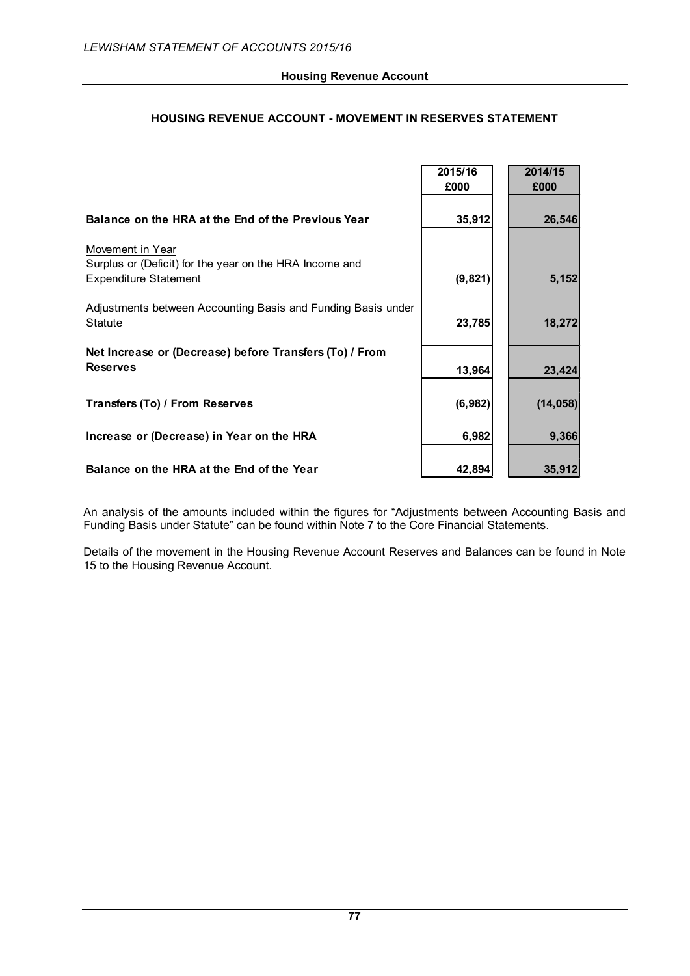# **HOUSING REVENUE ACCOUNT - MOVEMENT IN RESERVES STATEMENT**

|                                                                                                             | 2015/16<br>£000 | 2014/15<br>£000 |
|-------------------------------------------------------------------------------------------------------------|-----------------|-----------------|
| Balance on the HRA at the End of the Previous Year                                                          | 35,912          | 26,546          |
| Movement in Year<br>Surplus or (Deficit) for the year on the HRA Income and<br><b>Expenditure Statement</b> | (9, 821)        | 5,152           |
| Adjustments between Accounting Basis and Funding Basis under<br><b>Statute</b>                              | 23,785          | 18,272          |
| Net Increase or (Decrease) before Transfers (To) / From<br><b>Reserves</b>                                  | 13,964          | 23,424          |
| Transfers (To) / From Reserves                                                                              | (6, 982)        | (14, 058)       |
| Increase or (Decrease) in Year on the HRA                                                                   | 6,982           | 9,366           |
| Balance on the HRA at the End of the Year                                                                   | 42,894          | 35,912          |

An analysis of the amounts included within the figures for "Adjustments between Accounting Basis and Funding Basis under Statute" can be found within Note 7 to the Core Financial Statements.

Details of the movement in the Housing Revenue Account Reserves and Balances can be found in Note 15 to the Housing Revenue Account.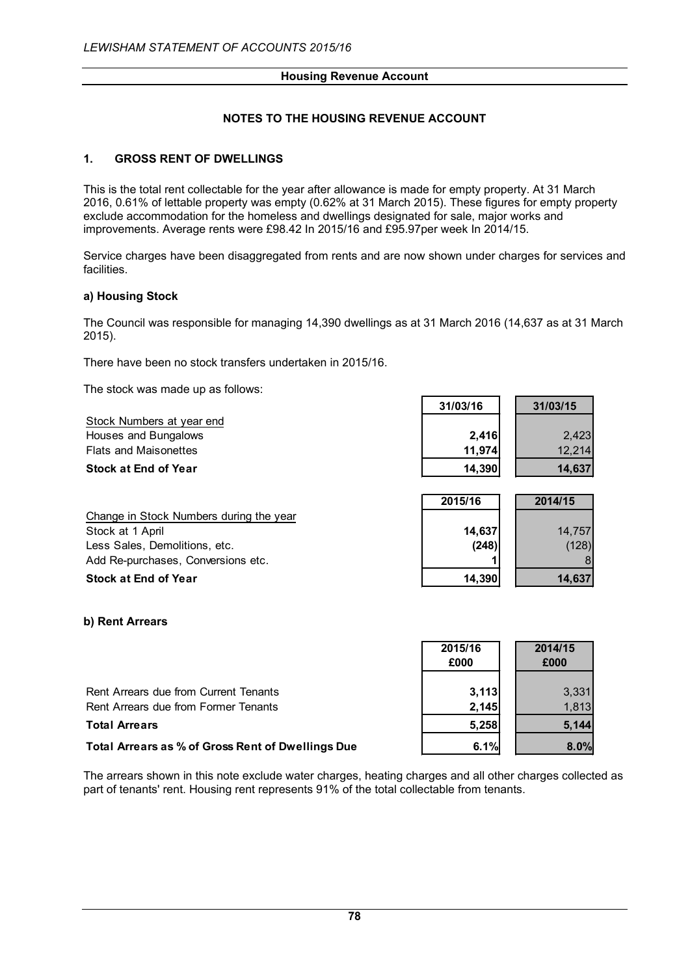# **NOTES TO THE HOUSING REVENUE ACCOUNT**

### **1. GROSS RENT OF DWELLINGS**

This is the total rent collectable for the year after allowance is made for empty property. At 31 March 2016, 0.61% of lettable property was empty (0.62% at 31 March 2015). These figures for empty property exclude accommodation for the homeless and dwellings designated for sale, major works and improvements. Average rents were £98.42 In 2015/16 and £95.97per week In 2014/15.

Service charges have been disaggregated from rents and are now shown under charges for services and facilities.

### **a) Housing Stock**

The Council was responsible for managing 14,390 dwellings as at 31 March 2016 (14,637 as at 31 March 2015).

There have been no stock transfers undertaken in 2015/16.

The stock was made up as follows:

Stock Numbers at year end **Houses and Bungalows Flats and Maisonettes** 

**Stock** at **End** of **Year** 

Change in Stock Numbers during the year Stock at 1 April Less Sales, Demolitions, etc. Add Re-purchases, Conversions etc. **Stock at End of Year** 

| 31/03/16 | 31/03/15 |
|----------|----------|
|          |          |
| 2,416    | 2,423    |
| 11,974   | 12,214   |
| 14,390   | 14,637   |
|          |          |

| 2015/16         | 2014/15         |
|-----------------|-----------------|
| 14,637<br>(248) | 14,757<br>(128) |
| 14,390          | 14,637          |

### **b) Rent Arrears**

|                                                   | 2015/16<br>£000 | 2014/15<br>£000 |
|---------------------------------------------------|-----------------|-----------------|
| Rent Arrears due from Current Tenants             | 3,113           | 3,331           |
| Rent Arrears due from Former Tenants              | 2.145           | 1.813           |
| <b>Total Arrears</b>                              | 5,258           | 5.144           |
| Total Arrears as % of Gross Rent of Dwellings Due | 6.1%            | $8.0\%$         |

The arrears shown in this note exclude water charges, heating charges and all other charges collected as part of tenants' rent. Housing rent represents 91% of the total collectable from tenants.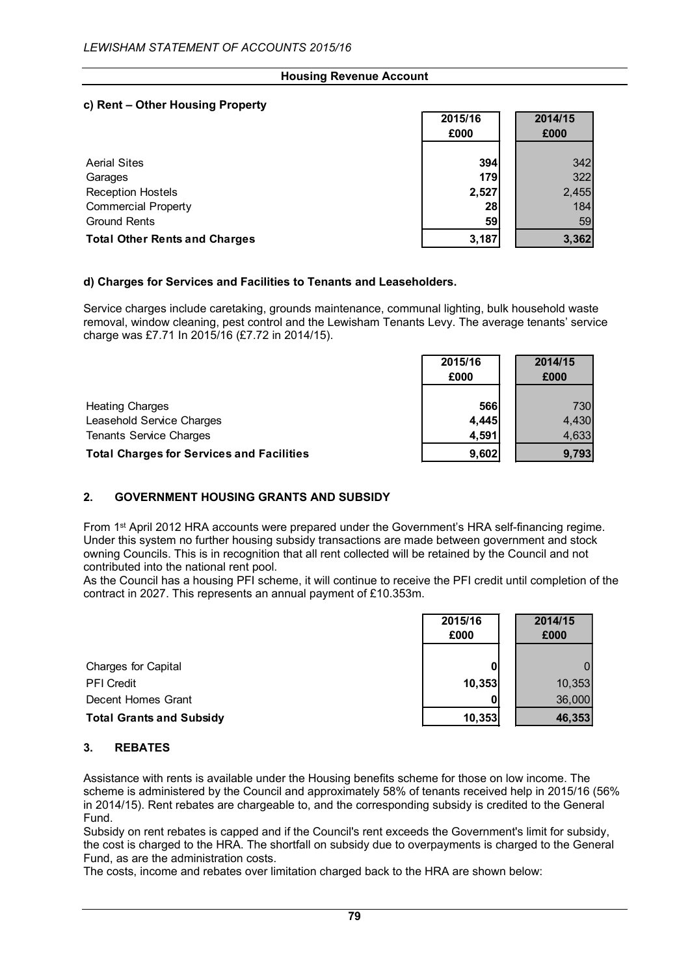# **c) Rent – Other Housing Property**

|                                      | 2015/16<br>£000 | 2014/15<br>£000 |
|--------------------------------------|-----------------|-----------------|
| <b>Aerial Sites</b>                  | 394             | 342             |
| Garages                              | 179             | 322             |
| <b>Reception Hostels</b>             | 2,527           | 2,455           |
| <b>Commercial Property</b>           | 28              | 184             |
| <b>Ground Rents</b>                  | 59              | 59              |
| <b>Total Other Rents and Charges</b> | 3.187           | 3,362           |

### **d) Charges for Services and Facilities to Tenants and Leaseholders.**

Service charges include caretaking, grounds maintenance, communal lighting, bulk household waste removal, window cleaning, pest control and the Lewisham Tenants Levy. The average tenants' service charge was £7.71 In 2015/16 (£7.72 in 2014/15).

|                                                  | 2015/16<br>£000 | 2014/15<br>£000 |
|--------------------------------------------------|-----------------|-----------------|
|                                                  |                 |                 |
| <b>Heating Charges</b>                           | 566             | 730             |
| Leasehold Service Charges                        | 4,445           | 4,430           |
| <b>Tenants Service Charges</b>                   | 4,591           | 4,633           |
| <b>Total Charges for Services and Facilities</b> | 9,602           | 9,793           |

# **2. GOVERNMENT HOUSING GRANTS AND SUBSIDY**

From 1<sup>st</sup> April 2012 HRA accounts were prepared under the Government's HRA self-financing regime. Under this system no further housing subsidy transactions are made between government and stock owning Councils. This is in recognition that all rent collected will be retained by the Council and not contributed into the national rent pool.

As the Council has a housing PFI scheme, it will continue to receive the PFI credit until completion of the contract in 2027. This represents an annual payment of £10.353m.

|                                 | 2015/16 | 2014/15 |
|---------------------------------|---------|---------|
|                                 | £000    | £000    |
| Charges for Capital             |         |         |
| <b>PFI</b> Credit               | 10,353  | 10,353  |
| Decent Homes Grant              |         | 36,000  |
| <b>Total Grants and Subsidy</b> | 10,353  | 46,353  |

### **3. REBATES**

Assistance with rents is available under the Housing benefits scheme for those on low income. The scheme is administered by the Council and approximately 58% of tenants received help in 2015/16 (56% in 2014/15). Rent rebates are chargeable to, and the corresponding subsidy is credited to the General Fund.

Subsidy on rent rebates is capped and if the Council's rent exceeds the Government's limit for subsidy, the cost is charged to the HRA. The shortfall on subsidy due to overpayments is charged to the General Fund, as are the administration costs.

The costs, income and rebates over limitation charged back to the HRA are shown below: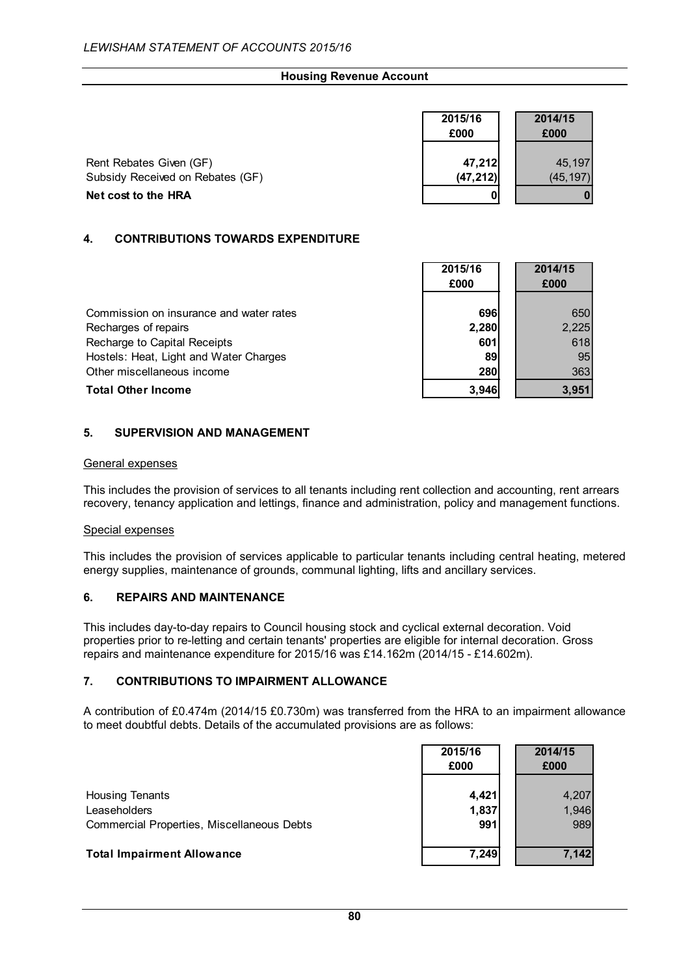|                                  | 2015/16<br>£000 | 2014/15<br>£000 |
|----------------------------------|-----------------|-----------------|
| Rent Rebates Given (GF)          | 47,212          | 45,197          |
| Subsidy Received on Rebates (GF) | (47, 212)       | (45, 197)       |
| Net cost to the HRA              |                 |                 |

## **4. CONTRIBUTIONS TOWARDS EXPENDITURE**

|                                         | £000  | £000  |
|-----------------------------------------|-------|-------|
|                                         |       |       |
| Commission on insurance and water rates | 696   | 650   |
| Recharges of repairs                    | 2,280 | 2,225 |
| Recharge to Capital Receipts            | 601   | 618   |
| Hostels: Heat, Light and Water Charges  | 89    | 95    |
| Other miscellaneous income              | 280   | 363   |
| <b>Total Other Income</b>               | 3,946 | 3.951 |

**2015/16 2014/15**

Г

### **5. SUPERVISION AND MANAGEMENT**

### General expenses

This includes the provision of services to all tenants including rent collection and accounting, rent arrears recovery, tenancy application and lettings, finance and administration, policy and management functions.

### Special expenses

This includes the provision of services applicable to particular tenants including central heating, metered energy supplies, maintenance of grounds, communal lighting, lifts and ancillary services.

### **6. REPAIRS AND MAINTENANCE**

This includes day-to-day repairs to Council housing stock and cyclical external decoration. Void properties prior to re-letting and certain tenants' properties are eligible for internal decoration. Gross repairs and maintenance expenditure for 2015/16 was £14.162m (2014/15 - £14.602m).

## **7. CONTRIBUTIONS TO IMPAIRMENT ALLOWANCE**

A contribution of £0.474m (2014/15 £0.730m) was transferred from the HRA to an impairment allowance to meet doubtful debts. Details of the accumulated provisions are as follows:

|                                            | 2015/16<br>£000 | 2014/15<br>£000 |
|--------------------------------------------|-----------------|-----------------|
| <b>Housing Tenants</b>                     | 4,421           | 4,207           |
| Leaseholders                               | 1,837           | 1,946           |
| Commercial Properties, Miscellaneous Debts | 991             | 989             |
| <b>Total Impairment Allowance</b>          | 7,249           | 7,142           |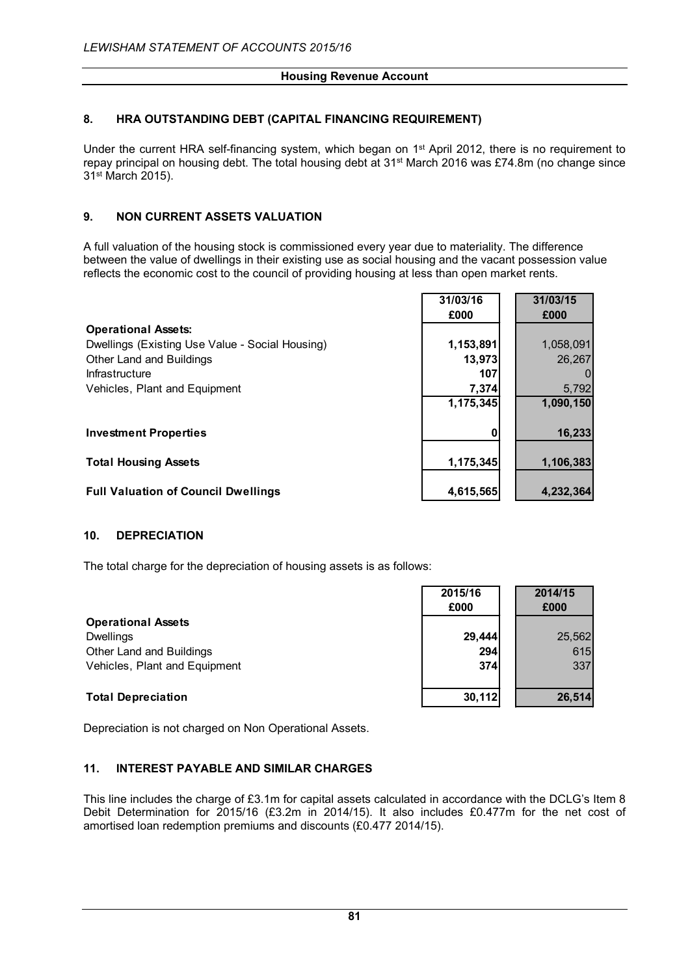# **8. HRA OUTSTANDING DEBT (CAPITAL FINANCING REQUIREMENT)**

Under the current HRA self-financing system, which began on 1<sup>st</sup> April 2012, there is no requirement to repay principal on housing debt. The total housing debt at 31<sup>st</sup> March 2016 was £74.8m (no change since 31st March 2015).

# **9. NON CURRENT ASSETS VALUATION**

A full valuation of the housing stock is commissioned every year due to materiality. The difference between the value of dwellings in their existing use as social housing and the vacant possession value reflects the economic cost to the council of providing housing at less than open market rents.

|                                                 | 31/03/16  | 31/03/15  |
|-------------------------------------------------|-----------|-----------|
|                                                 | £000      | £000      |
| <b>Operational Assets:</b>                      |           |           |
| Dwellings (Existing Use Value - Social Housing) | 1,153,891 | 1,058,091 |
| Other Land and Buildings                        | 13,973    | 26,267    |
| Infrastructure                                  | 107       |           |
| Vehicles, Plant and Equipment                   | 7,374     | 5,792     |
|                                                 | 1,175,345 | 1,090,150 |
|                                                 |           |           |
| <b>Investment Properties</b>                    | n         | 16,233    |
|                                                 |           |           |
| <b>Total Housing Assets</b>                     | 1,175,345 | 1,106,383 |
|                                                 |           |           |
| <b>Full Valuation of Council Dwellings</b>      | 4,615,565 | 4,232,364 |

### **10. DEPRECIATION**

The total charge for the depreciation of housing assets is as follows:

|                               | 2015/16<br>£000 | 2014/15<br>£000 |
|-------------------------------|-----------------|-----------------|
| <b>Operational Assets</b>     |                 |                 |
| <b>Dwellings</b>              | 29,444          | 25,562          |
| Other Land and Buildings      | 294             | 615             |
| Vehicles, Plant and Equipment | <b>374</b>      | 337             |
| <b>Total Depreciation</b>     | 30,112          | 26,514          |

Depreciation is not charged on Non Operational Assets.

### **11. INTEREST PAYABLE AND SIMILAR CHARGES**

This line includes the charge of £3.1m for capital assets calculated in accordance with the DCLG's Item 8 Debit Determination for 2015/16 (£3.2m in 2014/15). It also includes £0.477m for the net cost of amortised loan redemption premiums and discounts (£0.477 2014/15).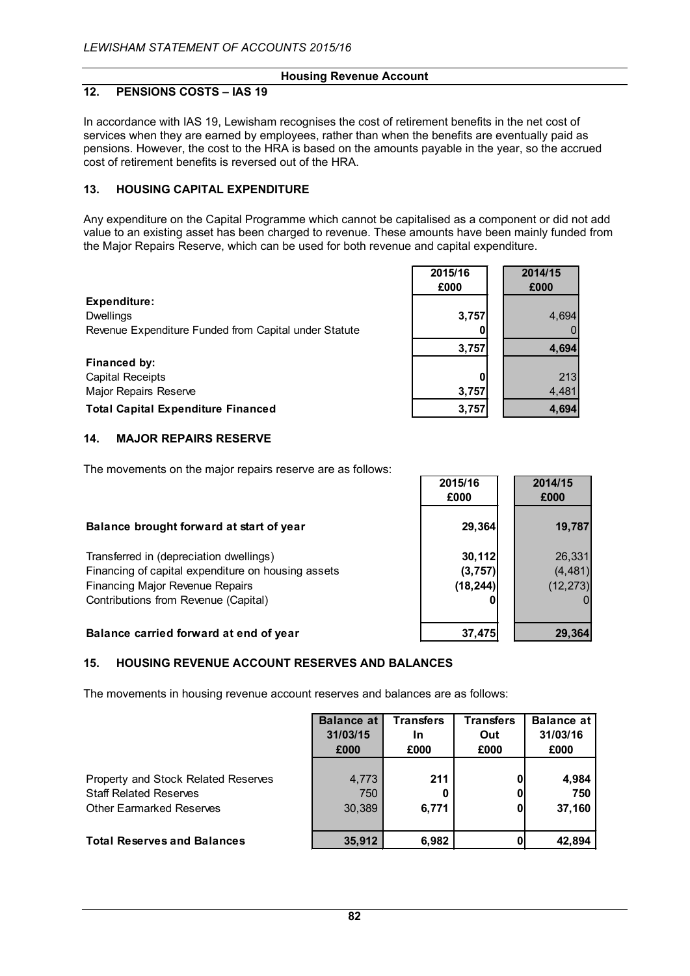### **12. PENSIONS COSTS – IAS 19**

In accordance with IAS 19, Lewisham recognises the cost of retirement benefits in the net cost of services when they are earned by employees, rather than when the benefits are eventually paid as pensions. However, the cost to the HRA is based on the amounts payable in the year, so the accrued cost of retirement benefits is reversed out of the HRA.

### **13. HOUSING CAPITAL EXPENDITURE**

Any expenditure on the Capital Programme which cannot be capitalised as a component or did not add value to an existing asset has been charged to revenue. These amounts have been mainly funded from the Major Repairs Reserve, which can be used for both revenue and capital expenditure.

> **2015/16 2014/15 £000 £000**

> > **3,757 4,694**

**2015/16 2014/15**

| Expenditure:                                          |       |       |
|-------------------------------------------------------|-------|-------|
| <b>Dwellings</b>                                      | 3.757 | 4.694 |
| Revenue Expenditure Funded from Capital under Statute |       |       |

**Financed by:** Capital Receipts **0** 213 Major Repairs Reserve **3,757 1** 4,481

**Total Capital Expenditure Financed 3,757 4,694**

### **14. MAJOR REPAIRS RESERVE**

The movements on the major repairs reserve are as follows:

|                                                    | <u>LU IVI IV</u><br>£000 | <u>LV 1-71 1 V</u><br>£000 |
|----------------------------------------------------|--------------------------|----------------------------|
| Balance brought forward at start of year           | 29,364                   | 19,787                     |
| Transferred in (depreciation dwellings)            | 30, 112                  | 26,331                     |
| Financing of capital expenditure on housing assets | (3,757)                  | (4, 481)                   |
| <b>Financing Major Revenue Repairs</b>             | (18, 244)                | (12, 273)                  |
| Contributions from Revenue (Capital)               |                          |                            |
| Balance carried forward at end of year             | 37.475                   | 29,364                     |

### **15. HOUSING REVENUE ACCOUNT RESERVES AND BALANCES**

The movements in housing revenue account reserves and balances are as follows:

|                                                                                                         | <b>Balance at</b><br>31/03/15<br>£000 | <b>Transfers</b><br>In<br>£000 | <b>Transfers</b><br>Out<br>£000 | <b>Balance at</b><br>31/03/16<br>£000 |
|---------------------------------------------------------------------------------------------------------|---------------------------------------|--------------------------------|---------------------------------|---------------------------------------|
| Property and Stock Related Reserves<br><b>Staff Related Reserves</b><br><b>Other Earmarked Reserves</b> | 4,773<br>750<br>30,389                | 211<br>6.771                   |                                 | 4,984<br>750<br>37,160                |
| <b>Total Reserves and Balances</b>                                                                      | 35,912                                | 6.982                          |                                 | 42.894                                |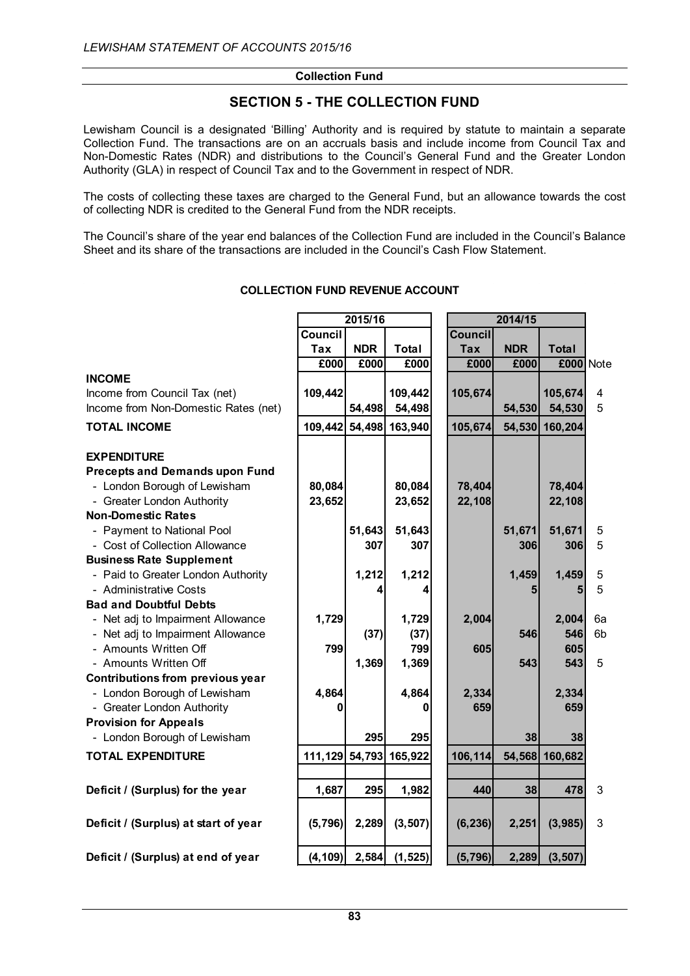# **SECTION 5 - THE COLLECTION FUND**

Lewisham Council is a designated 'Billing' Authority and is required by statute to maintain a separate Collection Fund. The transactions are on an accruals basis and include income from Council Tax and Non-Domestic Rates (NDR) and distributions to the Council's General Fund and the Greater London Authority (GLA) in respect of Council Tax and to the Government in respect of NDR.

The costs of collecting these taxes are charged to the General Fund, but an allowance towards the cost of collecting NDR is credited to the General Fund from the NDR receipts.

The Council's share of the year end balances of the Collection Fund are included in the Council's Balance Sheet and its share of the transactions are included in the Council's Cash Flow Statement.

|                                                              | 2015/16        |            |                | 2014/15        |            |                |    |
|--------------------------------------------------------------|----------------|------------|----------------|----------------|------------|----------------|----|
|                                                              | <b>Council</b> |            |                | <b>Council</b> |            |                |    |
|                                                              | <b>Tax</b>     | <b>NDR</b> | <b>Total</b>   | <b>Tax</b>     | <b>NDR</b> | <b>Total</b>   |    |
|                                                              | £000           | £000       | £000           | £000           | £000       | £000 Note      |    |
| <b>INCOME</b>                                                |                |            |                |                |            |                |    |
| Income from Council Tax (net)                                | 109,442        |            | 109,442        | 105,674        |            | 105,674        | 4  |
| Income from Non-Domestic Rates (net)                         |                | 54,498     | 54,498         |                | 54,530     | 54,530         | 5  |
| <b>TOTAL INCOME</b>                                          | 109,442        | 54,498     | 163,940        | 105,674        | 54,530     | 160,204        |    |
| <b>EXPENDITURE</b>                                           |                |            |                |                |            |                |    |
| <b>Precepts and Demands upon Fund</b>                        |                |            |                |                |            |                |    |
| - London Borough of Lewisham                                 | 80,084         |            | 80,084         | 78,404         |            | 78,404         |    |
| - Greater London Authority                                   | 23,652         |            | 23,652         | 22,108         |            | 22,108         |    |
| <b>Non-Domestic Rates</b>                                    |                |            |                |                |            |                |    |
| - Payment to National Pool                                   |                | 51,643     | 51,643         |                | 51,671     | 51,671         | 5  |
| - Cost of Collection Allowance                               |                | 307        | 307            |                | 306        | 306            | 5  |
| <b>Business Rate Supplement</b>                              |                |            |                |                |            |                |    |
| - Paid to Greater London Authority                           |                | 1,212      | 1,212          |                | 1,459      | 1,459          | 5  |
| - Administrative Costs                                       |                | 4          | 4              |                | 5          | 5              | 5  |
| <b>Bad and Doubtful Debts</b>                                |                |            |                |                |            |                |    |
| - Net adj to Impairment Allowance                            | 1,729          |            | 1,729          | 2,004          |            | 2,004          | 6a |
| - Net adj to Impairment Allowance                            |                | (37)       | (37)           |                | 546        | 546            | 6b |
| - Amounts Written Off                                        | 799            |            | 799            | 605            |            | 605            |    |
| - Amounts Written Off                                        |                | 1,369      | 1,369          |                | 543        | 543            | 5  |
| Contributions from previous year                             |                |            |                |                |            |                |    |
| - London Borough of Lewisham                                 | 4,864          |            | 4,864          | 2,334          |            | 2,334          |    |
| - Greater London Authority                                   |                |            | 0              | 659            |            | 659            |    |
| <b>Provision for Appeals</b><br>- London Borough of Lewisham |                | 295        | 295            |                | 38         | 38             |    |
| <b>TOTAL EXPENDITURE</b>                                     | 111,129        |            | 54,793 165,922 | 106,114        |            | 54,568 160,682 |    |
|                                                              |                |            |                |                |            |                |    |
| Deficit / (Surplus) for the year                             | 1,687          | 295        | 1,982          | 440            | 38         | 478            | 3  |
| Deficit / (Surplus) at start of year                         | (5,796)        | 2,289      | (3, 507)       | (6, 236)       | 2,251      | (3,985)        | 3  |
| Deficit / (Surplus) at end of year                           | (4, 109)       | 2,584      | (1, 525)       | (5, 796)       | 2,289      | (3, 507)       |    |

### **COLLECTION FUND REVENUE ACCOUNT**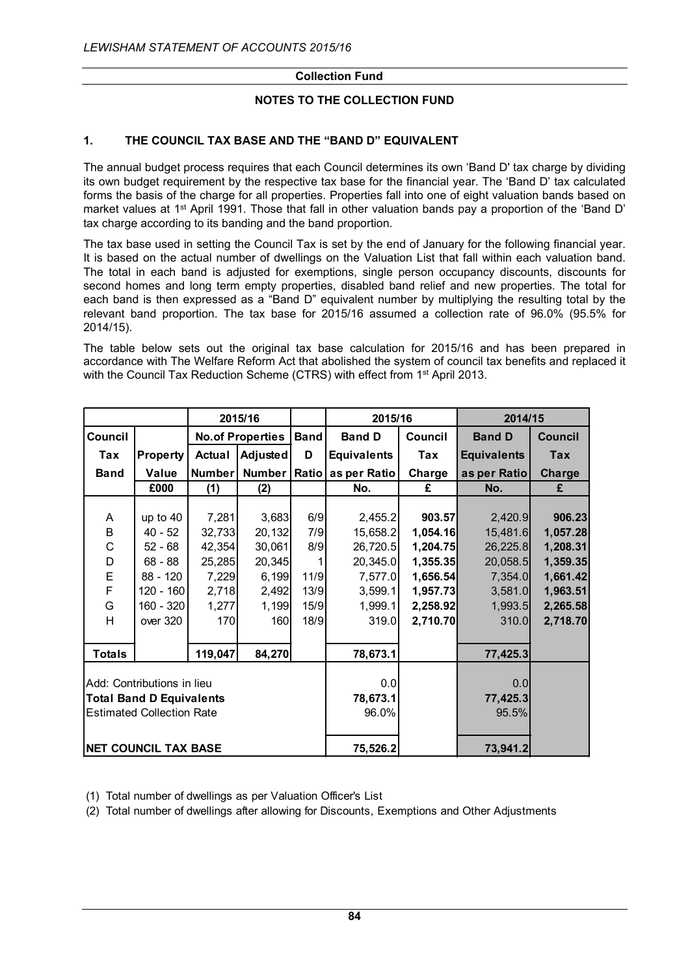# **NOTES TO THE COLLECTION FUND**

# **1. THE COUNCIL TAX BASE AND THE "BAND D" EQUIVALENT**

The annual budget process requires that each Council determines its own 'Band D' tax charge by dividing its own budget requirement by the respective tax base for the financial year. The 'Band D' tax calculated forms the basis of the charge for all properties. Properties fall into one of eight valuation bands based on market values at 1<sup>st</sup> April 1991. Those that fall in other valuation bands pay a proportion of the 'Band D' tax charge according to its banding and the band proportion.

The tax base used in setting the Council Tax is set by the end of January for the following financial year. It is based on the actual number of dwellings on the Valuation List that fall within each valuation band. The total in each band is adjusted for exemptions, single person occupancy discounts, discounts for second homes and long term empty properties, disabled band relief and new properties. The total for each band is then expressed as a "Band D" equivalent number by multiplying the resulting total by the relevant band proportion. The tax base for 2015/16 assumed a collection rate of 96.0% (95.5% for 2014/15).

The table below sets out the original tax base calculation for 2015/16 and has been prepared in accordance with The Welfare Reform Act that abolished the system of council tax benefits and replaced it with the Council Tax Reduction Scheme (CTRS) with effect from 1<sup>st</sup> April 2013.

|                                 |                                  | 2015/16       |                         |             | 2015/16            |                | 2014/15            |                |
|---------------------------------|----------------------------------|---------------|-------------------------|-------------|--------------------|----------------|--------------------|----------------|
| Council                         |                                  |               | <b>No.of Properties</b> | <b>Band</b> | <b>Band D</b>      | <b>Council</b> | <b>Band D</b>      | <b>Council</b> |
| Tax                             | <b>Property</b>                  | <b>Actual</b> | Adjusted                | D           | <b>Equivalents</b> | Tax            | <b>Equivalents</b> | <b>Tax</b>     |
| <b>Band</b>                     | Value                            | <b>Number</b> | Number                  |             | Ratio as per Ratio | Charge         | as per Ratio       | Charge         |
|                                 | £000                             | (1)           | (2)                     |             | No.                | £              | No.                | £              |
|                                 |                                  |               |                         |             |                    |                |                    |                |
| A                               | up to 40                         | 7,281         | 3,683                   | 6/9         | 2,455.2            | 903.57         | 2,420.9            | 906.23         |
| B                               | $40 - 52$                        | 32,733        | 20,132                  | 7/9         | 15,658.2           | 1,054.16       | 15,481.6           | 1,057.28       |
| C                               | $52 - 68$                        | 42,354        | 30,061                  | 8/9         | 26,720.5           | 1,204.75       | 26,225.8           | 1,208.31       |
| D                               | $68 - 88$                        | 25,285        | 20,345                  |             | 20,345.0           | 1,355.35       | 20,058.5           | 1,359.35       |
| E                               | 88 - 120                         | 7,229         | 6,199                   | 11/9        | 7,577.0            | 1,656.54       | 7,354.0            | 1,661.42       |
| F                               | $120 - 160$                      | 2,718         | 2,492                   | 13/9        | 3,599.1            | 1,957.73       | 3,581.0            | 1,963.51       |
| G                               | 160 - 320                        | 1,277         | 1,199                   | 15/9        | 1,999.1            | 2,258.92       | 1,993.5            | 2,265.58       |
| H                               | over 320                         | 170           | 160                     | 18/9        | 319.0              | 2,710.70       | 310.0              | 2,718.70       |
|                                 |                                  |               |                         |             |                    |                |                    |                |
| <b>Totals</b>                   |                                  | 119,047       | 84,270                  |             | 78,673.1           |                | 77,425.3           |                |
|                                 |                                  |               |                         |             |                    |                |                    |                |
|                                 | Add: Contributions in lieu       |               |                         |             | 0.0                |                | 0.0                |                |
| <b>Total Band D Equivalents</b> |                                  |               | 78,673.1                |             | 77,425.3           |                |                    |                |
|                                 | <b>Estimated Collection Rate</b> |               |                         |             | 96.0%              |                | 95.5%              |                |
|                                 |                                  |               |                         |             |                    |                |                    |                |
|                                 | <b>NET COUNCIL TAX BASE</b>      |               |                         |             | 75,526.2           |                | 73,941.2           |                |

(1) Total number of dwellings as per Valuation Officer's List

(2) Total number of dwellings after allowing for Discounts, Exemptions and Other Adjustments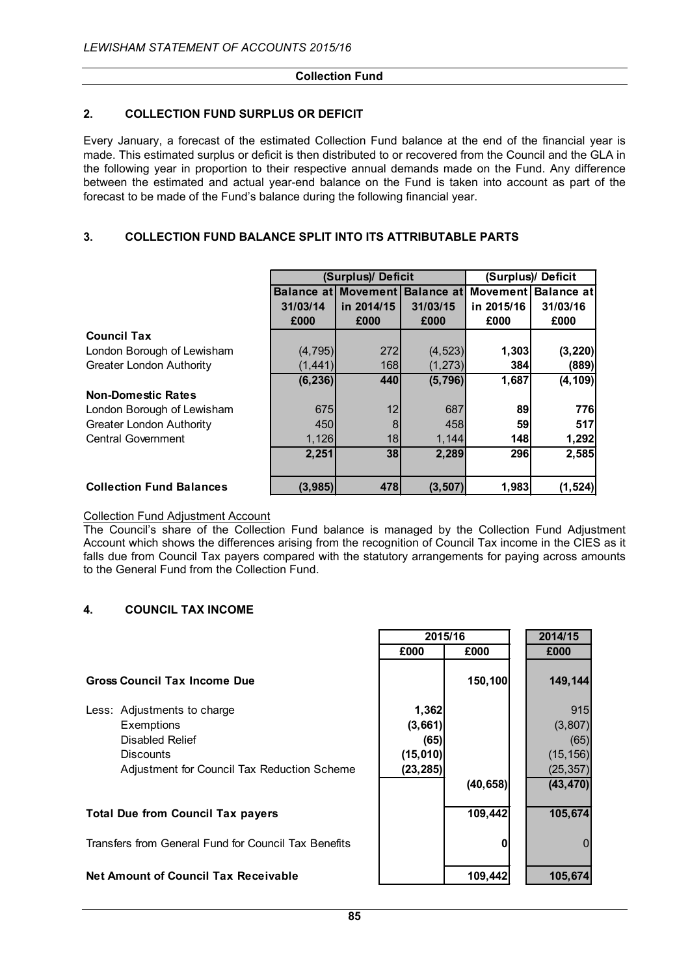# **2. COLLECTION FUND SURPLUS OR DEFICIT**

Every January, a forecast of the estimated Collection Fund balance at the end of the financial year is made. This estimated surplus or deficit is then distributed to or recovered from the Council and the GLA in the following year in proportion to their respective annual demands made on the Fund. Any difference between the estimated and actual year-end balance on the Fund is taken into account as part of the forecast to be made of the Fund's balance during the following financial year.

# **3. COLLECTION FUND BALANCE SPLIT INTO ITS ATTRIBUTABLE PARTS**

|                                 |          | (Surplus)/ Deficit         | (Surplus)/ Deficit |            |                                       |
|---------------------------------|----------|----------------------------|--------------------|------------|---------------------------------------|
|                                 |          | <b>Balance at Movement</b> |                    |            | <b>Balance at Movement Balance at</b> |
|                                 | 31/03/14 | in 2014/15                 | 31/03/15           | in 2015/16 | 31/03/16                              |
|                                 | £000     | £000                       | £000               | £000       | £000                                  |
| <b>Council Tax</b>              |          |                            |                    |            |                                       |
| London Borough of Lewisham      | (4, 795) | 272                        | (4, 523)           | 1,303      | (3, 220)                              |
| <b>Greater London Authority</b> | (1, 441) | 168                        | (1, 273)           | 384        | (889)                                 |
|                                 | (6, 236) | 440                        | (5,796)            | 1,687      | (4, 109)                              |
| <b>Non-Domestic Rates</b>       |          |                            |                    |            |                                       |
| London Borough of Lewisham      | 675      | 12                         | 687                | 89         | 776                                   |
| <b>Greater London Authority</b> | 450      | 8                          | 458                | 59         | 517                                   |
| Central Government              | 1,126    | 18 <sup>l</sup>            | 1,144              | <b>148</b> | 1,292                                 |
|                                 | 2,251    | 38                         | 2,289              | 296        | 2,585                                 |
|                                 |          |                            |                    |            |                                       |
| <b>Collection Fund Balances</b> | (3,985)  | 478                        | (3, 507)           | 1,983      | (1, 524)                              |

## Collection Fund Adjustment Account

The Council's share of the Collection Fund balance is managed by the Collection Fund Adjustment Account which shows the differences arising from the recognition of Council Tax income in the CIES as it falls due from Council Tax payers compared with the statutory arrangements for paying across amounts to the General Fund from the Collection Fund.

# **4. COUNCIL TAX INCOME**

|                                                                                                                                                                                                                                | 2015/16   |           | 2014/15   |
|--------------------------------------------------------------------------------------------------------------------------------------------------------------------------------------------------------------------------------|-----------|-----------|-----------|
|                                                                                                                                                                                                                                | £000      | £000      | £000      |
| <b>Gross Council Tax Income Due</b>                                                                                                                                                                                            |           | 150,100   | 149,144   |
| Less: Adjustments to charge                                                                                                                                                                                                    | 1,362     |           | 915       |
| Exemptions                                                                                                                                                                                                                     | (3,661)   |           | (3, 807)  |
| Disabled Relief                                                                                                                                                                                                                | (65)      |           | (65)      |
| <b>Discounts</b>                                                                                                                                                                                                               | (15,010)  |           | (15, 156) |
| Adjustment for Council Tax Reduction Scheme                                                                                                                                                                                    | (23, 285) |           | (25, 357) |
|                                                                                                                                                                                                                                |           | (40, 658) | (43, 470) |
| <b>Total Due from Council Tax payers</b>                                                                                                                                                                                       |           | 109,442   | 105,674   |
| The contract of the contract of the contract of the first property of the contract of the contract of the contract of the contract of the contract of the contract of the contract of the contract of the contract of the cont |           |           |           |

Transfers from General Fund for Council Tax Benefits **0** 0

# **Net Amount of Council Tax Receivable 109,442 105,674**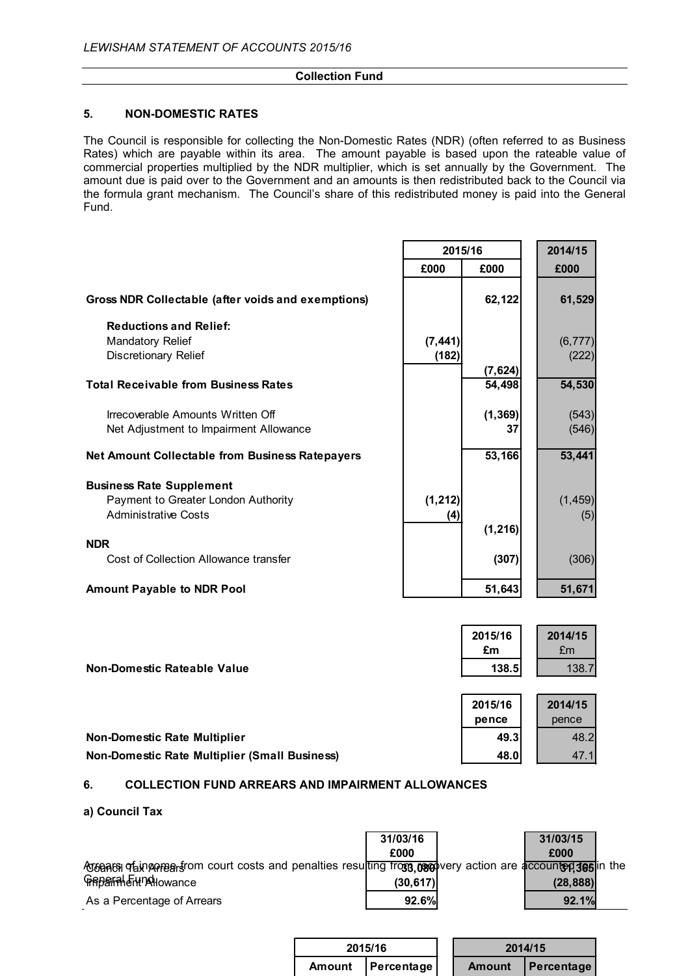### **5. NON-DOMESTIC RATES**

The Council is responsible for collecting the Non-Domestic Rates (NDR) (often referred to as Business Rates) which are payable within its area. The amount payable is based upon the rateable value of commercial properties multiplied by the NDR multiplier, which is set annually by the Government. The amount due is paid over to the Government and an amounts is then redistributed back to the Council via the formula grant mechanism. The Council's share of this redistributed money is paid into the General Fund.

|                                                                             |          | 2015/16        | 2014/15        |
|-----------------------------------------------------------------------------|----------|----------------|----------------|
|                                                                             | £000     | £000           | £000           |
| Gross NDR Collectable (after voids and exemptions)                          |          | 62,122         | 61,529         |
| <b>Reductions and Relief:</b><br><b>Mandatory Relief</b>                    | (7, 441) |                | (6, 777)       |
| Discretionary Relief                                                        | (182)    | (7, 624)       | (222)          |
| <b>Total Receivable from Business Rates</b>                                 |          | 54,498         | 54,530         |
| Irrecoverable Amounts Written Off<br>Net Adjustment to Impairment Allowance |          | (1, 369)<br>37 | (543)<br>(546) |
| <b>Net Amount Collectable from Business Ratepayers</b>                      |          | 53,166         | 53,441         |
| <b>Business Rate Supplement</b><br>Payment to Greater London Authority      | (1, 212) |                | (1, 459)       |
| <b>Administrative Costs</b>                                                 | (4)      |                | (5)            |
| <b>NDR</b>                                                                  |          | (1, 216)       |                |
| Cost of Collection Allowance transfer                                       |          | (307)          | (306)          |
| <b>Amount Payable to NDR Pool</b>                                           |          | 51,643         | 51,671         |

|                                                      | 2015/16<br>£m | 2014/15<br>£m |
|------------------------------------------------------|---------------|---------------|
| Non-Domestic Rateable Value                          | 138.5         | 138.7         |
|                                                      |               |               |
|                                                      | 2015/16       | 2014/15       |
|                                                      | pence         | pence         |
| <b>Non-Domestic Rate Multiplier</b>                  | 49.3          | 48.2          |
| <b>Non-Domestic Rate Multiplier (Small Business)</b> | 48.0          | $-47.1$       |

### **6. COLLECTION FUND ARREARS AND IMPAIRMENT ALLOWANCES**

### **a) Council Tax**

|                                                                                                                   | 31/03/16  | 31/03/15  |  |
|-------------------------------------------------------------------------------------------------------------------|-----------|-----------|--|
|                                                                                                                   | £000      | £000      |  |
| A to a are a counter separation count costs and penalties resulting from to a correction are accounted set in the |           |           |  |
| <b>FRBSFALSHIDAIOWAnce</b>                                                                                        | (30, 617) | (28, 888) |  |
| As a Percentage of Arrears                                                                                        | 92.6%     | 92.1%     |  |

| 2015/16             | 2014/15 |                   |
|---------------------|---------|-------------------|
| Amount   Percentage |         | Amount Percentage |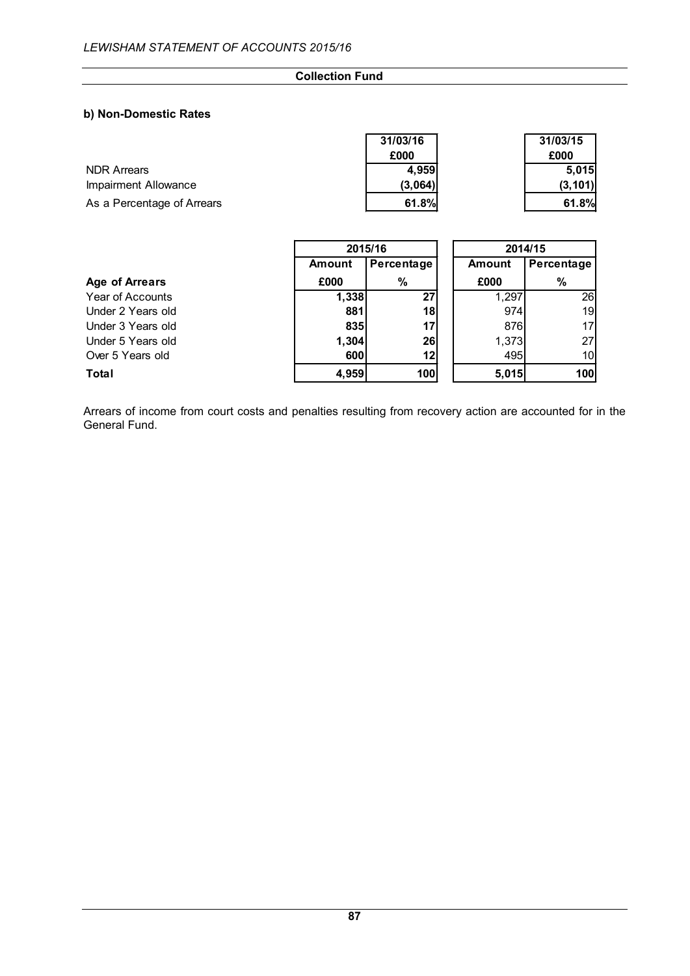## **b) Non-Domestic Rates**

|                            | 31/03/16 | 31/03/15 |
|----------------------------|----------|----------|
|                            | £000     | £000     |
| <b>NDR Arrears</b>         | 4,959    | 5.015    |
| Impairment Allowance       | (3,064)  | (3, 101) |
| As a Percentage of Arrears | 61.8%    | 61.8%    |

|                       | 2015/16       |            | 2014/15       |                 |
|-----------------------|---------------|------------|---------------|-----------------|
|                       | <b>Amount</b> | Percentage | <b>Amount</b> | Percentage      |
| <b>Age of Arrears</b> | £000          | %          | £000          | %               |
| Year of Accounts      | 1,338         | 27         | 1,297         | 26              |
| Under 2 Years old     | 881           | 18         | 974           | 19              |
| Under 3 Years old     | 835           | 17         | 876           | 17 <sup>1</sup> |
| Under 5 Years old     | 1,304         | 26         | 1,373         | 27 <sup>1</sup> |
| Over 5 Years old      | 600           | 12         | 495           | 10              |
| <b>Total</b>          | 4,959         | 100        | 5,015         | 100             |

Arrears of income from court costs and penalties resulting from recovery action are accounted for in the General Fund.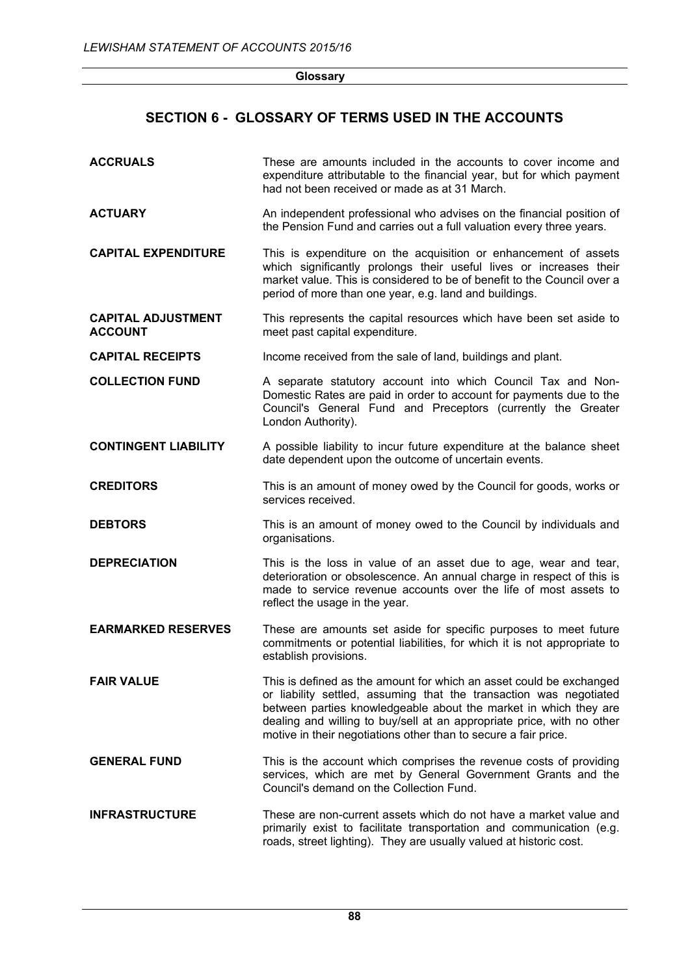**Glossary**

# **SECTION 6 - GLOSSARY OF TERMS USED IN THE ACCOUNTS**

| <b>ACCRUALS</b>                             | These are amounts included in the accounts to cover income and<br>expenditure attributable to the financial year, but for which payment<br>had not been received or made as at 31 March.                                                                                                                                                                   |
|---------------------------------------------|------------------------------------------------------------------------------------------------------------------------------------------------------------------------------------------------------------------------------------------------------------------------------------------------------------------------------------------------------------|
| <b>ACTUARY</b>                              | An independent professional who advises on the financial position of<br>the Pension Fund and carries out a full valuation every three years.                                                                                                                                                                                                               |
| <b>CAPITAL EXPENDITURE</b>                  | This is expenditure on the acquisition or enhancement of assets<br>which significantly prolongs their useful lives or increases their<br>market value. This is considered to be of benefit to the Council over a<br>period of more than one year, e.g. land and buildings.                                                                                 |
| <b>CAPITAL ADJUSTMENT</b><br><b>ACCOUNT</b> | This represents the capital resources which have been set aside to<br>meet past capital expenditure.                                                                                                                                                                                                                                                       |
| <b>CAPITAL RECEIPTS</b>                     | Income received from the sale of land, buildings and plant.                                                                                                                                                                                                                                                                                                |
| <b>COLLECTION FUND</b>                      | A separate statutory account into which Council Tax and Non-<br>Domestic Rates are paid in order to account for payments due to the<br>Council's General Fund and Preceptors (currently the Greater<br>London Authority).                                                                                                                                  |
| <b>CONTINGENT LIABILITY</b>                 | A possible liability to incur future expenditure at the balance sheet<br>date dependent upon the outcome of uncertain events.                                                                                                                                                                                                                              |
| <b>CREDITORS</b>                            | This is an amount of money owed by the Council for goods, works or<br>services received.                                                                                                                                                                                                                                                                   |
| <b>DEBTORS</b>                              | This is an amount of money owed to the Council by individuals and<br>organisations.                                                                                                                                                                                                                                                                        |
| <b>DEPRECIATION</b>                         | This is the loss in value of an asset due to age, wear and tear,<br>deterioration or obsolescence. An annual charge in respect of this is<br>made to service revenue accounts over the life of most assets to<br>reflect the usage in the year.                                                                                                            |
| <b>EARMARKED RESERVES</b>                   | These are amounts set aside for specific purposes to meet future<br>commitments or potential liabilities, for which it is not appropriate to<br>establish provisions.                                                                                                                                                                                      |
| <b>FAIR VALUE</b>                           | This is defined as the amount for which an asset could be exchanged<br>or liability settled, assuming that the transaction was negotiated<br>between parties knowledgeable about the market in which they are<br>dealing and willing to buy/sell at an appropriate price, with no other<br>motive in their negotiations other than to secure a fair price. |
| <b>GENERAL FUND</b>                         | This is the account which comprises the revenue costs of providing<br>services, which are met by General Government Grants and the<br>Council's demand on the Collection Fund.                                                                                                                                                                             |
| <b>INFRASTRUCTURE</b>                       | These are non-current assets which do not have a market value and<br>primarily exist to facilitate transportation and communication (e.g.<br>roads, street lighting). They are usually valued at historic cost.                                                                                                                                            |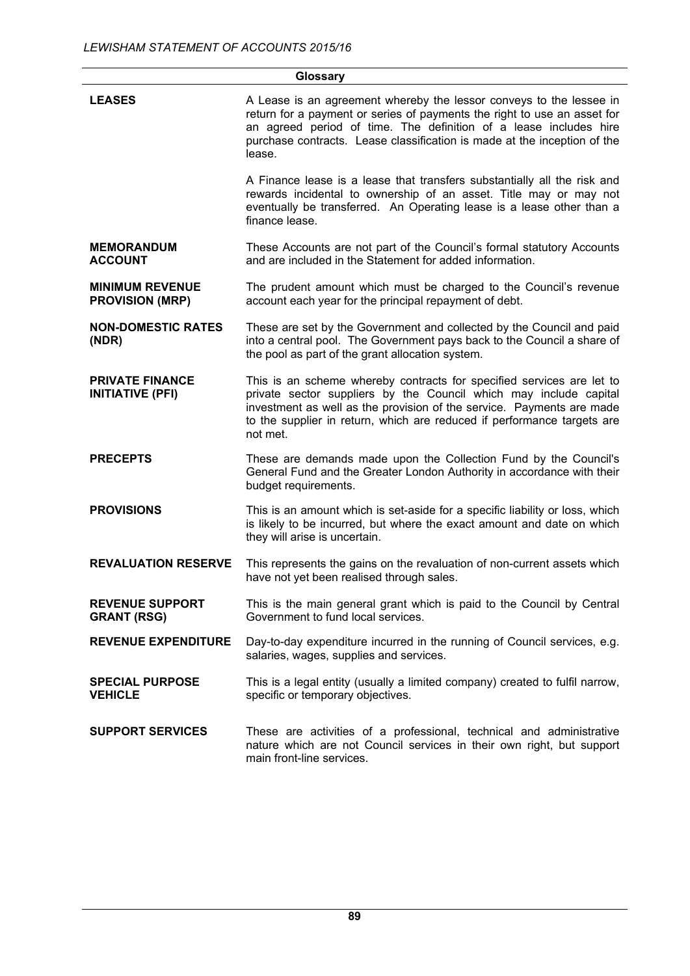|                                                   | Glossary                                                                                                                                                                                                                                                                                                   |
|---------------------------------------------------|------------------------------------------------------------------------------------------------------------------------------------------------------------------------------------------------------------------------------------------------------------------------------------------------------------|
| <b>LEASES</b>                                     | A Lease is an agreement whereby the lessor conveys to the lessee in<br>return for a payment or series of payments the right to use an asset for<br>an agreed period of time. The definition of a lease includes hire<br>purchase contracts. Lease classification is made at the inception of the<br>lease. |
|                                                   | A Finance lease is a lease that transfers substantially all the risk and<br>rewards incidental to ownership of an asset. Title may or may not<br>eventually be transferred. An Operating lease is a lease other than a<br>finance lease.                                                                   |
| <b>MEMORANDUM</b><br><b>ACCOUNT</b>               | These Accounts are not part of the Council's formal statutory Accounts<br>and are included in the Statement for added information.                                                                                                                                                                         |
| <b>MINIMUM REVENUE</b><br><b>PROVISION (MRP)</b>  | The prudent amount which must be charged to the Council's revenue<br>account each year for the principal repayment of debt.                                                                                                                                                                                |
| <b>NON-DOMESTIC RATES</b><br>(NDR)                | These are set by the Government and collected by the Council and paid<br>into a central pool. The Government pays back to the Council a share of<br>the pool as part of the grant allocation system.                                                                                                       |
| <b>PRIVATE FINANCE</b><br><b>INITIATIVE (PFI)</b> | This is an scheme whereby contracts for specified services are let to<br>private sector suppliers by the Council which may include capital<br>investment as well as the provision of the service. Payments are made<br>to the supplier in return, which are reduced if performance targets are<br>not met. |
| <b>PRECEPTS</b>                                   | These are demands made upon the Collection Fund by the Council's<br>General Fund and the Greater London Authority in accordance with their<br>budget requirements.                                                                                                                                         |
| <b>PROVISIONS</b>                                 | This is an amount which is set-aside for a specific liability or loss, which<br>is likely to be incurred, but where the exact amount and date on which<br>they will arise is uncertain.                                                                                                                    |
| <b>REVALUATION RESERVE</b>                        | This represents the gains on the revaluation of non-current assets which<br>have not yet been realised through sales.                                                                                                                                                                                      |
| <b>REVENUE SUPPORT</b><br><b>GRANT (RSG)</b>      | This is the main general grant which is paid to the Council by Central<br>Government to fund local services.                                                                                                                                                                                               |
| <b>REVENUE EXPENDITURE</b>                        | Day-to-day expenditure incurred in the running of Council services, e.g.<br>salaries, wages, supplies and services.                                                                                                                                                                                        |
| <b>SPECIAL PURPOSE</b><br><b>VEHICLE</b>          | This is a legal entity (usually a limited company) created to fulfil narrow,<br>specific or temporary objectives.                                                                                                                                                                                          |
| <b>SUPPORT SERVICES</b>                           | These are activities of a professional, technical and administrative<br>nature which are not Council services in their own right, but support<br>main front-line services.                                                                                                                                 |